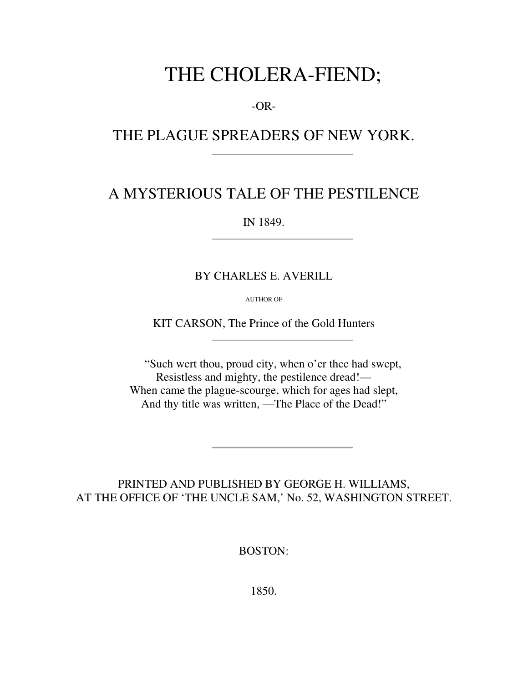# THE CHOLERA-FIEND;

-OR-

## THE PLAGUE SPREADERS OF NEW YORK.

### A MYSTERIOUS TALE OF THE PESTILENCE

IN 1849.

#### BY CHARLES E. AVERILL

AUTHOR OF

KIT CARSON, The Prince of the Gold Hunters

"Such wert thou, proud city, when o'er thee had swept, Resistless and mighty, the pestilence dread!— When came the plague-scourge, which for ages had slept, And thy title was written, —The Place of the Dead!"

PRINTED AND PUBLISHED BY GEORGE H. WILLIAMS, AT THE OFFICE OF 'THE UNCLE SAM,' No. 52, WASHINGTON STREET.

BOSTON:

1850.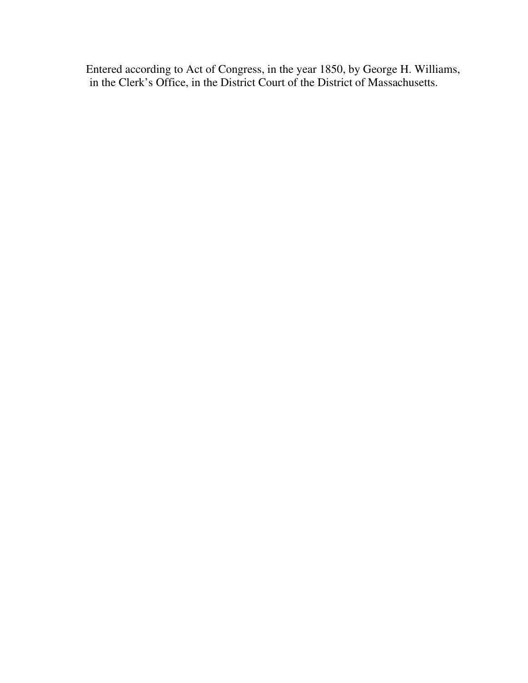Entered according to Act of Congress, in the year 1850, by George H. Williams, in the Clerk's Office, in the District Court of the District of Massachusetts.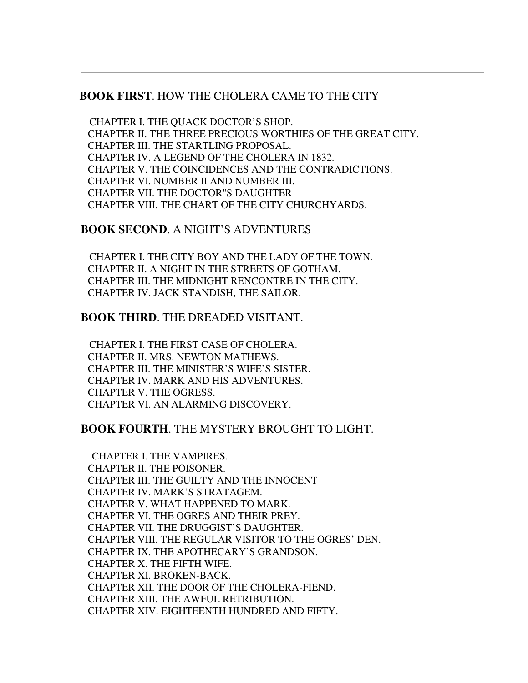#### **BOOK FIRST**. HOW THE CHOLERA CAME TO THE CITY

 CHAPTER I. THE QUACK DOCTOR'S SHOP. CHAPTER II. THE THREE PRECIOUS WORTHIES OF THE GREAT CITY. CHAPTER III. THE STARTLING PROPOSAL. CHAPTER IV. A LEGEND OF THE CHOLERA IN 1832. CHAPTER V. THE COINCIDENCES AND THE CONTRADICTIONS. CHAPTER VI. NUMBER II AND NUMBER III. CHAPTER VII. THE DOCTOR"S DAUGHTER CHAPTER VIII. THE CHART OF THE CITY CHURCHYARDS.

#### **BOOK SECOND**. A NIGHT'S ADVENTURES

 CHAPTER I. THE CITY BOY AND THE LADY OF THE TOWN. CHAPTER II. A NIGHT IN THE STREETS OF GOTHAM. CHAPTER III. THE MIDNIGHT RENCONTRE IN THE CITY. CHAPTER IV. JACK STANDISH, THE SAILOR.

#### **BOOK THIRD**. THE DREADED VISITANT.

 CHAPTER I. THE FIRST CASE OF CHOLERA. CHAPTER II. MRS. NEWTON MATHEWS. CHAPTER III. THE MINISTER'S WIFE'S SISTER. CHAPTER IV. MARK AND HIS ADVENTURES. CHAPTER V. THE OGRESS. CHAPTER VI. AN ALARMING DISCOVERY.

#### **BOOK FOURTH**. THE MYSTERY BROUGHT TO LIGHT.

 CHAPTER I. THE VAMPIRES. CHAPTER II. THE POISONER. CHAPTER III. THE GUILTY AND THE INNOCENT CHAPTER IV. MARK'S STRATAGEM. CHAPTER V. WHAT HAPPENED TO MARK. CHAPTER VI. THE OGRES AND THEIR PREY. CHAPTER VII. THE DRUGGIST'S DAUGHTER. CHAPTER VIII. THE REGULAR VISITOR TO THE OGRES' DEN. CHAPTER IX. THE APOTHECARY'S GRANDSON. CHAPTER X. THE FIFTH WIFE. CHAPTER XI. BROKEN-BACK. CHAPTER XII. THE DOOR OF THE CHOLERA-FIEND. CHAPTER XIII. THE AWFUL RETRIBUTION. CHAPTER XIV. EIGHTEENTH HUNDRED AND FIFTY.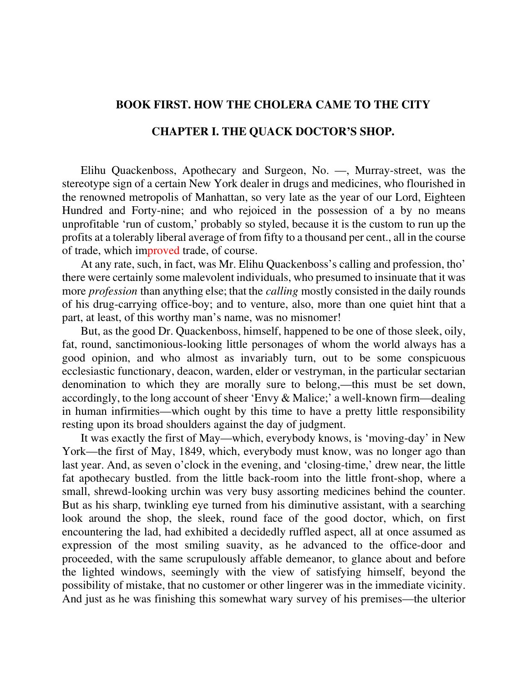#### **BOOK FIRST. HOW THE CHOLERA CAME TO THE CITY**

#### **CHAPTER I. THE QUACK DOCTOR'S SHOP.**

Elihu Quackenboss, Apothecary and Surgeon, No. —, Murray-street, was the stereotype sign of a certain New York dealer in drugs and medicines, who flourished in the renowned metropolis of Manhattan, so very late as the year of our Lord, Eighteen Hundred and Forty-nine; and who rejoiced in the possession of a by no means unprofitable 'run of custom,' probably so styled, because it is the custom to run up the profits at a tolerably liberal average of from fifty to a thousand per cent., all in the course of trade, which improved trade, of course.

At any rate, such, in fact, was Mr. Elihu Quackenboss's calling and profession, tho' there were certainly some malevolent individuals, who presumed to insinuate that it was more *profession* than anything else; that the *calling* mostly consisted in the daily rounds of his drug-carrying office-boy; and to venture, also, more than one quiet hint that a part, at least, of this worthy man's name, was no misnomer!

But, as the good Dr. Quackenboss, himself, happened to be one of those sleek, oily, fat, round, sanctimonious-looking little personages of whom the world always has a good opinion, and who almost as invariably turn, out to be some conspicuous ecclesiastic functionary, deacon, warden, elder or vestryman, in the particular sectarian denomination to which they are morally sure to belong,—this must be set down, accordingly, to the long account of sheer 'Envy & Malice;' a well-known firm—dealing in human infirmities—which ought by this time to have a pretty little responsibility resting upon its broad shoulders against the day of judgment.

It was exactly the first of May—which, everybody knows, is 'moving-day' in New York—the first of May, 1849, which, everybody must know, was no longer ago than last year. And, as seven o'clock in the evening, and 'closing-time,' drew near, the little fat apothecary bustled. from the little back-room into the little front-shop, where a small, shrewd-looking urchin was very busy assorting medicines behind the counter. But as his sharp, twinkling eye turned from his diminutive assistant, with a searching look around the shop, the sleek, round face of the good doctor, which, on first encountering the lad, had exhibited a decidedly ruffled aspect, all at once assumed as expression of the most smiling suavity, as he advanced to the office-door and proceeded, with the same scrupulously affable demeanor, to glance about and before the lighted windows, seemingly with the view of satisfying himself, beyond the possibility of mistake, that no customer or other lingerer was in the immediate vicinity. And just as he was finishing this somewhat wary survey of his premises—the ulterior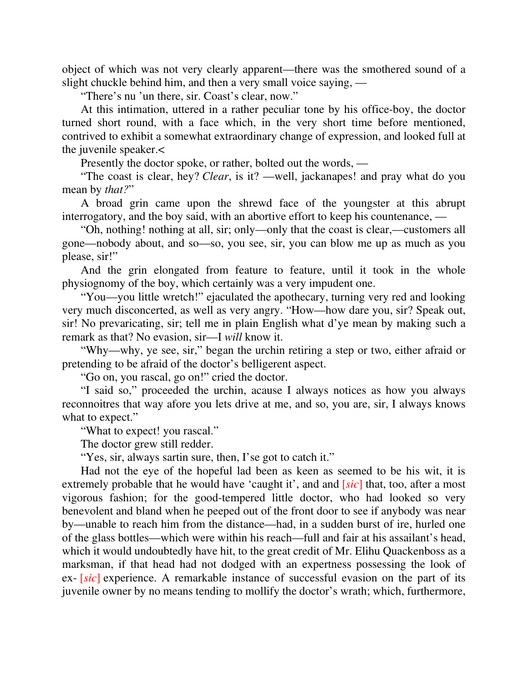object of which was not very clearly apparent—there was the smothered sound of a slight chuckle behind him, and then a very small voice saying, —

"There's nu 'un there, sir. Coast's clear, now."

At this intimation, uttered in a rather peculiar tone by his office-boy, the doctor turned short round, with a face which, in the very short time before mentioned, contrived to exhibit a somewhat extraordinary change of expression, and looked full at the juvenile speaker.<

Presently the doctor spoke, or rather, bolted out the words, —

"The coast is clear, hey? *Clear*, is it? —well, jackanapes! and pray what do you mean by *that?*"

A broad grin came upon the shrewd face of the youngster at this abrupt interrogatory, and the boy said, with an abortive effort to keep his countenance, —

"Oh, nothing! nothing at all, sir; only—only that the coast is clear,—customers all gone—nobody about, and so—so, you see, sir, you can blow me up as much as you please, sir!"

And the grin elongated from feature to feature, until it took in the whole physiognomy of the boy, which certainly was a very impudent one.

"You—you little wretch!" ejaculated the apothecary, turning very red and looking very much disconcerted, as well as very angry. "How—how dare you, sir? Speak out, sir! No prevaricating, sir; tell me in plain English what d'ye mean by making such a remark as that? No evasion, sir—I *will* know it.

"Why—why, ye see, sir," began the urchin retiring a step or two, either afraid or pretending to be afraid of the doctor's belligerent aspect.

"Go on, you rascal, go on!" cried the doctor.

"I said so," proceeded the urchin, acause I always notices as how you always reconnoitres that way afore you lets drive at me, and so, you are, sir, I always knows what to expect."

"What to expect! you rascal."

The doctor grew still redder.

"Yes, sir, always sartin sure, then, I'se got to catch it."

Had not the eye of the hopeful lad been as keen as seemed to be his wit, it is extremely probable that he would have 'caught it', and and [*sic*] that, too, after a most vigorous fashion; for the good-tempered little doctor, who had looked so very benevolent and bland when he peeped out of the front door to see if anybody was near by—unable to reach him from the distance—had, in a sudden burst of ire, hurled one of the glass bottles—which were within his reach—full and fair at his assailant's head, which it would undoubtedly have hit, to the great credit of Mr. Elihu Quackenboss as a marksman, if that head had not dodged with an expertness possessing the look of ex- [*sic*] experience. A remarkable instance of successful evasion on the part of its juvenile owner by no means tending to mollify the doctor's wrath; which, furthermore,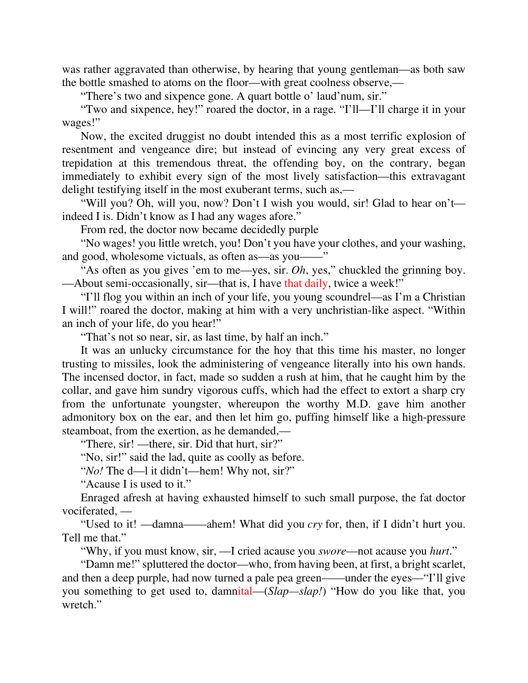was rather aggravated than otherwise, by hearing that young gentleman—as both saw the bottle smashed to atoms on the floor—with great coolness observe,—

"There's two and sixpence gone. A quart bottle o' laud'num, sir."

"Two and sixpence, hey!" roared the doctor, in a rage. "I'll—I'll charge it in your wages!"

Now, the excited druggist no doubt intended this as a most terrific explosion of resentment and vengeance dire; but instead of evincing any very great excess of trepidation at this tremendous threat, the offending boy, on the contrary, began immediately to exhibit every sign of the most lively satisfaction—this extravagant delight testifying itself in the most exuberant terms, such as,—

"Will you? Oh, will you, now? Don't I wish you would, sir! Glad to hear on't indeed I is. Didn't know as I had any wages afore."

From red, the doctor now became decidedly purple

"No wages! you little wretch, you! Don't you have your clothes, and your washing, and good, wholesome victuals, as often as—as you——"

"As often as you gives 'em to me—yes, sir. *Oh*, yes," chuckled the grinning boy. —About semi-occasionally, sir—that is, I have that daily, twice a week!"

"I'll flog you within an inch of your life, you young scoundrel—as I'm a Christian I will!" roared the doctor, making at him with a very unchristian-like aspect. "Within an inch of your life, do you hear!"

"That's not so near, sir, as last time, by half an inch."

It was an unlucky circumstance for the hoy that this time his master, no longer trusting to missiles, look the administering of vengeance literally into his own hands. The incensed doctor, in fact, made so sudden a rush at him, that he caught him by the collar, and gave him sundry vigorous cuffs, which had the effect to extort a sharp cry from the unfortunate youngster, whereupon the worthy M.D. gave him another admonitory box on the ear, and then let him go, puffing himself like a high-pressure steamboat, from the exertion, as he demanded,—

"There, sir! —there, sir. Did that hurt, sir?"

"No, sir!" said the lad, quite as coolly as before.

"*No!* The d—l it didn't—hem! Why not, sir?"

"Acause I is used to it."

Enraged afresh at having exhausted himself to such small purpose, the fat doctor vociferated, —

"Used to it! —damna——ahem! What did you *cry* for, then, if I didn't hurt you. Tell me that."

"Why, if you must know, sir, —I cried acause you *swore*—not acause you *hurt*."

"Damn me!" spluttered the doctor—who, from having been, at first, a bright scarlet, and then a deep purple, had now turned a pale pea green——under the eyes—"I'll give you something to get used to, damnital—(*Slap—slap!*) "How do you like that, you wretch."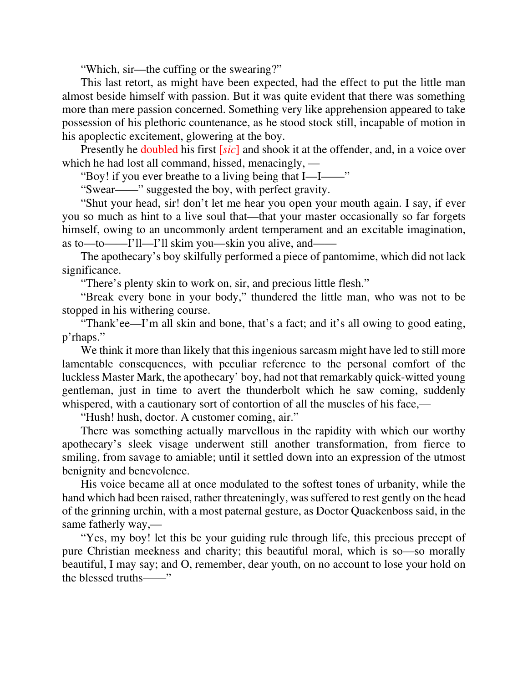"Which, sir—the cuffing or the swearing?"

This last retort, as might have been expected, had the effect to put the little man almost beside himself with passion. But it was quite evident that there was something more than mere passion concerned. Something very like apprehension appeared to take possession of his plethoric countenance, as he stood stock still, incapable of motion in his apoplectic excitement, glowering at the boy.

Presently he doubled his first [*sic*] and shook it at the offender, and, in a voice over which he had lost all command, hissed, menacingly, —

"Boy! if you ever breathe to a living being that I—I——"

"Swear——" suggested the boy, with perfect gravity.

"Shut your head, sir! don't let me hear you open your mouth again. I say, if ever you so much as hint to a live soul that—that your master occasionally so far forgets himself, owing to an uncommonly ardent temperament and an excitable imagination, as to—to——I'll—I'll skim you—skin you alive, and——

The apothecary's boy skilfully performed a piece of pantomime, which did not lack significance.

"There's plenty skin to work on, sir, and precious little flesh."

"Break every bone in your body," thundered the little man, who was not to be stopped in his withering course.

"Thank'ee—I'm all skin and bone, that's a fact; and it's all owing to good eating, p'rhaps."

We think it more than likely that this ingenious sarcasm might have led to still more lamentable consequences, with peculiar reference to the personal comfort of the luckless Master Mark, the apothecary' boy, had not that remarkably quick-witted young gentleman, just in time to avert the thunderbolt which he saw coming, suddenly whispered, with a cautionary sort of contortion of all the muscles of his face,—

"Hush! hush, doctor. A customer coming, air."

There was something actually marvellous in the rapidity with which our worthy apothecary's sleek visage underwent still another transformation, from fierce to smiling, from savage to amiable; until it settled down into an expression of the utmost benignity and benevolence.

His voice became all at once modulated to the softest tones of urbanity, while the hand which had been raised, rather threateningly, was suffered to rest gently on the head of the grinning urchin, with a most paternal gesture, as Doctor Quackenboss said, in the same fatherly way,—

"Yes, my boy! let this be your guiding rule through life, this precious precept of pure Christian meekness and charity; this beautiful moral, which is so—so morally beautiful, I may say; and O, remember, dear youth, on no account to lose your hold on the blessed truths——"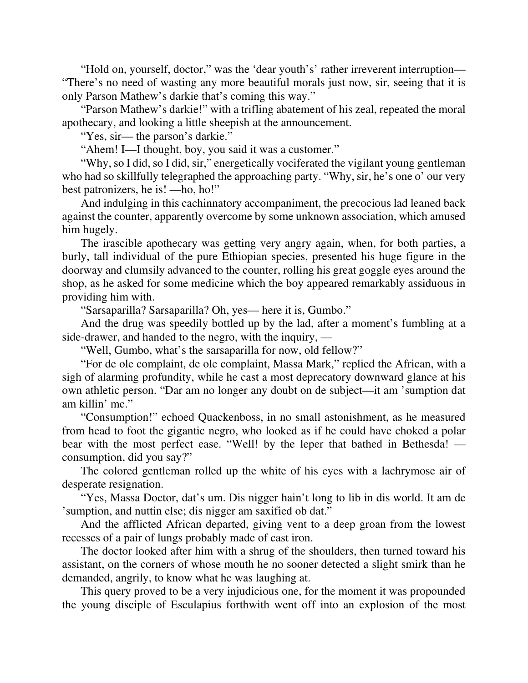"Hold on, yourself, doctor," was the 'dear youth's' rather irreverent interruption— "There's no need of wasting any more beautiful morals just now, sir, seeing that it is only Parson Mathew's darkie that's coming this way."

"Parson Mathew's darkie!" with a trifling abatement of his zeal, repeated the moral apothecary, and looking a little sheepish at the announcement.

"Yes, sir— the parson's darkie."

"Ahem! I—I thought, boy, you said it was a customer."

"Why, so I did, so I did, sir," energetically vociferated the vigilant young gentleman who had so skillfully telegraphed the approaching party. "Why, sir, he's one o' our very best patronizers, he is! —ho, ho!"

And indulging in this cachinnatory accompaniment, the precocious lad leaned back against the counter, apparently overcome by some unknown association, which amused him hugely.

The irascible apothecary was getting very angry again, when, for both parties, a burly, tall individual of the pure Ethiopian species, presented his huge figure in the doorway and clumsily advanced to the counter, rolling his great goggle eyes around the shop, as he asked for some medicine which the boy appeared remarkably assiduous in providing him with.

"Sarsaparilla? Sarsaparilla? Oh, yes— here it is, Gumbo."

And the drug was speedily bottled up by the lad, after a moment's fumbling at a side-drawer, and handed to the negro, with the inquiry, —

"Well, Gumbo, what's the sarsaparilla for now, old fellow?"

"For de ole complaint, de ole complaint, Massa Mark," replied the African, with a sigh of alarming profundity, while he cast a most deprecatory downward glance at his own athletic person. "Dar am no longer any doubt on de subject—it am 'sumption dat am killin' me."

"Consumption!" echoed Quackenboss, in no small astonishment, as he measured from head to foot the gigantic negro, who looked as if he could have choked a polar bear with the most perfect ease. "Well! by the leper that bathed in Bethesda! consumption, did you say?"

The colored gentleman rolled up the white of his eyes with a lachrymose air of desperate resignation.

"Yes, Massa Doctor, dat's um. Dis nigger hain't long to lib in dis world. It am de 'sumption, and nuttin else; dis nigger am saxified ob dat."

And the afflicted African departed, giving vent to a deep groan from the lowest recesses of a pair of lungs probably made of cast iron.

The doctor looked after him with a shrug of the shoulders, then turned toward his assistant, on the corners of whose mouth he no sooner detected a slight smirk than he demanded, angrily, to know what he was laughing at.

This query proved to be a very injudicious one, for the moment it was propounded the young disciple of Esculapius forthwith went off into an explosion of the most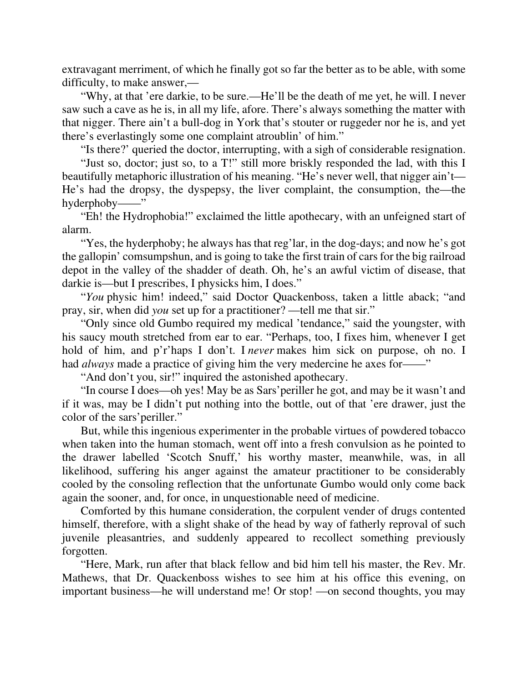extravagant merriment, of which he finally got so far the better as to be able, with some difficulty, to make answer,—

"Why, at that 'ere darkie, to be sure.—He'll be the death of me yet, he will. I never saw such a cave as he is, in all my life, afore. There's always something the matter with that nigger. There ain't a bull-dog in York that's stouter or ruggeder nor he is, and yet there's everlastingly some one complaint atroublin' of him."

"Is there?' queried the doctor, interrupting, with a sigh of considerable resignation.

"Just so, doctor; just so, to a T!" still more briskly responded the lad, with this I beautifully metaphoric illustration of his meaning. "He's never well, that nigger ain't— He's had the dropsy, the dyspepsy, the liver complaint, the consumption, the—the hyderphoby——"

"Eh! the Hydrophobia!" exclaimed the little apothecary, with an unfeigned start of alarm.

"Yes, the hyderphoby; he always has that reg'lar, in the dog-days; and now he's got the gallopin' comsumpshun, and is going to take the first train of cars for the big railroad depot in the valley of the shadder of death. Oh, he's an awful victim of disease, that darkie is—but I prescribes, I physicks him, I does."

"*You* physic him! indeed," said Doctor Quackenboss, taken a little aback; "and pray, sir, when did *you* set up for a practitioner? —tell me that sir."

"Only since old Gumbo required my medical 'tendance," said the youngster, with his saucy mouth stretched from ear to ear. "Perhaps, too, I fixes him, whenever I get hold of him, and p'r'haps I don't. I *never* makes him sick on purpose, oh no. I had *always* made a practice of giving him the very medercine he axes for——"

"And don't you, sir!" inquired the astonished apothecary.

"In course I does—oh yes! May be as Sars'periller he got, and may be it wasn't and if it was, may be I didn't put nothing into the bottle, out of that 'ere drawer, just the color of the sars'periller."

But, while this ingenious experimenter in the probable virtues of powdered tobacco when taken into the human stomach, went off into a fresh convulsion as he pointed to the drawer labelled 'Scotch Snuff,' his worthy master, meanwhile, was, in all likelihood, suffering his anger against the amateur practitioner to be considerably cooled by the consoling reflection that the unfortunate Gumbo would only come back again the sooner, and, for once, in unquestionable need of medicine.

Comforted by this humane consideration, the corpulent vender of drugs contented himself, therefore, with a slight shake of the head by way of fatherly reproval of such juvenile pleasantries, and suddenly appeared to recollect something previously forgotten.

"Here, Mark, run after that black fellow and bid him tell his master, the Rev. Mr. Mathews, that Dr. Quackenboss wishes to see him at his office this evening, on important business—he will understand me! Or stop! —on second thoughts, you may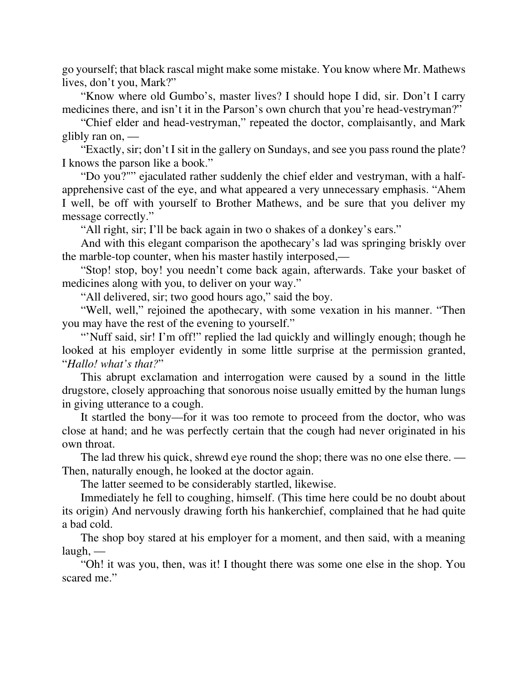go yourself; that black rascal might make some mistake. You know where Mr. Mathews lives, don't you, Mark?"

"Know where old Gumbo's, master lives? I should hope I did, sir. Don't I carry medicines there, and isn't it in the Parson's own church that you're head-vestryman?"

"Chief elder and head-vestryman," repeated the doctor, complaisantly, and Mark glibly ran on, —

"Exactly, sir; don't I sit in the gallery on Sundays, and see you pass round the plate? I knows the parson like a book."

"Do you?"" ejaculated rather suddenly the chief elder and vestryman, with a halfapprehensive cast of the eye, and what appeared a very unnecessary emphasis. "Ahem I well, be off with yourself to Brother Mathews, and be sure that you deliver my message correctly."

"All right, sir; I'll be back again in two o shakes of a donkey's ears."

And with this elegant comparison the apothecary's lad was springing briskly over the marble-top counter, when his master hastily interposed,—

"Stop! stop, boy! you needn't come back again, afterwards. Take your basket of medicines along with you, to deliver on your way."

"All delivered, sir; two good hours ago," said the boy.

"Well, well," rejoined the apothecary, with some vexation in his manner. "Then you may have the rest of the evening to yourself."

"Nuff said, sir! I'm off!" replied the lad quickly and willingly enough; though he looked at his employer evidently in some little surprise at the permission granted, "*Hallo! what's that?*"

This abrupt exclamation and interrogation were caused by a sound in the little drugstore, closely approaching that sonorous noise usually emitted by the human lungs in giving utterance to a cough.

It startled the bony—for it was too remote to proceed from the doctor, who was close at hand; and he was perfectly certain that the cough had never originated in his own throat.

The lad threw his quick, shrewd eye round the shop; there was no one else there. — Then, naturally enough, he looked at the doctor again.

The latter seemed to be considerably startled, likewise.

Immediately he fell to coughing, himself. (This time here could be no doubt about its origin) And nervously drawing forth his hankerchief, complained that he had quite a bad cold.

The shop boy stared at his employer for a moment, and then said, with a meaning  $l$ augh, —

"Oh! it was you, then, was it! I thought there was some one else in the shop. You scared me."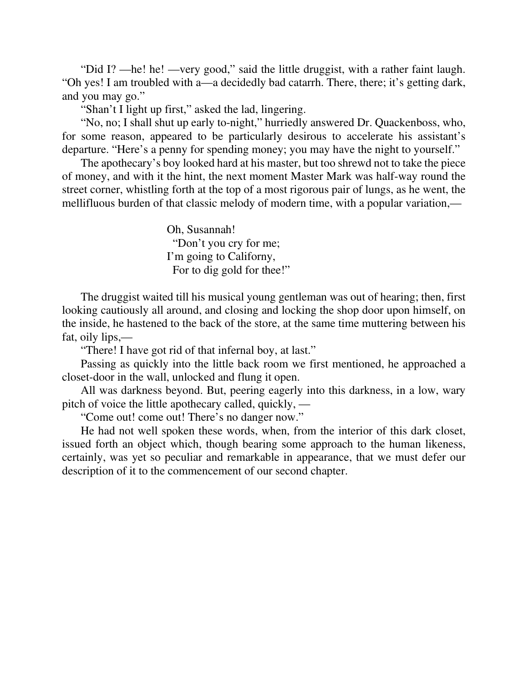"Did I? —he! he! —very good," said the little druggist, with a rather faint laugh. "Oh yes! I am troubled with a—a decidedly bad catarrh. There, there; it's getting dark, and you may go."

"Shan't I light up first," asked the lad, lingering.

"No, no; I shall shut up early to-night," hurriedly answered Dr. Quackenboss, who, for some reason, appeared to be particularly desirous to accelerate his assistant's departure. "Here's a penny for spending money; you may have the night to yourself."

The apothecary's boy looked hard at his master, but too shrewd not to take the piece of money, and with it the hint, the next moment Master Mark was half-way round the street corner, whistling forth at the top of a most rigorous pair of lungs, as he went, the mellifluous burden of that classic melody of modern time, with a popular variation,—

> Oh, Susannah! "Don't you cry for me; I'm going to Californy, For to dig gold for thee!"

The druggist waited till his musical young gentleman was out of hearing; then, first looking cautiously all around, and closing and locking the shop door upon himself, on the inside, he hastened to the back of the store, at the same time muttering between his fat, oily lips,—

"There! I have got rid of that infernal boy, at last."

Passing as quickly into the little back room we first mentioned, he approached a closet-door in the wall, unlocked and flung it open.

All was darkness beyond. But, peering eagerly into this darkness, in a low, wary pitch of voice the little apothecary called, quickly, —

"Come out! come out! There's no danger now."

He had not well spoken these words, when, from the interior of this dark closet, issued forth an object which, though bearing some approach to the human likeness, certainly, was yet so peculiar and remarkable in appearance, that we must defer our description of it to the commencement of our second chapter.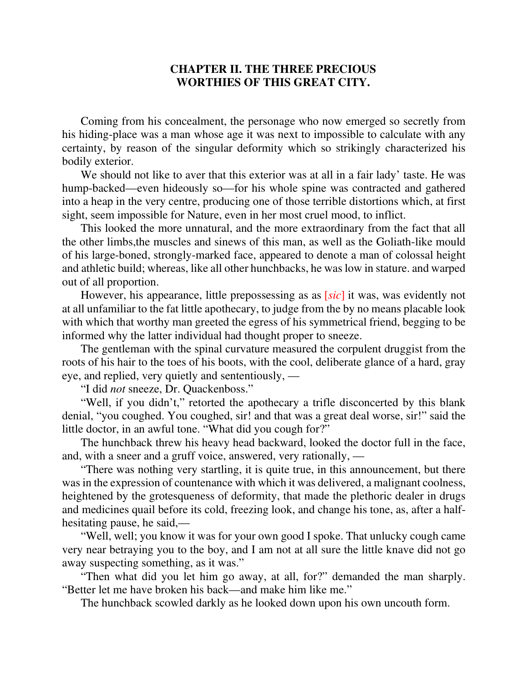#### **CHAPTER II. THE THREE PRECIOUS WORTHIES OF THIS GREAT CITY.**

Coming from his concealment, the personage who now emerged so secretly from his hiding-place was a man whose age it was next to impossible to calculate with any certainty, by reason of the singular deformity which so strikingly characterized his bodily exterior.

We should not like to aver that this exterior was at all in a fair lady' taste. He was hump-backed—even hideously so—for his whole spine was contracted and gathered into a heap in the very centre, producing one of those terrible distortions which, at first sight, seem impossible for Nature, even in her most cruel mood, to inflict.

This looked the more unnatural, and the more extraordinary from the fact that all the other limbs,the muscles and sinews of this man, as well as the Goliath-like mould of his large-boned, strongly-marked face, appeared to denote a man of colossal height and athletic build; whereas, like all other hunchbacks, he was low in stature. and warped out of all proportion.

However, his appearance, little prepossessing as as [*sic*] it was, was evidently not at all unfamiliar to the fat little apothecary, to judge from the by no means placable look with which that worthy man greeted the egress of his symmetrical friend, begging to be informed why the latter individual had thought proper to sneeze.

The gentleman with the spinal curvature measured the corpulent druggist from the roots of his hair to the toes of his boots, with the cool, deliberate glance of a hard, gray eye, and replied, very quietly and sententiously, —

"I did *not* sneeze, Dr. Quackenboss."

"Well, if you didn't," retorted the apothecary a trifle disconcerted by this blank denial, "you coughed. You coughed, sir! and that was a great deal worse, sir!" said the little doctor, in an awful tone. "What did you cough for?"

The hunchback threw his heavy head backward, looked the doctor full in the face, and, with a sneer and a gruff voice, answered, very rationally, —

"There was nothing very startling, it is quite true, in this announcement, but there was in the expression of countenance with which it was delivered, a malignant coolness, heightened by the grotesqueness of deformity, that made the plethoric dealer in drugs and medicines quail before its cold, freezing look, and change his tone, as, after a halfhesitating pause, he said,—

"Well, well; you know it was for your own good I spoke. That unlucky cough came very near betraying you to the boy, and I am not at all sure the little knave did not go away suspecting something, as it was."

"Then what did you let him go away, at all, for?" demanded the man sharply. "Better let me have broken his back—and make him like me."

The hunchback scowled darkly as he looked down upon his own uncouth form.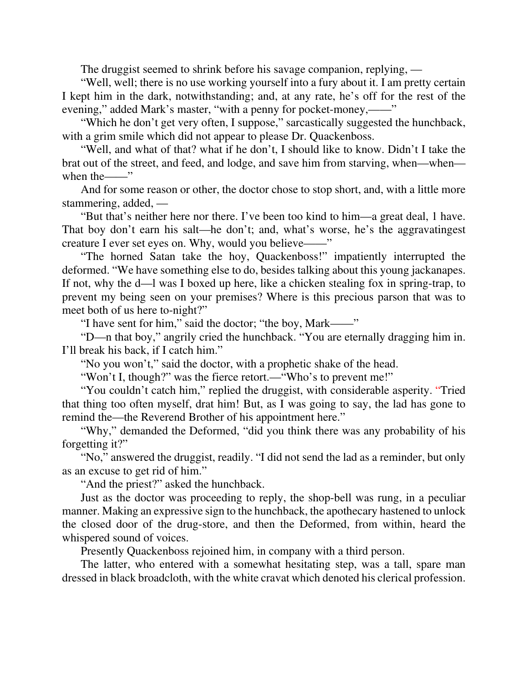The druggist seemed to shrink before his savage companion, replying, —

"Well, well; there is no use working yourself into a fury about it. I am pretty certain I kept him in the dark, notwithstanding; and, at any rate, he's off for the rest of the evening," added Mark's master, "with a penny for pocket-money,——"

"Which he don't get very often, I suppose," sarcastically suggested the hunchback, with a grim smile which did not appear to please Dr. Quackenboss.

"Well, and what of that? what if he don't, I should like to know. Didn't I take the brat out of the street, and feed, and lodge, and save him from starving, when—when when the——"

And for some reason or other, the doctor chose to stop short, and, with a little more stammering, added, —

"But that's neither here nor there. I've been too kind to him—a great deal, 1 have. That boy don't earn his salt—he don't; and, what's worse, he's the aggravatingest creature I ever set eyes on. Why, would you believe——"

"The horned Satan take the hoy, Quackenboss!" impatiently interrupted the deformed. "We have something else to do, besides talking about this young jackanapes. If not, why the d—l was I boxed up here, like a chicken stealing fox in spring-trap, to prevent my being seen on your premises? Where is this precious parson that was to meet both of us here to-night?"

"I have sent for him," said the doctor; "the boy, Mark——"

"D—n that boy," angrily cried the hunchback. "You are eternally dragging him in. I'll break his back, if I catch him."

"No you won't," said the doctor, with a prophetic shake of the head.

"Won't I, though?" was the fierce retort.—"Who's to prevent me!"

"You couldn't catch him," replied the druggist, with considerable asperity. "Tried that thing too often myself, drat him! But, as I was going to say, the lad has gone to remind the—the Reverend Brother of his appointment here."

"Why," demanded the Deformed, "did you think there was any probability of his forgetting it?"

"No," answered the druggist, readily. "I did not send the lad as a reminder, but only as an excuse to get rid of him."

"And the priest?" asked the hunchback.

Just as the doctor was proceeding to reply, the shop-bell was rung, in a peculiar manner. Making an expressive sign to the hunchback, the apothecary hastened to unlock the closed door of the drug-store, and then the Deformed, from within, heard the whispered sound of voices.

Presently Quackenboss rejoined him, in company with a third person.

The latter, who entered with a somewhat hesitating step, was a tall, spare man dressed in black broadcloth, with the white cravat which denoted his clerical profession.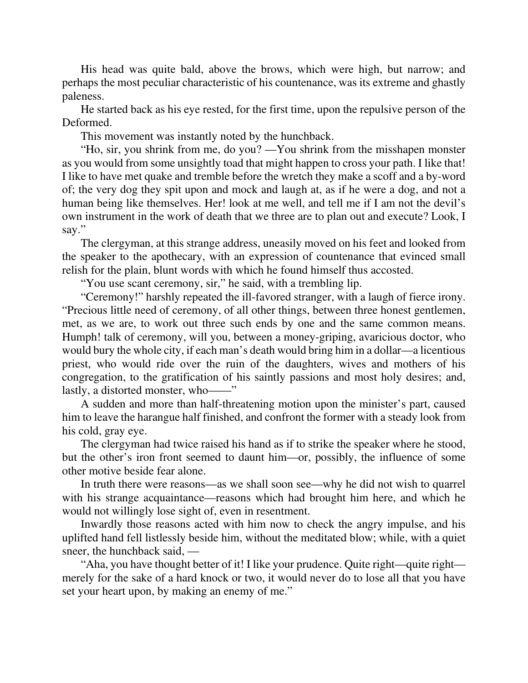His head was quite bald, above the brows, which were high, but narrow; and perhaps the most peculiar characteristic of his countenance, was its extreme and ghastly paleness.

He started back as his eye rested, for the first time, upon the repulsive person of the Deformed.

This movement was instantly noted by the hunchback.

"Ho, sir, you shrink from me, do you? —You shrink from the misshapen monster as you would from some unsightly toad that might happen to cross your path. I like that! I like to have met quake and tremble before the wretch they make a scoff and a by-word of; the very dog they spit upon and mock and laugh at, as if he were a dog, and not a human being like themselves. Her! look at me well, and tell me if I am not the devil's own instrument in the work of death that we three are to plan out and execute? Look, I say."

The clergyman, at this strange address, uneasily moved on his feet and looked from the speaker to the apothecary, with an expression of countenance that evinced small relish for the plain, blunt words with which he found himself thus accosted.

"You use scant ceremony, sir," he said, with a trembling lip.

"Ceremony!" harshly repeated the ill-favored stranger, with a laugh of fierce irony. "Precious little need of ceremony, of all other things, between three honest gentlemen, met, as we are, to work out three such ends by one and the same common means. Humph! talk of ceremony, will you, between a money-griping, avaricious doctor, who would bury the whole city, if each man's death would bring him in a dollar—a licentious priest, who would ride over the ruin of the daughters, wives and mothers of his congregation, to the gratification of his saintly passions and most holy desires; and, lastly, a distorted monster, who——"

A sudden and more than half-threatening motion upon the minister's part, caused him to leave the harangue half finished, and confront the former with a steady look from his cold, gray eye.

The clergyman had twice raised his hand as if to strike the speaker where he stood, but the other's iron front seemed to daunt him—or, possibly, the influence of some other motive beside fear alone.

In truth there were reasons—as we shall soon see—why he did not wish to quarrel with his strange acquaintance—reasons which had brought him here, and which he would not willingly lose sight of, even in resentment.

Inwardly those reasons acted with him now to check the angry impulse, and his uplifted hand fell listlessly beside him, without the meditated blow; while, with a quiet sneer, the hunchback said, —

"Aha, you have thought better of it! I like your prudence. Quite right—quite right merely for the sake of a hard knock or two, it would never do to lose all that you have set your heart upon, by making an enemy of me."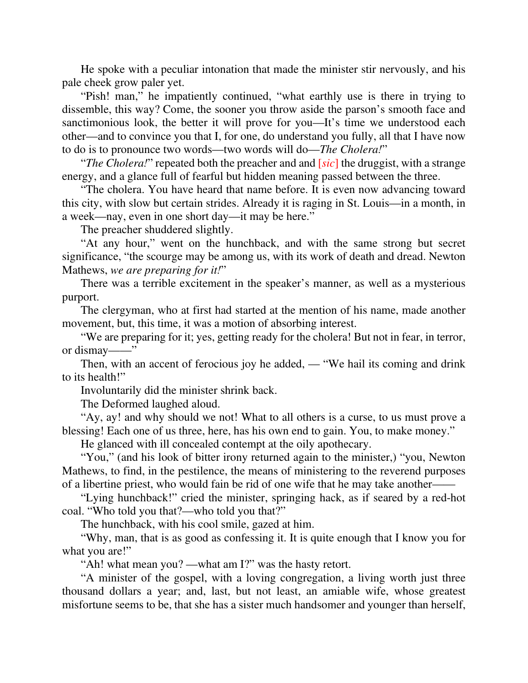He spoke with a peculiar intonation that made the minister stir nervously, and his pale cheek grow paler yet.

"Pish! man," he impatiently continued, "what earthly use is there in trying to dissemble, this way? Come, the sooner you throw aside the parson's smooth face and sanctimonious look, the better it will prove for you—It's time we understood each other—and to convince you that I, for one, do understand you fully, all that I have now to do is to pronounce two words—two words will do—*The Cholera!*"

"*The Cholera!*" repeated both the preacher and and [*sic*] the druggist, with a strange energy, and a glance full of fearful but hidden meaning passed between the three.

"The cholera. You have heard that name before. It is even now advancing toward this city, with slow but certain strides. Already it is raging in St. Louis—in a month, in a week—nay, even in one short day—it may be here."

The preacher shuddered slightly.

"At any hour," went on the hunchback, and with the same strong but secret significance, "the scourge may be among us, with its work of death and dread. Newton Mathews, *we are preparing for it!*"

There was a terrible excitement in the speaker's manner, as well as a mysterious purport.

The clergyman, who at first had started at the mention of his name, made another movement, but, this time, it was a motion of absorbing interest.

"We are preparing for it; yes, getting ready for the cholera! But not in fear, in terror, or dismay——"

Then, with an accent of ferocious joy he added, — "We hail its coming and drink to its health!"

Involuntarily did the minister shrink back.

The Deformed laughed aloud.

"Ay, ay! and why should we not! What to all others is a curse, to us must prove a blessing! Each one of us three, here, has his own end to gain. You, to make money."

He glanced with ill concealed contempt at the oily apothecary.

"You," (and his look of bitter irony returned again to the minister,) "you, Newton Mathews, to find, in the pestilence, the means of ministering to the reverend purposes of a libertine priest, who would fain be rid of one wife that he may take another——

"Lying hunchback!" cried the minister, springing hack, as if seared by a red-hot coal. "Who told you that?—who told you that?"

The hunchback, with his cool smile, gazed at him.

"Why, man, that is as good as confessing it. It is quite enough that I know you for what you are!"

"Ah! what mean you? —what am I?" was the hasty retort.

"A minister of the gospel, with a loving congregation, a living worth just three thousand dollars a year; and, last, but not least, an amiable wife, whose greatest misfortune seems to be, that she has a sister much handsomer and younger than herself,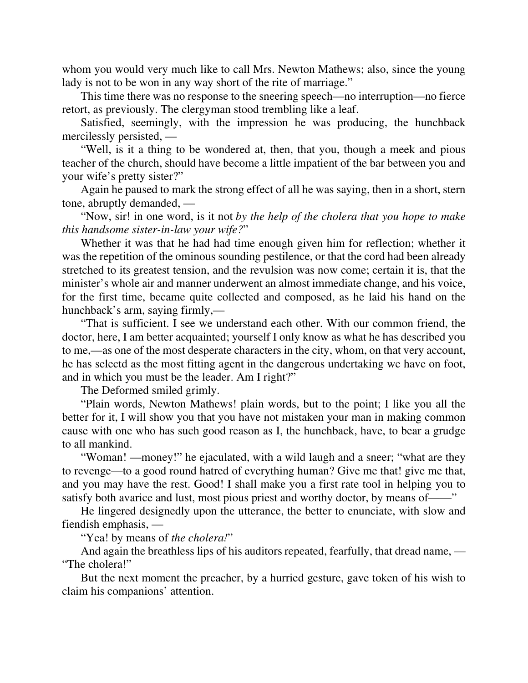whom you would very much like to call Mrs. Newton Mathews; also, since the young lady is not to be won in any way short of the rite of marriage."

This time there was no response to the sneering speech—no interruption—no fierce retort, as previously. The clergyman stood trembling like a leaf.

Satisfied, seemingly, with the impression he was producing, the hunchback mercilessly persisted, —

"Well, is it a thing to be wondered at, then, that you, though a meek and pious teacher of the church, should have become a little impatient of the bar between you and your wife's pretty sister?"

Again he paused to mark the strong effect of all he was saying, then in a short, stern tone, abruptly demanded, —

"Now, sir! in one word, is it not *by the help of the cholera that you hope to make this handsome sister-in-law your wife?*"

Whether it was that he had had time enough given him for reflection; whether it was the repetition of the ominous sounding pestilence, or that the cord had been already stretched to its greatest tension, and the revulsion was now come; certain it is, that the minister's whole air and manner underwent an almost immediate change, and his voice, for the first time, became quite collected and composed, as he laid his hand on the hunchback's arm, saying firmly,—

"That is sufficient. I see we understand each other. With our common friend, the doctor, here, I am better acquainted; yourself I only know as what he has described you to me,—as one of the most desperate characters in the city, whom, on that very account, he has selectd as the most fitting agent in the dangerous undertaking we have on foot, and in which you must be the leader. Am I right?"

The Deformed smiled grimly.

"Plain words, Newton Mathews! plain words, but to the point; I like you all the better for it, I will show you that you have not mistaken your man in making common cause with one who has such good reason as I, the hunchback, have, to bear a grudge to all mankind.

"Woman! —money!" he ejaculated, with a wild laugh and a sneer; "what are they to revenge—to a good round hatred of everything human? Give me that! give me that, and you may have the rest. Good! I shall make you a first rate tool in helping you to satisfy both avarice and lust, most pious priest and worthy doctor, by means of——"

He lingered designedly upon the utterance, the better to enunciate, with slow and fiendish emphasis, —

"Yea! by means of *the cholera!*"

And again the breathless lips of his auditors repeated, fearfully, that dread name, — "The cholera!"

But the next moment the preacher, by a hurried gesture, gave token of his wish to claim his companions' attention.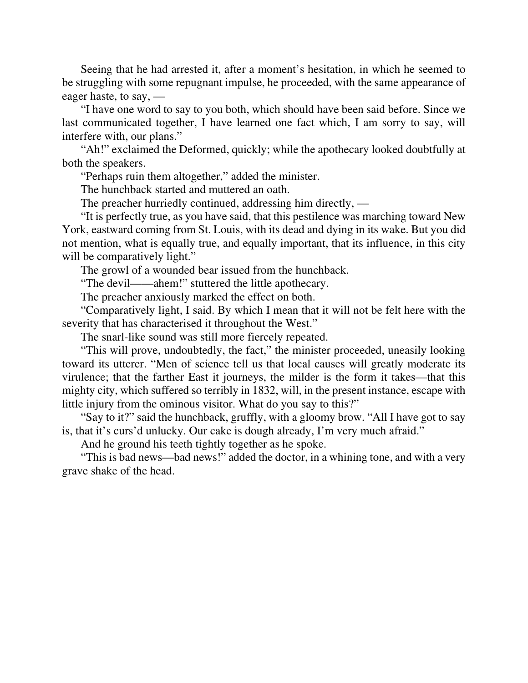Seeing that he had arrested it, after a moment's hesitation, in which he seemed to be struggling with some repugnant impulse, he proceeded, with the same appearance of eager haste, to say, —

"I have one word to say to you both, which should have been said before. Since we last communicated together, I have learned one fact which, I am sorry to say, will interfere with, our plans."

"Ah!" exclaimed the Deformed, quickly; while the apothecary looked doubtfully at both the speakers.

"Perhaps ruin them altogether," added the minister.

The hunchback started and muttered an oath.

The preacher hurriedly continued, addressing him directly, —

"It is perfectly true, as you have said, that this pestilence was marching toward New York, eastward coming from St. Louis, with its dead and dying in its wake. But you did not mention, what is equally true, and equally important, that its influence, in this city will be comparatively light."

The growl of a wounded bear issued from the hunchback.

"The devil——ahem!" stuttered the little apothecary.

The preacher anxiously marked the effect on both.

"Comparatively light, I said. By which I mean that it will not be felt here with the severity that has characterised it throughout the West."

The snarl-like sound was still more fiercely repeated.

"This will prove, undoubtedly, the fact," the minister proceeded, uneasily looking toward its utterer. "Men of science tell us that local causes will greatly moderate its virulence; that the farther East it journeys, the milder is the form it takes—that this mighty city, which suffered so terribly in 1832, will, in the present instance, escape with little injury from the ominous visitor. What do you say to this?"

"Say to it?" said the hunchback, gruffly, with a gloomy brow. "All I have got to say is, that it's curs'd unlucky. Our cake is dough already, I'm very much afraid."

And he ground his teeth tightly together as he spoke.

"This is bad news—bad news!" added the doctor, in a whining tone, and with a very grave shake of the head.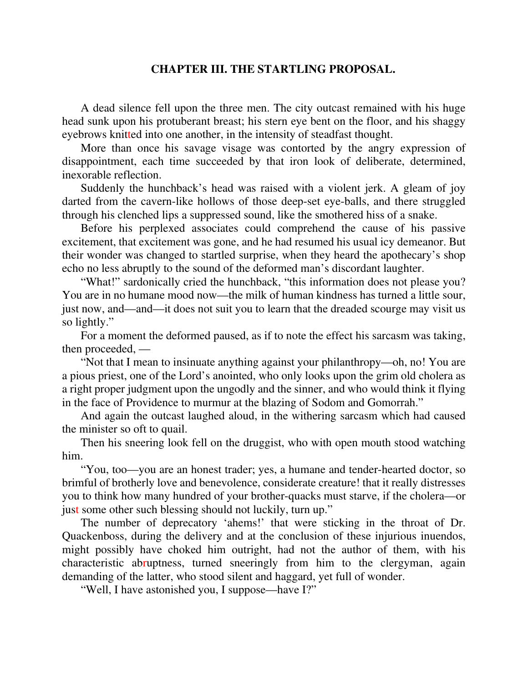#### **CHAPTER III. THE STARTLING PROPOSAL.**

A dead silence fell upon the three men. The city outcast remained with his huge head sunk upon his protuberant breast; his stern eye bent on the floor, and his shaggy eyebrows knitted into one another, in the intensity of steadfast thought.

More than once his savage visage was contorted by the angry expression of disappointment, each time succeeded by that iron look of deliberate, determined, inexorable reflection.

Suddenly the hunchback's head was raised with a violent jerk. A gleam of joy darted from the cavern-like hollows of those deep-set eye-balls, and there struggled through his clenched lips a suppressed sound, like the smothered hiss of a snake.

Before his perplexed associates could comprehend the cause of his passive excitement, that excitement was gone, and he had resumed his usual icy demeanor. But their wonder was changed to startled surprise, when they heard the apothecary's shop echo no less abruptly to the sound of the deformed man's discordant laughter.

"What!" sardonically cried the hunchback, "this information does not please you? You are in no humane mood now—the milk of human kindness has turned a little sour, just now, and—and—it does not suit you to learn that the dreaded scourge may visit us so lightly."

For a moment the deformed paused, as if to note the effect his sarcasm was taking, then proceeded, —

"Not that I mean to insinuate anything against your philanthropy—oh, no! You are a pious priest, one of the Lord's anointed, who only looks upon the grim old cholera as a right proper judgment upon the ungodly and the sinner, and who would think it flying in the face of Providence to murmur at the blazing of Sodom and Gomorrah."

And again the outcast laughed aloud, in the withering sarcasm which had caused the minister so oft to quail.

Then his sneering look fell on the druggist, who with open mouth stood watching him.

"You, too—you are an honest trader; yes, a humane and tender-hearted doctor, so brimful of brotherly love and benevolence, considerate creature! that it really distresses you to think how many hundred of your brother-quacks must starve, if the cholera—or just some other such blessing should not luckily, turn up."

The number of deprecatory 'ahems!' that were sticking in the throat of Dr. Quackenboss, during the delivery and at the conclusion of these injurious inuendos, might possibly have choked him outright, had not the author of them, with his characteristic abruptness, turned sneeringly from him to the clergyman, again demanding of the latter, who stood silent and haggard, yet full of wonder.

"Well, I have astonished you, I suppose—have I?"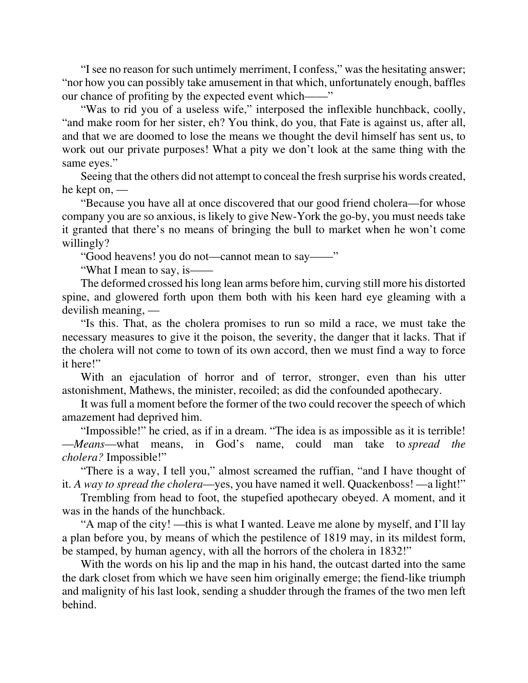"I see no reason for such untimely merriment, I confess," was the hesitating answer; "nor how you can possibly take amusement in that which, unfortunately enough, baffles our chance of profiting by the expected event which——"

"Was to rid you of a useless wife," interposed the inflexible hunchback, coolly, "and make room for her sister, eh? You think, do you, that Fate is against us, after all, and that we are doomed to lose the means we thought the devil himself has sent us, to work out our private purposes! What a pity we don't look at the same thing with the same eyes."

Seeing that the others did not attempt to conceal the fresh surprise his words created, he kept on, —

"Because you have all at once discovered that our good friend cholera—for whose company you are so anxious, is likely to give New-York the go-by, you must needs take it granted that there's no means of bringing the bull to market when he won't come willingly?

"Good heavens! you do not—cannot mean to say——"

"What I mean to say, is——

The deformed crossed his long lean arms before him, curving still more his distorted spine, and glowered forth upon them both with his keen hard eye gleaming with a devilish meaning, —

"Is this. That, as the cholera promises to run so mild a race, we must take the necessary measures to give it the poison, the severity, the danger that it lacks. That if the cholera will not come to town of its own accord, then we must find a way to force it here!"

With an ejaculation of horror and of terror, stronger, even than his utter astonishment, Mathews, the minister, recoiled; as did the confounded apothecary.

It was full a moment before the former of the two could recover the speech of which amazement had deprived him.

"Impossible!" he cried, as if in a dream. "The idea is as impossible as it is terrible! —*Means*—what means, in God's name, could man take to *spread the cholera?* Impossible!"

"There is a way, I tell you," almost screamed the ruffian, "and I have thought of it. *A way to spread the cholera*—yes, you have named it well. Quackenboss! —a light!"

Trembling from head to foot, the stupefied apothecary obeyed. A moment, and it was in the hands of the hunchback.

"A map of the city! —this is what I wanted. Leave me alone by myself, and I'll lay a plan before you, by means of which the pestilence of 1819 may, in its mildest form, be stamped, by human agency, with all the horrors of the cholera in 1832!"

With the words on his lip and the map in his hand, the outcast darted into the same the dark closet from which we have seen him originally emerge; the fiend-like triumph and malignity of his last look, sending a shudder through the frames of the two men left behind.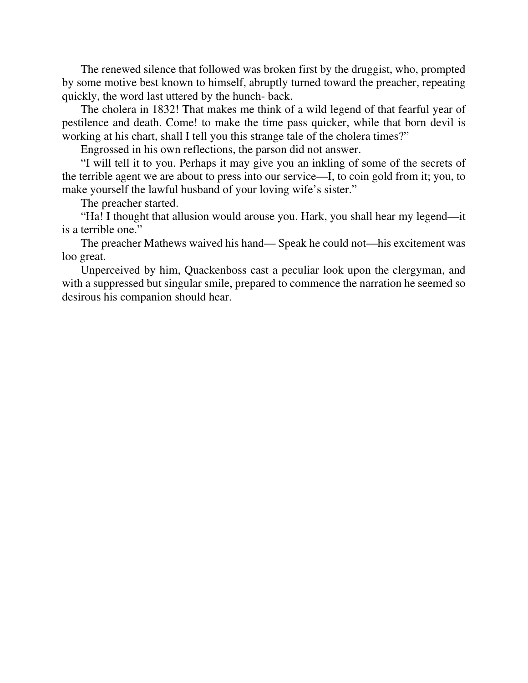The renewed silence that followed was broken first by the druggist, who, prompted by some motive best known to himself, abruptly turned toward the preacher, repeating quickly, the word last uttered by the hunch- back.

The cholera in 1832! That makes me think of a wild legend of that fearful year of pestilence and death. Come! to make the time pass quicker, while that born devil is working at his chart, shall I tell you this strange tale of the cholera times?"

Engrossed in his own reflections, the parson did not answer.

"I will tell it to you. Perhaps it may give you an inkling of some of the secrets of the terrible agent we are about to press into our service—I, to coin gold from it; you, to make yourself the lawful husband of your loving wife's sister."

The preacher started.

"Ha! I thought that allusion would arouse you. Hark, you shall hear my legend—it is a terrible one."

The preacher Mathews waived his hand— Speak he could not—his excitement was loo great.

Unperceived by him, Quackenboss cast a peculiar look upon the clergyman, and with a suppressed but singular smile, prepared to commence the narration he seemed so desirous his companion should hear.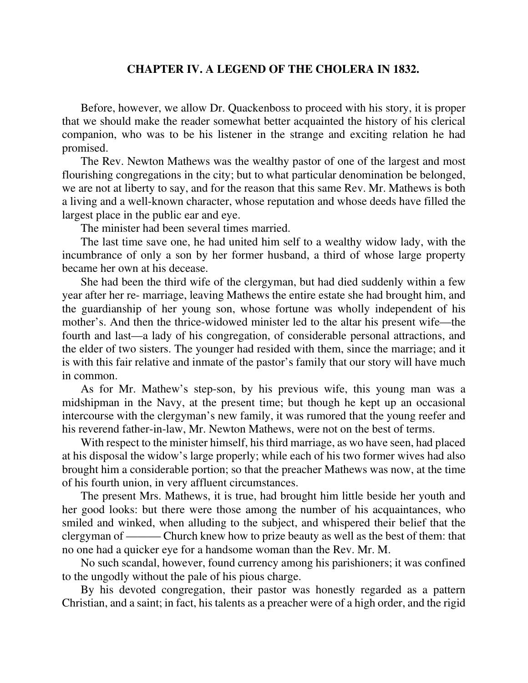#### **CHAPTER IV. A LEGEND OF THE CHOLERA IN 1832.**

Before, however, we allow Dr. Quackenboss to proceed with his story, it is proper that we should make the reader somewhat better acquainted the history of his clerical companion, who was to be his listener in the strange and exciting relation he had promised.

The Rev. Newton Mathews was the wealthy pastor of one of the largest and most flourishing congregations in the city; but to what particular denomination be belonged, we are not at liberty to say, and for the reason that this same Rev. Mr. Mathews is both a living and a well-known character, whose reputation and whose deeds have filled the largest place in the public ear and eye.

The minister had been several times married.

The last time save one, he had united him self to a wealthy widow lady, with the incumbrance of only a son by her former husband, a third of whose large property became her own at his decease.

She had been the third wife of the clergyman, but had died suddenly within a few year after her re- marriage, leaving Mathews the entire estate she had brought him, and the guardianship of her young son, whose fortune was wholly independent of his mother's. And then the thrice-widowed minister led to the altar his present wife—the fourth and last—a lady of his congregation, of considerable personal attractions, and the elder of two sisters. The younger had resided with them, since the marriage; and it is with this fair relative and inmate of the pastor's family that our story will have much in common.

As for Mr. Mathew's step-son, by his previous wife, this young man was a midshipman in the Navy, at the present time; but though he kept up an occasional intercourse with the clergyman's new family, it was rumored that the young reefer and his reverend father-in-law, Mr. Newton Mathews, were not on the best of terms.

With respect to the minister himself, his third marriage, as wo have seen, had placed at his disposal the widow's large properly; while each of his two former wives had also brought him a considerable portion; so that the preacher Mathews was now, at the time of his fourth union, in very affluent circumstances.

The present Mrs. Mathews, it is true, had brought him little beside her youth and her good looks: but there were those among the number of his acquaintances, who smiled and winked, when alluding to the subject, and whispered their belief that the clergyman of ——— Church knew how to prize beauty as well as the best of them: that no one had a quicker eye for a handsome woman than the Rev. Mr. M.

No such scandal, however, found currency among his parishioners; it was confined to the ungodly without the pale of his pious charge.

By his devoted congregation, their pastor was honestly regarded as a pattern Christian, and a saint; in fact, his talents as a preacher were of a high order, and the rigid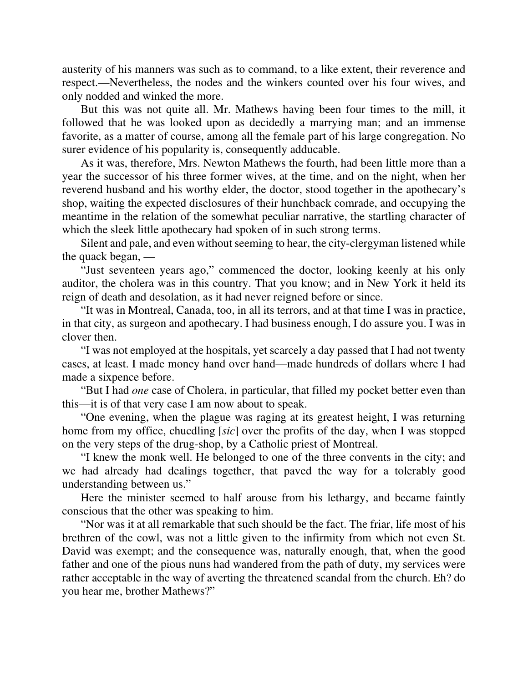austerity of his manners was such as to command, to a like extent, their reverence and respect.—Nevertheless, the nodes and the winkers counted over his four wives, and only nodded and winked the more.

But this was not quite all. Mr. Mathews having been four times to the mill, it followed that he was looked upon as decidedly a marrying man; and an immense favorite, as a matter of course, among all the female part of his large congregation. No surer evidence of his popularity is, consequently adducable.

As it was, therefore, Mrs. Newton Mathews the fourth, had been little more than a year the successor of his three former wives, at the time, and on the night, when her reverend husband and his worthy elder, the doctor, stood together in the apothecary's shop, waiting the expected disclosures of their hunchback comrade, and occupying the meantime in the relation of the somewhat peculiar narrative, the startling character of which the sleek little apothecary had spoken of in such strong terms.

Silent and pale, and even without seeming to hear, the city-clergyman listened while the quack began, —

"Just seventeen years ago," commenced the doctor, looking keenly at his only auditor, the cholera was in this country. That you know; and in New York it held its reign of death and desolation, as it had never reigned before or since.

"It was in Montreal, Canada, too, in all its terrors, and at that time I was in practice, in that city, as surgeon and apothecary. I had business enough, I do assure you. I was in clover then.

"I was not employed at the hospitals, yet scarcely a day passed that I had not twenty cases, at least. I made money hand over hand—made hundreds of dollars where I had made a sixpence before.

"But I had *one* case of Cholera, in particular, that filled my pocket better even than this—it is of that very case I am now about to speak.

"One evening, when the plague was raging at its greatest height, I was returning home from my office, chucdling [*sic*] over the profits of the day, when I was stopped on the very steps of the drug-shop, by a Catholic priest of Montreal.

"I knew the monk well. He belonged to one of the three convents in the city; and we had already had dealings together, that paved the way for a tolerably good understanding between us."

Here the minister seemed to half arouse from his lethargy, and became faintly conscious that the other was speaking to him.

"Nor was it at all remarkable that such should be the fact. The friar, life most of his brethren of the cowl, was not a little given to the infirmity from which not even St. David was exempt; and the consequence was, naturally enough, that, when the good father and one of the pious nuns had wandered from the path of duty, my services were rather acceptable in the way of averting the threatened scandal from the church. Eh? do you hear me, brother Mathews?"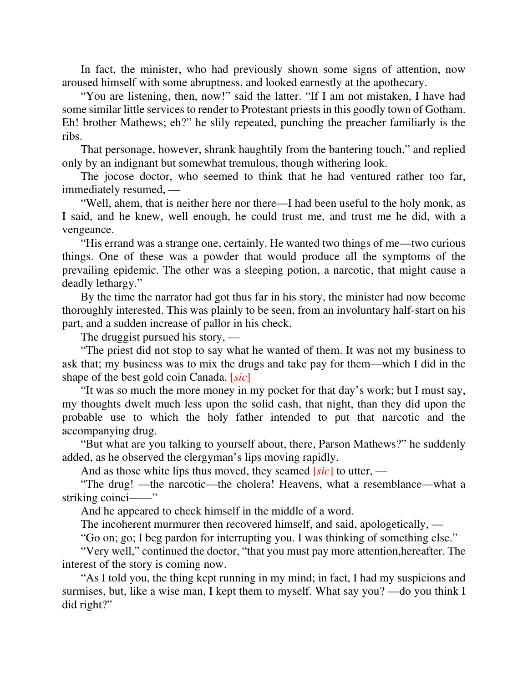In fact, the minister, who had previously shown some signs of attention, now aroused himself with some abruptness, and looked earnestly at the apothecary.

"You are listening, then, now!" said the latter. "If I am not mistaken, I have had some similar little services to render to Protestant priests in this goodly town of Gotham. Eh! brother Mathews; eh?" he slily repeated, punching the preacher familiarly is the ribs.

That personage, however, shrank haughtily from the bantering touch," and replied only by an indignant but somewhat tremulous, though withering look.

The jocose doctor, who seemed to think that he had ventured rather too far, immediately resumed, —

"Well, ahem, that is neither here nor there—I had been useful to the holy monk, as I said, and he knew, well enough, he could trust me, and trust me he did, with a vengeance.

"His errand was a strange one, certainly. He wanted two things of me—two curious things. One of these was a powder that would produce all the symptoms of the prevailing epidemic. The other was a sleeping potion, a narcotic, that might cause a deadly lethargy."

By the time the narrator had got thus far in his story, the minister had now become thoroughly interested. This was plainly to be seen, from an involuntary half-start on his part, and a sudden increase of pallor in his check.

The druggist pursued his story, —

"The priest did not stop to say what he wanted of them. It was not my business to ask that; my business was to mix the drugs and take pay for them—which I did in the shape of the best gold coin Canada. [*sic*]

"It was so much the more money in my pocket for that day's work; but I must say, my thoughts dwelt much less upon the solid cash, that night, than they did upon the probable use to which the holy father intended to put that narcotic and the accompanying drug.

"But what are you talking to yourself about, there, Parson Mathews?" he suddenly added, as he observed the clergyman's lips moving rapidly.

And as those white lips thus moved, they seamed [*sic*] to utter, —

"The drug! —the narcotic—the cholera! Heavens, what a resemblance—what a striking coinci——"

And he appeared to check himself in the middle of a word.

The incoherent murmurer then recovered himself, and said, apologetically, —

"Go on; go; I beg pardon for interrupting you. I was thinking of something else."

"Very well," continued the doctor, "that you must pay more attention,hereafter. The interest of the story is coming now.

"As I told you, the thing kept running in my mind; in fact, I had my suspicions and surmises, but, like a wise man, I kept them to myself. What say you? —do you think I did right?"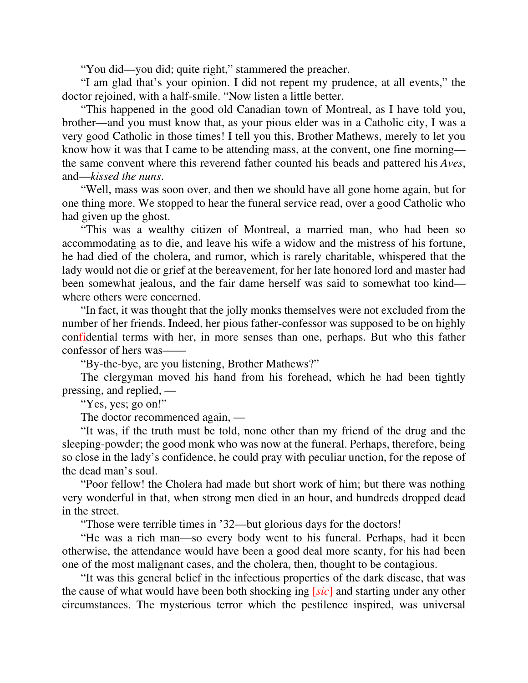"You did—you did; quite right," stammered the preacher.

"I am glad that's your opinion. I did not repent my prudence, at all events," the doctor rejoined, with a half-smile. "Now listen a little better.

"This happened in the good old Canadian town of Montreal, as I have told you, brother—and you must know that, as your pious elder was in a Catholic city, I was a very good Catholic in those times! I tell you this, Brother Mathews, merely to let you know how it was that I came to be attending mass, at the convent, one fine morning the same convent where this reverend father counted his beads and pattered his *Aves*, and—*kissed the nuns*.

"Well, mass was soon over, and then we should have all gone home again, but for one thing more. We stopped to hear the funeral service read, over a good Catholic who had given up the ghost.

"This was a wealthy citizen of Montreal, a married man, who had been so accommodating as to die, and leave his wife a widow and the mistress of his fortune, he had died of the cholera, and rumor, which is rarely charitable, whispered that the lady would not die or grief at the bereavement, for her late honored lord and master had been somewhat jealous, and the fair dame herself was said to somewhat too kind where others were concerned.

"In fact, it was thought that the jolly monks themselves were not excluded from the number of her friends. Indeed, her pious father-confessor was supposed to be on highly confidential terms with her, in more senses than one, perhaps. But who this father confessor of hers was——

"By-the-bye, are you listening, Brother Mathews?"

The clergyman moved his hand from his forehead, which he had been tightly pressing, and replied, —

"Yes, yes; go on!"

The doctor recommenced again, —

"It was, if the truth must be told, none other than my friend of the drug and the sleeping-powder; the good monk who was now at the funeral. Perhaps, therefore, being so close in the lady's confidence, he could pray with peculiar unction, for the repose of the dead man's soul.

"Poor fellow! the Cholera had made but short work of him; but there was nothing very wonderful in that, when strong men died in an hour, and hundreds dropped dead in the street.

"Those were terrible times in '32—but glorious days for the doctors!

"He was a rich man—so every body went to his funeral. Perhaps, had it been otherwise, the attendance would have been a good deal more scanty, for his had been one of the most malignant cases, and the cholera, then, thought to be contagious.

"It was this general belief in the infectious properties of the dark disease, that was the cause of what would have been both shocking ing [*sic*] and starting under any other circumstances. The mysterious terror which the pestilence inspired, was universal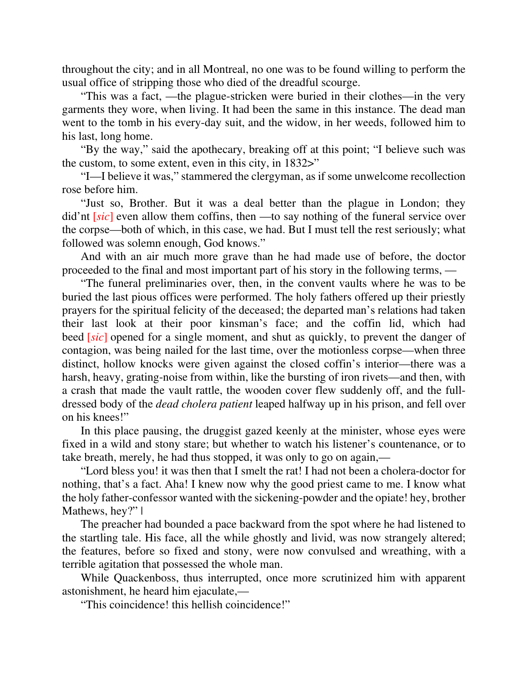throughout the city; and in all Montreal, no one was to be found willing to perform the usual office of stripping those who died of the dreadful scourge.

"This was a fact, —the plague-stricken were buried in their clothes—in the very garments they wore, when living. It had been the same in this instance. The dead man went to the tomb in his every-day suit, and the widow, in her weeds, followed him to his last, long home.

"By the way," said the apothecary, breaking off at this point; "I believe such was the custom, to some extent, even in this city, in 1832>"

"I—I believe it was," stammered the clergyman, as if some unwelcome recollection rose before him.

"Just so, Brother. But it was a deal better than the plague in London; they did'nt *sic* even allow them coffins, then —to say nothing of the funeral service over the corpse—both of which, in this case, we had. But I must tell the rest seriously; what followed was solemn enough, God knows."

And with an air much more grave than he had made use of before, the doctor proceeded to the final and most important part of his story in the following terms, —

"The funeral preliminaries over, then, in the convent vaults where he was to be buried the last pious offices were performed. The holy fathers offered up their priestly prayers for the spiritual felicity of the deceased; the departed man's relations had taken their last look at their poor kinsman's face; and the coffin lid, which had beed [*sic*] opened for a single moment, and shut as quickly, to prevent the danger of contagion, was being nailed for the last time, over the motionless corpse—when three distinct, hollow knocks were given against the closed coffin's interior—there was a harsh, heavy, grating-noise from within, like the bursting of iron rivets—and then, with a crash that made the vault rattle, the wooden cover flew suddenly off, and the fulldressed body of the *dead cholera patient* leaped halfway up in his prison, and fell over on his knees!"

In this place pausing, the druggist gazed keenly at the minister, whose eyes were fixed in a wild and stony stare; but whether to watch his listener's countenance, or to take breath, merely, he had thus stopped, it was only to go on again,—

"Lord bless you! it was then that I smelt the rat! I had not been a cholera-doctor for nothing, that's a fact. Aha! I knew now why the good priest came to me. I know what the holy father-confessor wanted with the sickening-powder and the opiate! hey, brother Mathews, hey?" |

The preacher had bounded a pace backward from the spot where he had listened to the startling tale. His face, all the while ghostly and livid, was now strangely altered; the features, before so fixed and stony, were now convulsed and wreathing, with a terrible agitation that possessed the whole man.

While Quackenboss, thus interrupted, once more scrutinized him with apparent astonishment, he heard him ejaculate,—

"This coincidence! this hellish coincidence!"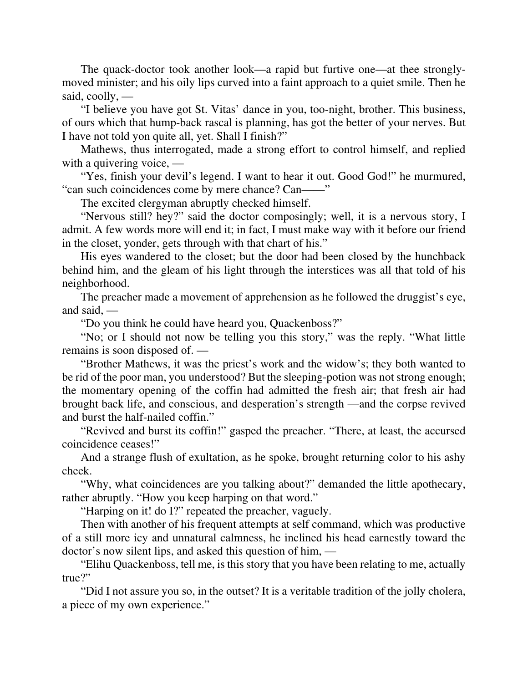The quack-doctor took another look—a rapid but furtive one—at thee stronglymoved minister; and his oily lips curved into a faint approach to a quiet smile. Then he said, coolly, —

"I believe you have got St. Vitas' dance in you, too-night, brother. This business, of ours which that hump-back rascal is planning, has got the better of your nerves. But I have not told yon quite all, yet. Shall I finish?"

Mathews, thus interrogated, made a strong effort to control himself, and replied with a quivering voice, —

"Yes, finish your devil's legend. I want to hear it out. Good God!" he murmured, "can such coincidences come by mere chance? Can——"

The excited clergyman abruptly checked himself.

"Nervous still? hey?" said the doctor composingly; well, it is a nervous story, I admit. A few words more will end it; in fact, I must make way with it before our friend in the closet, yonder, gets through with that chart of his."

His eyes wandered to the closet; but the door had been closed by the hunchback behind him, and the gleam of his light through the interstices was all that told of his neighborhood.

The preacher made a movement of apprehension as he followed the druggist's eye, and said, —

"Do you think he could have heard you, Quackenboss?"

"No; or I should not now be telling you this story," was the reply. "What little remains is soon disposed of. —

"Brother Mathews, it was the priest's work and the widow's; they both wanted to be rid of the poor man, you understood? But the sleeping-potion was not strong enough; the momentary opening of the coffin had admitted the fresh air; that fresh air had brought back life, and conscious, and desperation's strength —and the corpse revived and burst the half-nailed coffin."

"Revived and burst its coffin!" gasped the preacher. "There, at least, the accursed coincidence ceases!"

And a strange flush of exultation, as he spoke, brought returning color to his ashy cheek.

"Why, what coincidences are you talking about?" demanded the little apothecary, rather abruptly. "How you keep harping on that word."

"Harping on it! do I?" repeated the preacher, vaguely.

Then with another of his frequent attempts at self command, which was productive of a still more icy and unnatural calmness, he inclined his head earnestly toward the doctor's now silent lips, and asked this question of him, —

"Elihu Quackenboss, tell me, is this story that you have been relating to me, actually true?"

"Did I not assure you so, in the outset? It is a veritable tradition of the jolly cholera, a piece of my own experience."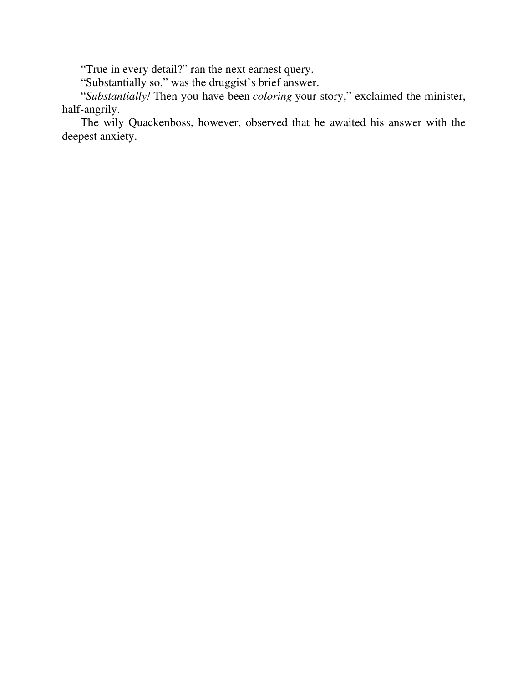"True in every detail?" ran the next earnest query.

"Substantially so," was the druggist's brief answer.

"*Substantially!* Then you have been *coloring* your story," exclaimed the minister, half-angrily.

The wily Quackenboss, however, observed that he awaited his answer with the deepest anxiety.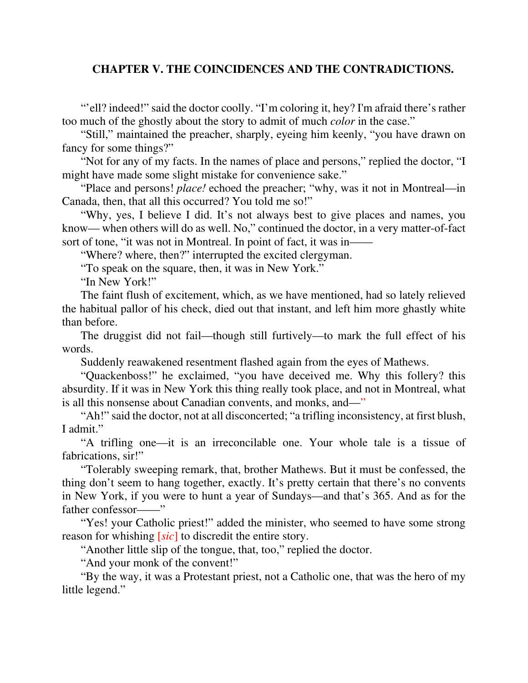#### **CHAPTER V. THE COINCIDENCES AND THE CONTRADICTIONS.**

"'ell? indeed!" said the doctor coolly. "I'm coloring it, hey? I'm afraid there's rather too much of the ghostly about the story to admit of much *color* in the case."

"Still," maintained the preacher, sharply, eyeing him keenly, "you have drawn on fancy for some things?"

"Not for any of my facts. In the names of place and persons," replied the doctor, "I might have made some slight mistake for convenience sake."

"Place and persons! *place!* echoed the preacher; "why, was it not in Montreal—in Canada, then, that all this occurred? You told me so!"

"Why, yes, I believe I did. It's not always best to give places and names, you know— when others will do as well. No," continued the doctor, in a very matter-of-fact sort of tone, "it was not in Montreal. In point of fact, it was in—

"Where? where, then?" interrupted the excited clergyman.

"To speak on the square, then, it was in New York."

"In New York!"

The faint flush of excitement, which, as we have mentioned, had so lately relieved the habitual pallor of his check, died out that instant, and left him more ghastly white than before.

The druggist did not fail—though still furtively—to mark the full effect of his words.

Suddenly reawakened resentment flashed again from the eyes of Mathews.

"Quackenboss!" he exclaimed, "you have deceived me. Why this follery? this absurdity. If it was in New York this thing really took place, and not in Montreal, what is all this nonsense about Canadian convents, and monks, and—"

"Ah!" said the doctor, not at all disconcerted; "a trifling inconsistency, at first blush, I admit."

"A trifling one—it is an irreconcilable one. Your whole tale is a tissue of fabrications, sir!"

"Tolerably sweeping remark, that, brother Mathews. But it must be confessed, the thing don't seem to hang together, exactly. It's pretty certain that there's no convents in New York, if you were to hunt a year of Sundays—and that's 365. And as for the father confessor——"

"Yes! your Catholic priest!" added the minister, who seemed to have some strong reason for whishing [*sic*] to discredit the entire story.

"Another little slip of the tongue, that, too," replied the doctor.

"And your monk of the convent!"

"By the way, it was a Protestant priest, not a Catholic one, that was the hero of my little legend."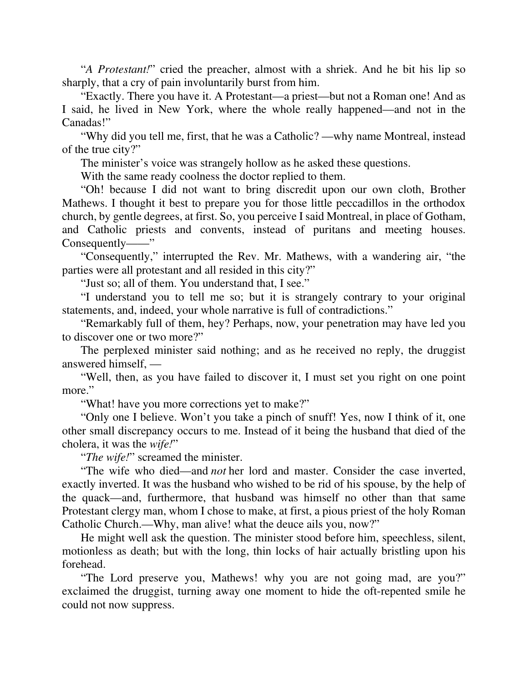"*A Protestant!*" cried the preacher, almost with a shriek. And he bit his lip so sharply, that a cry of pain involuntarily burst from him.

"Exactly. There you have it. A Protestant—a priest—but not a Roman one! And as I said, he lived in New York, where the whole really happened—and not in the Canadas!"

"Why did you tell me, first, that he was a Catholic? —why name Montreal, instead of the true city?"

The minister's voice was strangely hollow as he asked these questions.

With the same ready coolness the doctor replied to them.

"Oh! because I did not want to bring discredit upon our own cloth, Brother Mathews. I thought it best to prepare you for those little peccadillos in the orthodox church, by gentle degrees, at first. So, you perceive I said Montreal, in place of Gotham, and Catholic priests and convents, instead of puritans and meeting houses. Consequently——"

"Consequently," interrupted the Rev. Mr. Mathews, with a wandering air, "the parties were all protestant and all resided in this city?"

"Just so; all of them. You understand that, I see."

"I understand you to tell me so; but it is strangely contrary to your original statements, and, indeed, your whole narrative is full of contradictions."

"Remarkably full of them, hey? Perhaps, now, your penetration may have led you to discover one or two more?"

The perplexed minister said nothing; and as he received no reply, the druggist answered himself, —

"Well, then, as you have failed to discover it, I must set you right on one point more."

"What! have you more corrections yet to make?"

"Only one I believe. Won't you take a pinch of snuff! Yes, now I think of it, one other small discrepancy occurs to me. Instead of it being the husband that died of the cholera, it was the *wife!*"

"*The wife!*" screamed the minister.

"The wife who died—and *not* her lord and master. Consider the case inverted, exactly inverted. It was the husband who wished to be rid of his spouse, by the help of the quack—and, furthermore, that husband was himself no other than that same Protestant clergy man, whom I chose to make, at first, a pious priest of the holy Roman Catholic Church.—Why, man alive! what the deuce ails you, now?"

He might well ask the question. The minister stood before him, speechless, silent, motionless as death; but with the long, thin locks of hair actually bristling upon his forehead.

"The Lord preserve you, Mathews! why you are not going mad, are you?" exclaimed the druggist, turning away one moment to hide the oft-repented smile he could not now suppress.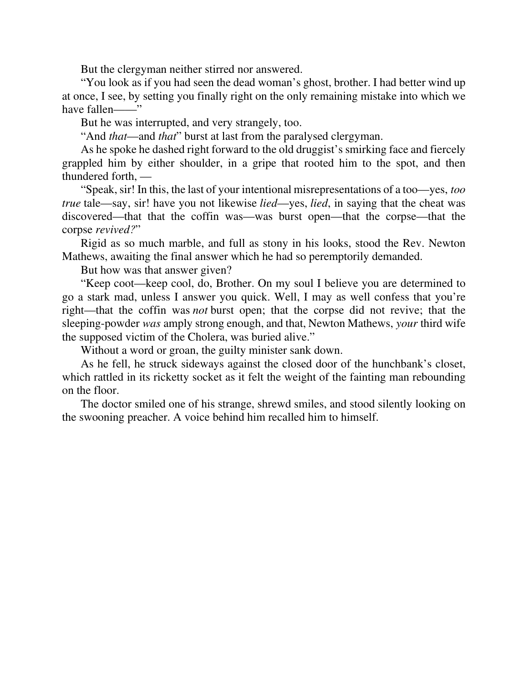But the clergyman neither stirred nor answered.

"You look as if you had seen the dead woman's ghost, brother. I had better wind up at once, I see, by setting you finally right on the only remaining mistake into which we have fallen——"

But he was interrupted, and very strangely, too.

"And *that*—and *that*" burst at last from the paralysed clergyman.

As he spoke he dashed right forward to the old druggist's smirking face and fiercely grappled him by either shoulder, in a gripe that rooted him to the spot, and then thundered forth, —

"Speak, sir! In this, the last of your intentional misrepresentations of a too—yes, *too true* tale—say, sir! have you not likewise *lied*—yes, *lied*, in saying that the cheat was discovered—that that the coffin was—was burst open—that the corpse—that the corpse *revived?*"

Rigid as so much marble, and full as stony in his looks, stood the Rev. Newton Mathews, awaiting the final answer which he had so peremptorily demanded.

But how was that answer given?

"Keep coot—keep cool, do, Brother. On my soul I believe you are determined to go a stark mad, unless I answer you quick. Well, I may as well confess that you're right—that the coffin was *not* burst open; that the corpse did not revive; that the sleeping-powder *was* amply strong enough, and that, Newton Mathews, *your* third wife the supposed victim of the Cholera, was buried alive."

Without a word or groan, the guilty minister sank down.

As he fell, he struck sideways against the closed door of the hunchbank's closet, which rattled in its ricketty socket as it felt the weight of the fainting man rebounding on the floor.

The doctor smiled one of his strange, shrewd smiles, and stood silently looking on the swooning preacher. A voice behind him recalled him to himself.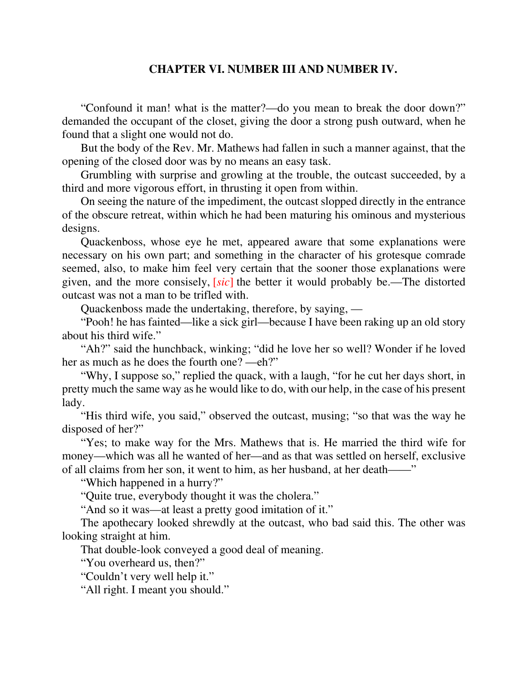#### **CHAPTER VI. NUMBER III AND NUMBER IV.**

"Confound it man! what is the matter?—do you mean to break the door down?" demanded the occupant of the closet, giving the door a strong push outward, when he found that a slight one would not do.

But the body of the Rev. Mr. Mathews had fallen in such a manner against, that the opening of the closed door was by no means an easy task.

Grumbling with surprise and growling at the trouble, the outcast succeeded, by a third and more vigorous effort, in thrusting it open from within.

On seeing the nature of the impediment, the outcast slopped directly in the entrance of the obscure retreat, within which he had been maturing his ominous and mysterious designs.

Quackenboss, whose eye he met, appeared aware that some explanations were necessary on his own part; and something in the character of his grotesque comrade seemed, also, to make him feel very certain that the sooner those explanations were given, and the more consisely, [*sic*] the better it would probably be.—The distorted outcast was not a man to be trifled with.

Quackenboss made the undertaking, therefore, by saying, —

"Pooh! he has fainted—like a sick girl—because I have been raking up an old story about his third wife."

"Ah?" said the hunchback, winking; "did he love her so well? Wonder if he loved her as much as he does the fourth one? —eh?"

"Why, I suppose so," replied the quack, with a laugh, "for he cut her days short, in pretty much the same way as he would like to do, with our help, in the case of his present lady.

"His third wife, you said," observed the outcast, musing; "so that was the way he disposed of her?"

"Yes; to make way for the Mrs. Mathews that is. He married the third wife for money—which was all he wanted of her—and as that was settled on herself, exclusive of all claims from her son, it went to him, as her husband, at her death——"

"Which happened in a hurry?"

"Quite true, everybody thought it was the cholera."

"And so it was—at least a pretty good imitation of it."

The apothecary looked shrewdly at the outcast, who bad said this. The other was looking straight at him.

That double-look conveyed a good deal of meaning.

"You overheard us, then?"

"Couldn't very well help it."

"All right. I meant you should."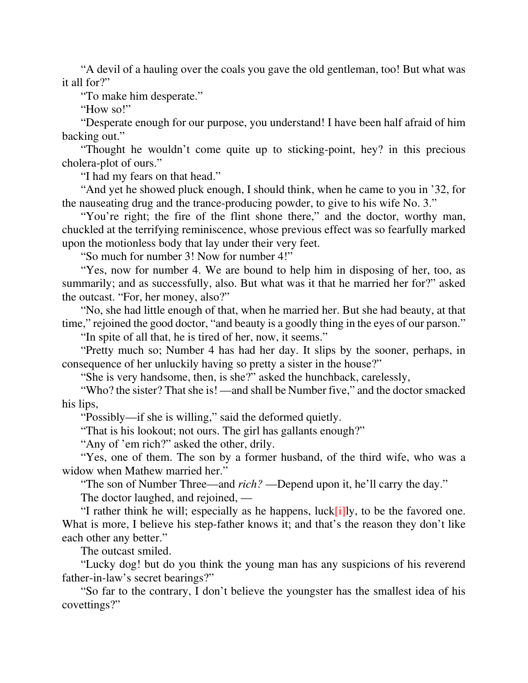"A devil of a hauling over the coals you gave the old gentleman, too! But what was it all for?"

"To make him desperate."

"How so!"

"Desperate enough for our purpose, you understand! I have been half afraid of him backing out."

"Thought he wouldn't come quite up to sticking-point, hey? in this precious cholera-plot of ours."

"I had my fears on that head."

"And yet he showed pluck enough, I should think, when he came to you in '32, for the nauseating drug and the trance-producing powder, to give to his wife No. 3."

"You're right; the fire of the flint shone there," and the doctor, worthy man, chuckled at the terrifying reminiscence, whose previous effect was so fearfully marked upon the motionless body that lay under their very feet.

"So much for number 3! Now for number 4!"

"Yes, now for number 4. We are bound to help him in disposing of her, too, as summarily; and as successfully, also. But what was it that he married her for?" asked the outcast. "For, her money, also?"

"No, she had little enough of that, when he married her. But she had beauty, at that time," rejoined the good doctor, "and beauty is a goodly thing in the eyes of our parson."

"In spite of all that, he is tired of her, now, it seems."

"Pretty much so; Number 4 has had her day. It slips by the sooner, perhaps, in consequence of her unluckily having so pretty a sister in the house?"

"She is very handsome, then, is she?" asked the hunchback, carelessly,

"Who? the sister? That she is! —and shall be Number five," and the doctor smacked his lips,

"Possibly—if she is willing," said the deformed quietly.

"That is his lookout; not ours. The girl has gallants enough?"

"Any of 'em rich?" asked the other, drily.

"Yes, one of them. The son by a former husband, of the third wife, who was a widow when Mathew married her."

"The son of Number Three—and *rich?* —Depend upon it, he'll carry the day."

The doctor laughed, and rejoined, —

"I rather think he will; especially as he happens, luck[i]ly, to be the favored one. What is more, I believe his step-father knows it; and that's the reason they don't like each other any better."

The outcast smiled.

"Lucky dog! but do you think the young man has any suspicions of his reverend father-in-law's secret bearings?"

"So far to the contrary, I don't believe the youngster has the smallest idea of his covettings?"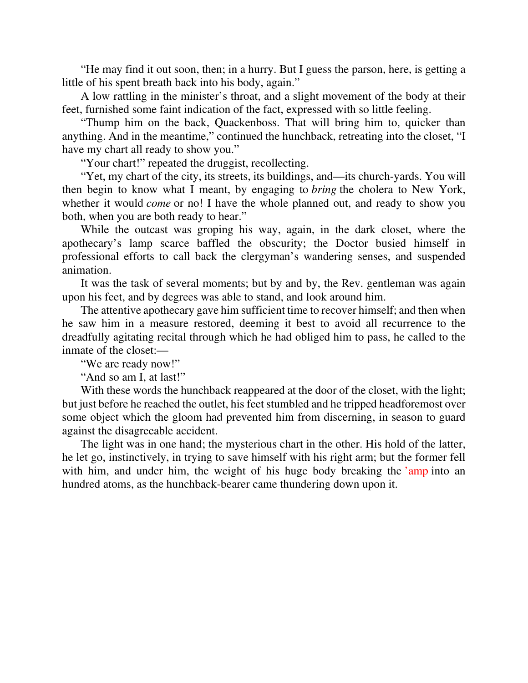"He may find it out soon, then; in a hurry. But I guess the parson, here, is getting a little of his spent breath back into his body, again."

A low rattling in the minister's throat, and a slight movement of the body at their feet, furnished some faint indication of the fact, expressed with so little feeling.

"Thump him on the back, Quackenboss. That will bring him to, quicker than anything. And in the meantime," continued the hunchback, retreating into the closet, "I have my chart all ready to show you."

"Your chart!" repeated the druggist, recollecting.

"Yet, my chart of the city, its streets, its buildings, and—its church-yards. You will then begin to know what I meant, by engaging to *bring* the cholera to New York, whether it would *come* or no! I have the whole planned out, and ready to show you both, when you are both ready to hear."

While the outcast was groping his way, again, in the dark closet, where the apothecary's lamp scarce baffled the obscurity; the Doctor busied himself in professional efforts to call back the clergyman's wandering senses, and suspended animation.

It was the task of several moments; but by and by, the Rev. gentleman was again upon his feet, and by degrees was able to stand, and look around him.

The attentive apothecary gave him sufficient time to recover himself; and then when he saw him in a measure restored, deeming it best to avoid all recurrence to the dreadfully agitating recital through which he had obliged him to pass, he called to the inmate of the closet:—

"We are ready now!"

"And so am I, at last!"

With these words the hunchback reappeared at the door of the closet, with the light; but just before he reached the outlet, his feet stumbled and he tripped headforemost over some object which the gloom had prevented him from discerning, in season to guard against the disagreeable accident.

The light was in one hand; the mysterious chart in the other. His hold of the latter, he let go, instinctively, in trying to save himself with his right arm; but the former fell with him, and under him, the weight of his huge body breaking the 'amp into an hundred atoms, as the hunchback-bearer came thundering down upon it.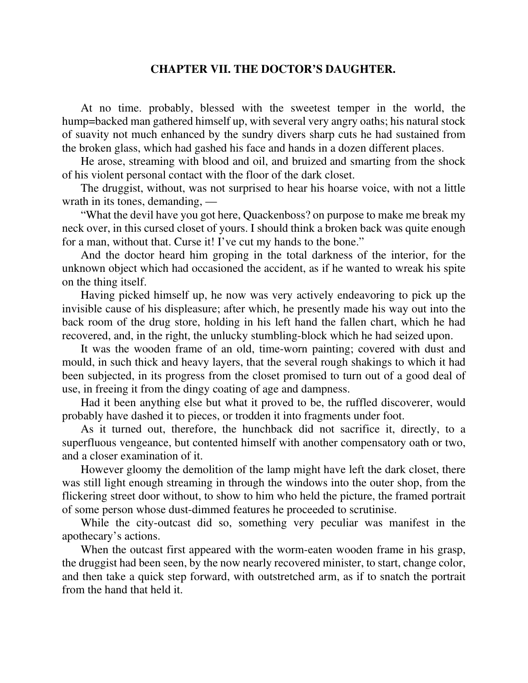#### **CHAPTER VII. THE DOCTOR'S DAUGHTER.**

At no time. probably, blessed with the sweetest temper in the world, the hump=backed man gathered himself up, with several very angry oaths; his natural stock of suavity not much enhanced by the sundry divers sharp cuts he had sustained from the broken glass, which had gashed his face and hands in a dozen different places.

He arose, streaming with blood and oil, and bruized and smarting from the shock of his violent personal contact with the floor of the dark closet.

The druggist, without, was not surprised to hear his hoarse voice, with not a little wrath in its tones, demanding, —

"What the devil have you got here, Quackenboss? on purpose to make me break my neck over, in this cursed closet of yours. I should think a broken back was quite enough for a man, without that. Curse it! I've cut my hands to the bone."

And the doctor heard him groping in the total darkness of the interior, for the unknown object which had occasioned the accident, as if he wanted to wreak his spite on the thing itself.

Having picked himself up, he now was very actively endeavoring to pick up the invisible cause of his displeasure; after which, he presently made his way out into the back room of the drug store, holding in his left hand the fallen chart, which he had recovered, and, in the right, the unlucky stumbling-block which he had seized upon.

It was the wooden frame of an old, time-worn painting; covered with dust and mould, in such thick and heavy layers, that the several rough shakings to which it had been subjected, in its progress from the closet promised to turn out of a good deal of use, in freeing it from the dingy coating of age and dampness.

Had it been anything else but what it proved to be, the ruffled discoverer, would probably have dashed it to pieces, or trodden it into fragments under foot.

As it turned out, therefore, the hunchback did not sacrifice it, directly, to a superfluous vengeance, but contented himself with another compensatory oath or two, and a closer examination of it.

However gloomy the demolition of the lamp might have left the dark closet, there was still light enough streaming in through the windows into the outer shop, from the flickering street door without, to show to him who held the picture, the framed portrait of some person whose dust-dimmed features he proceeded to scrutinise.

While the city-outcast did so, something very peculiar was manifest in the apothecary's actions.

When the outcast first appeared with the worm-eaten wooden frame in his grasp, the druggist had been seen, by the now nearly recovered minister, to start, change color, and then take a quick step forward, with outstretched arm, as if to snatch the portrait from the hand that held it.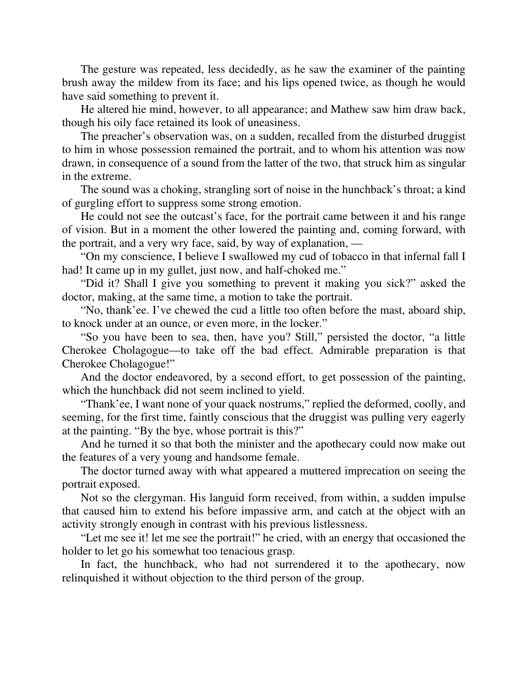The gesture was repeated, less decidedly, as he saw the examiner of the painting brush away the mildew from its face; and his lips opened twice, as though he would have said something to prevent it.

He altered hie mind, however, to all appearance; and Mathew saw him draw back, though his oily face retained its look of uneasiness.

The preacher's observation was, on a sudden, recalled from the disturbed druggist to him in whose possession remained the portrait, and to whom his attention was now drawn, in consequence of a sound from the latter of the two, that struck him as singular in the extreme.

The sound was a choking, strangling sort of noise in the hunchback's throat; a kind of gurgling effort to suppress some strong emotion.

He could not see the outcast's face, for the portrait came between it and his range of vision. But in a moment the other lowered the painting and, coming forward, with the portrait, and a very wry face, said, by way of explanation, —

"On my conscience, I believe I swallowed my cud of tobacco in that infernal fall I had! It came up in my gullet, just now, and half-choked me."

"Did it? Shall I give you something to prevent it making you sick?" asked the doctor, making, at the same time, a motion to take the portrait.

"No, thank'ee. I've chewed the cud a little too often before the mast, aboard ship, to knock under at an ounce, or even more, in the locker."

"So you have been to sea, then, have you? Still," persisted the doctor, "a little Cherokee Cholagogue—to take off the bad effect. Admirable preparation is that Cherokee Cholagogue!"

And the doctor endeavored, by a second effort, to get possession of the painting, which the hunchback did not seem inclined to yield.

"Thank'ee, I want none of your quack nostrums," replied the deformed, coolly, and seeming, for the first time, faintly conscious that the druggist was pulling very eagerly at the painting. "By the bye, whose portrait is this?"

And he turned it so that both the minister and the apothecary could now make out the features of a very young and handsome female.

The doctor turned away with what appeared a muttered imprecation on seeing the portrait exposed.

Not so the clergyman. His languid form received, from within, a sudden impulse that caused him to extend his before impassive arm, and catch at the object with an activity strongly enough in contrast with his previous listlessness.

"Let me see it! let me see the portrait!" he cried, with an energy that occasioned the holder to let go his somewhat too tenacious grasp.

In fact, the hunchback, who had not surrendered it to the apothecary, now relinquished it without objection to the third person of the group.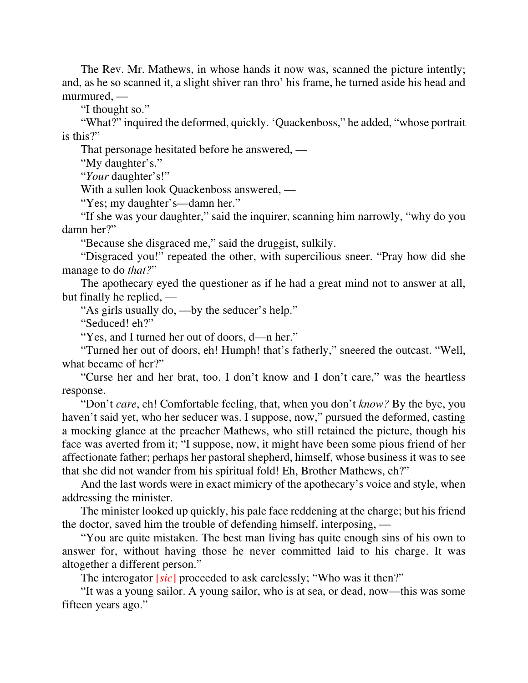The Rev. Mr. Mathews, in whose hands it now was, scanned the picture intently; and, as he so scanned it, a slight shiver ran thro' his frame, he turned aside his head and murmured, —

"I thought so."

"What?" inquired the deformed, quickly. 'Quackenboss," he added, "whose portrait is this?"

That personage hesitated before he answered, —

"My daughter's."

"*Your* daughter's!"

With a sullen look Quackenboss answered, —

"Yes; my daughter's—damn her."

"If she was your daughter," said the inquirer, scanning him narrowly, "why do you damn her?"

"Because she disgraced me," said the druggist, sulkily.

"Disgraced you!" repeated the other, with supercilious sneer. "Pray how did she manage to do *that?*"

The apothecary eyed the questioner as if he had a great mind not to answer at all, but finally he replied, —

"As girls usually do, —by the seducer's help."

"Seduced! eh?"

"Yes, and I turned her out of doors, d—n her."

"Turned her out of doors, eh! Humph! that's fatherly," sneered the outcast. "Well, what became of her?"

"Curse her and her brat, too. I don't know and I don't care," was the heartless response.

"Don't *care*, eh! Comfortable feeling, that, when you don't *know?* By the bye, you haven't said yet, who her seducer was. I suppose, now," pursued the deformed, casting a mocking glance at the preacher Mathews, who still retained the picture, though his face was averted from it; "I suppose, now, it might have been some pious friend of her affectionate father; perhaps her pastoral shepherd, himself, whose business it was to see that she did not wander from his spiritual fold! Eh, Brother Mathews, eh?"

And the last words were in exact mimicry of the apothecary's voice and style, when addressing the minister.

The minister looked up quickly, his pale face reddening at the charge; but his friend the doctor, saved him the trouble of defending himself, interposing, —

"You are quite mistaken. The best man living has quite enough sins of his own to answer for, without having those he never committed laid to his charge. It was altogether a different person."

The interogator [*sic*] proceeded to ask carelessly; "Who was it then?"

"It was a young sailor. A young sailor, who is at sea, or dead, now—this was some fifteen years ago."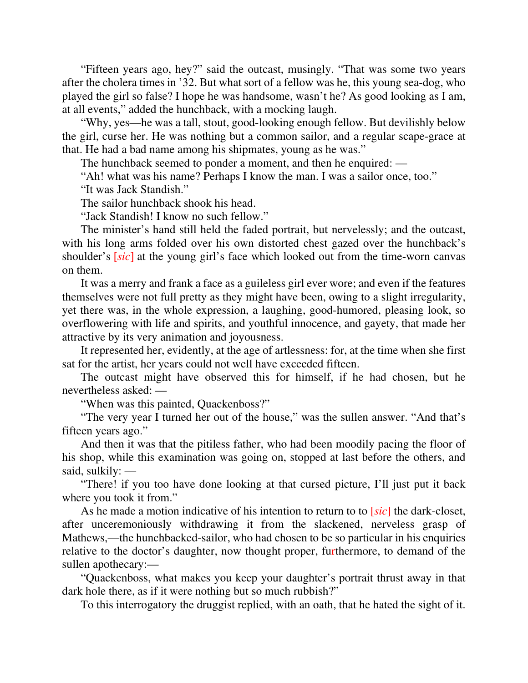"Fifteen years ago, hey?" said the outcast, musingly. "That was some two years after the cholera times in '32. But what sort of a fellow was he, this young sea-dog, who played the girl so false? I hope he was handsome, wasn't he? As good looking as I am, at all events," added the hunchback, with a mocking laugh.

"Why, yes—he was a tall, stout, good-looking enough fellow. But devilishly below the girl, curse her. He was nothing but a common sailor, and a regular scape-grace at that. He had a bad name among his shipmates, young as he was."

The hunchback seemed to ponder a moment, and then he enquired: —

"Ah! what was his name? Perhaps I know the man. I was a sailor once, too."

"It was Jack Standish."

The sailor hunchback shook his head.

"Jack Standish! I know no such fellow."

The minister's hand still held the faded portrait, but nervelessly; and the outcast, with his long arms folded over his own distorted chest gazed over the hunchback's shoulder's [*sic*] at the young girl's face which looked out from the time-worn canvas on them.

It was a merry and frank a face as a guileless girl ever wore; and even if the features themselves were not full pretty as they might have been, owing to a slight irregularity, yet there was, in the whole expression, a laughing, good-humored, pleasing look, so overflowering with life and spirits, and youthful innocence, and gayety, that made her attractive by its very animation and joyousness.

It represented her, evidently, at the age of artlessness: for, at the time when she first sat for the artist, her years could not well have exceeded fifteen.

The outcast might have observed this for himself, if he had chosen, but he nevertheless asked: —

"When was this painted, Quackenboss?"

"The very year I turned her out of the house," was the sullen answer. "And that's fifteen years ago."

And then it was that the pitiless father, who had been moodily pacing the floor of his shop, while this examination was going on, stopped at last before the others, and said, sulkily: —

"There! if you too have done looking at that cursed picture, I'll just put it back where you took it from."

As he made a motion indicative of his intention to return to to [*sic*] the dark-closet, after unceremoniously withdrawing it from the slackened, nerveless grasp of Mathews,—the hunchbacked-sailor, who had chosen to be so particular in his enquiries relative to the doctor's daughter, now thought proper, furthermore, to demand of the sullen apothecary:—

"Quackenboss, what makes you keep your daughter's portrait thrust away in that dark hole there, as if it were nothing but so much rubbish?"

To this interrogatory the druggist replied, with an oath, that he hated the sight of it.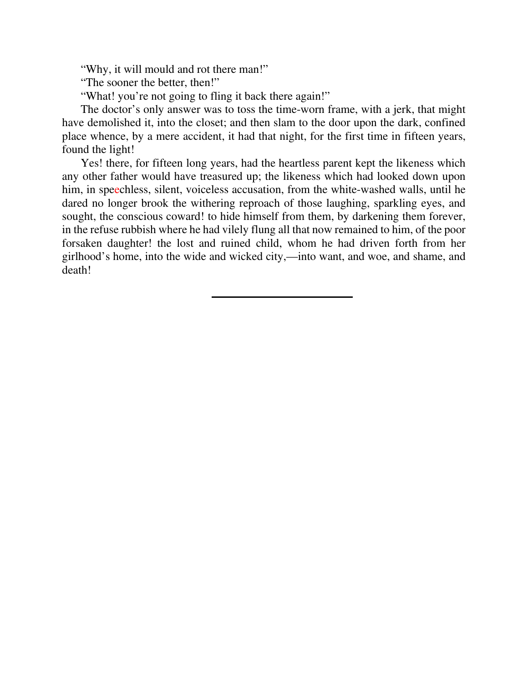"Why, it will mould and rot there man!"

"The sooner the better, then!"

"What! you're not going to fling it back there again!"

The doctor's only answer was to toss the time-worn frame, with a jerk, that might have demolished it, into the closet; and then slam to the door upon the dark, confined place whence, by a mere accident, it had that night, for the first time in fifteen years, found the light!

Yes! there, for fifteen long years, had the heartless parent kept the likeness which any other father would have treasured up; the likeness which had looked down upon him, in speechless, silent, voiceless accusation, from the white-washed walls, until he dared no longer brook the withering reproach of those laughing, sparkling eyes, and sought, the conscious coward! to hide himself from them, by darkening them forever, in the refuse rubbish where he had vilely flung all that now remained to him, of the poor forsaken daughter! the lost and ruined child, whom he had driven forth from her girlhood's home, into the wide and wicked city,—into want, and woe, and shame, and death!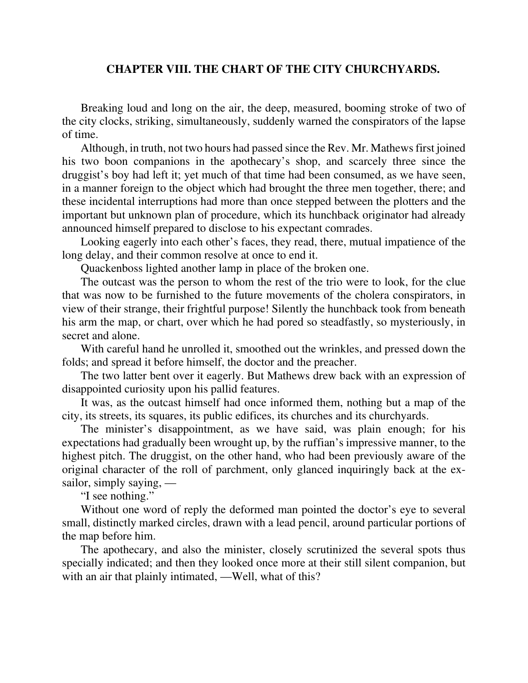## **CHAPTER VIII. THE CHART OF THE CITY CHURCHYARDS.**

Breaking loud and long on the air, the deep, measured, booming stroke of two of the city clocks, striking, simultaneously, suddenly warned the conspirators of the lapse of time.

Although, in truth, not two hours had passed since the Rev. Mr. Mathews first joined his two boon companions in the apothecary's shop, and scarcely three since the druggist's boy had left it; yet much of that time had been consumed, as we have seen, in a manner foreign to the object which had brought the three men together, there; and these incidental interruptions had more than once stepped between the plotters and the important but unknown plan of procedure, which its hunchback originator had already announced himself prepared to disclose to his expectant comrades.

Looking eagerly into each other's faces, they read, there, mutual impatience of the long delay, and their common resolve at once to end it.

Quackenboss lighted another lamp in place of the broken one.

The outcast was the person to whom the rest of the trio were to look, for the clue that was now to be furnished to the future movements of the cholera conspirators, in view of their strange, their frightful purpose! Silently the hunchback took from beneath his arm the map, or chart, over which he had pored so steadfastly, so mysteriously, in secret and alone.

With careful hand he unrolled it, smoothed out the wrinkles, and pressed down the folds; and spread it before himself, the doctor and the preacher.

The two latter bent over it eagerly. But Mathews drew back with an expression of disappointed curiosity upon his pallid features.

It was, as the outcast himself had once informed them, nothing but a map of the city, its streets, its squares, its public edifices, its churches and its churchyards.

The minister's disappointment, as we have said, was plain enough; for his expectations had gradually been wrought up, by the ruffian's impressive manner, to the highest pitch. The druggist, on the other hand, who had been previously aware of the original character of the roll of parchment, only glanced inquiringly back at the exsailor, simply saying, —

"I see nothing."

Without one word of reply the deformed man pointed the doctor's eye to several small, distinctly marked circles, drawn with a lead pencil, around particular portions of the map before him.

The apothecary, and also the minister, closely scrutinized the several spots thus specially indicated; and then they looked once more at their still silent companion, but with an air that plainly intimated, —Well, what of this?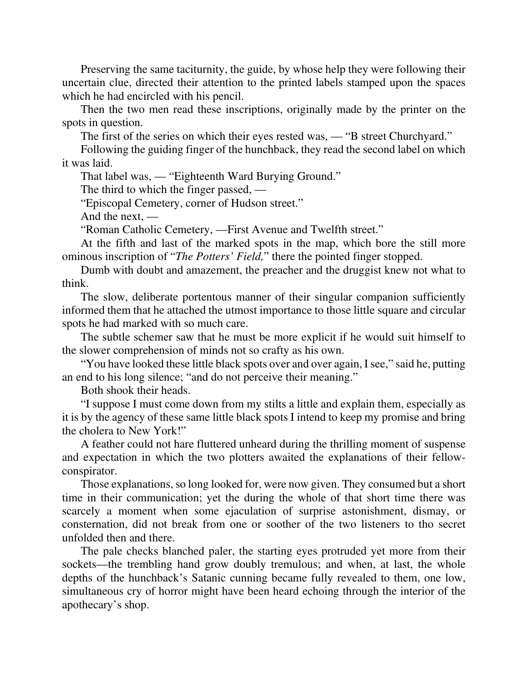Preserving the same taciturnity, the guide, by whose help they were following their uncertain clue, directed their attention to the printed labels stamped upon the spaces which he had encircled with his pencil.

Then the two men read these inscriptions, originally made by the printer on the spots in question.

The first of the series on which their eyes rested was, — "B street Churchyard."

Following the guiding finger of the hunchback, they read the second label on which it was laid.

That label was, — "Eighteenth Ward Burying Ground."

The third to which the finger passed, —

"Episcopal Cemetery, corner of Hudson street."

And the next, —

"Roman Catholic Cemetery, —First Avenue and Twelfth street."

At the fifth and last of the marked spots in the map, which bore the still more ominous inscription of "*The Potters' Field,*" there the pointed finger stopped.

Dumb with doubt and amazement, the preacher and the druggist knew not what to think.

The slow, deliberate portentous manner of their singular companion sufficiently informed them that he attached the utmost importance to those little square and circular spots he had marked with so much care.

The subtle schemer saw that he must be more explicit if he would suit himself to the slower comprehension of minds not so crafty as his own.

"You have looked these little black spots over and over again, I see," said he, putting an end to his long silence; "and do not perceive their meaning."

Both shook their heads.

"I suppose I must come down from my stilts a little and explain them, especially as it is by the agency of these same little black spots I intend to keep my promise and bring the cholera to New York!"

A feather could not hare fluttered unheard during the thrilling moment of suspense and expectation in which the two plotters awaited the explanations of their fellowconspirator.

Those explanations, so long looked for, were now given. They consumed but a short time in their communication; yet the during the whole of that short time there was scarcely a moment when some ejaculation of surprise astonishment, dismay, or consternation, did not break from one or soother of the two listeners to tho secret unfolded then and there.

The pale checks blanched paler, the starting eyes protruded yet more from their sockets—the trembling hand grow doubly tremulous; and when, at last, the whole depths of the hunchback's Satanic cunning became fully revealed to them, one low, simultaneous cry of horror might have been heard echoing through the interior of the apothecary's shop.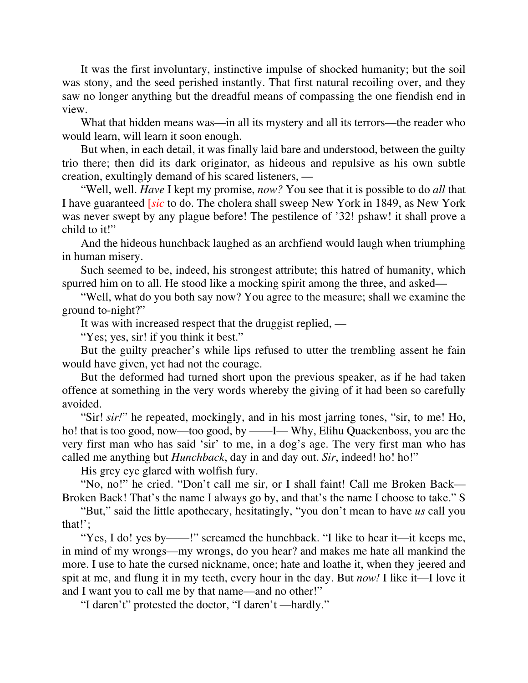It was the first involuntary, instinctive impulse of shocked humanity; but the soil was stony, and the seed perished instantly. That first natural recoiling over, and they saw no longer anything but the dreadful means of compassing the one fiendish end in view.

What that hidden means was—in all its mystery and all its terrors—the reader who would learn, will learn it soon enough.

But when, in each detail, it was finally laid bare and understood, between the guilty trio there; then did its dark originator, as hideous and repulsive as his own subtle creation, exultingly demand of his scared listeners, —

"Well, well. *Have* I kept my promise, *now?* You see that it is possible to do *all* that I have guaranteed [*sic* to do. The cholera shall sweep New York in 1849, as New York was never swept by any plague before! The pestilence of '32! pshaw! it shall prove a child to it!"

And the hideous hunchback laughed as an archfiend would laugh when triumphing in human misery.

Such seemed to be, indeed, his strongest attribute; this hatred of humanity, which spurred him on to all. He stood like a mocking spirit among the three, and asked—

"Well, what do you both say now? You agree to the measure; shall we examine the ground to-night?"

It was with increased respect that the druggist replied, —

"Yes; yes, sir! if you think it best."

But the guilty preacher's while lips refused to utter the trembling assent he fain would have given, yet had not the courage.

But the deformed had turned short upon the previous speaker, as if he had taken offence at something in the very words whereby the giving of it had been so carefully avoided.

"Sir! *sir!*" he repeated, mockingly, and in his most jarring tones, "sir, to me! Ho, ho! that is too good, now—too good, by ——I— Why, Elihu Quackenboss, you are the very first man who has said 'sir' to me, in a dog's age. The very first man who has called me anything but *Hunchback*, day in and day out. *Sir*, indeed! ho! ho!"

His grey eye glared with wolfish fury.

"No, no!" he cried. "Don't call me sir, or I shall faint! Call me Broken Back— Broken Back! That's the name I always go by, and that's the name I choose to take." S

"But," said the little apothecary, hesitatingly, "you don't mean to have *us* call you that!';

"Yes, I do! yes by——!" screamed the hunchback. "I like to hear it—it keeps me, in mind of my wrongs—my wrongs, do you hear? and makes me hate all mankind the more. I use to hate the cursed nickname, once; hate and loathe it, when they jeered and spit at me, and flung it in my teeth, every hour in the day. But *now!* I like it—I love it and I want you to call me by that name—and no other!"

"I daren't" protested the doctor, "I daren't —hardly."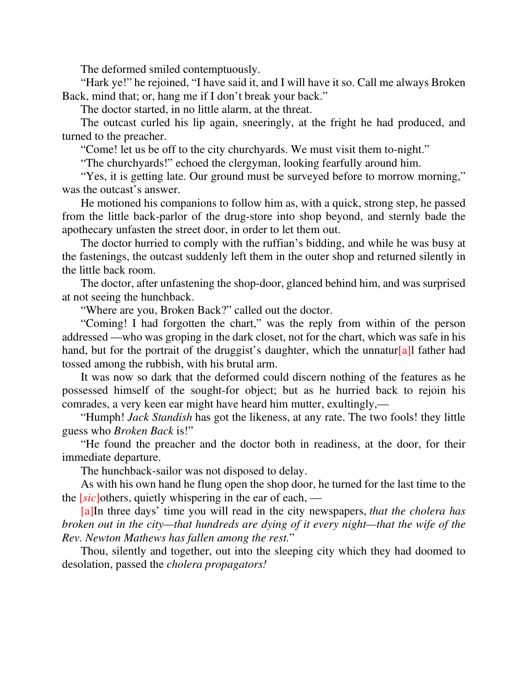The deformed smiled contemptuously.

"Hark ye!" he rejoined, "I have said it, and I will have it so. Call me always Broken Back, mind that; or, hang me if I don't break your back."

The doctor started, in no little alarm, at the threat.

The outcast curled his lip again, sneeringly, at the fright he had produced, and turned to the preacher.

"Come! let us be off to the city churchyards. We must visit them to-night."

"The churchyards!" echoed the clergyman, looking fearfully around him.

"Yes, it is getting late. Our ground must be surveyed before to morrow morning," was the outcast's answer.

He motioned his companions to follow him as, with a quick, strong step, he passed from the little back-parlor of the drug-store into shop beyond, and sternly bade the apothecary unfasten the street door, in order to let them out.

The doctor hurried to comply with the ruffian's bidding, and while he was busy at the fastenings, the outcast suddenly left them in the outer shop and returned silently in the little back room.

The doctor, after unfastening the shop-door, glanced behind him, and was surprised at not seeing the hunchback.

"Where are you, Broken Back?" called out the doctor.

"Coming! I had forgotten the chart," was the reply from within of the person addressed —who was groping in the dark closet, not for the chart, which was safe in his hand, but for the portrait of the druggist's daughter, which the unnatur[a]l father had tossed among the rubbish, with his brutal arm.

It was now so dark that the deformed could discern nothing of the features as he possessed himself of the sought-for object; but as he hurried back to rejoin his comrades, a very keen ear might have heard him mutter, exultingly,—

"Humph! *Jack Standish* has got the likeness, at any rate. The two fools! they little guess who *Broken Back* is!"

"He found the preacher and the doctor both in readiness, at the door, for their immediate departure.

The hunchback-sailor was not disposed to delay.

As with his own hand he flung open the shop door, he turned for the last time to the the [*sic*]others, quietly whispering in the ear of each, —

[a]In three days' time you will read in the city newspapers, *that the cholera has broken out in the city—that hundreds are dying of it every night—that the wife of the Rev. Newton Mathews has fallen among the rest.*"

Thou, silently and together, out into the sleeping city which they had doomed to desolation, passed the *cholera propagators!*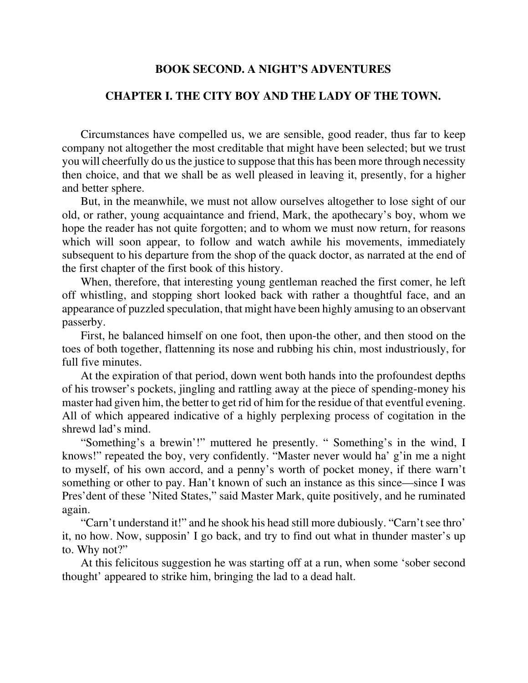## **BOOK SECOND. A NIGHT'S ADVENTURES**

# **CHAPTER I. THE CITY BOY AND THE LADY OF THE TOWN.**

Circumstances have compelled us, we are sensible, good reader, thus far to keep company not altogether the most creditable that might have been selected; but we trust you will cheerfully do us the justice to suppose that this has been more through necessity then choice, and that we shall be as well pleased in leaving it, presently, for a higher and better sphere.

But, in the meanwhile, we must not allow ourselves altogether to lose sight of our old, or rather, young acquaintance and friend, Mark, the apothecary's boy, whom we hope the reader has not quite forgotten; and to whom we must now return, for reasons which will soon appear, to follow and watch awhile his movements, immediately subsequent to his departure from the shop of the quack doctor, as narrated at the end of the first chapter of the first book of this history.

When, therefore, that interesting young gentleman reached the first comer, he left off whistling, and stopping short looked back with rather a thoughtful face, and an appearance of puzzled speculation, that might have been highly amusing to an observant passerby.

First, he balanced himself on one foot, then upon-the other, and then stood on the toes of both together, flattenning its nose and rubbing his chin, most industriously, for full five minutes.

At the expiration of that period, down went both hands into the profoundest depths of his trowser's pockets, jingling and rattling away at the piece of spending-money his master had given him, the better to get rid of him for the residue of that eventful evening. All of which appeared indicative of a highly perplexing process of cogitation in the shrewd lad's mind.

"Something's a brewin'!" muttered he presently. " Something's in the wind, I knows!" repeated the boy, very confidently. "Master never would ha' g'in me a night to myself, of his own accord, and a penny's worth of pocket money, if there warn't something or other to pay. Han't known of such an instance as this since—since I was Pres'dent of these 'Nited States," said Master Mark, quite positively, and he ruminated again.

"Carn't understand it!" and he shook his head still more dubiously. "Carn't see thro' it, no how. Now, supposin' I go back, and try to find out what in thunder master's up to. Why not?"

At this felicitous suggestion he was starting off at a run, when some 'sober second thought' appeared to strike him, bringing the lad to a dead halt.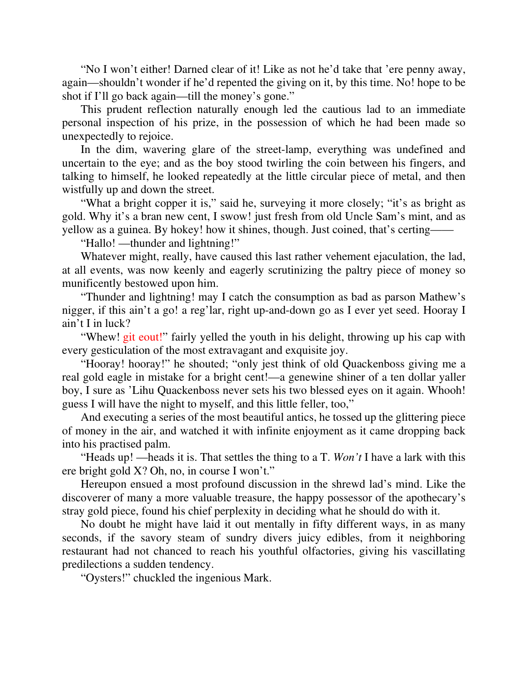"No I won't either! Darned clear of it! Like as not he'd take that 'ere penny away, again—shouldn't wonder if he'd repented the giving on it, by this time. No! hope to be shot if I'll go back again—till the money's gone."

This prudent reflection naturally enough led the cautious lad to an immediate personal inspection of his prize, in the possession of which he had been made so unexpectedly to rejoice.

In the dim, wavering glare of the street-lamp, everything was undefined and uncertain to the eye; and as the boy stood twirling the coin between his fingers, and talking to himself, he looked repeatedly at the little circular piece of metal, and then wistfully up and down the street.

"What a bright copper it is," said he, surveying it more closely; "it's as bright as gold. Why it's a bran new cent, I swow! just fresh from old Uncle Sam's mint, and as yellow as a guinea. By hokey! how it shines, though. Just coined, that's certing——

"Hallo! —thunder and lightning!"

Whatever might, really, have caused this last rather vehement ejaculation, the lad, at all events, was now keenly and eagerly scrutinizing the paltry piece of money so munificently bestowed upon him.

"Thunder and lightning! may I catch the consumption as bad as parson Mathew's nigger, if this ain't a go! a reg'lar, right up-and-down go as I ever yet seed. Hooray I ain't I in luck?

"Whew! git eout!" fairly yelled the youth in his delight, throwing up his cap with every gesticulation of the most extravagant and exquisite joy.

"Hooray! hooray!" he shouted; "only jest think of old Quackenboss giving me a real gold eagle in mistake for a bright cent!—a genewine shiner of a ten dollar yaller boy, I sure as 'Lihu Quackenboss never sets his two blessed eyes on it again. Whooh! guess I will have the night to myself, and this little feller, too,"

And executing a series of the most beautiful antics, he tossed up the glittering piece of money in the air, and watched it with infinite enjoyment as it came dropping back into his practised palm.

"Heads up! —heads it is. That settles the thing to a T. *Won't* I have a lark with this ere bright gold X? Oh, no, in course I won't."

Hereupon ensued a most profound discussion in the shrewd lad's mind. Like the discoverer of many a more valuable treasure, the happy possessor of the apothecary's stray gold piece, found his chief perplexity in deciding what he should do with it.

No doubt he might have laid it out mentally in fifty different ways, in as many seconds, if the savory steam of sundry divers juicy edibles, from it neighboring restaurant had not chanced to reach his youthful olfactories, giving his vascillating predilections a sudden tendency.

"Oysters!" chuckled the ingenious Mark.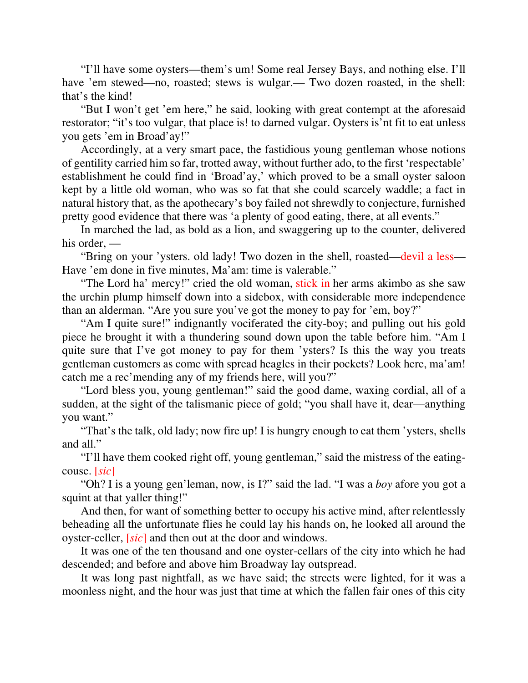"I'll have some oysters—them's um! Some real Jersey Bays, and nothing else. I'll have 'em stewed—no, roasted; stews is wulgar.— Two dozen roasted, in the shell: that's the kind!

"But I won't get 'em here," he said, looking with great contempt at the aforesaid restorator; "it's too vulgar, that place is! to darned vulgar. Oysters is'nt fit to eat unless you gets 'em in Broad'ay!"

Accordingly, at a very smart pace, the fastidious young gentleman whose notions of gentility carried him so far, trotted away, without further ado, to the first 'respectable' establishment he could find in 'Broad'ay,' which proved to be a small oyster saloon kept by a little old woman, who was so fat that she could scarcely waddle; a fact in natural history that, as the apothecary's boy failed not shrewdly to conjecture, furnished pretty good evidence that there was 'a plenty of good eating, there, at all events."

In marched the lad, as bold as a lion, and swaggering up to the counter, delivered his order, —

"Bring on your 'ysters. old lady! Two dozen in the shell, roasted—devil a less— Have 'em done in five minutes, Ma'am: time is valerable."

"The Lord ha' mercy!" cried the old woman, stick in her arms akimbo as she saw the urchin plump himself down into a sidebox, with considerable more independence than an alderman. "Are you sure you've got the money to pay for 'em, boy?"

"Am I quite sure!" indignantly vociferated the city-boy; and pulling out his gold piece he brought it with a thundering sound down upon the table before him. "Am I quite sure that I've got money to pay for them 'ysters? Is this the way you treats gentleman customers as come with spread heagles in their pockets? Look here, ma'am! catch me a rec'mending any of my friends here, will you?"

"Lord bless you, young gentleman!" said the good dame, waxing cordial, all of a sudden, at the sight of the talismanic piece of gold; "you shall have it, dear—anything you want."

"That's the talk, old lady; now fire up! I is hungry enough to eat them 'ysters, shells and all."

"I'll have them cooked right off, young gentleman," said the mistress of the eatingcouse. [*sic*]

"Oh? I is a young gen'leman, now, is I?" said the lad. "I was a *boy* afore you got a squint at that yaller thing!"

And then, for want of something better to occupy his active mind, after relentlessly beheading all the unfortunate flies he could lay his hands on, he looked all around the oyster-celler, [*sic*] and then out at the door and windows.

It was one of the ten thousand and one oyster-cellars of the city into which he had descended; and before and above him Broadway lay outspread.

It was long past nightfall, as we have said; the streets were lighted, for it was a moonless night, and the hour was just that time at which the fallen fair ones of this city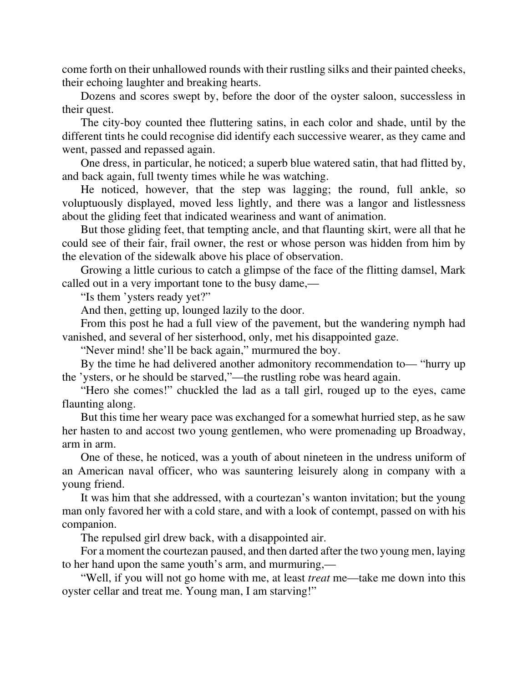come forth on their unhallowed rounds with their rustling silks and their painted cheeks, their echoing laughter and breaking hearts.

Dozens and scores swept by, before the door of the oyster saloon, successless in their quest.

The city-boy counted thee fluttering satins, in each color and shade, until by the different tints he could recognise did identify each successive wearer, as they came and went, passed and repassed again.

One dress, in particular, he noticed; a superb blue watered satin, that had flitted by, and back again, full twenty times while he was watching.

He noticed, however, that the step was lagging; the round, full ankle, so voluptuously displayed, moved less lightly, and there was a langor and listlessness about the gliding feet that indicated weariness and want of animation.

But those gliding feet, that tempting ancle, and that flaunting skirt, were all that he could see of their fair, frail owner, the rest or whose person was hidden from him by the elevation of the sidewalk above his place of observation.

Growing a little curious to catch a glimpse of the face of the flitting damsel, Mark called out in a very important tone to the busy dame,—

"Is them 'ysters ready yet?"

And then, getting up, lounged lazily to the door.

From this post he had a full view of the pavement, but the wandering nymph had vanished, and several of her sisterhood, only, met his disappointed gaze.

"Never mind! she'll be back again," murmured the boy.

By the time he had delivered another admonitory recommendation to— "hurry up the 'ysters, or he should be starved,"—the rustling robe was heard again.

"Hero she comes!" chuckled the lad as a tall girl, rouged up to the eyes, came flaunting along.

But this time her weary pace was exchanged for a somewhat hurried step, as he saw her hasten to and accost two young gentlemen, who were promenading up Broadway, arm in arm.

One of these, he noticed, was a youth of about nineteen in the undress uniform of an American naval officer, who was sauntering leisurely along in company with a young friend.

It was him that she addressed, with a courtezan's wanton invitation; but the young man only favored her with a cold stare, and with a look of contempt, passed on with his companion.

The repulsed girl drew back, with a disappointed air.

For a moment the courtezan paused, and then darted after the two young men, laying to her hand upon the same youth's arm, and murmuring,—

"Well, if you will not go home with me, at least *treat* me—take me down into this oyster cellar and treat me. Young man, I am starving!"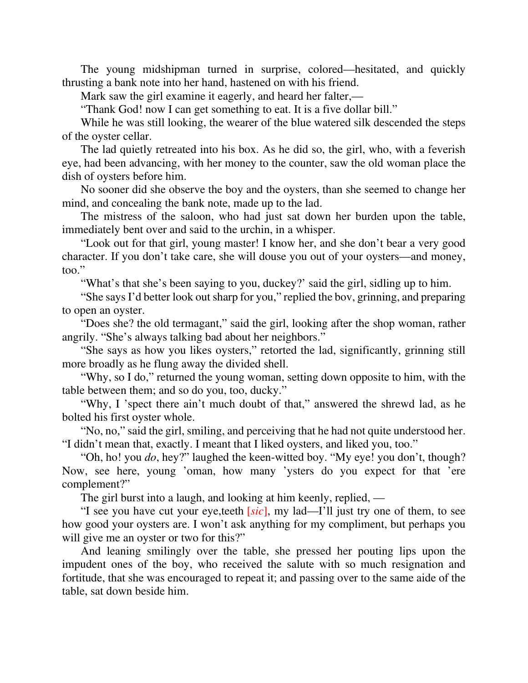The young midshipman turned in surprise, colored—hesitated, and quickly thrusting a bank note into her hand, hastened on with his friend.

Mark saw the girl examine it eagerly, and heard her falter,—

"Thank God! now I can get something to eat. It is a five dollar bill."

While he was still looking, the wearer of the blue watered silk descended the steps of the oyster cellar.

The lad quietly retreated into his box. As he did so, the girl, who, with a feverish eye, had been advancing, with her money to the counter, saw the old woman place the dish of oysters before him.

No sooner did she observe the boy and the oysters, than she seemed to change her mind, and concealing the bank note, made up to the lad.

The mistress of the saloon, who had just sat down her burden upon the table, immediately bent over and said to the urchin, in a whisper.

"Look out for that girl, young master! I know her, and she don't bear a very good character. If you don't take care, she will douse you out of your oysters—and money, too."

"What's that she's been saying to you, duckey?' said the girl, sidling up to him.

"She says I'd better look out sharp for you," replied the bov, grinning, and preparing to open an oyster.

"Does she? the old termagant," said the girl, looking after the shop woman, rather angrily. "She's always talking bad about her neighbors."

"She says as how you likes oysters," retorted the lad, significantly, grinning still more broadly as he flung away the divided shell.

"Why, so I do," returned the young woman, setting down opposite to him, with the table between them; and so do you, too, ducky."

"Why, I 'spect there ain't much doubt of that," answered the shrewd lad, as he bolted his first oyster whole.

"No, no," said the girl, smiling, and perceiving that he had not quite understood her. "I didn't mean that, exactly. I meant that I liked oysters, and liked you, too."

"Oh, ho! you *do*, hey?" laughed the keen-witted boy. "My eye! you don't, though? Now, see here, young 'oman, how many 'ysters do you expect for that 'ere complement?"

The girl burst into a laugh, and looking at him keenly, replied, —

"I see you have cut your eye,teeth [*sic*], my lad—I'll just try one of them, to see how good your oysters are. I won't ask anything for my compliment, but perhaps you will give me an oyster or two for this?"

And leaning smilingly over the table, she pressed her pouting lips upon the impudent ones of the boy, who received the salute with so much resignation and fortitude, that she was encouraged to repeat it; and passing over to the same aide of the table, sat down beside him.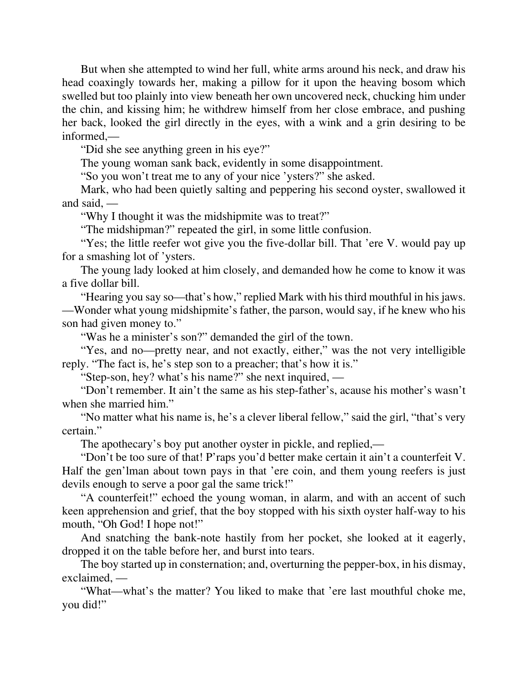But when she attempted to wind her full, white arms around his neck, and draw his head coaxingly towards her, making a pillow for it upon the heaving bosom which swelled but too plainly into view beneath her own uncovered neck, chucking him under the chin, and kissing him; he withdrew himself from her close embrace, and pushing her back, looked the girl directly in the eyes, with a wink and a grin desiring to be informed,—

"Did she see anything green in his eye?"

The young woman sank back, evidently in some disappointment.

"So you won't treat me to any of your nice 'ysters?" she asked.

Mark, who had been quietly salting and peppering his second oyster, swallowed it and said, —

"Why I thought it was the midshipmite was to treat?"

"The midshipman?" repeated the girl, in some little confusion.

"Yes; the little reefer wot give you the five-dollar bill. That 'ere V. would pay up for a smashing lot of 'ysters.

The young lady looked at him closely, and demanded how he come to know it was a five dollar bill.

"Hearing you say so—that's how," replied Mark with his third mouthful in his jaws. —Wonder what young midshipmite's father, the parson, would say, if he knew who his son had given money to."

"Was he a minister's son?" demanded the girl of the town.

"Yes, and no—pretty near, and not exactly, either," was the not very intelligible reply. "The fact is, he's step son to a preacher; that's how it is."

"Step-son, hey? what's his name?" she next inquired, —

"Don't remember. It ain't the same as his step-father's, acause his mother's wasn't when she married him."

"No matter what his name is, he's a clever liberal fellow," said the girl, "that's very certain."

The apothecary's boy put another oyster in pickle, and replied,—

"Don't be too sure of that! P'raps you'd better make certain it ain't a counterfeit V. Half the gen'lman about town pays in that 'ere coin, and them young reefers is just devils enough to serve a poor gal the same trick!"

"A counterfeit!" echoed the young woman, in alarm, and with an accent of such keen apprehension and grief, that the boy stopped with his sixth oyster half-way to his mouth, "Oh God! I hope not!"

And snatching the bank-note hastily from her pocket, she looked at it eagerly, dropped it on the table before her, and burst into tears.

The boy started up in consternation; and, overturning the pepper-box, in his dismay, exclaimed, —

"What—what's the matter? You liked to make that 'ere last mouthful choke me, you did!"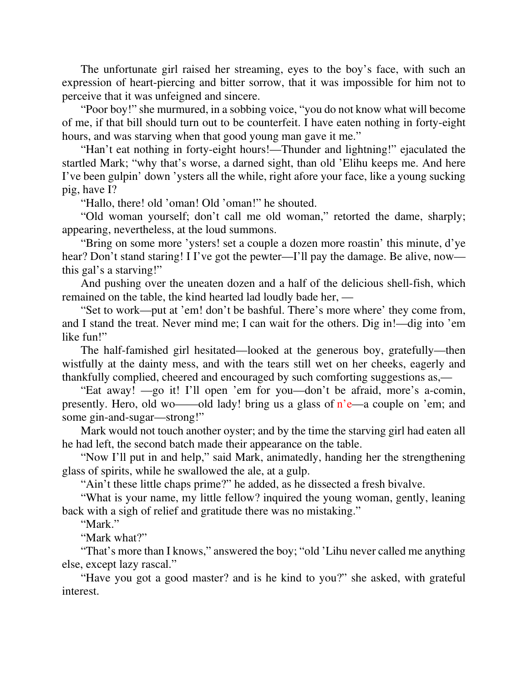The unfortunate girl raised her streaming, eyes to the boy's face, with such an expression of heart-piercing and bitter sorrow, that it was impossible for him not to perceive that it was unfeigned and sincere.

"Poor boy!" she murmured, in a sobbing voice, "you do not know what will become of me, if that bill should turn out to be counterfeit. I have eaten nothing in forty-eight hours, and was starving when that good young man gave it me."

"Han't eat nothing in forty-eight hours!—Thunder and lightning!" ejaculated the startled Mark; "why that's worse, a darned sight, than old 'Elihu keeps me. And here I've been gulpin' down 'ysters all the while, right afore your face, like a young sucking pig, have I?

"Hallo, there! old 'oman! Old 'oman!" he shouted.

"Old woman yourself; don't call me old woman," retorted the dame, sharply; appearing, nevertheless, at the loud summons.

"Bring on some more 'ysters! set a couple a dozen more roastin' this minute, d'ye hear? Don't stand staring! I I've got the pewter—I'll pay the damage. Be alive, now this gal's a starving!"

And pushing over the uneaten dozen and a half of the delicious shell-fish, which remained on the table, the kind hearted lad loudly bade her, —

"Set to work—put at 'em! don't be bashful. There's more where' they come from, and I stand the treat. Never mind me; I can wait for the others. Dig in!—dig into 'em like fun!"

The half-famished girl hesitated—looked at the generous boy, gratefully—then wistfully at the dainty mess, and with the tears still wet on her cheeks, eagerly and thankfully complied, cheered and encouraged by such comforting suggestions as,—

"Eat away! —go it! I'll open 'em for you—don't be afraid, more's a-comin, presently. Hero, old wo——old lady! bring us a glass of n'e—a couple on 'em; and some gin-and-sugar—strong!"

Mark would not touch another oyster; and by the time the starving girl had eaten all he had left, the second batch made their appearance on the table.

"Now I'll put in and help," said Mark, animatedly, handing her the strengthening glass of spirits, while he swallowed the ale, at a gulp.

"Ain't these little chaps prime?" he added, as he dissected a fresh bivalve.

"What is your name, my little fellow? inquired the young woman, gently, leaning back with a sigh of relief and gratitude there was no mistaking."

"Mark."

"Mark what?"

"That's more than I knows," answered the boy; "old 'Lihu never called me anything else, except lazy rascal."

"Have you got a good master? and is he kind to you?" she asked, with grateful interest.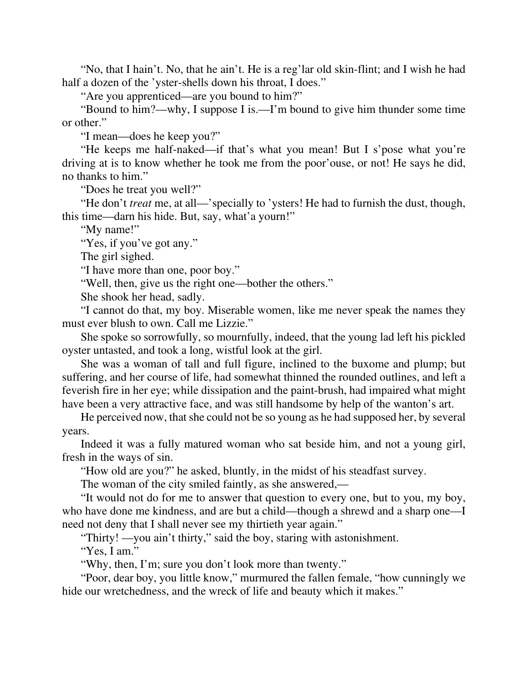"No, that I hain't. No, that he ain't. He is a reg'lar old skin-flint; and I wish he had half a dozen of the 'yster-shells down his throat, I does."

"Are you apprenticed—are you bound to him?"

"Bound to him?—why, I suppose I is.—I'm bound to give him thunder some time or other."

"I mean—does he keep you?"

"He keeps me half-naked—if that's what you mean! But I s'pose what you're driving at is to know whether he took me from the poor'ouse, or not! He says he did, no thanks to him."

"Does he treat you well?"

"He don't *treat* me, at all—'specially to 'ysters! He had to furnish the dust, though, this time—darn his hide. But, say, what'a yourn!"

"My name!"

"Yes, if you've got any."

The girl sighed.

"I have more than one, poor boy."

"Well, then, give us the right one—bother the others."

She shook her head, sadly.

"I cannot do that, my boy. Miserable women, like me never speak the names they must ever blush to own. Call me Lizzie."

She spoke so sorrowfully, so mournfully, indeed, that the young lad left his pickled oyster untasted, and took a long, wistful look at the girl.

She was a woman of tall and full figure, inclined to the buxome and plump; but suffering, and her course of life, had somewhat thinned the rounded outlines, and left a feverish fire in her eye; while dissipation and the paint-brush, had impaired what might have been a very attractive face, and was still handsome by help of the wanton's art.

He perceived now, that she could not be so young as he had supposed her, by several years.

Indeed it was a fully matured woman who sat beside him, and not a young girl, fresh in the ways of sin.

"How old are you?" he asked, bluntly, in the midst of his steadfast survey.

The woman of the city smiled faintly, as she answered,—

"It would not do for me to answer that question to every one, but to you, my boy, who have done me kindness, and are but a child—though a shrewd and a sharp one—I need not deny that I shall never see my thirtieth year again."

"Thirty! —you ain't thirty," said the boy, staring with astonishment.

"Yes, I am."

"Why, then, I'm; sure you don't look more than twenty."

"Poor, dear boy, you little know," murmured the fallen female, "how cunningly we hide our wretchedness, and the wreck of life and beauty which it makes."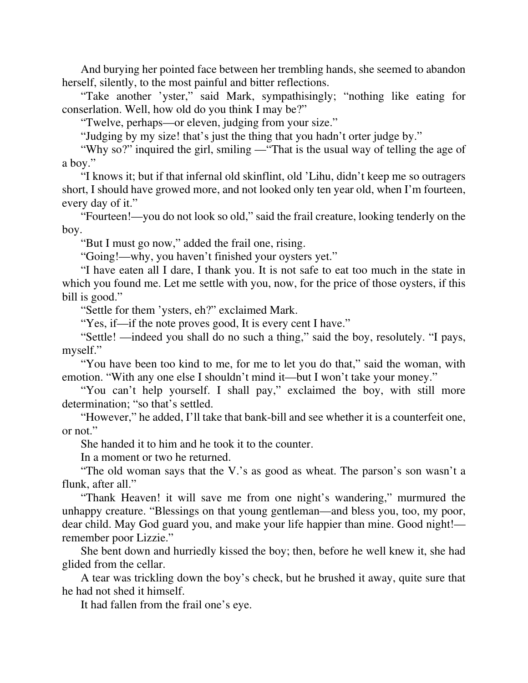And burying her pointed face between her trembling hands, she seemed to abandon herself, silently, to the most painful and bitter reflections.

"Take another 'yster," said Mark, sympathisingly; "nothing like eating for conserlation. Well, how old do you think I may be?"

"Twelve, perhaps—or eleven, judging from your size."

"Judging by my size! that's just the thing that you hadn't orter judge by."

"Why so?" inquired the girl, smiling —"That is the usual way of telling the age of a boy."

"I knows it; but if that infernal old skinflint, old 'Lihu, didn't keep me so outragers short, I should have growed more, and not looked only ten year old, when I'm fourteen, every day of it."

"Fourteen!—you do not look so old," said the frail creature, looking tenderly on the boy.

"But I must go now," added the frail one, rising.

"Going!—why, you haven't finished your oysters yet."

"I have eaten all I dare, I thank you. It is not safe to eat too much in the state in which you found me. Let me settle with you, now, for the price of those oysters, if this bill is good."

"Settle for them 'ysters, eh?" exclaimed Mark.

"Yes, if—if the note proves good, It is every cent I have."

"Settle! —indeed you shall do no such a thing," said the boy, resolutely. "I pays, myself."

"You have been too kind to me, for me to let you do that," said the woman, with emotion. "With any one else I shouldn't mind it—but I won't take your money."

"You can't help yourself. I shall pay," exclaimed the boy, with still more determination; "so that's settled.

"However," he added, I'll take that bank-bill and see whether it is a counterfeit one, or not."

She handed it to him and he took it to the counter.

In a moment or two he returned.

"The old woman says that the V.'s as good as wheat. The parson's son wasn't a flunk, after all."

"Thank Heaven! it will save me from one night's wandering," murmured the unhappy creature. "Blessings on that young gentleman—and bless you, too, my poor, dear child. May God guard you, and make your life happier than mine. Good night! remember poor Lizzie."

She bent down and hurriedly kissed the boy; then, before he well knew it, she had glided from the cellar.

A tear was trickling down the boy's check, but he brushed it away, quite sure that he had not shed it himself.

It had fallen from the frail one's eye.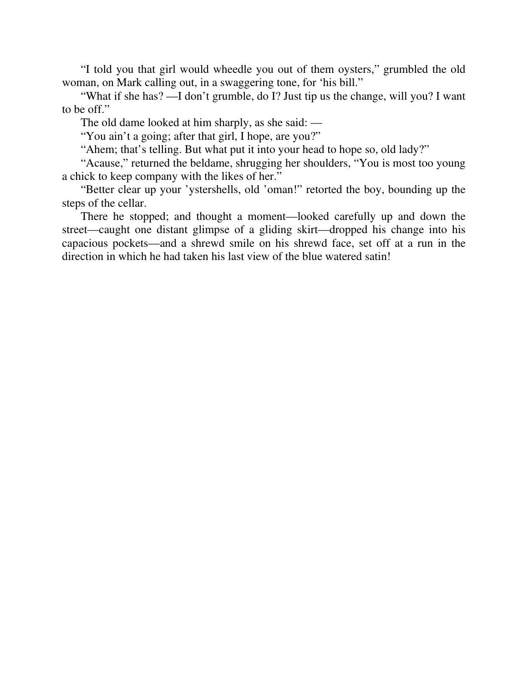"I told you that girl would wheedle you out of them oysters," grumbled the old woman, on Mark calling out, in a swaggering tone, for 'his bill."

"What if she has? —I don't grumble, do I? Just tip us the change, will you? I want to be off."

The old dame looked at him sharply, as she said: —

"You ain't a going; after that girl, I hope, are you?"

"Ahem; that's telling. But what put it into your head to hope so, old lady?"

"Acause," returned the beldame, shrugging her shoulders, "You is most too young a chick to keep company with the likes of her."

"Better clear up your 'ystershells, old 'oman!" retorted the boy, bounding up the steps of the cellar.

There he stopped; and thought a moment—looked carefully up and down the street—caught one distant glimpse of a gliding skirt—dropped his change into his capacious pockets—and a shrewd smile on his shrewd face, set off at a run in the direction in which he had taken his last view of the blue watered satin!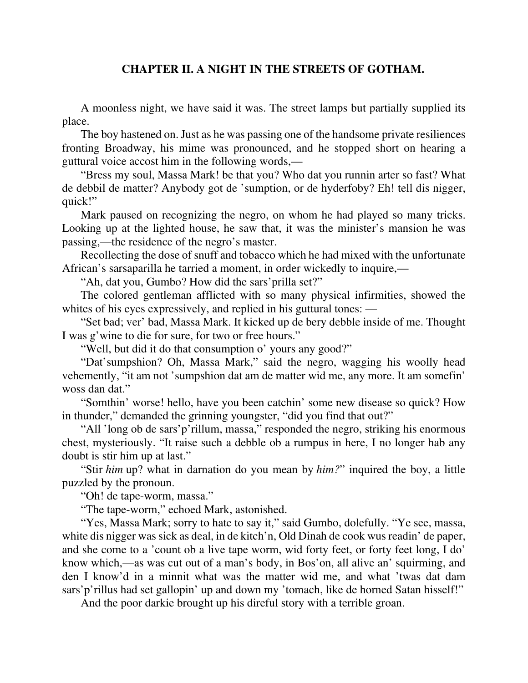## **CHAPTER II. A NIGHT IN THE STREETS OF GOTHAM.**

A moonless night, we have said it was. The street lamps but partially supplied its place.

The boy hastened on. Just as he was passing one of the handsome private resiliences fronting Broadway, his mime was pronounced, and he stopped short on hearing a guttural voice accost him in the following words,—

"Bress my soul, Massa Mark! be that you? Who dat you runnin arter so fast? What de debbil de matter? Anybody got de 'sumption, or de hyderfoby? Eh! tell dis nigger, quick!"

Mark paused on recognizing the negro, on whom he had played so many tricks. Looking up at the lighted house, he saw that, it was the minister's mansion he was passing,—the residence of the negro's master.

Recollecting the dose of snuff and tobacco which he had mixed with the unfortunate African's sarsaparilla he tarried a moment, in order wickedly to inquire,—

"Ah, dat you, Gumbo? How did the sars'prilla set?"

The colored gentleman afflicted with so many physical infirmities, showed the whites of his eyes expressively, and replied in his guttural tones: —

"Set bad; ver' bad, Massa Mark. It kicked up de bery debble inside of me. Thought I was g'wine to die for sure, for two or free hours."

"Well, but did it do that consumption o' yours any good?"

"Dat'sumpshion? Oh, Massa Mark," said the negro, wagging his woolly head vehemently, "it am not 'sumpshion dat am de matter wid me, any more. It am somefin' woss dan dat."

"Somthin' worse! hello, have you been catchin' some new disease so quick? How in thunder," demanded the grinning youngster, "did you find that out?"

"All 'long ob de sars'p'rillum, massa," responded the negro, striking his enormous chest, mysteriously. "It raise such a debble ob a rumpus in here, I no longer hab any doubt is stir him up at last."

"Stir *him* up? what in darnation do you mean by *him?*" inquired the boy, a little puzzled by the pronoun.

"Oh! de tape-worm, massa."

"The tape-worm," echoed Mark, astonished.

"Yes, Massa Mark; sorry to hate to say it," said Gumbo, dolefully. "Ye see, massa, white dis nigger was sick as deal, in de kitch'n, Old Dinah de cook wus readin' de paper, and she come to a 'count ob a live tape worm, wid forty feet, or forty feet long, I do' know which,—as was cut out of a man's body, in Bos'on, all alive an' squirming, and den I know'd in a minnit what was the matter wid me, and what 'twas dat dam sars' p'rillus had set gallopin' up and down my 'tomach, like de horned Satan hisself!"

And the poor darkie brought up his direful story with a terrible groan.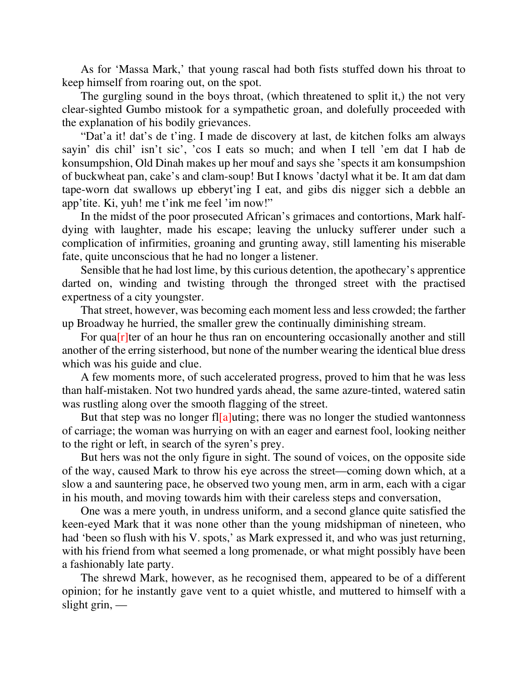As for 'Massa Mark,' that young rascal had both fists stuffed down his throat to keep himself from roaring out, on the spot.

The gurgling sound in the boys throat, (which threatened to split it,) the not very clear-sighted Gumbo mistook for a sympathetic groan, and dolefully proceeded with the explanation of his bodily grievances.

"Dat'a it! dat's de t'ing. I made de discovery at last, de kitchen folks am always sayin' dis chil' isn't sic', 'cos I eats so much; and when I tell 'em dat I hab de konsumpshion, Old Dinah makes up her mouf and says she 'spects it am konsumpshion of buckwheat pan, cake's and clam-soup! But I knows 'dactyl what it be. It am dat dam tape-worn dat swallows up ebberyt'ing I eat, and gibs dis nigger sich a debble an app'tite. Ki, yuh! me t'ink me feel 'im now!"

In the midst of the poor prosecuted African's grimaces and contortions, Mark halfdying with laughter, made his escape; leaving the unlucky sufferer under such a complication of infirmities, groaning and grunting away, still lamenting his miserable fate, quite unconscious that he had no longer a listener.

Sensible that he had lost lime, by this curious detention, the apothecary's apprentice darted on, winding and twisting through the thronged street with the practised expertness of a city youngster.

That street, however, was becoming each moment less and less crowded; the farther up Broadway he hurried, the smaller grew the continually diminishing stream.

For qua $[r]$ ter of an hour he thus ran on encountering occasionally another and still another of the erring sisterhood, but none of the number wearing the identical blue dress which was his guide and clue.

A few moments more, of such accelerated progress, proved to him that he was less than half-mistaken. Not two hundred yards ahead, the same azure-tinted, watered satin was rustling along over the smooth flagging of the street.

But that step was no longer fl[a]uting; there was no longer the studied wantonness of carriage; the woman was hurrying on with an eager and earnest fool, looking neither to the right or left, in search of the syren's prey.

But hers was not the only figure in sight. The sound of voices, on the opposite side of the way, caused Mark to throw his eye across the street—coming down which, at a slow a and sauntering pace, he observed two young men, arm in arm, each with a cigar in his mouth, and moving towards him with their careless steps and conversation,

One was a mere youth, in undress uniform, and a second glance quite satisfied the keen-eyed Mark that it was none other than the young midshipman of nineteen, who had 'been so flush with his V. spots,' as Mark expressed it, and who was just returning, with his friend from what seemed a long promenade, or what might possibly have been a fashionably late party.

The shrewd Mark, however, as he recognised them, appeared to be of a different opinion; for he instantly gave vent to a quiet whistle, and muttered to himself with a slight grin, —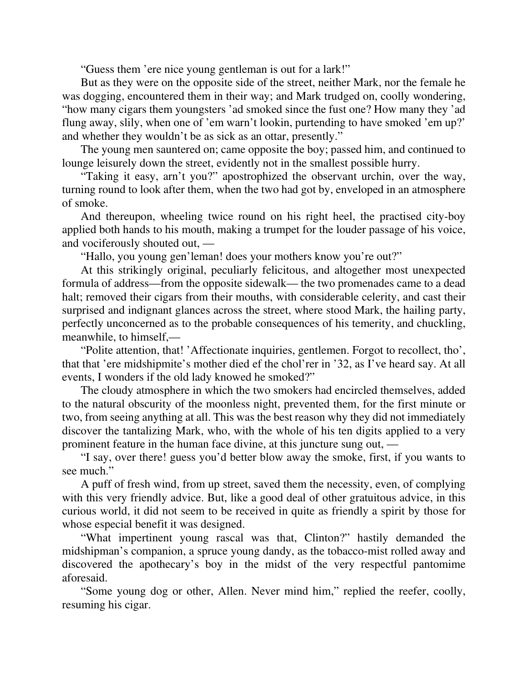"Guess them 'ere nice young gentleman is out for a lark!"

But as they were on the opposite side of the street, neither Mark, nor the female he was dogging, encountered them in their way; and Mark trudged on, coolly wondering, "how many cigars them youngsters 'ad smoked since the fust one? How many they 'ad flung away, slily, when one of 'em warn't lookin, purtending to have smoked 'em up?' and whether they wouldn't be as sick as an ottar, presently."

The young men sauntered on; came opposite the boy; passed him, and continued to lounge leisurely down the street, evidently not in the smallest possible hurry.

"Taking it easy, arn't you?" apostrophized the observant urchin, over the way, turning round to look after them, when the two had got by, enveloped in an atmosphere of smoke.

And thereupon, wheeling twice round on his right heel, the practised city-boy applied both hands to his mouth, making a trumpet for the louder passage of his voice, and vociferously shouted out, —

"Hallo, you young gen'leman! does your mothers know you're out?"

At this strikingly original, peculiarly felicitous, and altogether most unexpected formula of address—from the opposite sidewalk— the two promenades came to a dead halt; removed their cigars from their mouths, with considerable celerity, and cast their surprised and indignant glances across the street, where stood Mark, the hailing party, perfectly unconcerned as to the probable consequences of his temerity, and chuckling, meanwhile, to himself,—

"Polite attention, that! 'Affectionate inquiries, gentlemen. Forgot to recollect, tho', that that 'ere midshipmite's mother died ef the chol'rer in '32, as I've heard say. At all events, I wonders if the old lady knowed he smoked?"

The cloudy atmosphere in which the two smokers had encircled themselves, added to the natural obscurity of the moonless night, prevented them, for the first minute or two, from seeing anything at all. This was the best reason why they did not immediately discover the tantalizing Mark, who, with the whole of his ten digits applied to a very prominent feature in the human face divine, at this juncture sung out, —

"I say, over there! guess you'd better blow away the smoke, first, if you wants to see much."

A puff of fresh wind, from up street, saved them the necessity, even, of complying with this very friendly advice. But, like a good deal of other gratuitous advice, in this curious world, it did not seem to be received in quite as friendly a spirit by those for whose especial benefit it was designed.

"What impertinent young rascal was that, Clinton?" hastily demanded the midshipman's companion, a spruce young dandy, as the tobacco-mist rolled away and discovered the apothecary's boy in the midst of the very respectful pantomime aforesaid.

"Some young dog or other, Allen. Never mind him," replied the reefer, coolly, resuming his cigar.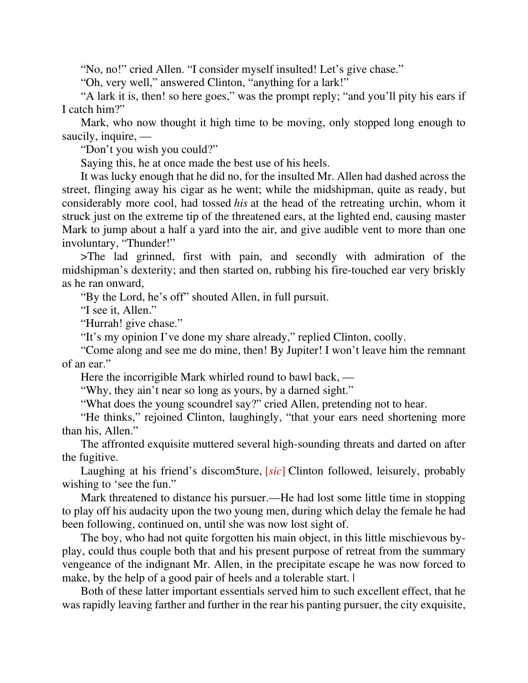"No, no!" cried Allen. "I consider myself insulted! Let's give chase."

"Oh, very well," answered Clinton, "anything for a lark!"

"A lark it is, then! so here goes," was the prompt reply; "and you'll pity his ears if I catch him?"

Mark, who now thought it high time to be moving, only stopped long enough to saucily, inquire, —

"Don't you wish you could?"

Saying this, he at once made the best use of his heels.

It was lucky enough that he did no, for the insulted Mr. Allen had dashed across the street, flinging away his cigar as he went; while the midshipman, quite as ready, but considerably more cool, had tossed *his* at the head of the retreating urchin, whom it struck just on the extreme tip of the threatened ears, at the lighted end, causing master Mark to jump about a half a yard into the air, and give audible vent to more than one involuntary, "Thunder!"

>The lad grinned, first with pain, and secondly with admiration of the midshipman's dexterity; and then started on, rubbing his fire-touched ear very briskly as he ran onward,

"By the Lord, he's off" shouted Allen, in full pursuit.

"I see it, Allen."

"Hurrah! give chase."

"It's my opinion I've done my share already," replied Clinton, coolly.

"Come along and see me do mine, then! By Jupiter! I won't leave him the remnant of an ear."

Here the incorrigible Mark whirled round to bawl back, —

"Why, they ain't near so long as yours, by a darned sight."

"What does the young scoundrel say?" cried Allen, pretending not to hear.

"He thinks," rejoined Clinton, laughingly, "that your ears need shortening more than his, Allen."

The affronted exquisite muttered several high-sounding threats and darted on after the fugitive.

Laughing at his friend's discom5ture, [*sic*] Clinton followed, leisurely, probably wishing to 'see the fun."

Mark threatened to distance his pursuer.—He had lost some little time in stopping to play off his audacity upon the two young men, during which delay the female he had been following, continued on, until she was now lost sight of.

The boy, who had not quite forgotten his main object, in this little mischievous byplay, could thus couple both that and his present purpose of retreat from the summary vengeance of the indignant Mr. Allen, in the precipitate escape he was now forced to make, by the help of a good pair of heels and a tolerable start.  $\vdash$ 

Both of these latter important essentials served him to such excellent effect, that he was rapidly leaving farther and further in the rear his panting pursuer, the city exquisite,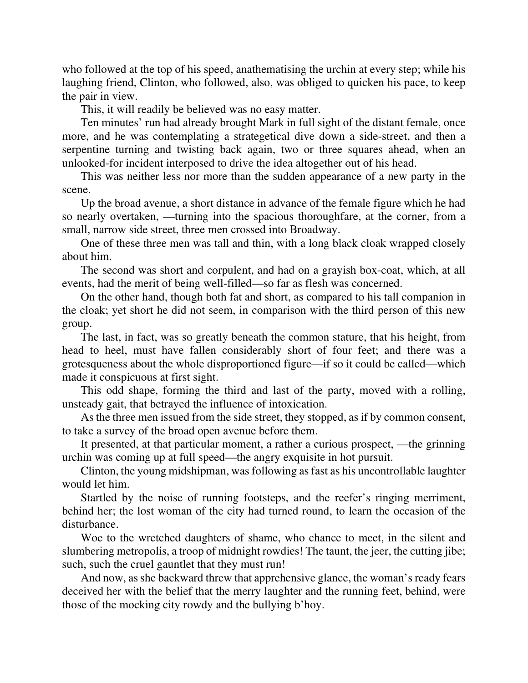who followed at the top of his speed, anathematising the urchin at every step; while his laughing friend, Clinton, who followed, also, was obliged to quicken his pace, to keep the pair in view.

This, it will readily be believed was no easy matter.

Ten minutes' run had already brought Mark in full sight of the distant female, once more, and he was contemplating a strategetical dive down a side-street, and then a serpentine turning and twisting back again, two or three squares ahead, when an unlooked-for incident interposed to drive the idea altogether out of his head.

This was neither less nor more than the sudden appearance of a new party in the scene.

Up the broad avenue, a short distance in advance of the female figure which he had so nearly overtaken, —turning into the spacious thoroughfare, at the corner, from a small, narrow side street, three men crossed into Broadway.

One of these three men was tall and thin, with a long black cloak wrapped closely about him.

The second was short and corpulent, and had on a grayish box-coat, which, at all events, had the merit of being well-filled—so far as flesh was concerned.

On the other hand, though both fat and short, as compared to his tall companion in the cloak; yet short he did not seem, in comparison with the third person of this new group.

The last, in fact, was so greatly beneath the common stature, that his height, from head to heel, must have fallen considerably short of four feet; and there was a grotesqueness about the whole disproportioned figure—if so it could be called—which made it conspicuous at first sight.

This odd shape, forming the third and last of the party, moved with a rolling, unsteady gait, that betrayed the influence of intoxication.

As the three men issued from the side street, they stopped, as if by common consent, to take a survey of the broad open avenue before them.

It presented, at that particular moment, a rather a curious prospect, —the grinning urchin was coming up at full speed—the angry exquisite in hot pursuit.

Clinton, the young midshipman, was following as fast as his uncontrollable laughter would let him.

Startled by the noise of running footsteps, and the reefer's ringing merriment, behind her; the lost woman of the city had turned round, to learn the occasion of the disturbance.

Woe to the wretched daughters of shame, who chance to meet, in the silent and slumbering metropolis, a troop of midnight rowdies! The taunt, the jeer, the cutting jibe; such, such the cruel gauntlet that they must run!

And now, as she backward threw that apprehensive glance, the woman's ready fears deceived her with the belief that the merry laughter and the running feet, behind, were those of the mocking city rowdy and the bullying b'hoy.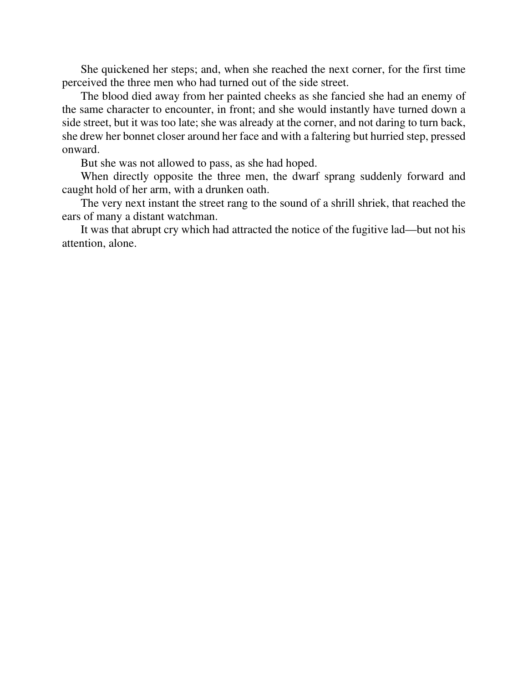She quickened her steps; and, when she reached the next corner, for the first time perceived the three men who had turned out of the side street.

The blood died away from her painted cheeks as she fancied she had an enemy of the same character to encounter, in front; and she would instantly have turned down a side street, but it was too late; she was already at the corner, and not daring to turn back, she drew her bonnet closer around her face and with a faltering but hurried step, pressed onward.

But she was not allowed to pass, as she had hoped.

When directly opposite the three men, the dwarf sprang suddenly forward and caught hold of her arm, with a drunken oath.

The very next instant the street rang to the sound of a shrill shriek, that reached the ears of many a distant watchman.

It was that abrupt cry which had attracted the notice of the fugitive lad—but not his attention, alone.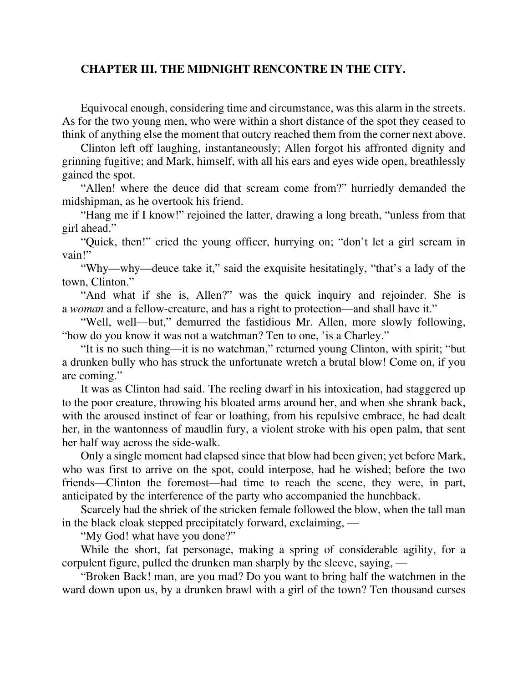## **CHAPTER III. THE MIDNIGHT RENCONTRE IN THE CITY.**

Equivocal enough, considering time and circumstance, was this alarm in the streets. As for the two young men, who were within a short distance of the spot they ceased to think of anything else the moment that outcry reached them from the corner next above.

Clinton left off laughing, instantaneously; Allen forgot his affronted dignity and grinning fugitive; and Mark, himself, with all his ears and eyes wide open, breathlessly gained the spot.

"Allen! where the deuce did that scream come from?" hurriedly demanded the midshipman, as he overtook his friend.

"Hang me if I know!" rejoined the latter, drawing a long breath, "unless from that girl ahead."

"Quick, then!" cried the young officer, hurrying on; "don't let a girl scream in vain!"

"Why—why—deuce take it," said the exquisite hesitatingly, "that's a lady of the town, Clinton."

"And what if she is, Allen?" was the quick inquiry and rejoinder. She is a *woman* and a fellow-creature, and has a right to protection—and shall have it."

"Well, well—but," demurred the fastidious Mr. Allen, more slowly following, "how do you know it was not a watchman? Ten to one, 'is a Charley."

"It is no such thing—it is no watchman," returned young Clinton, with spirit; "but a drunken bully who has struck the unfortunate wretch a brutal blow! Come on, if you are coming."

It was as Clinton had said. The reeling dwarf in his intoxication, had staggered up to the poor creature, throwing his bloated arms around her, and when she shrank back, with the aroused instinct of fear or loathing, from his repulsive embrace, he had dealt her, in the wantonness of maudlin fury, a violent stroke with his open palm, that sent her half way across the side-walk.

Only a single moment had elapsed since that blow had been given; yet before Mark, who was first to arrive on the spot, could interpose, had he wished; before the two friends—Clinton the foremost—had time to reach the scene, they were, in part, anticipated by the interference of the party who accompanied the hunchback.

Scarcely had the shriek of the stricken female followed the blow, when the tall man in the black cloak stepped precipitately forward, exclaiming, —

"My God! what have you done?"

While the short, fat personage, making a spring of considerable agility, for a corpulent figure, pulled the drunken man sharply by the sleeve, saying, —

"Broken Back! man, are you mad? Do you want to bring half the watchmen in the ward down upon us, by a drunken brawl with a girl of the town? Ten thousand curses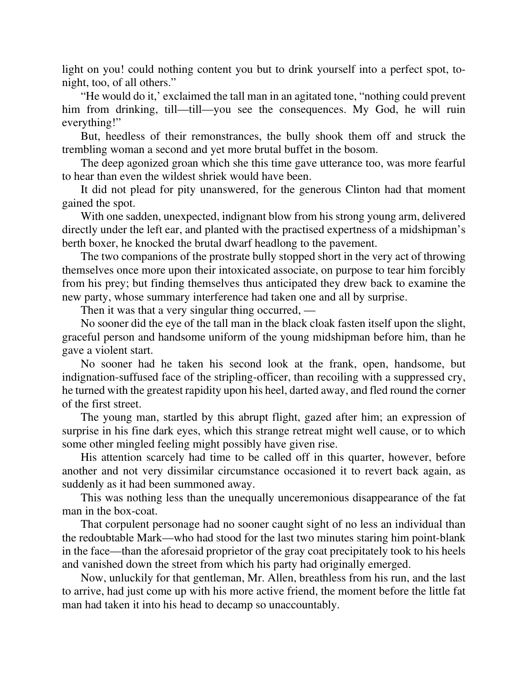light on you! could nothing content you but to drink yourself into a perfect spot, tonight, too, of all others."

"He would do it,' exclaimed the tall man in an agitated tone, "nothing could prevent him from drinking, till—till—you see the consequences. My God, he will ruin everything!"

But, heedless of their remonstrances, the bully shook them off and struck the trembling woman a second and yet more brutal buffet in the bosom.

The deep agonized groan which she this time gave utterance too, was more fearful to hear than even the wildest shriek would have been.

It did not plead for pity unanswered, for the generous Clinton had that moment gained the spot.

With one sadden, unexpected, indignant blow from his strong young arm, delivered directly under the left ear, and planted with the practised expertness of a midshipman's berth boxer, he knocked the brutal dwarf headlong to the pavement.

The two companions of the prostrate bully stopped short in the very act of throwing themselves once more upon their intoxicated associate, on purpose to tear him forcibly from his prey; but finding themselves thus anticipated they drew back to examine the new party, whose summary interference had taken one and all by surprise.

Then it was that a very singular thing occurred, —

No sooner did the eye of the tall man in the black cloak fasten itself upon the slight, graceful person and handsome uniform of the young midshipman before him, than he gave a violent start.

No sooner had he taken his second look at the frank, open, handsome, but indignation-suffused face of the stripling-officer, than recoiling with a suppressed cry, he turned with the greatest rapidity upon his heel, darted away, and fled round the corner of the first street.

The young man, startled by this abrupt flight, gazed after him; an expression of surprise in his fine dark eyes, which this strange retreat might well cause, or to which some other mingled feeling might possibly have given rise.

His attention scarcely had time to be called off in this quarter, however, before another and not very dissimilar circumstance occasioned it to revert back again, as suddenly as it had been summoned away.

This was nothing less than the unequally unceremonious disappearance of the fat man in the box-coat.

That corpulent personage had no sooner caught sight of no less an individual than the redoubtable Mark—who had stood for the last two minutes staring him point-blank in the face—than the aforesaid proprietor of the gray coat precipitately took to his heels and vanished down the street from which his party had originally emerged.

Now, unluckily for that gentleman, Mr. Allen, breathless from his run, and the last to arrive, had just come up with his more active friend, the moment before the little fat man had taken it into his head to decamp so unaccountably.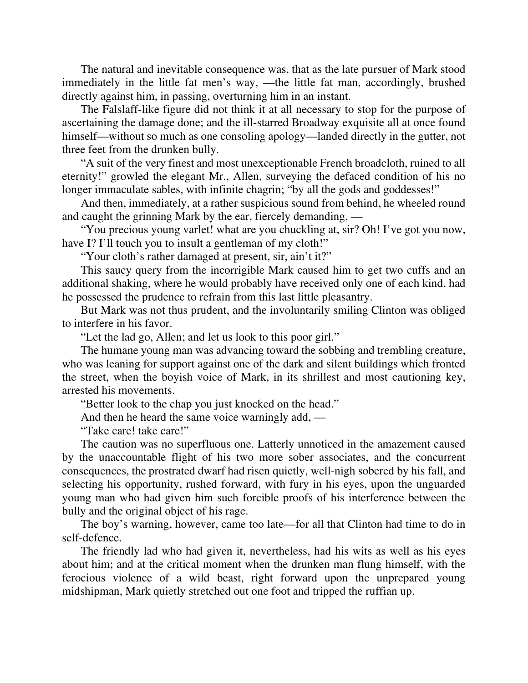The natural and inevitable consequence was, that as the late pursuer of Mark stood immediately in the little fat men's way, —the little fat man, accordingly, brushed directly against him, in passing, overturning him in an instant.

The Falslaff-like figure did not think it at all necessary to stop for the purpose of ascertaining the damage done; and the ill-starred Broadway exquisite all at once found himself—without so much as one consoling apology—landed directly in the gutter, not three feet from the drunken bully.

"A suit of the very finest and most unexceptionable French broadcloth, ruined to all eternity!" growled the elegant Mr., Allen, surveying the defaced condition of his no longer immaculate sables, with infinite chagrin; "by all the gods and goddesses!"

And then, immediately, at a rather suspicious sound from behind, he wheeled round and caught the grinning Mark by the ear, fiercely demanding, —

"You precious young varlet! what are you chuckling at, sir? Oh! I've got you now, have I? I'll touch you to insult a gentleman of my cloth!"

"Your cloth's rather damaged at present, sir, ain't it?"

This saucy query from the incorrigible Mark caused him to get two cuffs and an additional shaking, where he would probably have received only one of each kind, had he possessed the prudence to refrain from this last little pleasantry.

But Mark was not thus prudent, and the involuntarily smiling Clinton was obliged to interfere in his favor.

"Let the lad go, Allen; and let us look to this poor girl."

The humane young man was advancing toward the sobbing and trembling creature, who was leaning for support against one of the dark and silent buildings which fronted the street, when the boyish voice of Mark, in its shrillest and most cautioning key, arrested his movements.

"Better look to the chap you just knocked on the head."

And then he heard the same voice warningly add, —

"Take care! take care!"

The caution was no superfluous one. Latterly unnoticed in the amazement caused by the unaccountable flight of his two more sober associates, and the concurrent consequences, the prostrated dwarf had risen quietly, well-nigh sobered by his fall, and selecting his opportunity, rushed forward, with fury in his eyes, upon the unguarded young man who had given him such forcible proofs of his interference between the bully and the original object of his rage.

The boy's warning, however, came too late—for all that Clinton had time to do in self-defence.

The friendly lad who had given it, nevertheless, had his wits as well as his eyes about him; and at the critical moment when the drunken man flung himself, with the ferocious violence of a wild beast, right forward upon the unprepared young midshipman, Mark quietly stretched out one foot and tripped the ruffian up.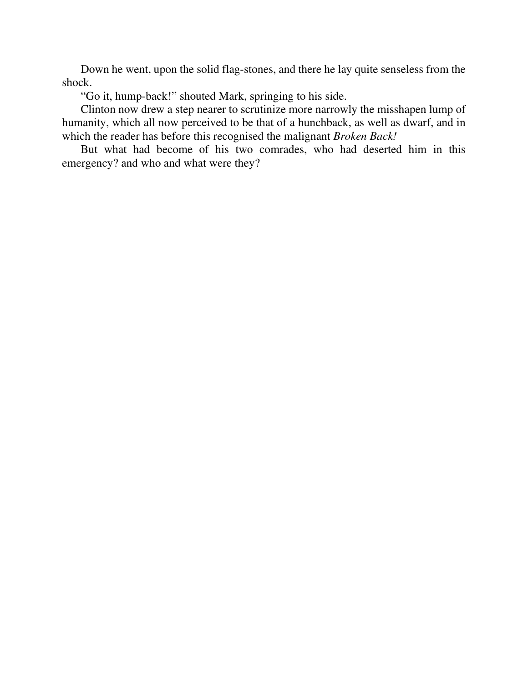Down he went, upon the solid flag-stones, and there he lay quite senseless from the shock.

"Go it, hump-back!" shouted Mark, springing to his side.

Clinton now drew a step nearer to scrutinize more narrowly the misshapen lump of humanity, which all now perceived to be that of a hunchback, as well as dwarf, and in which the reader has before this recognised the malignant *Broken Back!*

But what had become of his two comrades, who had deserted him in this emergency? and who and what were they?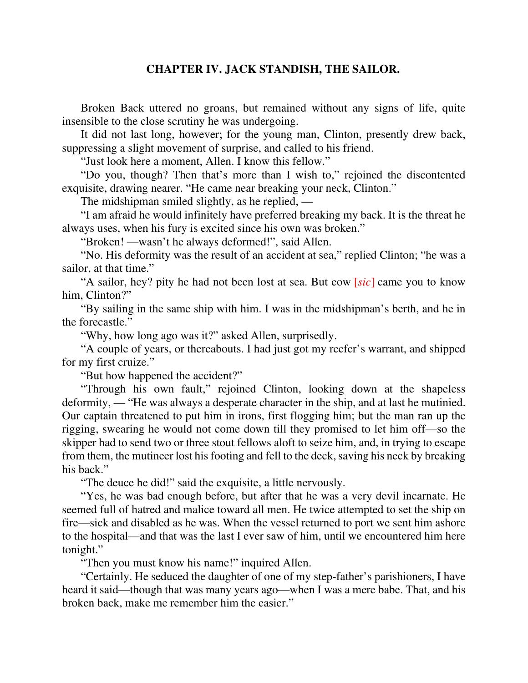# **CHAPTER IV. JACK STANDISH, THE SAILOR.**

Broken Back uttered no groans, but remained without any signs of life, quite insensible to the close scrutiny he was undergoing.

It did not last long, however; for the young man, Clinton, presently drew back, suppressing a slight movement of surprise, and called to his friend.

"Just look here a moment, Allen. I know this fellow."

"Do you, though? Then that's more than I wish to," rejoined the discontented exquisite, drawing nearer. "He came near breaking your neck, Clinton."

The midshipman smiled slightly, as he replied, —

"I am afraid he would infinitely have preferred breaking my back. It is the threat he always uses, when his fury is excited since his own was broken."

"Broken! —wasn't he always deformed!", said Allen.

"No. His deformity was the result of an accident at sea," replied Clinton; "he was a sailor, at that time."

"A sailor, hey? pity he had not been lost at sea. But eow [*sic*] came you to know him, Clinton?"

"By sailing in the same ship with him. I was in the midshipman's berth, and he in the forecastle."

"Why, how long ago was it?" asked Allen, surprisedly.

"A couple of years, or thereabouts. I had just got my reefer's warrant, and shipped for my first cruize."

"But how happened the accident?"

"Through his own fault," rejoined Clinton, looking down at the shapeless deformity, — "He was always a desperate character in the ship, and at last he mutinied. Our captain threatened to put him in irons, first flogging him; but the man ran up the rigging, swearing he would not come down till they promised to let him off—so the skipper had to send two or three stout fellows aloft to seize him, and, in trying to escape from them, the mutineer lost his footing and fell to the deck, saving his neck by breaking his back."

"The deuce he did!" said the exquisite, a little nervously.

"Yes, he was bad enough before, but after that he was a very devil incarnate. He seemed full of hatred and malice toward all men. He twice attempted to set the ship on fire—sick and disabled as he was. When the vessel returned to port we sent him ashore to the hospital—and that was the last I ever saw of him, until we encountered him here tonight."

"Then you must know his name!" inquired Allen.

"Certainly. He seduced the daughter of one of my step-father's parishioners, I have heard it said—though that was many years ago—when I was a mere babe. That, and his broken back, make me remember him the easier."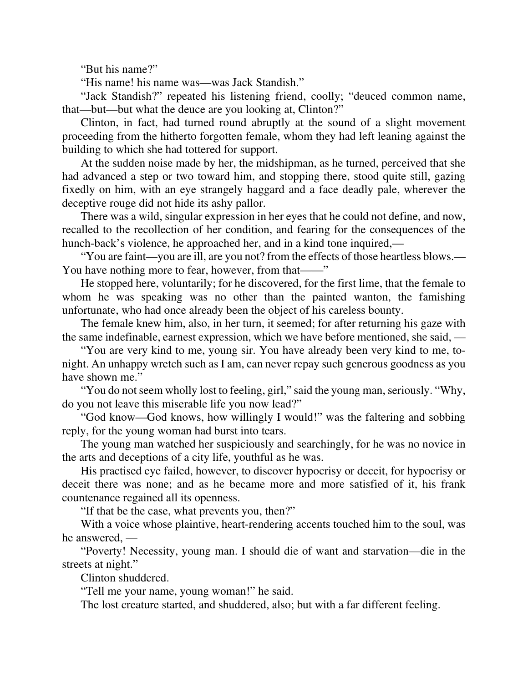"But his name?"

"His name! his name was—was Jack Standish."

"Jack Standish?" repeated his listening friend, coolly; "deuced common name, that—but—but what the deuce are you looking at, Clinton?"

Clinton, in fact, had turned round abruptly at the sound of a slight movement proceeding from the hitherto forgotten female, whom they had left leaning against the building to which she had tottered for support.

At the sudden noise made by her, the midshipman, as he turned, perceived that she had advanced a step or two toward him, and stopping there, stood quite still, gazing fixedly on him, with an eye strangely haggard and a face deadly pale, wherever the deceptive rouge did not hide its ashy pallor.

There was a wild, singular expression in her eyes that he could not define, and now, recalled to the recollection of her condition, and fearing for the consequences of the hunch-back's violence, he approached her, and in a kind tone inquired,—

"You are faint—you are ill, are you not? from the effects of those heartless blows.— You have nothing more to fear, however, from that——"

He stopped here, voluntarily; for he discovered, for the first lime, that the female to whom he was speaking was no other than the painted wanton, the famishing unfortunate, who had once already been the object of his careless bounty.

The female knew him, also, in her turn, it seemed; for after returning his gaze with the same indefinable, earnest expression, which we have before mentioned, she said, —

"You are very kind to me, young sir. You have already been very kind to me, tonight. An unhappy wretch such as I am, can never repay such generous goodness as you have shown me."

"You do not seem wholly lost to feeling, girl," said the young man, seriously. "Why, do you not leave this miserable life you now lead?"

"God know—God knows, how willingly I would!" was the faltering and sobbing reply, for the young woman had burst into tears.

The young man watched her suspiciously and searchingly, for he was no novice in the arts and deceptions of a city life, youthful as he was.

His practised eye failed, however, to discover hypocrisy or deceit, for hypocrisy or deceit there was none; and as he became more and more satisfied of it, his frank countenance regained all its openness.

"If that be the case, what prevents you, then?"

With a voice whose plaintive, heart-rendering accents touched him to the soul, was he answered, —

"Poverty! Necessity, young man. I should die of want and starvation—die in the streets at night."

Clinton shuddered.

"Tell me your name, young woman!" he said.

The lost creature started, and shuddered, also; but with a far different feeling.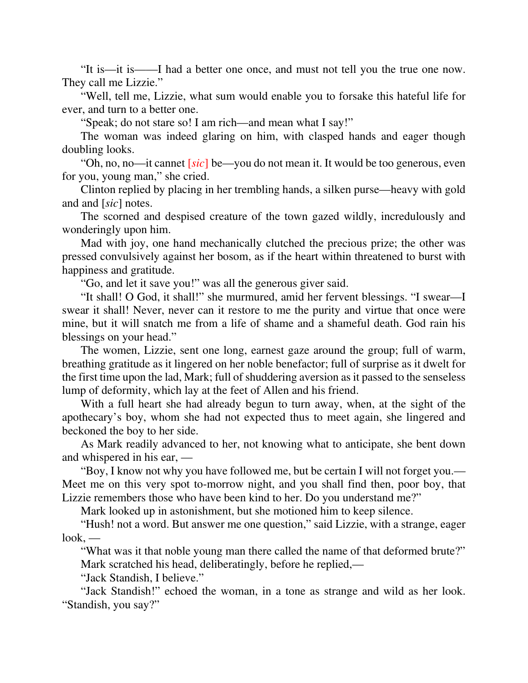"It is—it is——I had a better one once, and must not tell you the true one now. They call me Lizzie."

"Well, tell me, Lizzie, what sum would enable you to forsake this hateful life for ever, and turn to a better one.

"Speak; do not stare so! I am rich—and mean what I say!"

The woman was indeed glaring on him, with clasped hands and eager though doubling looks.

"Oh, no, no—it cannet [*sic*] be—you do not mean it. It would be too generous, even for you, young man," she cried.

Clinton replied by placing in her trembling hands, a silken purse—heavy with gold and and [*sic*] notes.

The scorned and despised creature of the town gazed wildly, incredulously and wonderingly upon him.

Mad with joy, one hand mechanically clutched the precious prize; the other was pressed convulsively against her bosom, as if the heart within threatened to burst with happiness and gratitude.

"Go, and let it save you!" was all the generous giver said.

"It shall! O God, it shall!" she murmured, amid her fervent blessings. "I swear—I swear it shall! Never, never can it restore to me the purity and virtue that once were mine, but it will snatch me from a life of shame and a shameful death. God rain his blessings on your head."

The women, Lizzie, sent one long, earnest gaze around the group; full of warm, breathing gratitude as it lingered on her noble benefactor; full of surprise as it dwelt for the first time upon the lad, Mark; full of shuddering aversion as it passed to the senseless lump of deformity, which lay at the feet of Allen and his friend.

With a full heart she had already begun to turn away, when, at the sight of the apothecary's boy, whom she had not expected thus to meet again, she lingered and beckoned the boy to her side.

As Mark readily advanced to her, not knowing what to anticipate, she bent down and whispered in his ear, —

"Boy, I know not why you have followed me, but be certain I will not forget you.— Meet me on this very spot to-morrow night, and you shall find then, poor boy, that Lizzie remembers those who have been kind to her. Do you understand me?"

Mark looked up in astonishment, but she motioned him to keep silence.

"Hush! not a word. But answer me one question," said Lizzie, with a strange, eager look, —

"What was it that noble young man there called the name of that deformed brute?" Mark scratched his head, deliberatingly, before he replied,—

"Jack Standish, I believe."

"Jack Standish!" echoed the woman, in a tone as strange and wild as her look. "Standish, you say?"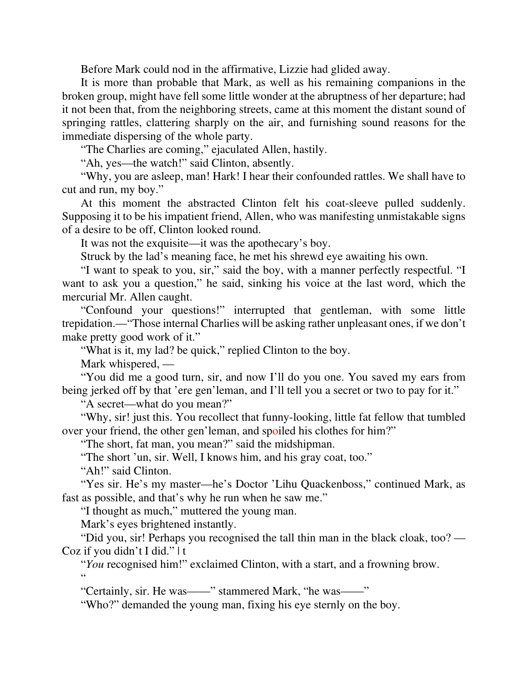Before Mark could nod in the affirmative, Lizzie had glided away.

It is more than probable that Mark, as well as his remaining companions in the broken group, might have fell some little wonder at the abruptness of her departure; had it not been that, from the neighboring streets, came at this moment the distant sound of springing rattles, clattering sharply on the air, and furnishing sound reasons for the immediate dispersing of the whole party.

"The Charlies are coming," ejaculated Allen, hastily.

"Ah, yes—the watch!" said Clinton, absently.

"Why, you are asleep, man! Hark! I hear their confounded rattles. We shall have to cut and run, my boy."

At this moment the abstracted Clinton felt his coat-sleeve pulled suddenly. Supposing it to be his impatient friend, Allen, who was manifesting unmistakable signs of a desire to be off, Clinton looked round.

It was not the exquisite—it was the apothecary's boy.

Struck by the lad's meaning face, he met his shrewd eye awaiting his own.

"I want to speak to you, sir," said the boy, with a manner perfectly respectful. "I want to ask you a question," he said, sinking his voice at the last word, which the mercurial Mr. Allen caught.

"Confound your questions!" interrupted that gentleman, with some little trepidation.—"Those internal Charlies will be asking rather unpleasant ones, if we don't make pretty good work of it."

"What is it, my lad? be quick," replied Clinton to the boy.

Mark whispered, —

"You did me a good turn, sir, and now I'll do you one. You saved my ears from being jerked off by that 'ere gen'leman, and I'll tell you a secret or two to pay for it."

"A secret—what do you mean?"

"Why, sir! just this. You recollect that funny-looking, little fat fellow that tumbled over your friend, the other gen'leman, and spoiled his clothes for him?"

"The short, fat man, you mean?" said the midshipman.

"The short 'un, sir. Well, I knows him, and his gray coat, too."

"Ah!" said Clinton.

"Yes sir. He's my master—he's Doctor 'Lihu Quackenboss," continued Mark, as fast as possible, and that's why he run when he saw me."

"I thought as much," muttered the young man.

Mark's eyes brightened instantly.

"Did you, sir! Perhaps you recognised the tall thin man in the black cloak, too? — Coz if you didn't I did." | t

"*You* recognised him!" exclaimed Clinton, with a start, and a frowning brow. "

"Certainly, sir. He was——" stammered Mark, "he was——"

"Who?" demanded the young man, fixing his eye sternly on the boy.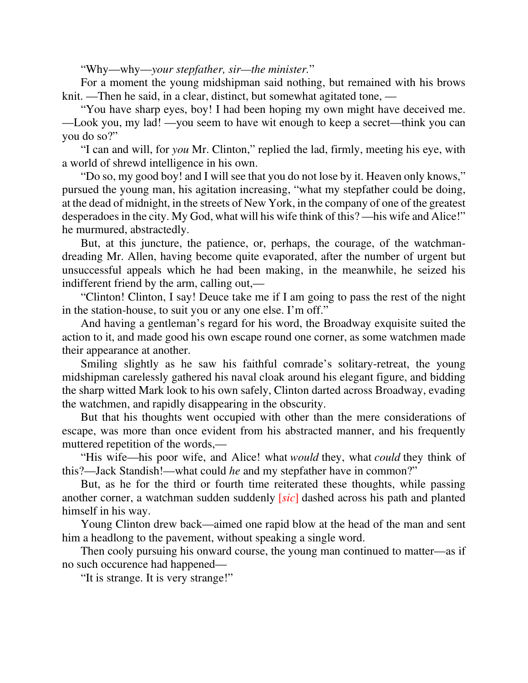"Why—why—*your stepfather, sir—the minister.*"

For a moment the young midshipman said nothing, but remained with his brows knit. —Then he said, in a clear, distinct, but somewhat agitated tone, —

"You have sharp eyes, boy! I had been hoping my own might have deceived me. —Look you, my lad! —you seem to have wit enough to keep a secret—think you can you do so?"

"I can and will, for *you* Mr. Clinton," replied the lad, firmly, meeting his eye, with a world of shrewd intelligence in his own.

"Do so, my good boy! and I will see that you do not lose by it. Heaven only knows," pursued the young man, his agitation increasing, "what my stepfather could be doing, at the dead of midnight, in the streets of New York, in the company of one of the greatest desperadoes in the city. My God, what will his wife think of this? —his wife and Alice!" he murmured, abstractedly.

But, at this juncture, the patience, or, perhaps, the courage, of the watchmandreading Mr. Allen, having become quite evaporated, after the number of urgent but unsuccessful appeals which he had been making, in the meanwhile, he seized his indifferent friend by the arm, calling out,—

"Clinton! Clinton, I say! Deuce take me if I am going to pass the rest of the night in the station-house, to suit you or any one else. I'm off."

And having a gentleman's regard for his word, the Broadway exquisite suited the action to it, and made good his own escape round one corner, as some watchmen made their appearance at another.

Smiling slightly as he saw his faithful comrade's solitary-retreat, the young midshipman carelessly gathered his naval cloak around his elegant figure, and bidding the sharp witted Mark look to his own safely, Clinton darted across Broadway, evading the watchmen, and rapidly disappearing in the obscurity.

But that his thoughts went occupied with other than the mere considerations of escape, was more than once evident from his abstracted manner, and his frequently muttered repetition of the words,—

"His wife—his poor wife, and Alice! what *would* they, what *could* they think of this?—Jack Standish!—what could *he* and my stepfather have in common?"

But, as he for the third or fourth time reiterated these thoughts, while passing another corner, a watchman sudden suddenly [*sic*] dashed across his path and planted himself in his way.

Young Clinton drew back—aimed one rapid blow at the head of the man and sent him a headlong to the pavement, without speaking a single word.

Then cooly pursuing his onward course, the young man continued to matter—as if no such occurence had happened—

"It is strange. It is very strange!"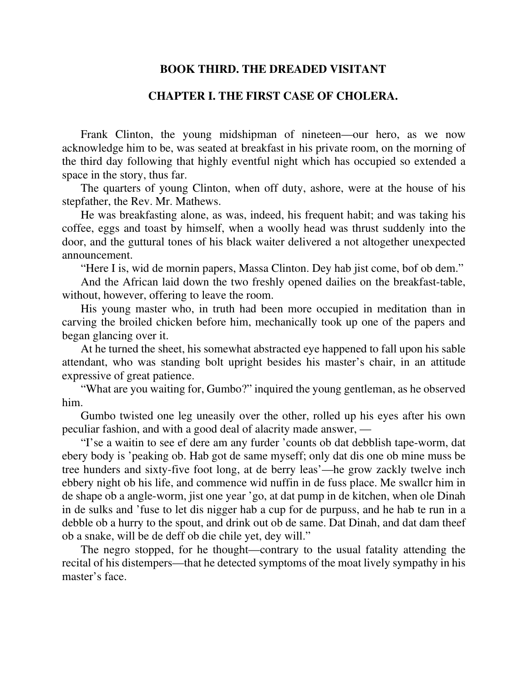## **BOOK THIRD. THE DREADED VISITANT**

## **CHAPTER I. THE FIRST CASE OF CHOLERA.**

Frank Clinton, the young midshipman of nineteen—our hero, as we now acknowledge him to be, was seated at breakfast in his private room, on the morning of the third day following that highly eventful night which has occupied so extended a space in the story, thus far.

The quarters of young Clinton, when off duty, ashore, were at the house of his stepfather, the Rev. Mr. Mathews.

He was breakfasting alone, as was, indeed, his frequent habit; and was taking his coffee, eggs and toast by himself, when a woolly head was thrust suddenly into the door, and the guttural tones of his black waiter delivered a not altogether unexpected announcement.

"Here I is, wid de mornin papers, Massa Clinton. Dey hab jist come, bof ob dem."

And the African laid down the two freshly opened dailies on the breakfast-table, without, however, offering to leave the room.

His young master who, in truth had been more occupied in meditation than in carving the broiled chicken before him, mechanically took up one of the papers and began glancing over it.

At he turned the sheet, his somewhat abstracted eye happened to fall upon his sable attendant, who was standing bolt upright besides his master's chair, in an attitude expressive of great patience.

"What are you waiting for, Gumbo?" inquired the young gentleman, as he observed him.

Gumbo twisted one leg uneasily over the other, rolled up his eyes after his own peculiar fashion, and with a good deal of alacrity made answer, —

"I'se a waitin to see ef dere am any furder 'counts ob dat debblish tape-worm, dat ebery body is 'peaking ob. Hab got de same myseff; only dat dis one ob mine muss be tree hunders and sixty-five foot long, at de berry leas'—he grow zackly twelve inch ebbery night ob his life, and commence wid nuffin in de fuss place. Me swallcr him in de shape ob a angle-worm, jist one year 'go, at dat pump in de kitchen, when ole Dinah in de sulks and 'fuse to let dis nigger hab a cup for de purpuss, and he hab te run in a debble ob a hurry to the spout, and drink out ob de same. Dat Dinah, and dat dam theef ob a snake, will be de deff ob die chile yet, dey will."

The negro stopped, for he thought—contrary to the usual fatality attending the recital of his distempers—that he detected symptoms of the moat lively sympathy in his master's face.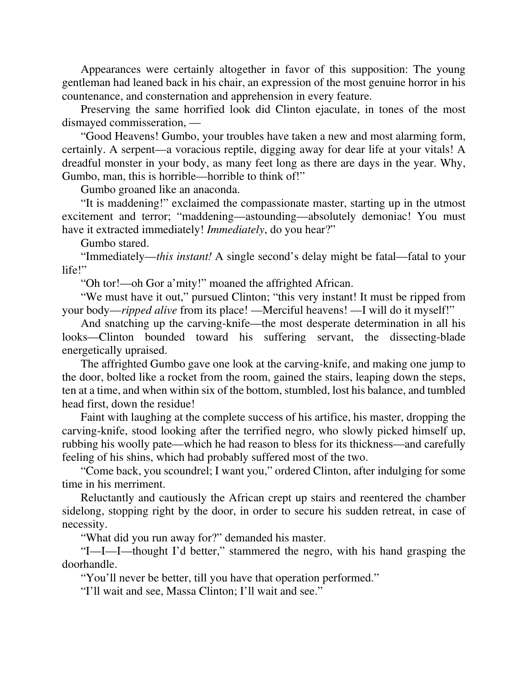Appearances were certainly altogether in favor of this supposition: The young gentleman had leaned back in his chair, an expression of the most genuine horror in his countenance, and consternation and apprehension in every feature.

Preserving the same horrified look did Clinton ejaculate, in tones of the most dismayed commisseration, —

"Good Heavens! Gumbo, your troubles have taken a new and most alarming form, certainly. A serpent—a voracious reptile, digging away for dear life at your vitals! A dreadful monster in your body, as many feet long as there are days in the year. Why, Gumbo, man, this is horrible—horrible to think of!"

Gumbo groaned like an anaconda.

"It is maddening!" exclaimed the compassionate master, starting up in the utmost excitement and terror; "maddening—astounding—absolutely demoniac! You must have it extracted immediately! *Immediately*, do you hear?"

Gumbo stared.

"Immediately—*this instant!* A single second's delay might be fatal—fatal to your life!"

"Oh tor!—oh Gor a'mity!" moaned the affrighted African.

"We must have it out," pursued Clinton; "this very instant! It must be ripped from your body—*ripped alive* from its place! —Merciful heavens! —I will do it myself!"

And snatching up the carving-knife—the most desperate determination in all his looks—Clinton bounded toward his suffering servant, the dissecting-blade energetically upraised.

The affrighted Gumbo gave one look at the carving-knife, and making one jump to the door, bolted like a rocket from the room, gained the stairs, leaping down the steps, ten at a time, and when within six of the bottom, stumbled, lost his balance, and tumbled head first, down the residue!

Faint with laughing at the complete success of his artifice, his master, dropping the carving-knife, stood looking after the terrified negro, who slowly picked himself up, rubbing his woolly pate—which he had reason to bless for its thickness—and carefully feeling of his shins, which had probably suffered most of the two.

"Come back, you scoundrel; I want you," ordered Clinton, after indulging for some time in his merriment.

Reluctantly and cautiously the African crept up stairs and reentered the chamber sidelong, stopping right by the door, in order to secure his sudden retreat, in case of necessity.

"What did you run away for?" demanded his master.

"I—I—I—thought I'd better," stammered the negro, with his hand grasping the doorhandle.

"You'll never be better, till you have that operation performed."

"I'll wait and see, Massa Clinton; I'll wait and see."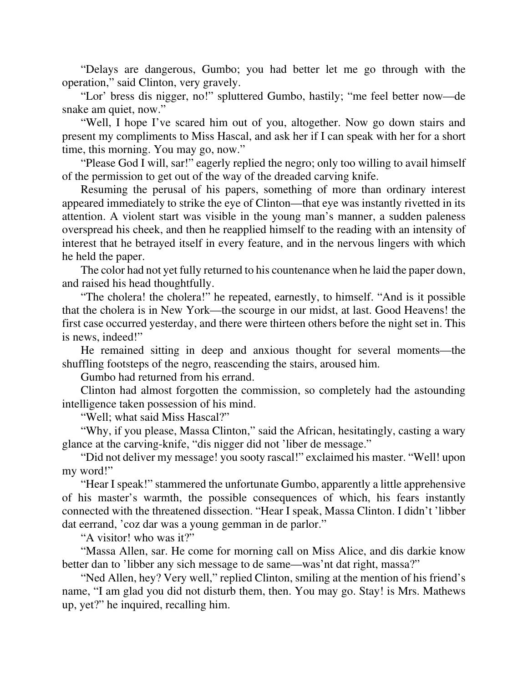"Delays are dangerous, Gumbo; you had better let me go through with the operation," said Clinton, very gravely.

"Lor' bress dis nigger, no!" spluttered Gumbo, hastily; "me feel better now—de snake am quiet, now."

"Well, I hope I've scared him out of you, altogether. Now go down stairs and present my compliments to Miss Hascal, and ask her if I can speak with her for a short time, this morning. You may go, now."

"Please God I will, sar!" eagerly replied the negro; only too willing to avail himself of the permission to get out of the way of the dreaded carving knife.

Resuming the perusal of his papers, something of more than ordinary interest appeared immediately to strike the eye of Clinton—that eye was instantly rivetted in its attention. A violent start was visible in the young man's manner, a sudden paleness overspread his cheek, and then he reapplied himself to the reading with an intensity of interest that he betrayed itself in every feature, and in the nervous lingers with which he held the paper.

The color had not yet fully returned to his countenance when he laid the paper down, and raised his head thoughtfully.

"The cholera! the cholera!" he repeated, earnestly, to himself. "And is it possible that the cholera is in New York—the scourge in our midst, at last. Good Heavens! the first case occurred yesterday, and there were thirteen others before the night set in. This is news, indeed!"

He remained sitting in deep and anxious thought for several moments—the shuffling footsteps of the negro, reascending the stairs, aroused him.

Gumbo had returned from his errand.

Clinton had almost forgotten the commission, so completely had the astounding intelligence taken possession of his mind.

"Well; what said Miss Hascal?"

"Why, if you please, Massa Clinton," said the African, hesitatingly, casting a wary glance at the carving-knife, "dis nigger did not 'liber de message."

"Did not deliver my message! you sooty rascal!" exclaimed his master. "Well! upon my word!"

"Hear I speak!" stammered the unfortunate Gumbo, apparently a little apprehensive of his master's warmth, the possible consequences of which, his fears instantly connected with the threatened dissection. "Hear I speak, Massa Clinton. I didn't 'libber dat eerrand, 'coz dar was a young gemman in de parlor."

"A visitor! who was it?"

"Massa Allen, sar. He come for morning call on Miss Alice, and dis darkie know better dan to 'libber any sich message to de same—was'nt dat right, massa?"

"Ned Allen, hey? Very well," replied Clinton, smiling at the mention of his friend's name, "I am glad you did not disturb them, then. You may go. Stay! is Mrs. Mathews up, yet?" he inquired, recalling him.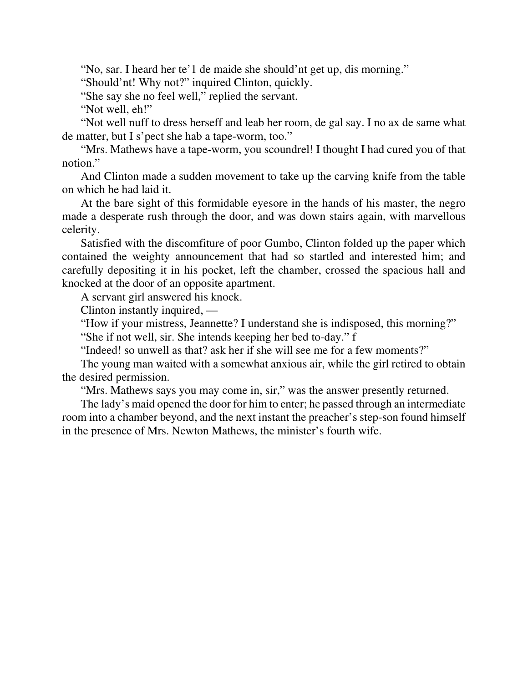"No, sar. I heard her te'1 de maide she should'nt get up, dis morning."

"Should'nt! Why not?" inquired Clinton, quickly.

"She say she no feel well," replied the servant.

"Not well, eh!"

"Not well nuff to dress herseff and leab her room, de gal say. I no ax de same what de matter, but I s'pect she hab a tape-worm, too."

"Mrs. Mathews have a tape-worm, you scoundrel! I thought I had cured you of that notion."

And Clinton made a sudden movement to take up the carving knife from the table on which he had laid it.

At the bare sight of this formidable eyesore in the hands of his master, the negro made a desperate rush through the door, and was down stairs again, with marvellous celerity.

Satisfied with the discomfiture of poor Gumbo, Clinton folded up the paper which contained the weighty announcement that had so startled and interested him; and carefully depositing it in his pocket, left the chamber, crossed the spacious hall and knocked at the door of an opposite apartment.

A servant girl answered his knock.

Clinton instantly inquired, —

"How if your mistress, Jeannette? I understand she is indisposed, this morning?" "She if not well, sir. She intends keeping her bed to-day." f

"Indeed! so unwell as that? ask her if she will see me for a few moments?"

The young man waited with a somewhat anxious air, while the girl retired to obtain the desired permission.

"Mrs. Mathews says you may come in, sir," was the answer presently returned.

The lady's maid opened the door for him to enter; he passed through an intermediate room into a chamber beyond, and the next instant the preacher's step-son found himself in the presence of Mrs. Newton Mathews, the minister's fourth wife.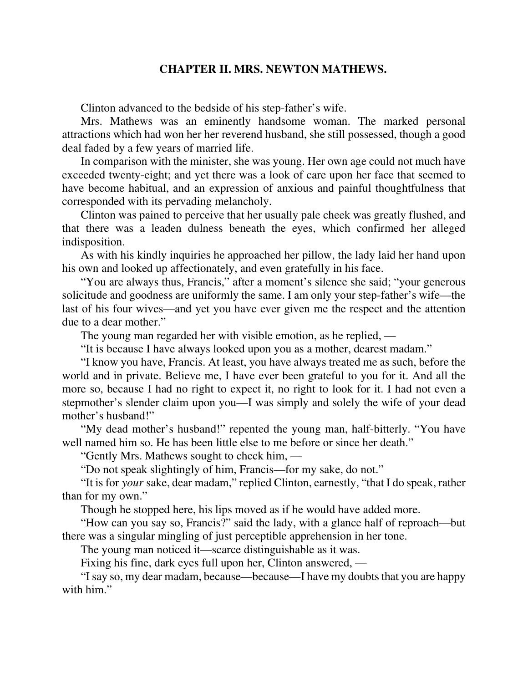## **CHAPTER II. MRS. NEWTON MATHEWS.**

Clinton advanced to the bedside of his step-father's wife.

Mrs. Mathews was an eminently handsome woman. The marked personal attractions which had won her her reverend husband, she still possessed, though a good deal faded by a few years of married life.

In comparison with the minister, she was young. Her own age could not much have exceeded twenty-eight; and yet there was a look of care upon her face that seemed to have become habitual, and an expression of anxious and painful thoughtfulness that corresponded with its pervading melancholy.

Clinton was pained to perceive that her usually pale cheek was greatly flushed, and that there was a leaden dulness beneath the eyes, which confirmed her alleged indisposition.

As with his kindly inquiries he approached her pillow, the lady laid her hand upon his own and looked up affectionately, and even gratefully in his face.

"You are always thus, Francis," after a moment's silence she said; "your generous solicitude and goodness are uniformly the same. I am only your step-father's wife—the last of his four wives—and yet you have ever given me the respect and the attention due to a dear mother."

The young man regarded her with visible emotion, as he replied, —

"It is because I have always looked upon you as a mother, dearest madam."

"I know you have, Francis. At least, you have always treated me as such, before the world and in private. Believe me, I have ever been grateful to you for it. And all the more so, because I had no right to expect it, no right to look for it. I had not even a stepmother's slender claim upon you—I was simply and solely the wife of your dead mother's husband!"

"My dead mother's husband!" repented the young man, half-bitterly. "You have well named him so. He has been little else to me before or since her death."

"Gently Mrs. Mathews sought to check him, —

"Do not speak slightingly of him, Francis—for my sake, do not."

"It is for *your* sake, dear madam," replied Clinton, earnestly, "that I do speak, rather than for my own."

Though he stopped here, his lips moved as if he would have added more.

"How can you say so, Francis?" said the lady, with a glance half of reproach—but there was a singular mingling of just perceptible apprehension in her tone.

The young man noticed it—scarce distinguishable as it was.

Fixing his fine, dark eyes full upon her, Clinton answered, —

"I say so, my dear madam, because—because—I have my doubts that you are happy with him"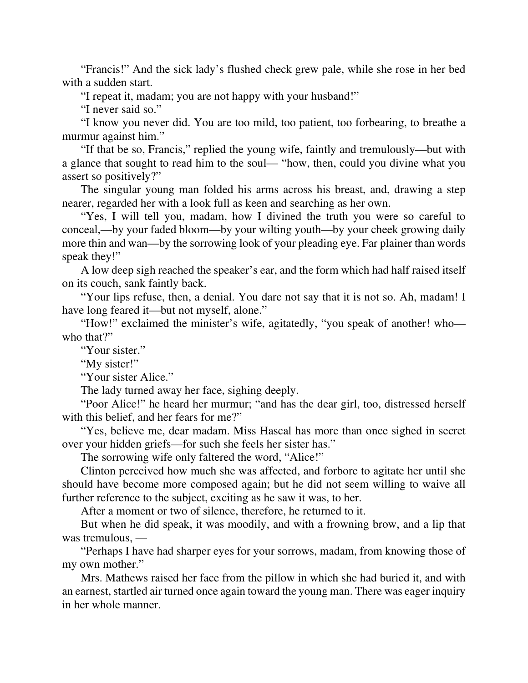"Francis!" And the sick lady's flushed check grew pale, while she rose in her bed with a sudden start.

"I repeat it, madam; you are not happy with your husband!"

"I never said so."

"I know you never did. You are too mild, too patient, too forbearing, to breathe a murmur against him."

"If that be so, Francis," replied the young wife, faintly and tremulously—but with a glance that sought to read him to the soul— "how, then, could you divine what you assert so positively?"

The singular young man folded his arms across his breast, and, drawing a step nearer, regarded her with a look full as keen and searching as her own.

"Yes, I will tell you, madam, how I divined the truth you were so careful to conceal,—by your faded bloom—by your wilting youth—by your cheek growing daily more thin and wan—by the sorrowing look of your pleading eye. Far plainer than words speak they!"

A low deep sigh reached the speaker's ear, and the form which had half raised itself on its couch, sank faintly back.

"Your lips refuse, then, a denial. You dare not say that it is not so. Ah, madam! I have long feared it—but not myself, alone."

"How!" exclaimed the minister's wife, agitatedly, "you speak of another! who who that?"

"Your sister."

"My sister!"

"Your sister Alice."

The lady turned away her face, sighing deeply.

"Poor Alice!" he heard her murmur; "and has the dear girl, too, distressed herself with this belief, and her fears for me?"

"Yes, believe me, dear madam. Miss Hascal has more than once sighed in secret over your hidden griefs—for such she feels her sister has."

The sorrowing wife only faltered the word, "Alice!"

Clinton perceived how much she was affected, and forbore to agitate her until she should have become more composed again; but he did not seem willing to waive all further reference to the subject, exciting as he saw it was, to her.

After a moment or two of silence, therefore, he returned to it.

But when he did speak, it was moodily, and with a frowning brow, and a lip that was tremulous, —

"Perhaps I have had sharper eyes for your sorrows, madam, from knowing those of my own mother."

Mrs. Mathews raised her face from the pillow in which she had buried it, and with an earnest, startled air turned once again toward the young man. There was eager inquiry in her whole manner.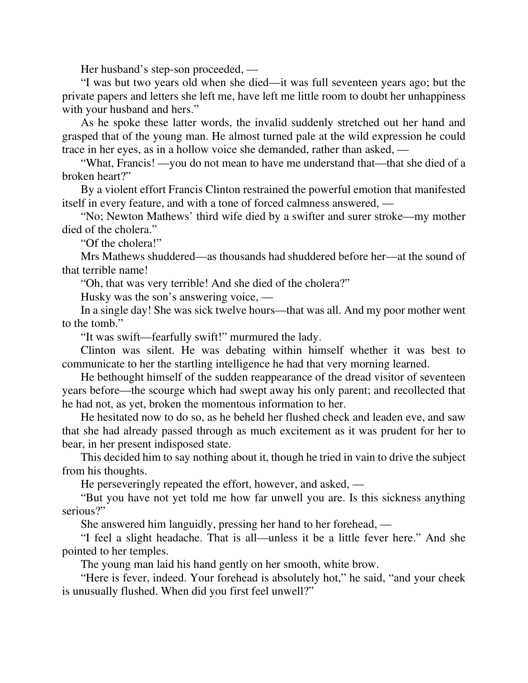Her husband's step-son proceeded, —

"I was but two years old when she died—it was full seventeen years ago; but the private papers and letters she left me, have left me little room to doubt her unhappiness with your husband and hers."

As he spoke these latter words, the invalid suddenly stretched out her hand and grasped that of the young man. He almost turned pale at the wild expression he could trace in her eyes, as in a hollow voice she demanded, rather than asked, —

"What, Francis! —you do not mean to have me understand that—that she died of a broken heart?"

By a violent effort Francis Clinton restrained the powerful emotion that manifested itself in every feature, and with a tone of forced calmness answered, —

"No; Newton Mathews' third wife died by a swifter and surer stroke—my mother died of the cholera."

"Of the cholera!"

Mrs Mathews shuddered—as thousands had shuddered before her—at the sound of that terrible name!

"Oh, that was very terrible! And she died of the cholera?"

Husky was the son's answering voice, —

In a single day! She was sick twelve hours—that was all. And my poor mother went to the tomb."

"It was swift—fearfully swift!" murmured the lady.

Clinton was silent. He was debating within himself whether it was best to communicate to her the startling intelligence he had that very morning learned.

He bethought himself of the sudden reappearance of the dread visitor of seventeen years before—the scourge which had swept away his only parent; and recollected that he had not, as yet, broken the momentous information to her.

He hesitated now to do so, as he beheld her flushed check and leaden eve, and saw that she had already passed through as much excitement as it was prudent for her to bear, in her present indisposed state.

This decided him to say nothing about it, though he tried in vain to drive the subject from his thoughts.

He perseveringly repeated the effort, however, and asked, —

"But you have not yet told me how far unwell you are. Is this sickness anything serious?"

She answered him languidly, pressing her hand to her forehead, —

"I feel a slight headache. That is all—unless it be a little fever here." And she pointed to her temples.

The young man laid his hand gently on her smooth, white brow.

"Here is fever, indeed. Your forehead is absolutely hot," he said, "and your cheek is unusually flushed. When did you first feel unwell?"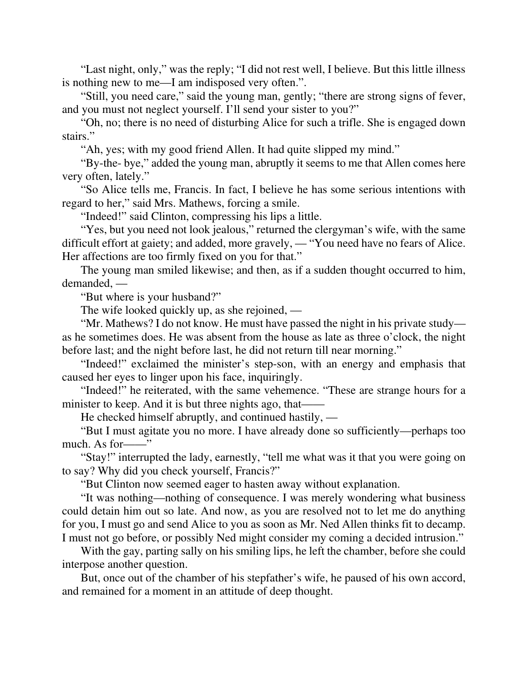"Last night, only," was the reply; "I did not rest well, I believe. But this little illness is nothing new to me—I am indisposed very often.".

"Still, you need care," said the young man, gently; "there are strong signs of fever, and you must not neglect yourself. I'll send your sister to you?"

"Oh, no; there is no need of disturbing Alice for such a trifle. She is engaged down stairs."

"Ah, yes; with my good friend Allen. It had quite slipped my mind."

"By-the- bye," added the young man, abruptly it seems to me that Allen comes here very often, lately."

"So Alice tells me, Francis. In fact, I believe he has some serious intentions with regard to her," said Mrs. Mathews, forcing a smile.

"Indeed!" said Clinton, compressing his lips a little.

"Yes, but you need not look jealous," returned the clergyman's wife, with the same difficult effort at gaiety; and added, more gravely, — "You need have no fears of Alice. Her affections are too firmly fixed on you for that."

The young man smiled likewise; and then, as if a sudden thought occurred to him, demanded, —

"But where is your husband?"

The wife looked quickly up, as she rejoined, —

"Mr. Mathews? I do not know. He must have passed the night in his private study as he sometimes does. He was absent from the house as late as three o'clock, the night before last; and the night before last, he did not return till near morning."

"Indeed!" exclaimed the minister's step-son, with an energy and emphasis that caused her eyes to linger upon his face, inquiringly.

"Indeed!" he reiterated, with the same vehemence. "These are strange hours for a minister to keep. And it is but three nights ago, that—

He checked himself abruptly, and continued hastily, —

"But I must agitate you no more. I have already done so sufficiently—perhaps too much. As for——"

"Stay!" interrupted the lady, earnestly, "tell me what was it that you were going on to say? Why did you check yourself, Francis?"

"But Clinton now seemed eager to hasten away without explanation.

"It was nothing—nothing of consequence. I was merely wondering what business could detain him out so late. And now, as you are resolved not to let me do anything for you, I must go and send Alice to you as soon as Mr. Ned Allen thinks fit to decamp. I must not go before, or possibly Ned might consider my coming a decided intrusion."

With the gay, parting sally on his smiling lips, he left the chamber, before she could interpose another question.

But, once out of the chamber of his stepfather's wife, he paused of his own accord, and remained for a moment in an attitude of deep thought.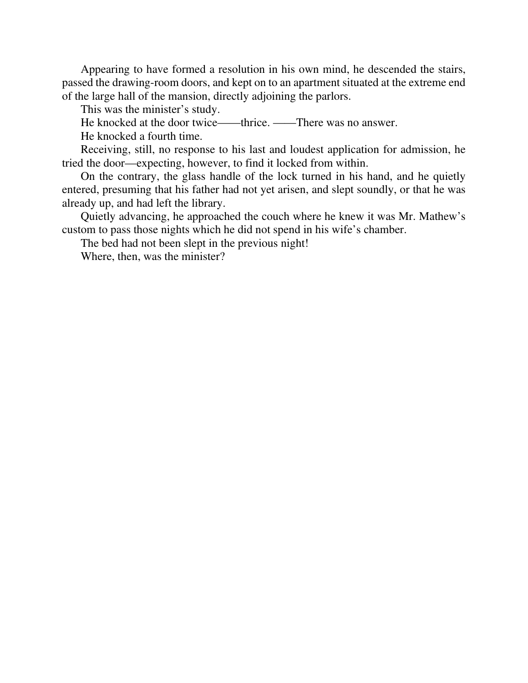Appearing to have formed a resolution in his own mind, he descended the stairs, passed the drawing-room doors, and kept on to an apartment situated at the extreme end of the large hall of the mansion, directly adjoining the parlors.

This was the minister's study.

He knocked at the door twice——thrice. ——There was no answer.

He knocked a fourth time.

Receiving, still, no response to his last and loudest application for admission, he tried the door—expecting, however, to find it locked from within.

On the contrary, the glass handle of the lock turned in his hand, and he quietly entered, presuming that his father had not yet arisen, and slept soundly, or that he was already up, and had left the library.

Quietly advancing, he approached the couch where he knew it was Mr. Mathew's custom to pass those nights which he did not spend in his wife's chamber.

The bed had not been slept in the previous night!

Where, then, was the minister?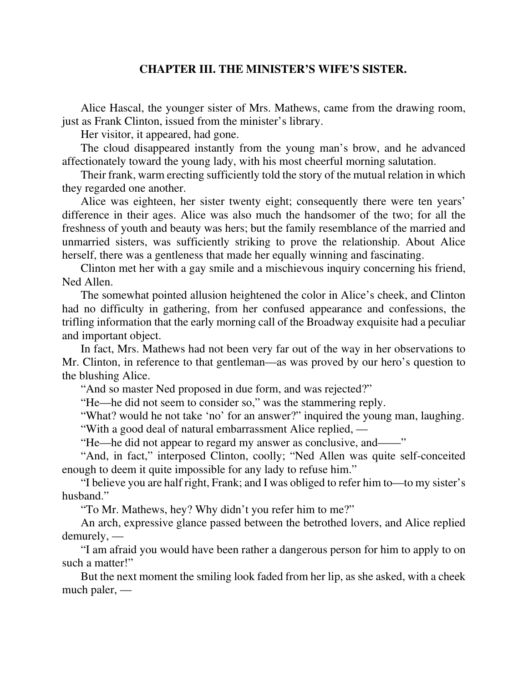## **CHAPTER III. THE MINISTER'S WIFE'S SISTER.**

Alice Hascal, the younger sister of Mrs. Mathews, came from the drawing room, just as Frank Clinton, issued from the minister's library.

Her visitor, it appeared, had gone.

The cloud disappeared instantly from the young man's brow, and he advanced affectionately toward the young lady, with his most cheerful morning salutation.

Their frank, warm erecting sufficiently told the story of the mutual relation in which they regarded one another.

Alice was eighteen, her sister twenty eight; consequently there were ten years' difference in their ages. Alice was also much the handsomer of the two; for all the freshness of youth and beauty was hers; but the family resemblance of the married and unmarried sisters, was sufficiently striking to prove the relationship. About Alice herself, there was a gentleness that made her equally winning and fascinating.

Clinton met her with a gay smile and a mischievous inquiry concerning his friend, Ned Allen.

The somewhat pointed allusion heightened the color in Alice's cheek, and Clinton had no difficulty in gathering, from her confused appearance and confessions, the trifling information that the early morning call of the Broadway exquisite had a peculiar and important object.

In fact, Mrs. Mathews had not been very far out of the way in her observations to Mr. Clinton, in reference to that gentleman—as was proved by our hero's question to the blushing Alice.

"And so master Ned proposed in due form, and was rejected?"

"He—he did not seem to consider so," was the stammering reply.

"What? would he not take 'no' for an answer?" inquired the young man, laughing. "With a good deal of natural embarrassment Alice replied, —

"He—he did not appear to regard my answer as conclusive, and——"

"And, in fact," interposed Clinton, coolly; "Ned Allen was quite self-conceited enough to deem it quite impossible for any lady to refuse him."

"I believe you are half right, Frank; and I was obliged to refer him to—to my sister's husband."

"To Mr. Mathews, hey? Why didn't you refer him to me?"

An arch, expressive glance passed between the betrothed lovers, and Alice replied demurely, —

"I am afraid you would have been rather a dangerous person for him to apply to on such a matter!"

But the next moment the smiling look faded from her lip, as she asked, with a cheek much paler, —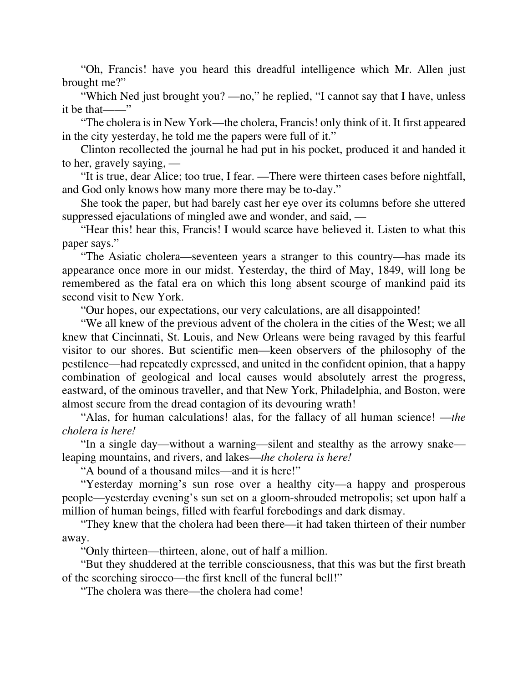"Oh, Francis! have you heard this dreadful intelligence which Mr. Allen just brought me?"

"Which Ned just brought you? —no," he replied, "I cannot say that I have, unless it be that——"

"The cholera is in New York—the cholera, Francis! only think of it. It first appeared in the city yesterday, he told me the papers were full of it."

Clinton recollected the journal he had put in his pocket, produced it and handed it to her, gravely saying, —

"It is true, dear Alice; too true, I fear. —There were thirteen cases before nightfall, and God only knows how many more there may be to-day."

She took the paper, but had barely cast her eye over its columns before she uttered suppressed ejaculations of mingled awe and wonder, and said, —

"Hear this! hear this, Francis! I would scarce have believed it. Listen to what this paper says."

"The Asiatic cholera—seventeen years a stranger to this country—has made its appearance once more in our midst. Yesterday, the third of May, 1849, will long be remembered as the fatal era on which this long absent scourge of mankind paid its second visit to New York.

"Our hopes, our expectations, our very calculations, are all disappointed!

"We all knew of the previous advent of the cholera in the cities of the West; we all knew that Cincinnati, St. Louis, and New Orleans were being ravaged by this fearful visitor to our shores. But scientific men—keen observers of the philosophy of the pestilence—had repeatedly expressed, and united in the confident opinion, that a happy combination of geological and local causes would absolutely arrest the progress, eastward, of the ominous traveller, and that New York, Philadelphia, and Boston, were almost secure from the dread contagion of its devouring wrath!

"Alas, for human calculations! alas, for the fallacy of all human science! —*the cholera is here!*

"In a single day—without a warning—silent and stealthy as the arrowy snake leaping mountains, and rivers, and lakes—*the cholera is here!*

"A bound of a thousand miles—and it is here!"

"Yesterday morning's sun rose over a healthy city—a happy and prosperous people—yesterday evening's sun set on a gloom-shrouded metropolis; set upon half a million of human beings, filled with fearful forebodings and dark dismay.

"They knew that the cholera had been there—it had taken thirteen of their number away.

"Only thirteen—thirteen, alone, out of half a million.

"But they shuddered at the terrible consciousness, that this was but the first breath of the scorching sirocco—the first knell of the funeral bell!"

"The cholera was there—the cholera had come!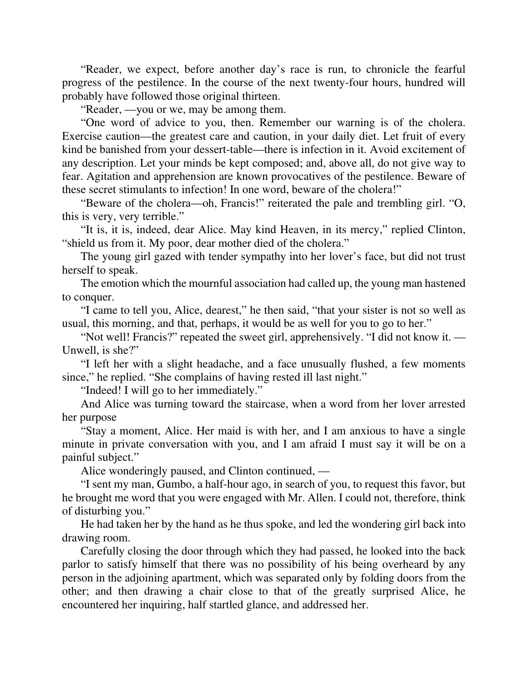"Reader, we expect, before another day's race is run, to chronicle the fearful progress of the pestilence. In the course of the next twenty-four hours, hundred will probably have followed those original thirteen.

"Reader, —you or we, may be among them.

"One word of advice to you, then. Remember our warning is of the cholera. Exercise caution—the greatest care and caution, in your daily diet. Let fruit of every kind be banished from your dessert-table—there is infection in it. Avoid excitement of any description. Let your minds be kept composed; and, above all, do not give way to fear. Agitation and apprehension are known provocatives of the pestilence. Beware of these secret stimulants to infection! In one word, beware of the cholera!"

"Beware of the cholera—oh, Francis!" reiterated the pale and trembling girl. "O, this is very, very terrible."

"It is, it is, indeed, dear Alice. May kind Heaven, in its mercy," replied Clinton, "shield us from it. My poor, dear mother died of the cholera."

The young girl gazed with tender sympathy into her lover's face, but did not trust herself to speak.

The emotion which the mournful association had called up, the young man hastened to conquer.

"I came to tell you, Alice, dearest," he then said, "that your sister is not so well as usual, this morning, and that, perhaps, it would be as well for you to go to her."

"Not well! Francis?" repeated the sweet girl, apprehensively. "I did not know it. — Unwell, is she?"

"I left her with a slight headache, and a face unusually flushed, a few moments since," he replied. "She complains of having rested ill last night."

"Indeed! I will go to her immediately."

And Alice was turning toward the staircase, when a word from her lover arrested her purpose

"Stay a moment, Alice. Her maid is with her, and I am anxious to have a single minute in private conversation with you, and I am afraid I must say it will be on a painful subject."

Alice wonderingly paused, and Clinton continued, —

"I sent my man, Gumbo, a half-hour ago, in search of you, to request this favor, but he brought me word that you were engaged with Mr. Allen. I could not, therefore, think of disturbing you."

He had taken her by the hand as he thus spoke, and led the wondering girl back into drawing room.

Carefully closing the door through which they had passed, he looked into the back parlor to satisfy himself that there was no possibility of his being overheard by any person in the adjoining apartment, which was separated only by folding doors from the other; and then drawing a chair close to that of the greatly surprised Alice, he encountered her inquiring, half startled glance, and addressed her.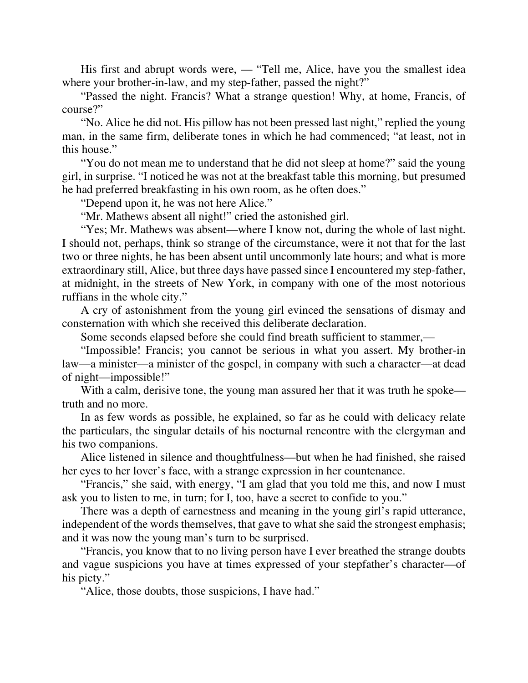His first and abrupt words were, — "Tell me, Alice, have you the smallest idea where your brother-in-law, and my step-father, passed the night?"

"Passed the night. Francis? What a strange question! Why, at home, Francis, of course?"

"No. Alice he did not. His pillow has not been pressed last night," replied the young man, in the same firm, deliberate tones in which he had commenced; "at least, not in this house."

"You do not mean me to understand that he did not sleep at home?" said the young girl, in surprise. "I noticed he was not at the breakfast table this morning, but presumed he had preferred breakfasting in his own room, as he often does."

"Depend upon it, he was not here Alice."

"Mr. Mathews absent all night!" cried the astonished girl.

"Yes; Mr. Mathews was absent—where I know not, during the whole of last night. I should not, perhaps, think so strange of the circumstance, were it not that for the last two or three nights, he has been absent until uncommonly late hours; and what is more extraordinary still, Alice, but three days have passed since I encountered my step-father, at midnight, in the streets of New York, in company with one of the most notorious ruffians in the whole city."

A cry of astonishment from the young girl evinced the sensations of dismay and consternation with which she received this deliberate declaration.

Some seconds elapsed before she could find breath sufficient to stammer,—

"Impossible! Francis; you cannot be serious in what you assert. My brother-in law—a minister—a minister of the gospel, in company with such a character—at dead of night—impossible!"

With a calm, derisive tone, the young man assured her that it was truth he spoke truth and no more.

In as few words as possible, he explained, so far as he could with delicacy relate the particulars, the singular details of his nocturnal rencontre with the clergyman and his two companions.

Alice listened in silence and thoughtfulness—but when he had finished, she raised her eyes to her lover's face, with a strange expression in her countenance.

"Francis," she said, with energy, "I am glad that you told me this, and now I must ask you to listen to me, in turn; for I, too, have a secret to confide to you."

There was a depth of earnestness and meaning in the young girl's rapid utterance, independent of the words themselves, that gave to what she said the strongest emphasis; and it was now the young man's turn to be surprised.

"Francis, you know that to no living person have I ever breathed the strange doubts and vague suspicions you have at times expressed of your stepfather's character—of his piety."

"Alice, those doubts, those suspicions, I have had."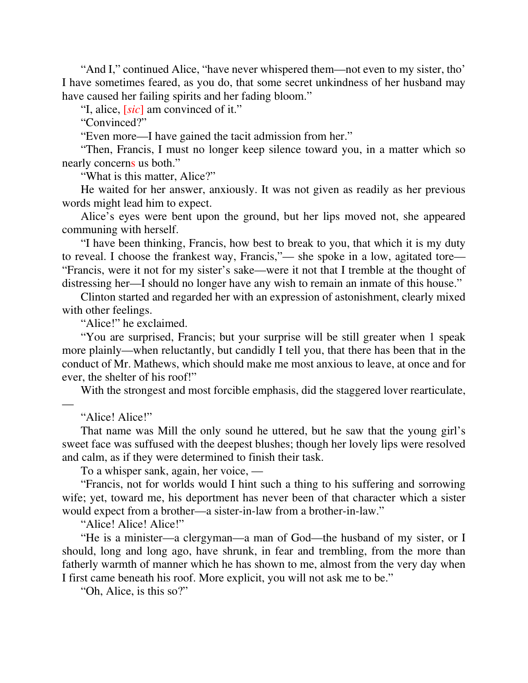"And I," continued Alice, "have never whispered them—not even to my sister, tho' I have sometimes feared, as you do, that some secret unkindness of her husband may have caused her failing spirits and her fading bloom."

"I, alice, [*sic*] am convinced of it."

"Convinced?"

"Even more—I have gained the tacit admission from her."

"Then, Francis, I must no longer keep silence toward you, in a matter which so nearly concerns us both."

"What is this matter, Alice?"

He waited for her answer, anxiously. It was not given as readily as her previous words might lead him to expect.

Alice's eyes were bent upon the ground, but her lips moved not, she appeared communing with herself.

"I have been thinking, Francis, how best to break to you, that which it is my duty to reveal. I choose the frankest way, Francis,"— she spoke in a low, agitated tore— "Francis, were it not for my sister's sake—were it not that I tremble at the thought of distressing her—I should no longer have any wish to remain an inmate of this house."

Clinton started and regarded her with an expression of astonishment, clearly mixed with other feelings.

"Alice!" he exclaimed.

"You are surprised, Francis; but your surprise will be still greater when 1 speak more plainly—when reluctantly, but candidly I tell you, that there has been that in the conduct of Mr. Mathews, which should make me most anxious to leave, at once and for ever, the shelter of his roof!"

With the strongest and most forcible emphasis, did the staggered lover rearticulate,

"Alice! Alice!"

—

That name was Mill the only sound he uttered, but he saw that the young girl's sweet face was suffused with the deepest blushes; though her lovely lips were resolved and calm, as if they were determined to finish their task.

To a whisper sank, again, her voice, —

"Francis, not for worlds would I hint such a thing to his suffering and sorrowing wife; yet, toward me, his deportment has never been of that character which a sister would expect from a brother—a sister-in-law from a brother-in-law."

"Alice! Alice! Alice!"

"He is a minister—a clergyman—a man of God—the husband of my sister, or I should, long and long ago, have shrunk, in fear and trembling, from the more than fatherly warmth of manner which he has shown to me, almost from the very day when I first came beneath his roof. More explicit, you will not ask me to be."

"Oh, Alice, is this so?"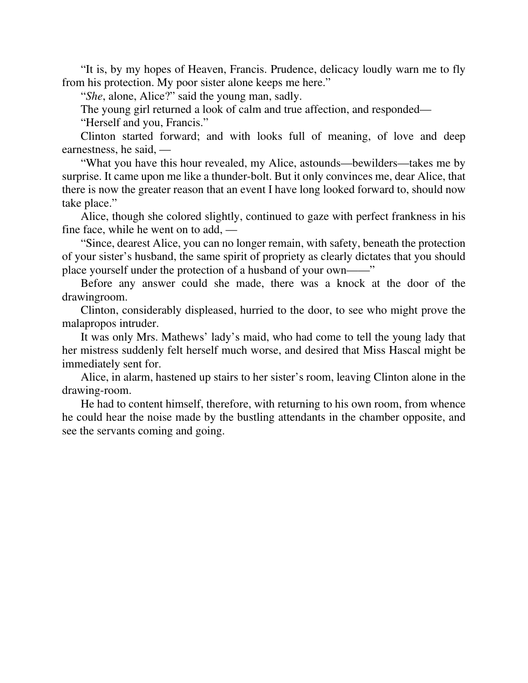"It is, by my hopes of Heaven, Francis. Prudence, delicacy loudly warn me to fly from his protection. My poor sister alone keeps me here."

"*She*, alone, Alice?" said the young man, sadly.

The young girl returned a look of calm and true affection, and responded—

"Herself and you, Francis."

Clinton started forward; and with looks full of meaning, of love and deep earnestness, he said, —

"What you have this hour revealed, my Alice, astounds—bewilders—takes me by surprise. It came upon me like a thunder-bolt. But it only convinces me, dear Alice, that there is now the greater reason that an event I have long looked forward to, should now take place."

Alice, though she colored slightly, continued to gaze with perfect frankness in his fine face, while he went on to add, —

"Since, dearest Alice, you can no longer remain, with safety, beneath the protection of your sister's husband, the same spirit of propriety as clearly dictates that you should place yourself under the protection of a husband of your own——"

Before any answer could she made, there was a knock at the door of the drawingroom.

Clinton, considerably displeased, hurried to the door, to see who might prove the malapropos intruder.

It was only Mrs. Mathews' lady's maid, who had come to tell the young lady that her mistress suddenly felt herself much worse, and desired that Miss Hascal might be immediately sent for.

Alice, in alarm, hastened up stairs to her sister's room, leaving Clinton alone in the drawing-room.

He had to content himself, therefore, with returning to his own room, from whence he could hear the noise made by the bustling attendants in the chamber opposite, and see the servants coming and going.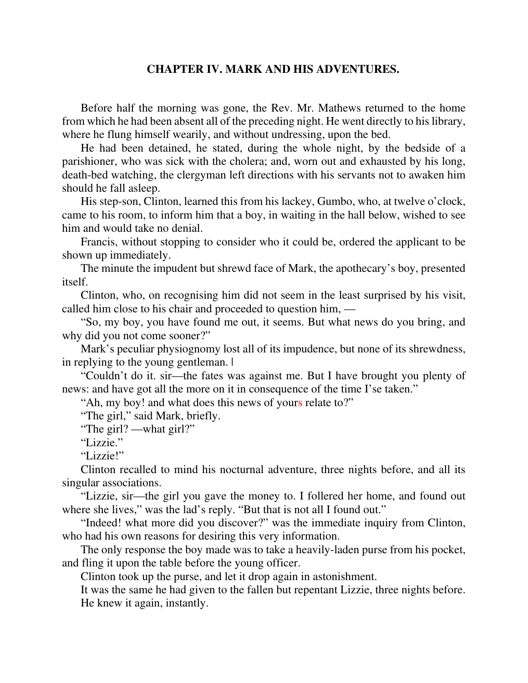#### **CHAPTER IV. MARK AND HIS ADVENTURES.**

Before half the morning was gone, the Rev. Mr. Mathews returned to the home from which he had been absent all of the preceding night. He went directly to his library, where he flung himself wearily, and without undressing, upon the bed.

He had been detained, he stated, during the whole night, by the bedside of a parishioner, who was sick with the cholera; and, worn out and exhausted by his long, death-bed watching, the clergyman left directions with his servants not to awaken him should he fall asleep.

His step-son, Clinton, learned this from his lackey, Gumbo, who, at twelve o'clock, came to his room, to inform him that a boy, in waiting in the hall below, wished to see him and would take no denial.

Francis, without stopping to consider who it could be, ordered the applicant to be shown up immediately.

The minute the impudent but shrewd face of Mark, the apothecary's boy, presented itself.

Clinton, who, on recognising him did not seem in the least surprised by his visit, called him close to his chair and proceeded to question him, —

"So, my boy, you have found me out, it seems. But what news do you bring, and why did you not come sooner?"

Mark's peculiar physiognomy lost all of its impudence, but none of its shrewdness, in replying to the young gentleman.  $\blacksquare$ 

"Couldn't do it. sir—the fates was against me. But I have brought you plenty of news: and have got all the more on it in consequence of the time I'se taken."

"Ah, my boy! and what does this news of yours relate to?"

"The girl," said Mark, briefly.

"The girl? —what girl?"

"Lizzie."

"Lizzie!"

Clinton recalled to mind his nocturnal adventure, three nights before, and all its singular associations.

"Lizzie, sir—the girl you gave the money to. I follered her home, and found out where she lives," was the lad's reply. "But that is not all I found out."

"Indeed! what more did you discover?" was the immediate inquiry from Clinton, who had his own reasons for desiring this very information.

The only response the boy made was to take a heavily-laden purse from his pocket, and fling it upon the table before the young officer.

Clinton took up the purse, and let it drop again in astonishment.

It was the same he had given to the fallen but repentant Lizzie, three nights before. He knew it again, instantly.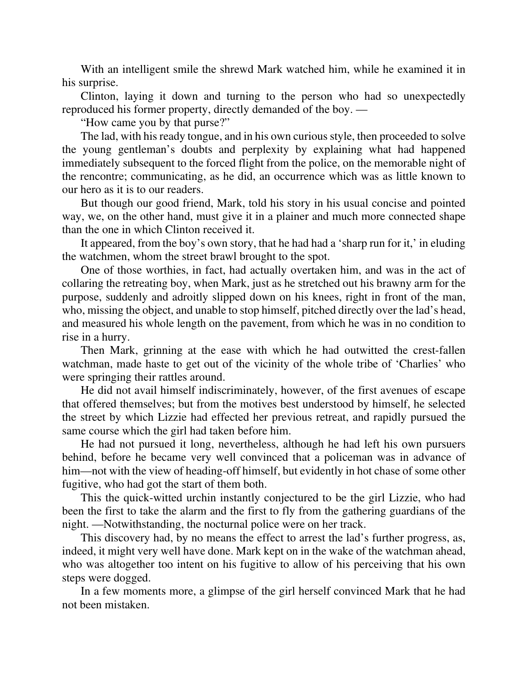With an intelligent smile the shrewd Mark watched him, while he examined it in his surprise.

Clinton, laying it down and turning to the person who had so unexpectedly reproduced his former property, directly demanded of the boy. —

"How came you by that purse?"

The lad, with his ready tongue, and in his own curious style, then proceeded to solve the young gentleman's doubts and perplexity by explaining what had happened immediately subsequent to the forced flight from the police, on the memorable night of the rencontre; communicating, as he did, an occurrence which was as little known to our hero as it is to our readers.

But though our good friend, Mark, told his story in his usual concise and pointed way, we, on the other hand, must give it in a plainer and much more connected shape than the one in which Clinton received it.

It appeared, from the boy's own story, that he had had a 'sharp run for it,' in eluding the watchmen, whom the street brawl brought to the spot.

One of those worthies, in fact, had actually overtaken him, and was in the act of collaring the retreating boy, when Mark, just as he stretched out his brawny arm for the purpose, suddenly and adroitly slipped down on his knees, right in front of the man, who, missing the object, and unable to stop himself, pitched directly over the lad's head, and measured his whole length on the pavement, from which he was in no condition to rise in a hurry.

Then Mark, grinning at the ease with which he had outwitted the crest-fallen watchman, made haste to get out of the vicinity of the whole tribe of 'Charlies' who were springing their rattles around.

He did not avail himself indiscriminately, however, of the first avenues of escape that offered themselves; but from the motives best understood by himself, he selected the street by which Lizzie had effected her previous retreat, and rapidly pursued the same course which the girl had taken before him.

He had not pursued it long, nevertheless, although he had left his own pursuers behind, before he became very well convinced that a policeman was in advance of him—not with the view of heading-off himself, but evidently in hot chase of some other fugitive, who had got the start of them both.

This the quick-witted urchin instantly conjectured to be the girl Lizzie, who had been the first to take the alarm and the first to fly from the gathering guardians of the night. —Notwithstanding, the nocturnal police were on her track.

This discovery had, by no means the effect to arrest the lad's further progress, as, indeed, it might very well have done. Mark kept on in the wake of the watchman ahead, who was altogether too intent on his fugitive to allow of his perceiving that his own steps were dogged.

In a few moments more, a glimpse of the girl herself convinced Mark that he had not been mistaken.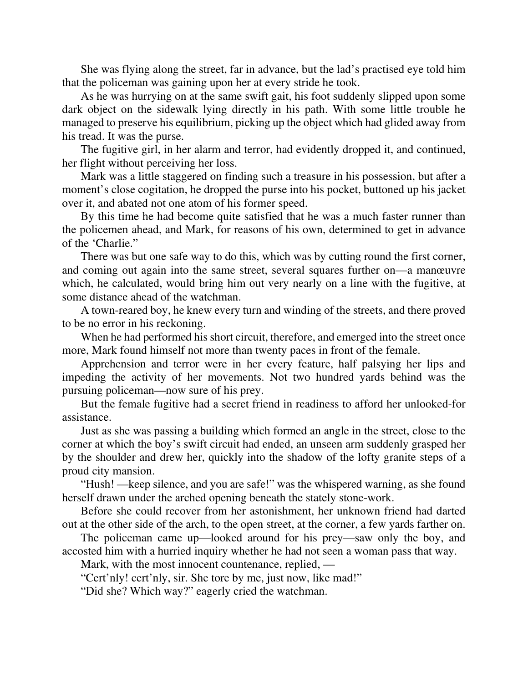She was flying along the street, far in advance, but the lad's practised eye told him that the policeman was gaining upon her at every stride he took.

As he was hurrying on at the same swift gait, his foot suddenly slipped upon some dark object on the sidewalk lying directly in his path. With some little trouble he managed to preserve his equilibrium, picking up the object which had glided away from his tread. It was the purse.

The fugitive girl, in her alarm and terror, had evidently dropped it, and continued, her flight without perceiving her loss.

Mark was a little staggered on finding such a treasure in his possession, but after a moment's close cogitation, he dropped the purse into his pocket, buttoned up his jacket over it, and abated not one atom of his former speed.

By this time he had become quite satisfied that he was a much faster runner than the policemen ahead, and Mark, for reasons of his own, determined to get in advance of the 'Charlie."

There was but one safe way to do this, which was by cutting round the first corner, and coming out again into the same street, several squares further on—a manœuvre which, he calculated, would bring him out very nearly on a line with the fugitive, at some distance ahead of the watchman.

A town-reared boy, he knew every turn and winding of the streets, and there proved to be no error in his reckoning.

When he had performed his short circuit, therefore, and emerged into the street once more, Mark found himself not more than twenty paces in front of the female.

Apprehension and terror were in her every feature, half palsying her lips and impeding the activity of her movements. Not two hundred yards behind was the pursuing policeman—now sure of his prey.

But the female fugitive had a secret friend in readiness to afford her unlooked-for assistance.

Just as she was passing a building which formed an angle in the street, close to the corner at which the boy's swift circuit had ended, an unseen arm suddenly grasped her by the shoulder and drew her, quickly into the shadow of the lofty granite steps of a proud city mansion.

"Hush! —keep silence, and you are safe!" was the whispered warning, as she found herself drawn under the arched opening beneath the stately stone-work.

Before she could recover from her astonishment, her unknown friend had darted out at the other side of the arch, to the open street, at the corner, a few yards farther on.

The policeman came up—looked around for his prey—saw only the boy, and accosted him with a hurried inquiry whether he had not seen a woman pass that way.

Mark, with the most innocent countenance, replied, —

"Cert'nly! cert'nly, sir. She tore by me, just now, like mad!"

"Did she? Which way?" eagerly cried the watchman.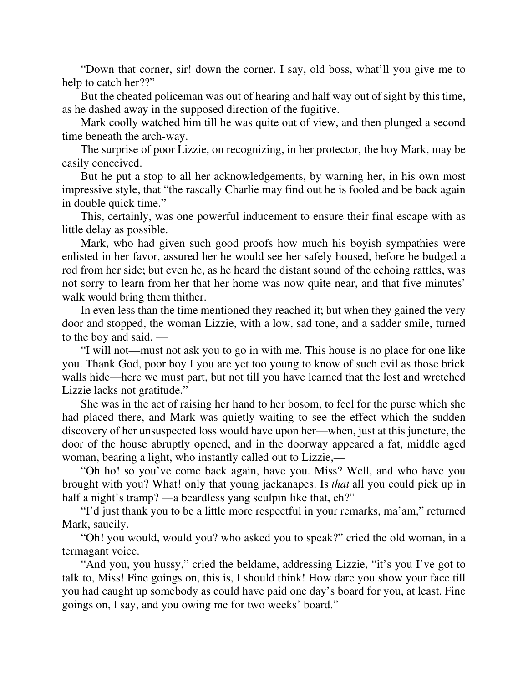"Down that corner, sir! down the corner. I say, old boss, what'll you give me to help to catch her??"

But the cheated policeman was out of hearing and half way out of sight by this time, as he dashed away in the supposed direction of the fugitive.

Mark coolly watched him till he was quite out of view, and then plunged a second time beneath the arch-way.

The surprise of poor Lizzie, on recognizing, in her protector, the boy Mark, may be easily conceived.

But he put a stop to all her acknowledgements, by warning her, in his own most impressive style, that "the rascally Charlie may find out he is fooled and be back again in double quick time."

This, certainly, was one powerful inducement to ensure their final escape with as little delay as possible.

Mark, who had given such good proofs how much his boyish sympathies were enlisted in her favor, assured her he would see her safely housed, before he budged a rod from her side; but even he, as he heard the distant sound of the echoing rattles, was not sorry to learn from her that her home was now quite near, and that five minutes' walk would bring them thither.

In even less than the time mentioned they reached it; but when they gained the very door and stopped, the woman Lizzie, with a low, sad tone, and a sadder smile, turned to the boy and said, —

"I will not—must not ask you to go in with me. This house is no place for one like you. Thank God, poor boy I you are yet too young to know of such evil as those brick walls hide—here we must part, but not till you have learned that the lost and wretched Lizzie lacks not gratitude."

She was in the act of raising her hand to her bosom, to feel for the purse which she had placed there, and Mark was quietly waiting to see the effect which the sudden discovery of her unsuspected loss would have upon her—when, just at this juncture, the door of the house abruptly opened, and in the doorway appeared a fat, middle aged woman, bearing a light, who instantly called out to Lizzie,—

"Oh ho! so you've come back again, have you. Miss? Well, and who have you brought with you? What! only that young jackanapes. Is *that* all you could pick up in half a night's tramp? —a beardless yang sculpin like that, eh?"

"I'd just thank you to be a little more respectful in your remarks, ma'am," returned Mark, saucily.

"Oh! you would, would you? who asked you to speak?" cried the old woman, in a termagant voice.

"And you, you hussy," cried the beldame, addressing Lizzie, "it's you I've got to talk to, Miss! Fine goings on, this is, I should think! How dare you show your face till you had caught up somebody as could have paid one day's board for you, at least. Fine goings on, I say, and you owing me for two weeks' board."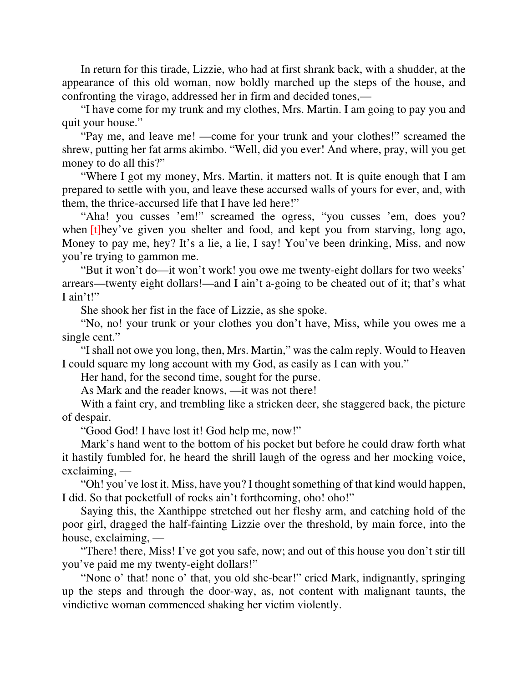In return for this tirade, Lizzie, who had at first shrank back, with a shudder, at the appearance of this old woman, now boldly marched up the steps of the house, and confronting the virago, addressed her in firm and decided tones,—

"I have come for my trunk and my clothes, Mrs. Martin. I am going to pay you and quit your house."

"Pay me, and leave me! —come for your trunk and your clothes!" screamed the shrew, putting her fat arms akimbo. "Well, did you ever! And where, pray, will you get money to do all this?"

"Where I got my money, Mrs. Martin, it matters not. It is quite enough that I am prepared to settle with you, and leave these accursed walls of yours for ever, and, with them, the thrice-accursed life that I have led here!"

"Aha! you cusses 'em!" screamed the ogress, "you cusses 'em, does you? when  $[t]$ hey've given you shelter and food, and kept you from starving, long ago, Money to pay me, hey? It's a lie, a lie, I say! You've been drinking, Miss, and now you're trying to gammon me.

"But it won't do—it won't work! you owe me twenty-eight dollars for two weeks' arrears—twenty eight dollars!—and I ain't a-going to be cheated out of it; that's what I ain't!"

She shook her fist in the face of Lizzie, as she spoke.

"No, no! your trunk or your clothes you don't have, Miss, while you owes me a single cent."

"I shall not owe you long, then, Mrs. Martin," was the calm reply. Would to Heaven I could square my long account with my God, as easily as I can with you."

Her hand, for the second time, sought for the purse.

As Mark and the reader knows, —it was not there!

With a faint cry, and trembling like a stricken deer, she staggered back, the picture of despair.

"Good God! I have lost it! God help me, now!"

Mark's hand went to the bottom of his pocket but before he could draw forth what it hastily fumbled for, he heard the shrill laugh of the ogress and her mocking voice, exclaiming, —

"Oh! you've lost it. Miss, have you? I thought something of that kind would happen, I did. So that pocketfull of rocks ain't forthcoming, oho! oho!"

Saying this, the Xanthippe stretched out her fleshy arm, and catching hold of the poor girl, dragged the half-fainting Lizzie over the threshold, by main force, into the house, exclaiming, —

"There! there, Miss! I've got you safe, now; and out of this house you don't stir till you've paid me my twenty-eight dollars!"

"None o' that! none o' that, you old she-bear!" cried Mark, indignantly, springing up the steps and through the door-way, as, not content with malignant taunts, the vindictive woman commenced shaking her victim violently.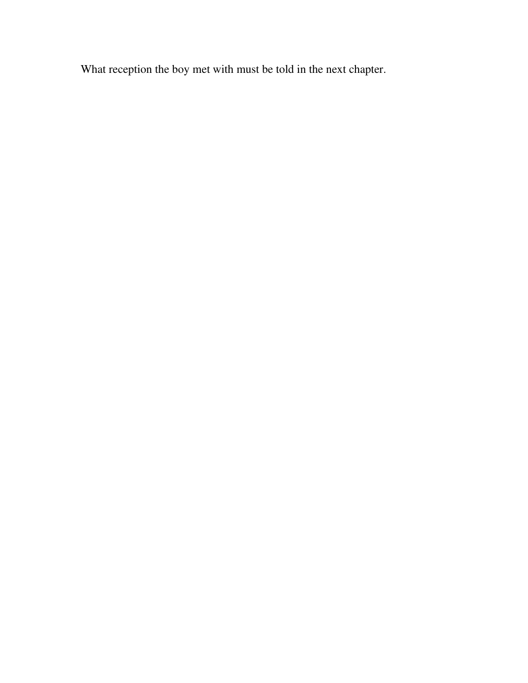What reception the boy met with must be told in the next chapter.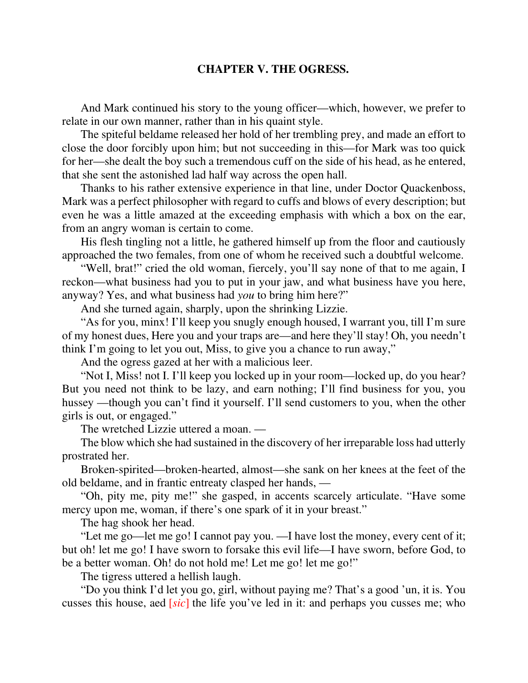## **CHAPTER V. THE OGRESS.**

And Mark continued his story to the young officer—which, however, we prefer to relate in our own manner, rather than in his quaint style.

The spiteful beldame released her hold of her trembling prey, and made an effort to close the door forcibly upon him; but not succeeding in this—for Mark was too quick for her—she dealt the boy such a tremendous cuff on the side of his head, as he entered, that she sent the astonished lad half way across the open hall.

Thanks to his rather extensive experience in that line, under Doctor Quackenboss, Mark was a perfect philosopher with regard to cuffs and blows of every description; but even he was a little amazed at the exceeding emphasis with which a box on the ear, from an angry woman is certain to come.

His flesh tingling not a little, he gathered himself up from the floor and cautiously approached the two females, from one of whom he received such a doubtful welcome.

"Well, brat!" cried the old woman, fiercely, you'll say none of that to me again, I reckon—what business had you to put in your jaw, and what business have you here, anyway? Yes, and what business had *you* to bring him here?"

And she turned again, sharply, upon the shrinking Lizzie.

"As for you, minx! I'll keep you snugly enough housed, I warrant you, till I'm sure of my honest dues, Here you and your traps are—and here they'll stay! Oh, you needn't think I'm going to let you out, Miss, to give you a chance to run away,"

And the ogress gazed at her with a malicious leer.

"Not I, Miss! not I. I'll keep you locked up in your room—locked up, do you hear? But you need not think to be lazy, and earn nothing; I'll find business for you, you hussey —though you can't find it yourself. I'll send customers to you, when the other girls is out, or engaged."

The wretched Lizzie uttered a moan. —

The blow which she had sustained in the discovery of her irreparable loss had utterly prostrated her.

Broken-spirited—broken-hearted, almost—she sank on her knees at the feet of the old beldame, and in frantic entreaty clasped her hands, —

"Oh, pity me, pity me!" she gasped, in accents scarcely articulate. "Have some mercy upon me, woman, if there's one spark of it in your breast."

The hag shook her head.

"Let me go—let me go! I cannot pay you. —I have lost the money, every cent of it; but oh! let me go! I have sworn to forsake this evil life—I have sworn, before God, to be a better woman. Oh! do not hold me! Let me go! let me go!"

The tigress uttered a hellish laugh.

"Do you think I'd let you go, girl, without paying me? That's a good 'un, it is. You cusses this house, aed [*sic*] the life you've led in it: and perhaps you cusses me; who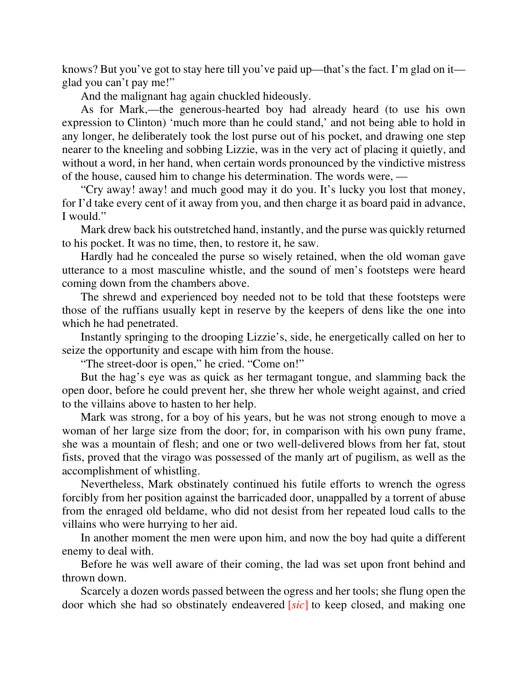knows? But you've got to stay here till you've paid up—that's the fact. I'm glad on it glad you can't pay me!"

And the malignant hag again chuckled hideously.

As for Mark,—the generous-hearted boy had already heard (to use his own expression to Clinton) 'much more than he could stand,' and not being able to hold in any longer, he deliberately took the lost purse out of his pocket, and drawing one step nearer to the kneeling and sobbing Lizzie, was in the very act of placing it quietly, and without a word, in her hand, when certain words pronounced by the vindictive mistress of the house, caused him to change his determination. The words were, —

"Cry away! away! and much good may it do you. It's lucky you lost that money, for I'd take every cent of it away from you, and then charge it as board paid in advance, I would."

Mark drew back his outstretched hand, instantly, and the purse was quickly returned to his pocket. It was no time, then, to restore it, he saw.

Hardly had he concealed the purse so wisely retained, when the old woman gave utterance to a most masculine whistle, and the sound of men's footsteps were heard coming down from the chambers above.

The shrewd and experienced boy needed not to be told that these footsteps were those of the ruffians usually kept in reserve by the keepers of dens like the one into which he had penetrated.

Instantly springing to the drooping Lizzie's, side, he energetically called on her to seize the opportunity and escape with him from the house.

"The street-door is open," he cried. "Come on!"

But the hag's eye was as quick as her termagant tongue, and slamming back the open door, before he could prevent her, she threw her whole weight against, and cried to the villains above to hasten to her help.

Mark was strong, for a boy of his years, but he was not strong enough to move a woman of her large size from the door; for, in comparison with his own puny frame, she was a mountain of flesh; and one or two well-delivered blows from her fat, stout fists, proved that the virago was possessed of the manly art of pugilism, as well as the accomplishment of whistling.

Nevertheless, Mark obstinately continued his futile efforts to wrench the ogress forcibly from her position against the barricaded door, unappalled by a torrent of abuse from the enraged old beldame, who did not desist from her repeated loud calls to the villains who were hurrying to her aid.

In another moment the men were upon him, and now the boy had quite a different enemy to deal with.

Before he was well aware of their coming, the lad was set upon front behind and thrown down.

Scarcely a dozen words passed between the ogress and her tools; she flung open the door which she had so obstinately endeavered [*sic*] to keep closed, and making one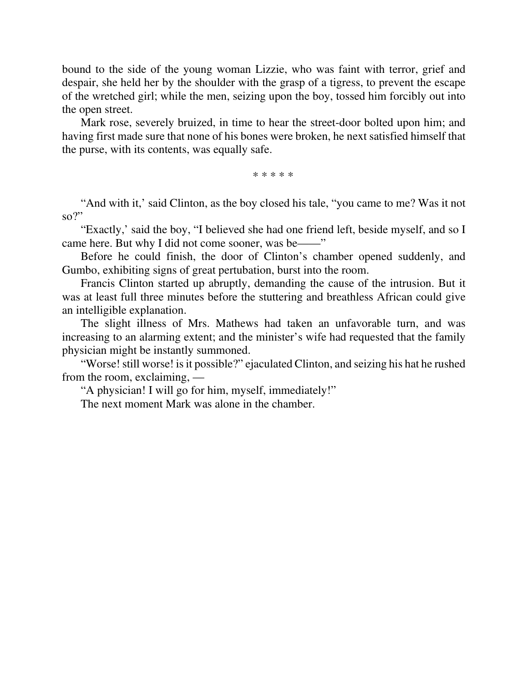bound to the side of the young woman Lizzie, who was faint with terror, grief and despair, she held her by the shoulder with the grasp of a tigress, to prevent the escape of the wretched girl; while the men, seizing upon the boy, tossed him forcibly out into the open street.

Mark rose, severely bruized, in time to hear the street-door bolted upon him; and having first made sure that none of his bones were broken, he next satisfied himself that the purse, with its contents, was equally safe.

\* \* \* \* \*

"And with it,' said Clinton, as the boy closed his tale, "you came to me? Was it not  $\mathbf{so}$ ?"

"Exactly,' said the boy, "I believed she had one friend left, beside myself, and so I came here. But why I did not come sooner, was be——"

Before he could finish, the door of Clinton's chamber opened suddenly, and Gumbo, exhibiting signs of great pertubation, burst into the room.

Francis Clinton started up abruptly, demanding the cause of the intrusion. But it was at least full three minutes before the stuttering and breathless African could give an intelligible explanation.

The slight illness of Mrs. Mathews had taken an unfavorable turn, and was increasing to an alarming extent; and the minister's wife had requested that the family physician might be instantly summoned.

"Worse! still worse! is it possible?" ejaculated Clinton, and seizing his hat he rushed from the room, exclaiming, —

"A physician! I will go for him, myself, immediately!"

The next moment Mark was alone in the chamber.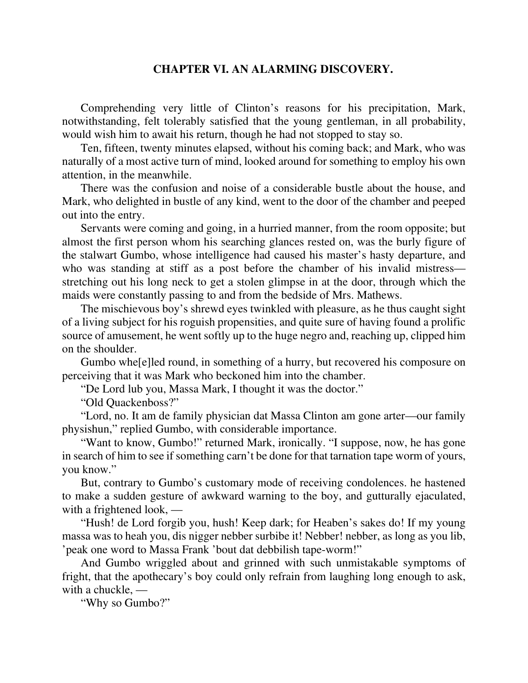## **CHAPTER VI. AN ALARMING DISCOVERY.**

Comprehending very little of Clinton's reasons for his precipitation, Mark, notwithstanding, felt tolerably satisfied that the young gentleman, in all probability, would wish him to await his return, though he had not stopped to stay so.

Ten, fifteen, twenty minutes elapsed, without his coming back; and Mark, who was naturally of a most active turn of mind, looked around for something to employ his own attention, in the meanwhile.

There was the confusion and noise of a considerable bustle about the house, and Mark, who delighted in bustle of any kind, went to the door of the chamber and peeped out into the entry.

Servants were coming and going, in a hurried manner, from the room opposite; but almost the first person whom his searching glances rested on, was the burly figure of the stalwart Gumbo, whose intelligence had caused his master's hasty departure, and who was standing at stiff as a post before the chamber of his invalid mistress stretching out his long neck to get a stolen glimpse in at the door, through which the maids were constantly passing to and from the bedside of Mrs. Mathews.

The mischievous boy's shrewd eyes twinkled with pleasure, as he thus caught sight of a living subject for his roguish propensities, and quite sure of having found a prolific source of amusement, he went softly up to the huge negro and, reaching up, clipped him on the shoulder.

Gumbo whe[e]led round, in something of a hurry, but recovered his composure on perceiving that it was Mark who beckoned him into the chamber.

"De Lord lub you, Massa Mark, I thought it was the doctor."

"Old Quackenboss?"

"Lord, no. It am de family physician dat Massa Clinton am gone arter—our family physishun," replied Gumbo, with considerable importance.

"Want to know, Gumbo!" returned Mark, ironically. "I suppose, now, he has gone in search of him to see if something carn't be done for that tarnation tape worm of yours, you know."

But, contrary to Gumbo's customary mode of receiving condolences. he hastened to make a sudden gesture of awkward warning to the boy, and gutturally ejaculated, with a frightened look, —

"Hush! de Lord forgib you, hush! Keep dark; for Heaben's sakes do! If my young massa was to heah you, dis nigger nebber surbibe it! Nebber! nebber, as long as you lib, 'peak one word to Massa Frank 'bout dat debbilish tape-worm!"

And Gumbo wriggled about and grinned with such unmistakable symptoms of fright, that the apothecary's boy could only refrain from laughing long enough to ask, with a chuckle, —

"Why so Gumbo?"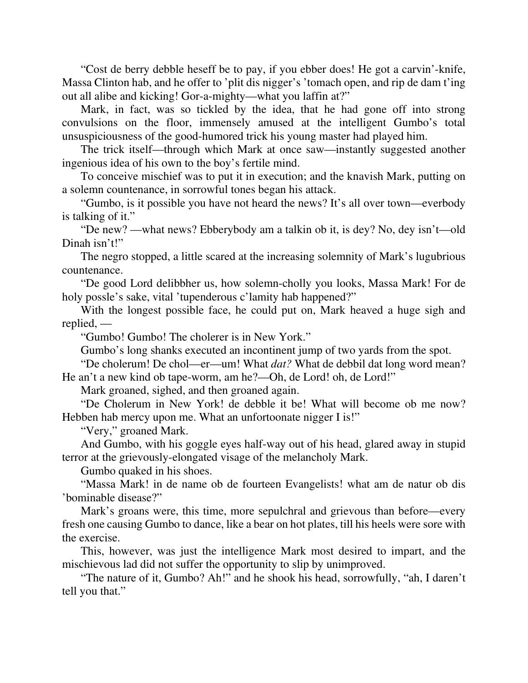"Cost de berry debble heseff be to pay, if you ebber does! He got a carvin'-knife, Massa Clinton hab, and he offer to 'plit dis nigger's 'tomach open, and rip de dam t'ing out all alibe and kicking! Gor-a-mighty—what you laffin at?"

Mark, in fact, was so tickled by the idea, that he had gone off into strong convulsions on the floor, immensely amused at the intelligent Gumbo's total unsuspiciousness of the good-humored trick his young master had played him.

The trick itself—through which Mark at once saw—instantly suggested another ingenious idea of his own to the boy's fertile mind.

To conceive mischief was to put it in execution; and the knavish Mark, putting on a solemn countenance, in sorrowful tones began his attack.

"Gumbo, is it possible you have not heard the news? It's all over town—everbody is talking of it."

"De new? —what news? Ebberybody am a talkin ob it, is dey? No, dey isn't—old Dinah isn't!"

The negro stopped, a little scared at the increasing solemnity of Mark's lugubrious countenance.

"De good Lord delibbher us, how solemn-cholly you looks, Massa Mark! For de holy possle's sake, vital 'tupenderous c'lamity hab happened?"

With the longest possible face, he could put on, Mark heaved a huge sigh and replied, —

"Gumbo! Gumbo! The cholerer is in New York."

Gumbo's long shanks executed an incontinent jump of two yards from the spot.

"De cholerum! De chol—er—um! What *dat?* What de debbil dat long word mean? He an't a new kind ob tape-worm, am he?—Oh, de Lord! oh, de Lord!"

Mark groaned, sighed, and then groaned again.

"De Cholerum in New York! de debble it be! What will become ob me now? Hebben hab mercy upon me. What an unfortoonate nigger I is!"

"Very," groaned Mark.

And Gumbo, with his goggle eyes half-way out of his head, glared away in stupid terror at the grievously-elongated visage of the melancholy Mark.

Gumbo quaked in his shoes.

"Massa Mark! in de name ob de fourteen Evangelists! what am de natur ob dis 'bominable disease?"

Mark's groans were, this time, more sepulchral and grievous than before—every fresh one causing Gumbo to dance, like a bear on hot plates, till his heels were sore with the exercise.

This, however, was just the intelligence Mark most desired to impart, and the mischievous lad did not suffer the opportunity to slip by unimproved.

"The nature of it, Gumbo? Ah!" and he shook his head, sorrowfully, "ah, I daren't tell you that."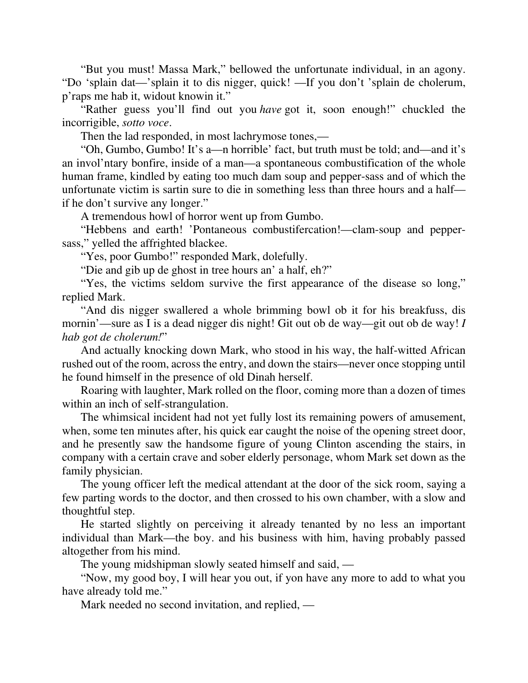"But you must! Massa Mark," bellowed the unfortunate individual, in an agony. "Do 'splain dat—'splain it to dis nigger, quick! —If you don't 'splain de cholerum, p'raps me hab it, widout knowin it."

"Rather guess you'll find out you *have* got it, soon enough!" chuckled the incorrigible, *sotto voce*.

Then the lad responded, in most lachrymose tones,—

"Oh, Gumbo, Gumbo! It's a—n horrible' fact, but truth must be told; and—and it's an invol'ntary bonfire, inside of a man—a spontaneous combustification of the whole human frame, kindled by eating too much dam soup and pepper-sass and of which the unfortunate victim is sartin sure to die in something less than three hours and a half if he don't survive any longer."

A tremendous howl of horror went up from Gumbo.

"Hebbens and earth! 'Pontaneous combustifercation!—clam-soup and peppersass," yelled the affrighted blackee.

"Yes, poor Gumbo!" responded Mark, dolefully.

"Die and gib up de ghost in tree hours an' a half, eh?"

"Yes, the victims seldom survive the first appearance of the disease so long," replied Mark.

"And dis nigger swallered a whole brimming bowl ob it for his breakfuss, dis mornin'—sure as I is a dead nigger dis night! Git out ob de way—git out ob de way! *I hab got de cholerum!*"

And actually knocking down Mark, who stood in his way, the half-witted African rushed out of the room, across the entry, and down the stairs—never once stopping until he found himself in the presence of old Dinah herself.

Roaring with laughter, Mark rolled on the floor, coming more than a dozen of times within an inch of self-strangulation.

The whimsical incident had not yet fully lost its remaining powers of amusement, when, some ten minutes after, his quick ear caught the noise of the opening street door, and he presently saw the handsome figure of young Clinton ascending the stairs, in company with a certain crave and sober elderly personage, whom Mark set down as the family physician.

The young officer left the medical attendant at the door of the sick room, saying a few parting words to the doctor, and then crossed to his own chamber, with a slow and thoughtful step.

He started slightly on perceiving it already tenanted by no less an important individual than Mark—the boy. and his business with him, having probably passed altogether from his mind.

The young midshipman slowly seated himself and said, —

"Now, my good boy, I will hear you out, if yon have any more to add to what you have already told me."

Mark needed no second invitation, and replied, —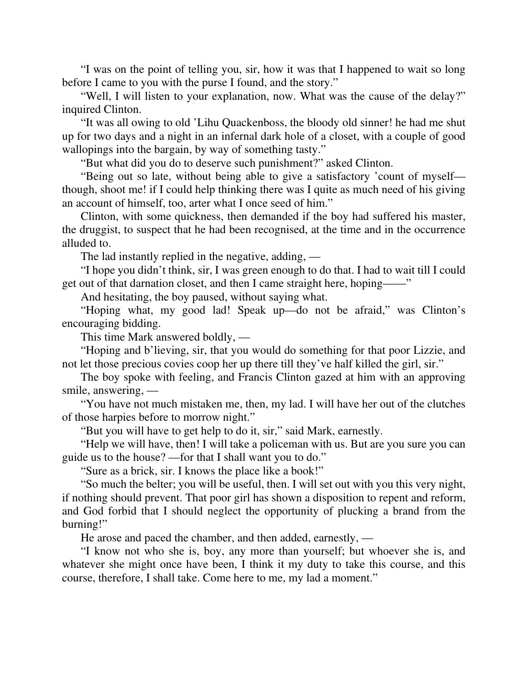"I was on the point of telling you, sir, how it was that I happened to wait so long before I came to you with the purse I found, and the story."

"Well, I will listen to your explanation, now. What was the cause of the delay?" inquired Clinton.

"It was all owing to old 'Lihu Quackenboss, the bloody old sinner! he had me shut up for two days and a night in an infernal dark hole of a closet, with a couple of good wallopings into the bargain, by way of something tasty."

"But what did you do to deserve such punishment?" asked Clinton.

"Being out so late, without being able to give a satisfactory 'count of myself though, shoot me! if I could help thinking there was I quite as much need of his giving an account of himself, too, arter what I once seed of him."

Clinton, with some quickness, then demanded if the boy had suffered his master, the druggist, to suspect that he had been recognised, at the time and in the occurrence alluded to.

The lad instantly replied in the negative, adding, —

"I hope you didn't think, sir, I was green enough to do that. I had to wait till I could get out of that darnation closet, and then I came straight here, hoping——"

And hesitating, the boy paused, without saying what.

"Hoping what, my good lad! Speak up—do not be afraid," was Clinton's encouraging bidding.

This time Mark answered boldly, —

"Hoping and b'lieving, sir, that you would do something for that poor Lizzie, and not let those precious covies coop her up there till they've half killed the girl, sir."

The boy spoke with feeling, and Francis Clinton gazed at him with an approving smile, answering, —

"You have not much mistaken me, then, my lad. I will have her out of the clutches of those harpies before to morrow night."

"But you will have to get help to do it, sir," said Mark, earnestly.

"Help we will have, then! I will take a policeman with us. But are you sure you can guide us to the house? —for that I shall want you to do."

"Sure as a brick, sir. I knows the place like a book!"

"So much the belter; you will be useful, then. I will set out with you this very night, if nothing should prevent. That poor girl has shown a disposition to repent and reform, and God forbid that I should neglect the opportunity of plucking a brand from the burning!"

He arose and paced the chamber, and then added, earnestly, —

"I know not who she is, boy, any more than yourself; but whoever she is, and whatever she might once have been, I think it my duty to take this course, and this course, therefore, I shall take. Come here to me, my lad a moment."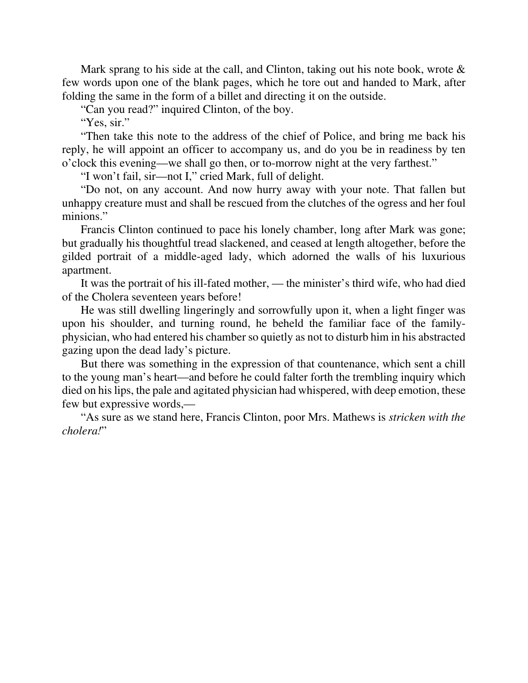Mark sprang to his side at the call, and Clinton, taking out his note book, wrote  $\&$ few words upon one of the blank pages, which he tore out and handed to Mark, after folding the same in the form of a billet and directing it on the outside.

"Can you read?" inquired Clinton, of the boy.

"Yes, sir."

"Then take this note to the address of the chief of Police, and bring me back his reply, he will appoint an officer to accompany us, and do you be in readiness by ten o'clock this evening—we shall go then, or to-morrow night at the very farthest."

"I won't fail, sir—not I," cried Mark, full of delight.

"Do not, on any account. And now hurry away with your note. That fallen but unhappy creature must and shall be rescued from the clutches of the ogress and her foul minions."

Francis Clinton continued to pace his lonely chamber, long after Mark was gone; but gradually his thoughtful tread slackened, and ceased at length altogether, before the gilded portrait of a middle-aged lady, which adorned the walls of his luxurious apartment.

It was the portrait of his ill-fated mother, — the minister's third wife, who had died of the Cholera seventeen years before!

He was still dwelling lingeringly and sorrowfully upon it, when a light finger was upon his shoulder, and turning round, he beheld the familiar face of the familyphysician, who had entered his chamber so quietly as not to disturb him in his abstracted gazing upon the dead lady's picture.

But there was something in the expression of that countenance, which sent a chill to the young man's heart—and before he could falter forth the trembling inquiry which died on his lips, the pale and agitated physician had whispered, with deep emotion, these few but expressive words,—

"As sure as we stand here, Francis Clinton, poor Mrs. Mathews is *stricken with the cholera!*"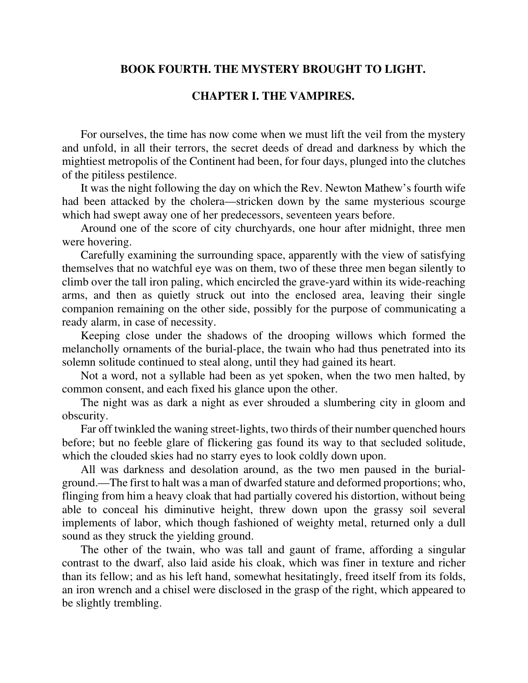## **BOOK FOURTH. THE MYSTERY BROUGHT TO LIGHT.**

# **CHAPTER I. THE VAMPIRES.**

For ourselves, the time has now come when we must lift the veil from the mystery and unfold, in all their terrors, the secret deeds of dread and darkness by which the mightiest metropolis of the Continent had been, for four days, plunged into the clutches of the pitiless pestilence.

It was the night following the day on which the Rev. Newton Mathew's fourth wife had been attacked by the cholera—stricken down by the same mysterious scourge which had swept away one of her predecessors, seventeen years before.

Around one of the score of city churchyards, one hour after midnight, three men were hovering.

Carefully examining the surrounding space, apparently with the view of satisfying themselves that no watchful eye was on them, two of these three men began silently to climb over the tall iron paling, which encircled the grave-yard within its wide-reaching arms, and then as quietly struck out into the enclosed area, leaving their single companion remaining on the other side, possibly for the purpose of communicating a ready alarm, in case of necessity.

Keeping close under the shadows of the drooping willows which formed the melancholly ornaments of the burial-place, the twain who had thus penetrated into its solemn solitude continued to steal along, until they had gained its heart.

Not a word, not a syllable had been as yet spoken, when the two men halted, by common consent, and each fixed his glance upon the other.

The night was as dark a night as ever shrouded a slumbering city in gloom and obscurity.

Far off twinkled the waning street-lights, two thirds of their number quenched hours before; but no feeble glare of flickering gas found its way to that secluded solitude, which the clouded skies had no starry eyes to look coldly down upon.

All was darkness and desolation around, as the two men paused in the burialground.—The first to halt was a man of dwarfed stature and deformed proportions; who, flinging from him a heavy cloak that had partially covered his distortion, without being able to conceal his diminutive height, threw down upon the grassy soil several implements of labor, which though fashioned of weighty metal, returned only a dull sound as they struck the yielding ground.

The other of the twain, who was tall and gaunt of frame, affording a singular contrast to the dwarf, also laid aside his cloak, which was finer in texture and richer than its fellow; and as his left hand, somewhat hesitatingly, freed itself from its folds, an iron wrench and a chisel were disclosed in the grasp of the right, which appeared to be slightly trembling.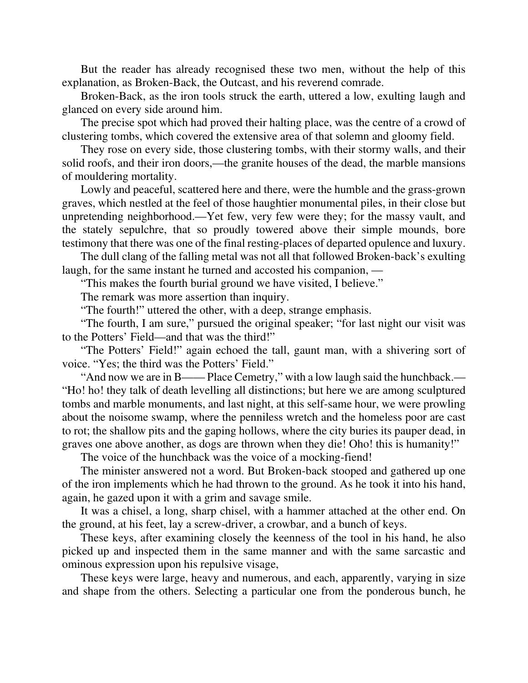But the reader has already recognised these two men, without the help of this explanation, as Broken-Back, the Outcast, and his reverend comrade.

Broken-Back, as the iron tools struck the earth, uttered a low, exulting laugh and glanced on every side around him.

The precise spot which had proved their halting place, was the centre of a crowd of clustering tombs, which covered the extensive area of that solemn and gloomy field.

They rose on every side, those clustering tombs, with their stormy walls, and their solid roofs, and their iron doors,—the granite houses of the dead, the marble mansions of mouldering mortality.

Lowly and peaceful, scattered here and there, were the humble and the grass-grown graves, which nestled at the feel of those haughtier monumental piles, in their close but unpretending neighborhood.—Yet few, very few were they; for the massy vault, and the stately sepulchre, that so proudly towered above their simple mounds, bore testimony that there was one of the final resting-places of departed opulence and luxury.

The dull clang of the falling metal was not all that followed Broken-back's exulting laugh, for the same instant he turned and accosted his companion, —

"This makes the fourth burial ground we have visited, I believe."

The remark was more assertion than inquiry.

"The fourth!" uttered the other, with a deep, strange emphasis.

"The fourth, I am sure," pursued the original speaker; "for last night our visit was to the Potters' Field—and that was the third!"

"The Potters' Field!" again echoed the tall, gaunt man, with a shivering sort of voice. "Yes; the third was the Potters' Field."

"And now we are in B—— Place Cemetry," with a low laugh said the hunchback.— "Ho! ho! they talk of death levelling all distinctions; but here we are among sculptured tombs and marble monuments, and last night, at this self-same hour, we were prowling about the noisome swamp, where the penniless wretch and the homeless poor are cast to rot; the shallow pits and the gaping hollows, where the city buries its pauper dead, in graves one above another, as dogs are thrown when they die! Oho! this is humanity!"

The voice of the hunchback was the voice of a mocking-fiend!

The minister answered not a word. But Broken-back stooped and gathered up one of the iron implements which he had thrown to the ground. As he took it into his hand, again, he gazed upon it with a grim and savage smile.

It was a chisel, a long, sharp chisel, with a hammer attached at the other end. On the ground, at his feet, lay a screw-driver, a crowbar, and a bunch of keys.

These keys, after examining closely the keenness of the tool in his hand, he also picked up and inspected them in the same manner and with the same sarcastic and ominous expression upon his repulsive visage,

These keys were large, heavy and numerous, and each, apparently, varying in size and shape from the others. Selecting a particular one from the ponderous bunch, he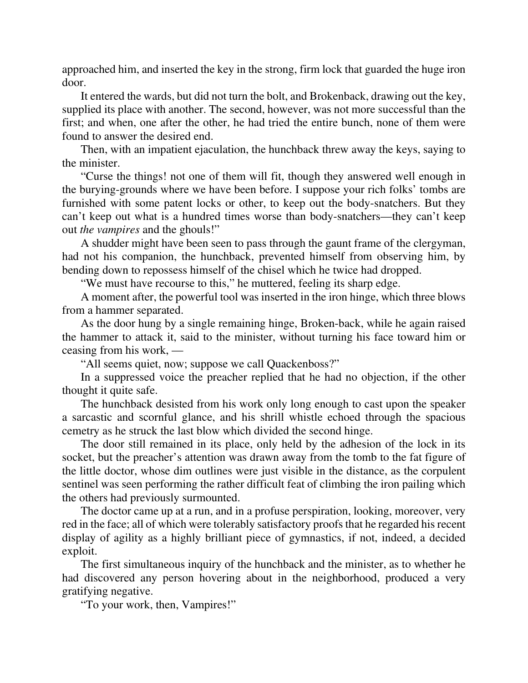approached him, and inserted the key in the strong, firm lock that guarded the huge iron door.

It entered the wards, but did not turn the bolt, and Brokenback, drawing out the key, supplied its place with another. The second, however, was not more successful than the first; and when, one after the other, he had tried the entire bunch, none of them were found to answer the desired end.

Then, with an impatient ejaculation, the hunchback threw away the keys, saying to the minister.

"Curse the things! not one of them will fit, though they answered well enough in the burying-grounds where we have been before. I suppose your rich folks' tombs are furnished with some patent locks or other, to keep out the body-snatchers. But they can't keep out what is a hundred times worse than body-snatchers—they can't keep out *the vampires* and the ghouls!"

A shudder might have been seen to pass through the gaunt frame of the clergyman, had not his companion, the hunchback, prevented himself from observing him, by bending down to repossess himself of the chisel which he twice had dropped.

"We must have recourse to this," he muttered, feeling its sharp edge.

A moment after, the powerful tool was inserted in the iron hinge, which three blows from a hammer separated.

As the door hung by a single remaining hinge, Broken-back, while he again raised the hammer to attack it, said to the minister, without turning his face toward him or ceasing from his work, —

"All seems quiet, now; suppose we call Quackenboss?"

In a suppressed voice the preacher replied that he had no objection, if the other thought it quite safe.

The hunchback desisted from his work only long enough to cast upon the speaker a sarcastic and scornful glance, and his shrill whistle echoed through the spacious cemetry as he struck the last blow which divided the second hinge.

The door still remained in its place, only held by the adhesion of the lock in its socket, but the preacher's attention was drawn away from the tomb to the fat figure of the little doctor, whose dim outlines were just visible in the distance, as the corpulent sentinel was seen performing the rather difficult feat of climbing the iron pailing which the others had previously surmounted.

The doctor came up at a run, and in a profuse perspiration, looking, moreover, very red in the face; all of which were tolerably satisfactory proofs that he regarded his recent display of agility as a highly brilliant piece of gymnastics, if not, indeed, a decided exploit.

The first simultaneous inquiry of the hunchback and the minister, as to whether he had discovered any person hovering about in the neighborhood, produced a very gratifying negative.

"To your work, then, Vampires!"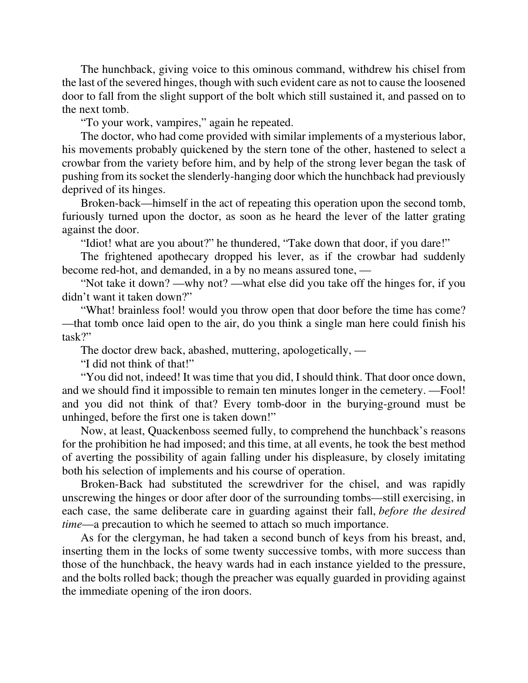The hunchback, giving voice to this ominous command, withdrew his chisel from the last of the severed hinges, though with such evident care as not to cause the loosened door to fall from the slight support of the bolt which still sustained it, and passed on to the next tomb.

"To your work, vampires," again he repeated.

The doctor, who had come provided with similar implements of a mysterious labor, his movements probably quickened by the stern tone of the other, hastened to select a crowbar from the variety before him, and by help of the strong lever began the task of pushing from its socket the slenderly-hanging door which the hunchback had previously deprived of its hinges.

Broken-back—himself in the act of repeating this operation upon the second tomb, furiously turned upon the doctor, as soon as he heard the lever of the latter grating against the door.

"Idiot! what are you about?" he thundered, "Take down that door, if you dare!"

The frightened apothecary dropped his lever, as if the crowbar had suddenly become red-hot, and demanded, in a by no means assured tone, —

"Not take it down? —why not? —what else did you take off the hinges for, if you didn't want it taken down?"

"What! brainless fool! would you throw open that door before the time has come? —that tomb once laid open to the air, do you think a single man here could finish his task?"

The doctor drew back, abashed, muttering, apologetically, —

"I did not think of that!"

"You did not, indeed! It was time that you did, I should think. That door once down, and we should find it impossible to remain ten minutes longer in the cemetery. —Fool! and you did not think of that? Every tomb-door in the burying-ground must be unhinged, before the first one is taken down!"

Now, at least, Quackenboss seemed fully, to comprehend the hunchback's reasons for the prohibition he had imposed; and this time, at all events, he took the best method of averting the possibility of again falling under his displeasure, by closely imitating both his selection of implements and his course of operation.

Broken-Back had substituted the screwdriver for the chisel, and was rapidly unscrewing the hinges or door after door of the surrounding tombs—still exercising, in each case, the same deliberate care in guarding against their fall, *before the desired time*—a precaution to which he seemed to attach so much importance.

As for the clergyman, he had taken a second bunch of keys from his breast, and, inserting them in the locks of some twenty successive tombs, with more success than those of the hunchback, the heavy wards had in each instance yielded to the pressure, and the bolts rolled back; though the preacher was equally guarded in providing against the immediate opening of the iron doors.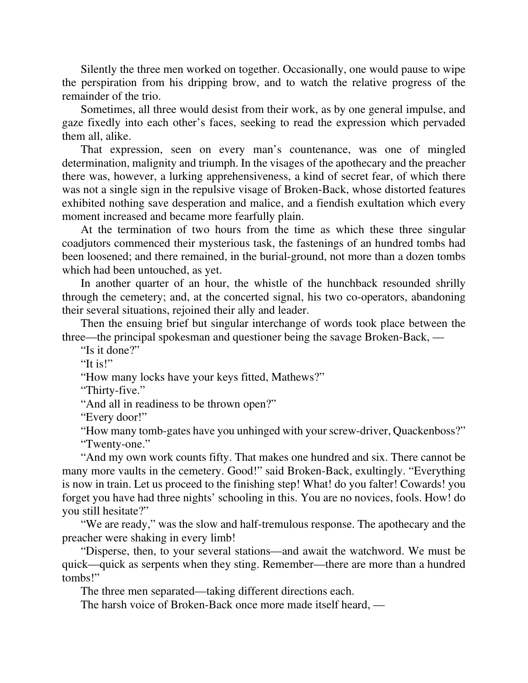Silently the three men worked on together. Occasionally, one would pause to wipe the perspiration from his dripping brow, and to watch the relative progress of the remainder of the trio.

Sometimes, all three would desist from their work, as by one general impulse, and gaze fixedly into each other's faces, seeking to read the expression which pervaded them all, alike.

That expression, seen on every man's countenance, was one of mingled determination, malignity and triumph. In the visages of the apothecary and the preacher there was, however, a lurking apprehensiveness, a kind of secret fear, of which there was not a single sign in the repulsive visage of Broken-Back, whose distorted features exhibited nothing save desperation and malice, and a fiendish exultation which every moment increased and became more fearfully plain.

At the termination of two hours from the time as which these three singular coadjutors commenced their mysterious task, the fastenings of an hundred tombs had been loosened; and there remained, in the burial-ground, not more than a dozen tombs which had been untouched, as yet.

In another quarter of an hour, the whistle of the hunchback resounded shrilly through the cemetery; and, at the concerted signal, his two co-operators, abandoning their several situations, rejoined their ally and leader.

Then the ensuing brief but singular interchange of words took place between the three—the principal spokesman and questioner being the savage Broken-Back, —

"Is it done?"

"It is!"

"How many locks have your keys fitted, Mathews?"

"Thirty-five."

"And all in readiness to be thrown open?"

"Every door!"

"How many tomb-gates have you unhinged with your screw-driver, Quackenboss?" "Twenty-one."

"And my own work counts fifty. That makes one hundred and six. There cannot be many more vaults in the cemetery. Good!" said Broken-Back, exultingly. "Everything is now in train. Let us proceed to the finishing step! What! do you falter! Cowards! you forget you have had three nights' schooling in this. You are no novices, fools. How! do you still hesitate?"

"We are ready," was the slow and half-tremulous response. The apothecary and the preacher were shaking in every limb!

"Disperse, then, to your several stations—and await the watchword. We must be quick—quick as serpents when they sting. Remember—there are more than a hundred tombs!"

The three men separated—taking different directions each.

The harsh voice of Broken-Back once more made itself heard, —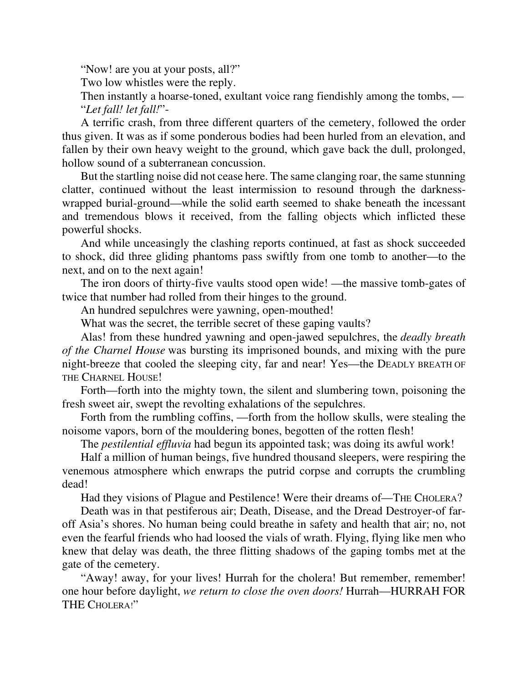"Now! are you at your posts, all?"

Two low whistles were the reply.

Then instantly a hoarse-toned, exultant voice rang fiendishly among the tombs, — "*Let fall! let fall!*"-

A terrific crash, from three different quarters of the cemetery, followed the order thus given. It was as if some ponderous bodies had been hurled from an elevation, and fallen by their own heavy weight to the ground, which gave back the dull, prolonged, hollow sound of a subterranean concussion.

But the startling noise did not cease here. The same clanging roar, the same stunning clatter, continued without the least intermission to resound through the darknesswrapped burial-ground—while the solid earth seemed to shake beneath the incessant and tremendous blows it received, from the falling objects which inflicted these powerful shocks.

And while unceasingly the clashing reports continued, at fast as shock succeeded to shock, did three gliding phantoms pass swiftly from one tomb to another—to the next, and on to the next again!

The iron doors of thirty-five vaults stood open wide! —the massive tomb-gates of twice that number had rolled from their hinges to the ground.

An hundred sepulchres were yawning, open-mouthed!

What was the secret, the terrible secret of these gaping vaults?

Alas! from these hundred yawning and open-jawed sepulchres, the *deadly breath of the Charnel House* was bursting its imprisoned bounds, and mixing with the pure night-breeze that cooled the sleeping city, far and near! Yes—the DEADLY BREATH OF THE CHARNEL HOUSE!

Forth—forth into the mighty town, the silent and slumbering town, poisoning the fresh sweet air, swept the revolting exhalations of the sepulchres.

Forth from the rumbling coffins, —forth from the hollow skulls, were stealing the noisome vapors, born of the mouldering bones, begotten of the rotten flesh!

The *pestilential effluvia* had begun its appointed task; was doing its awful work!

Half a million of human beings, five hundred thousand sleepers, were respiring the venemous atmosphere which enwraps the putrid corpse and corrupts the crumbling dead!

Had they visions of Plague and Pestilence! Were their dreams of—THE CHOLERA?

Death was in that pestiferous air; Death, Disease, and the Dread Destroyer-of faroff Asia's shores. No human being could breathe in safety and health that air; no, not even the fearful friends who had loosed the vials of wrath. Flying, flying like men who knew that delay was death, the three flitting shadows of the gaping tombs met at the gate of the cemetery.

"Away! away, for your lives! Hurrah for the cholera! But remember, remember! one hour before daylight, *we return to close the oven doors!* Hurrah—HURRAH FOR THE CHOLERA!"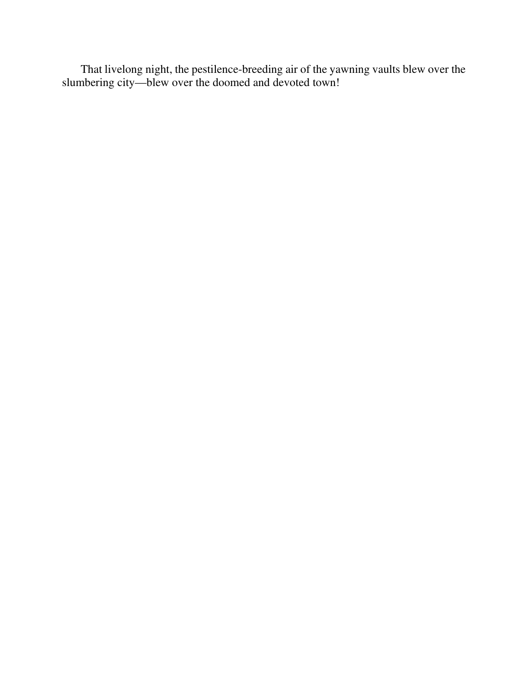That livelong night, the pestilence-breeding air of the yawning vaults blew over the slumbering city—blew over the doomed and devoted town!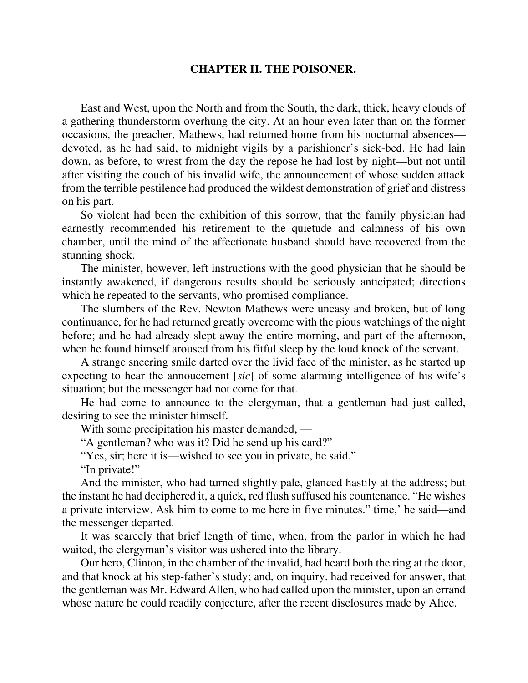#### **CHAPTER II. THE POISONER.**

East and West, upon the North and from the South, the dark, thick, heavy clouds of a gathering thunderstorm overhung the city. At an hour even later than on the former occasions, the preacher, Mathews, had returned home from his nocturnal absences devoted, as he had said, to midnight vigils by a parishioner's sick-bed. He had lain down, as before, to wrest from the day the repose he had lost by night—but not until after visiting the couch of his invalid wife, the announcement of whose sudden attack from the terrible pestilence had produced the wildest demonstration of grief and distress on his part.

So violent had been the exhibition of this sorrow, that the family physician had earnestly recommended his retirement to the quietude and calmness of his own chamber, until the mind of the affectionate husband should have recovered from the stunning shock.

The minister, however, left instructions with the good physician that he should be instantly awakened, if dangerous results should be seriously anticipated; directions which he repeated to the servants, who promised compliance.

The slumbers of the Rev. Newton Mathews were uneasy and broken, but of long continuance, for he had returned greatly overcome with the pious watchings of the night before; and he had already slept away the entire morning, and part of the afternoon, when he found himself aroused from his fitful sleep by the loud knock of the servant.

A strange sneering smile darted over the livid face of the minister, as he started up expecting to hear the annoucement [*sic*] of some alarming intelligence of his wife's situation; but the messenger had not come for that.

He had come to announce to the clergyman, that a gentleman had just called, desiring to see the minister himself.

With some precipitation his master demanded, —

"A gentleman? who was it? Did he send up his card?"

"Yes, sir; here it is—wished to see you in private, he said."

"In private!"

And the minister, who had turned slightly pale, glanced hastily at the address; but the instant he had deciphered it, a quick, red flush suffused his countenance. "He wishes a private interview. Ask him to come to me here in five minutes." time,' he said—and the messenger departed.

It was scarcely that brief length of time, when, from the parlor in which he had waited, the clergyman's visitor was ushered into the library.

Our hero, Clinton, in the chamber of the invalid, had heard both the ring at the door, and that knock at his step-father's study; and, on inquiry, had received for answer, that the gentleman was Mr. Edward Allen, who had called upon the minister, upon an errand whose nature he could readily conjecture, after the recent disclosures made by Alice.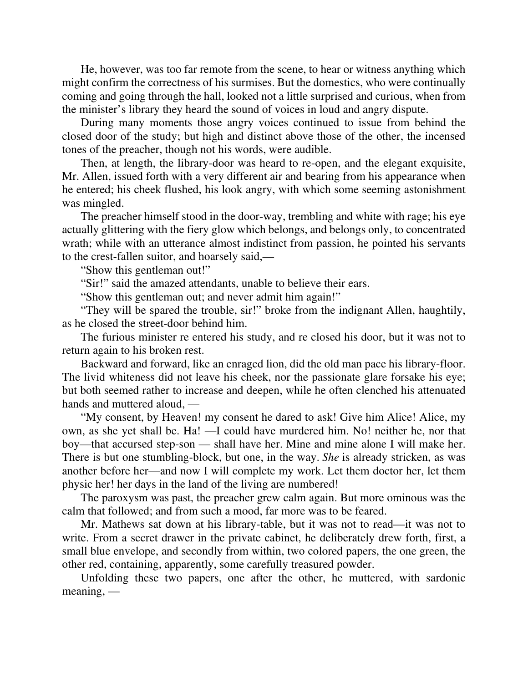He, however, was too far remote from the scene, to hear or witness anything which might confirm the correctness of his surmises. But the domestics, who were continually coming and going through the hall, looked not a little surprised and curious, when from the minister's library they heard the sound of voices in loud and angry dispute.

During many moments those angry voices continued to issue from behind the closed door of the study; but high and distinct above those of the other, the incensed tones of the preacher, though not his words, were audible.

Then, at length, the library-door was heard to re-open, and the elegant exquisite, Mr. Allen, issued forth with a very different air and bearing from his appearance when he entered; his cheek flushed, his look angry, with which some seeming astonishment was mingled.

The preacher himself stood in the door-way, trembling and white with rage; his eye actually glittering with the fiery glow which belongs, and belongs only, to concentrated wrath; while with an utterance almost indistinct from passion, he pointed his servants to the crest-fallen suitor, and hoarsely said,—

"Show this gentleman out!"

"Sir!" said the amazed attendants, unable to believe their ears.

"Show this gentleman out; and never admit him again!"

"They will be spared the trouble, sir!" broke from the indignant Allen, haughtily, as he closed the street-door behind him.

The furious minister re entered his study, and re closed his door, but it was not to return again to his broken rest.

Backward and forward, like an enraged lion, did the old man pace his library-floor. The livid whiteness did not leave his cheek, nor the passionate glare forsake his eye; but both seemed rather to increase and deepen, while he often clenched his attenuated hands and muttered aloud, —

"My consent, by Heaven! my consent he dared to ask! Give him Alice! Alice, my own, as she yet shall be. Ha! —I could have murdered him. No! neither he, nor that boy—that accursed step-son — shall have her. Mine and mine alone I will make her. There is but one stumbling-block, but one, in the way. *She* is already stricken, as was another before her—and now I will complete my work. Let them doctor her, let them physic her! her days in the land of the living are numbered!

The paroxysm was past, the preacher grew calm again. But more ominous was the calm that followed; and from such a mood, far more was to be feared.

Mr. Mathews sat down at his library-table, but it was not to read—it was not to write. From a secret drawer in the private cabinet, he deliberately drew forth, first, a small blue envelope, and secondly from within, two colored papers, the one green, the other red, containing, apparently, some carefully treasured powder.

Unfolding these two papers, one after the other, he muttered, with sardonic meaning, —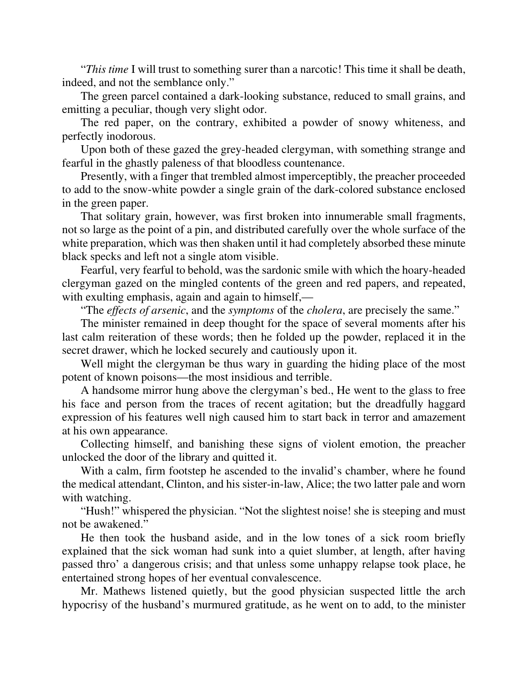"*This time* I will trust to something surer than a narcotic! This time it shall be death, indeed, and not the semblance only."

The green parcel contained a dark-looking substance, reduced to small grains, and emitting a peculiar, though very slight odor.

The red paper, on the contrary, exhibited a powder of snowy whiteness, and perfectly inodorous.

Upon both of these gazed the grey-headed clergyman, with something strange and fearful in the ghastly paleness of that bloodless countenance.

Presently, with a finger that trembled almost imperceptibly, the preacher proceeded to add to the snow-white powder a single grain of the dark-colored substance enclosed in the green paper.

That solitary grain, however, was first broken into innumerable small fragments, not so large as the point of a pin, and distributed carefully over the whole surface of the white preparation, which was then shaken until it had completely absorbed these minute black specks and left not a single atom visible.

Fearful, very fearful to behold, was the sardonic smile with which the hoary-headed clergyman gazed on the mingled contents of the green and red papers, and repeated, with exulting emphasis, again and again to himself,—

"The *effects of arsenic*, and the *symptoms* of the *cholera*, are precisely the same."

The minister remained in deep thought for the space of several moments after his last calm reiteration of these words; then he folded up the powder, replaced it in the secret drawer, which he locked securely and cautiously upon it.

Well might the clergyman be thus wary in guarding the hiding place of the most potent of known poisons—the most insidious and terrible.

A handsome mirror hung above the clergyman's bed., He went to the glass to free his face and person from the traces of recent agitation; but the dreadfully haggard expression of his features well nigh caused him to start back in terror and amazement at his own appearance.

Collecting himself, and banishing these signs of violent emotion, the preacher unlocked the door of the library and quitted it.

With a calm, firm footstep he ascended to the invalid's chamber, where he found the medical attendant, Clinton, and his sister-in-law, Alice; the two latter pale and worn with watching.

"Hush!" whispered the physician. "Not the slightest noise! she is steeping and must not be awakened."

He then took the husband aside, and in the low tones of a sick room briefly explained that the sick woman had sunk into a quiet slumber, at length, after having passed thro' a dangerous crisis; and that unless some unhappy relapse took place, he entertained strong hopes of her eventual convalescence.

Mr. Mathews listened quietly, but the good physician suspected little the arch hypocrisy of the husband's murmured gratitude, as he went on to add, to the minister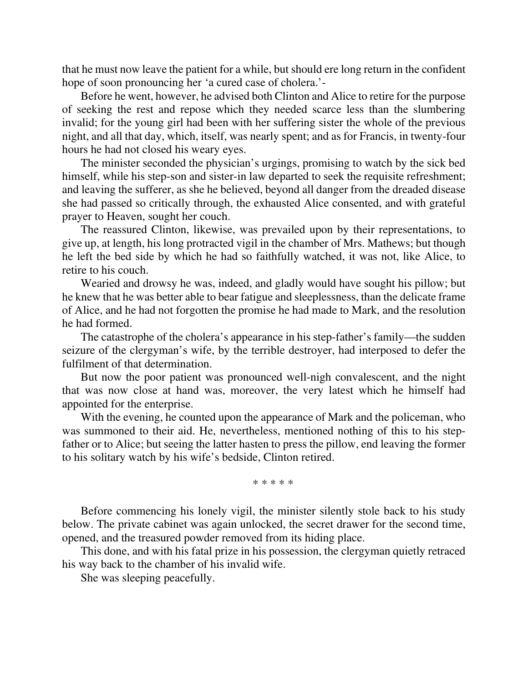that he must now leave the patient for a while, but should ere long return in the confident hope of soon pronouncing her 'a cured case of cholera.'-

Before he went, however, he advised both Clinton and Alice to retire for the purpose of seeking the rest and repose which they needed scarce less than the slumbering invalid; for the young girl had been with her suffering sister the whole of the previous night, and all that day, which, itself, was nearly spent; and as for Francis, in twenty-four hours he had not closed his weary eyes.

The minister seconded the physician's urgings, promising to watch by the sick bed himself, while his step-son and sister-in law departed to seek the requisite refreshment; and leaving the sufferer, as she he believed, beyond all danger from the dreaded disease she had passed so critically through, the exhausted Alice consented, and with grateful prayer to Heaven, sought her couch.

The reassured Clinton, likewise, was prevailed upon by their representations, to give up, at length, his long protracted vigil in the chamber of Mrs. Mathews; but though he left the bed side by which he had so faithfully watched, it was not, like Alice, to retire to his couch.

Wearied and drowsy he was, indeed, and gladly would have sought his pillow; but he knew that he was better able to bear fatigue and sleeplessness, than the delicate frame of Alice, and he had not forgotten the promise he had made to Mark, and the resolution he had formed.

The catastrophe of the cholera's appearance in his step-father's family—the sudden seizure of the clergyman's wife, by the terrible destroyer, had interposed to defer the fulfilment of that determination.

But now the poor patient was pronounced well-nigh convalescent, and the night that was now close at hand was, moreover, the very latest which he himself had appointed for the enterprise.

With the evening, he counted upon the appearance of Mark and the policeman, who was summoned to their aid. He, nevertheless, mentioned nothing of this to his stepfather or to Alice; but seeing the latter hasten to press the pillow, end leaving the former to his solitary watch by his wife's bedside, Clinton retired.

\* \* \* \* \*

Before commencing his lonely vigil, the minister silently stole back to his study below. The private cabinet was again unlocked, the secret drawer for the second time, opened, and the treasured powder removed from its hiding place.

This done, and with his fatal prize in his possession, the clergyman quietly retraced his way back to the chamber of his invalid wife.

She was sleeping peacefully.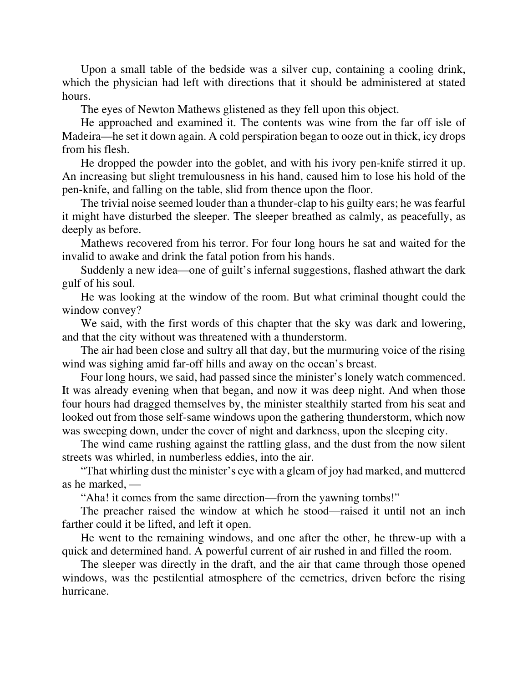Upon a small table of the bedside was a silver cup, containing a cooling drink, which the physician had left with directions that it should be administered at stated hours.

The eyes of Newton Mathews glistened as they fell upon this object.

He approached and examined it. The contents was wine from the far off isle of Madeira—he set it down again. A cold perspiration began to ooze out in thick, icy drops from his flesh.

He dropped the powder into the goblet, and with his ivory pen-knife stirred it up. An increasing but slight tremulousness in his hand, caused him to lose his hold of the pen-knife, and falling on the table, slid from thence upon the floor.

The trivial noise seemed louder than a thunder-clap to his guilty ears; he was fearful it might have disturbed the sleeper. The sleeper breathed as calmly, as peacefully, as deeply as before.

Mathews recovered from his terror. For four long hours he sat and waited for the invalid to awake and drink the fatal potion from his hands.

Suddenly a new idea—one of guilt's infernal suggestions, flashed athwart the dark gulf of his soul.

He was looking at the window of the room. But what criminal thought could the window convey?

We said, with the first words of this chapter that the sky was dark and lowering, and that the city without was threatened with a thunderstorm.

The air had been close and sultry all that day, but the murmuring voice of the rising wind was sighing amid far-off hills and away on the ocean's breast.

Four long hours, we said, had passed since the minister's lonely watch commenced. It was already evening when that began, and now it was deep night. And when those four hours had dragged themselves by, the minister stealthily started from his seat and looked out from those self-same windows upon the gathering thunderstorm, which now was sweeping down, under the cover of night and darkness, upon the sleeping city.

The wind came rushing against the rattling glass, and the dust from the now silent streets was whirled, in numberless eddies, into the air.

"That whirling dust the minister's eye with a gleam of joy had marked, and muttered as he marked, —

"Aha! it comes from the same direction—from the yawning tombs!"

The preacher raised the window at which he stood—raised it until not an inch farther could it be lifted, and left it open.

He went to the remaining windows, and one after the other, he threw-up with a quick and determined hand. A powerful current of air rushed in and filled the room.

The sleeper was directly in the draft, and the air that came through those opened windows, was the pestilential atmosphere of the cemetries, driven before the rising hurricane.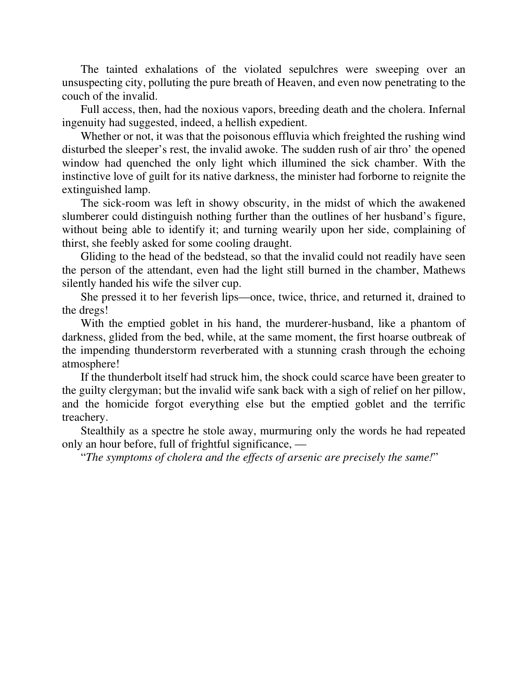The tainted exhalations of the violated sepulchres were sweeping over an unsuspecting city, polluting the pure breath of Heaven, and even now penetrating to the couch of the invalid.

Full access, then, had the noxious vapors, breeding death and the cholera. Infernal ingenuity had suggested, indeed, a hellish expedient.

Whether or not, it was that the poisonous effluvia which freighted the rushing wind disturbed the sleeper's rest, the invalid awoke. The sudden rush of air thro' the opened window had quenched the only light which illumined the sick chamber. With the instinctive love of guilt for its native darkness, the minister had forborne to reignite the extinguished lamp.

The sick-room was left in showy obscurity, in the midst of which the awakened slumberer could distinguish nothing further than the outlines of her husband's figure, without being able to identify it; and turning wearily upon her side, complaining of thirst, she feebly asked for some cooling draught.

Gliding to the head of the bedstead, so that the invalid could not readily have seen the person of the attendant, even had the light still burned in the chamber, Mathews silently handed his wife the silver cup.

She pressed it to her feverish lips—once, twice, thrice, and returned it, drained to the dregs!

With the emptied goblet in his hand, the murderer-husband, like a phantom of darkness, glided from the bed, while, at the same moment, the first hoarse outbreak of the impending thunderstorm reverberated with a stunning crash through the echoing atmosphere!

If the thunderbolt itself had struck him, the shock could scarce have been greater to the guilty clergyman; but the invalid wife sank back with a sigh of relief on her pillow, and the homicide forgot everything else but the emptied goblet and the terrific treachery.

Stealthily as a spectre he stole away, murmuring only the words he had repeated only an hour before, full of frightful significance, —

"*The symptoms of cholera and the effects of arsenic are precisely the same!*"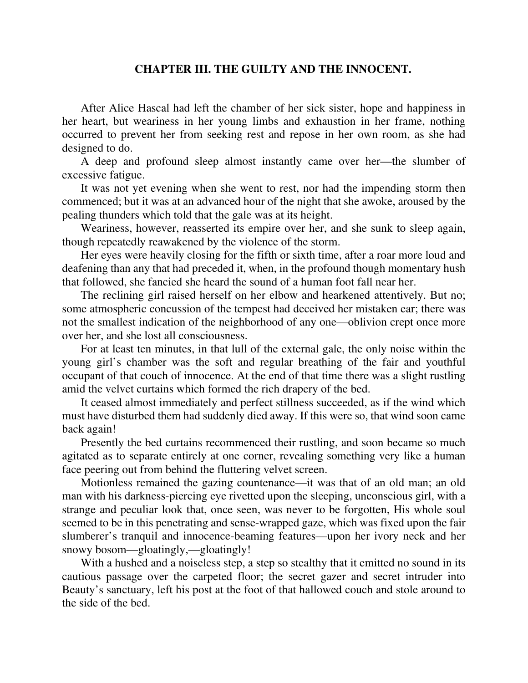## **CHAPTER III. THE GUILTY AND THE INNOCENT.**

After Alice Hascal had left the chamber of her sick sister, hope and happiness in her heart, but weariness in her young limbs and exhaustion in her frame, nothing occurred to prevent her from seeking rest and repose in her own room, as she had designed to do.

A deep and profound sleep almost instantly came over her—the slumber of excessive fatigue.

It was not yet evening when she went to rest, nor had the impending storm then commenced; but it was at an advanced hour of the night that she awoke, aroused by the pealing thunders which told that the gale was at its height.

Weariness, however, reasserted its empire over her, and she sunk to sleep again, though repeatedly reawakened by the violence of the storm.

Her eyes were heavily closing for the fifth or sixth time, after a roar more loud and deafening than any that had preceded it, when, in the profound though momentary hush that followed, she fancied she heard the sound of a human foot fall near her.

The reclining girl raised herself on her elbow and hearkened attentively. But no; some atmospheric concussion of the tempest had deceived her mistaken ear; there was not the smallest indication of the neighborhood of any one—oblivion crept once more over her, and she lost all consciousness.

For at least ten minutes, in that lull of the external gale, the only noise within the young girl's chamber was the soft and regular breathing of the fair and youthful occupant of that couch of innocence. At the end of that time there was a slight rustling amid the velvet curtains which formed the rich drapery of the bed.

It ceased almost immediately and perfect stillness succeeded, as if the wind which must have disturbed them had suddenly died away. If this were so, that wind soon came back again!

Presently the bed curtains recommenced their rustling, and soon became so much agitated as to separate entirely at one corner, revealing something very like a human face peering out from behind the fluttering velvet screen.

Motionless remained the gazing countenance—it was that of an old man; an old man with his darkness-piercing eye rivetted upon the sleeping, unconscious girl, with a strange and peculiar look that, once seen, was never to be forgotten, His whole soul seemed to be in this penetrating and sense-wrapped gaze, which was fixed upon the fair slumberer's tranquil and innocence-beaming features—upon her ivory neck and her snowy bosom—gloatingly,—gloatingly!

With a hushed and a noiseless step, a step so stealthy that it emitted no sound in its cautious passage over the carpeted floor; the secret gazer and secret intruder into Beauty's sanctuary, left his post at the foot of that hallowed couch and stole around to the side of the bed.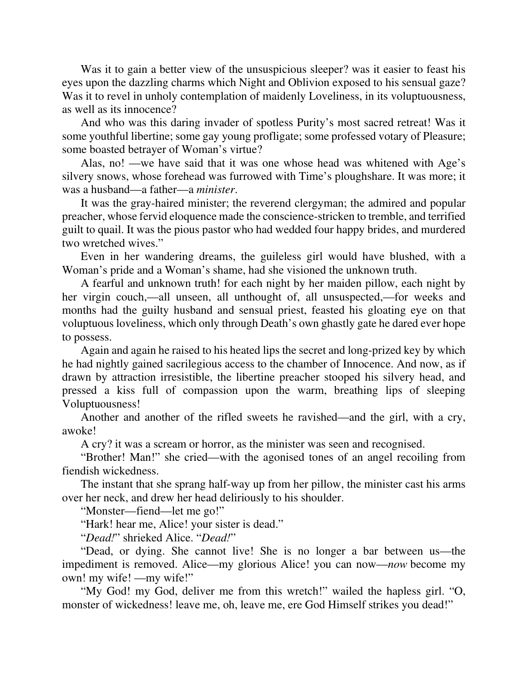Was it to gain a better view of the unsuspicious sleeper? was it easier to feast his eyes upon the dazzling charms which Night and Oblivion exposed to his sensual gaze? Was it to revel in unholy contemplation of maidenly Loveliness, in its voluptuousness, as well as its innocence?

And who was this daring invader of spotless Purity's most sacred retreat! Was it some youthful libertine; some gay young profligate; some professed votary of Pleasure; some boasted betrayer of Woman's virtue?

Alas, no! —we have said that it was one whose head was whitened with Age's silvery snows, whose forehead was furrowed with Time's ploughshare. It was more; it was a husband—a father—a *minister*.

It was the gray-haired minister; the reverend clergyman; the admired and popular preacher, whose fervid eloquence made the conscience-stricken to tremble, and terrified guilt to quail. It was the pious pastor who had wedded four happy brides, and murdered two wretched wives."

Even in her wandering dreams, the guileless girl would have blushed, with a Woman's pride and a Woman's shame, had she visioned the unknown truth.

A fearful and unknown truth! for each night by her maiden pillow, each night by her virgin couch,—all unseen, all unthought of, all unsuspected,—for weeks and months had the guilty husband and sensual priest, feasted his gloating eye on that voluptuous loveliness, which only through Death's own ghastly gate he dared ever hope to possess.

Again and again he raised to his heated lips the secret and long-prized key by which he had nightly gained sacrilegious access to the chamber of Innocence. And now, as if drawn by attraction irresistible, the libertine preacher stooped his silvery head, and pressed a kiss full of compassion upon the warm, breathing lips of sleeping Voluptuousness!

Another and another of the rifled sweets he ravished—and the girl, with a cry, awoke!

A cry? it was a scream or horror, as the minister was seen and recognised.

"Brother! Man!" she cried—with the agonised tones of an angel recoiling from fiendish wickedness.

The instant that she sprang half-way up from her pillow, the minister cast his arms over her neck, and drew her head deliriously to his shoulder.

"Monster—fiend—let me go!"

"Hark! hear me, Alice! your sister is dead."

"*Dead!*" shrieked Alice. "*Dead!*"

"Dead, or dying. She cannot live! She is no longer a bar between us—the impediment is removed. Alice—my glorious Alice! you can now—*now* become my own! my wife! —my wife!"

"My God! my God, deliver me from this wretch!" wailed the hapless girl. "O, monster of wickedness! leave me, oh, leave me, ere God Himself strikes you dead!"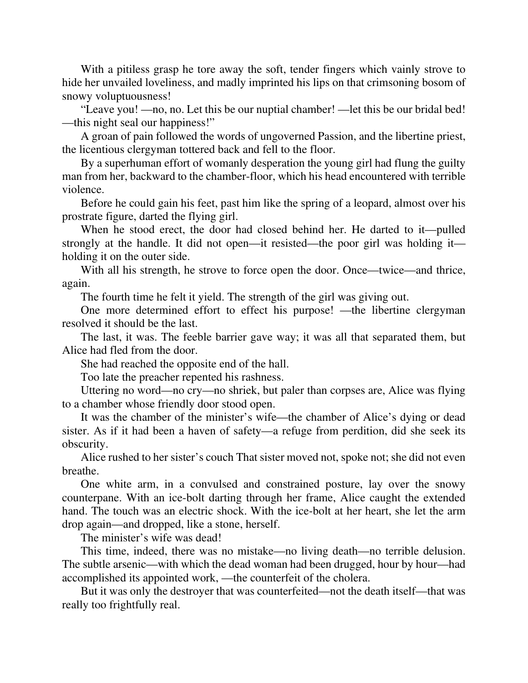With a pitiless grasp he tore away the soft, tender fingers which vainly strove to hide her unvailed loveliness, and madly imprinted his lips on that crimsoning bosom of snowy voluptuousness!

"Leave you! —no, no. Let this be our nuptial chamber! —let this be our bridal bed! —this night seal our happiness!"

A groan of pain followed the words of ungoverned Passion, and the libertine priest, the licentious clergyman tottered back and fell to the floor.

By a superhuman effort of womanly desperation the young girl had flung the guilty man from her, backward to the chamber-floor, which his head encountered with terrible violence.

Before he could gain his feet, past him like the spring of a leopard, almost over his prostrate figure, darted the flying girl.

When he stood erect, the door had closed behind her. He darted to it—pulled strongly at the handle. It did not open—it resisted—the poor girl was holding it holding it on the outer side.

With all his strength, he strove to force open the door. Once—twice—and thrice, again.

The fourth time he felt it yield. The strength of the girl was giving out.

One more determined effort to effect his purpose! —the libertine clergyman resolved it should be the last.

The last, it was. The feeble barrier gave way; it was all that separated them, but Alice had fled from the door.

She had reached the opposite end of the hall.

Too late the preacher repented his rashness.

Uttering no word—no cry—no shriek, but paler than corpses are, Alice was flying to a chamber whose friendly door stood open.

It was the chamber of the minister's wife—the chamber of Alice's dying or dead sister. As if it had been a haven of safety—a refuge from perdition, did she seek its obscurity.

Alice rushed to her sister's couch That sister moved not, spoke not; she did not even breathe.

One white arm, in a convulsed and constrained posture, lay over the snowy counterpane. With an ice-bolt darting through her frame, Alice caught the extended hand. The touch was an electric shock. With the ice-bolt at her heart, she let the arm drop again—and dropped, like a stone, herself.

The minister's wife was dead!

This time, indeed, there was no mistake—no living death—no terrible delusion. The subtle arsenic—with which the dead woman had been drugged, hour by hour—had accomplished its appointed work, —the counterfeit of the cholera.

But it was only the destroyer that was counterfeited—not the death itself—that was really too frightfully real.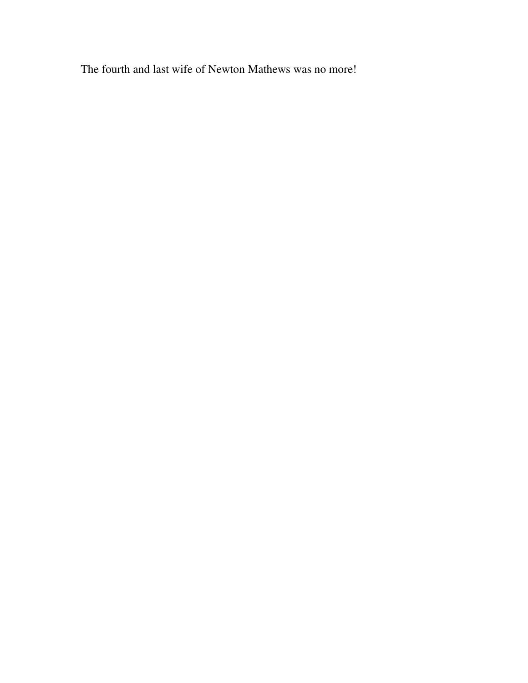The fourth and last wife of Newton Mathews was no more!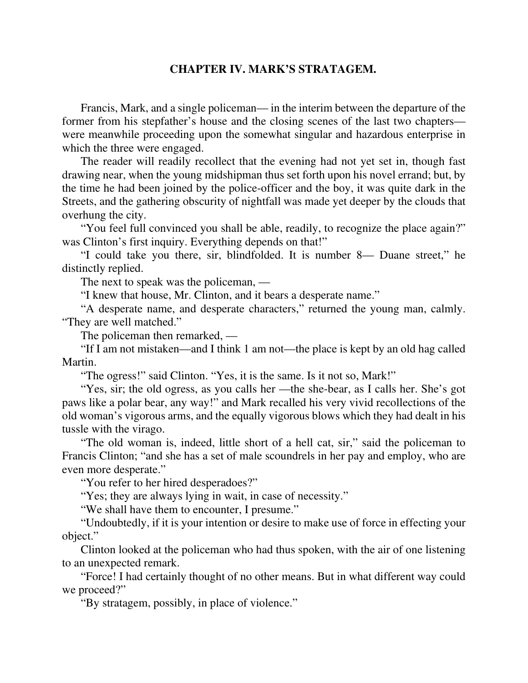## **CHAPTER IV. MARK'S STRATAGEM.**

Francis, Mark, and a single policeman— in the interim between the departure of the former from his stepfather's house and the closing scenes of the last two chapters were meanwhile proceeding upon the somewhat singular and hazardous enterprise in which the three were engaged.

The reader will readily recollect that the evening had not yet set in, though fast drawing near, when the young midshipman thus set forth upon his novel errand; but, by the time he had been joined by the police-officer and the boy, it was quite dark in the Streets, and the gathering obscurity of nightfall was made yet deeper by the clouds that overhung the city.

"You feel full convinced you shall be able, readily, to recognize the place again?" was Clinton's first inquiry. Everything depends on that!"

"I could take you there, sir, blindfolded. It is number 8— Duane street," he distinctly replied.

The next to speak was the policeman, —

"I knew that house, Mr. Clinton, and it bears a desperate name."

"A desperate name, and desperate characters," returned the young man, calmly. "They are well matched."

The policeman then remarked, —

"If I am not mistaken—and I think 1 am not—the place is kept by an old hag called Martin.

"The ogress!" said Clinton. "Yes, it is the same. Is it not so, Mark!"

"Yes, sir; the old ogress, as you calls her —the she-bear, as I calls her. She's got paws like a polar bear, any way!" and Mark recalled his very vivid recollections of the old woman's vigorous arms, and the equally vigorous blows which they had dealt in his tussle with the virago.

"The old woman is, indeed, little short of a hell cat, sir," said the policeman to Francis Clinton; "and she has a set of male scoundrels in her pay and employ, who are even more desperate."

"You refer to her hired desperadoes?"

"Yes; they are always lying in wait, in case of necessity."

"We shall have them to encounter, I presume."

"Undoubtedly, if it is your intention or desire to make use of force in effecting your object."

Clinton looked at the policeman who had thus spoken, with the air of one listening to an unexpected remark.

"Force! I had certainly thought of no other means. But in what different way could we proceed?"

"By stratagem, possibly, in place of violence."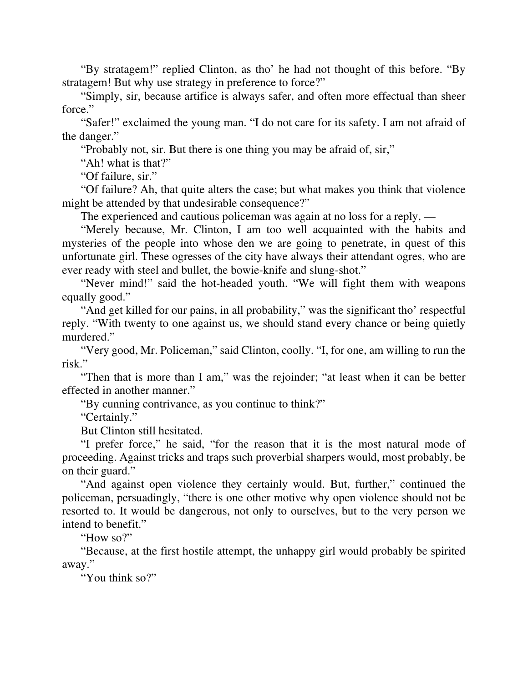"By stratagem!" replied Clinton, as tho' he had not thought of this before. "By stratagem! But why use strategy in preference to force?"

"Simply, sir, because artifice is always safer, and often more effectual than sheer force."

"Safer!" exclaimed the young man. "I do not care for its safety. I am not afraid of the danger."

"Probably not, sir. But there is one thing you may be afraid of, sir,"

"Ah! what is that?"

"Of failure, sir."

"Of failure? Ah, that quite alters the case; but what makes you think that violence might be attended by that undesirable consequence?"

The experienced and cautious policeman was again at no loss for a reply, —

"Merely because, Mr. Clinton, I am too well acquainted with the habits and mysteries of the people into whose den we are going to penetrate, in quest of this unfortunate girl. These ogresses of the city have always their attendant ogres, who are ever ready with steel and bullet, the bowie-knife and slung-shot."

"Never mind!" said the hot-headed youth. "We will fight them with weapons equally good."

"And get killed for our pains, in all probability," was the significant tho' respectful reply. "With twenty to one against us, we should stand every chance or being quietly murdered."

"Very good, Mr. Policeman," said Clinton, coolly. "I, for one, am willing to run the risk."

"Then that is more than I am," was the rejoinder; "at least when it can be better effected in another manner."

"By cunning contrivance, as you continue to think?"

"Certainly."

But Clinton still hesitated.

"I prefer force," he said, "for the reason that it is the most natural mode of proceeding. Against tricks and traps such proverbial sharpers would, most probably, be on their guard."

"And against open violence they certainly would. But, further," continued the policeman, persuadingly, "there is one other motive why open violence should not be resorted to. It would be dangerous, not only to ourselves, but to the very person we intend to benefit."

"How so?"

"Because, at the first hostile attempt, the unhappy girl would probably be spirited away."

"You think so?"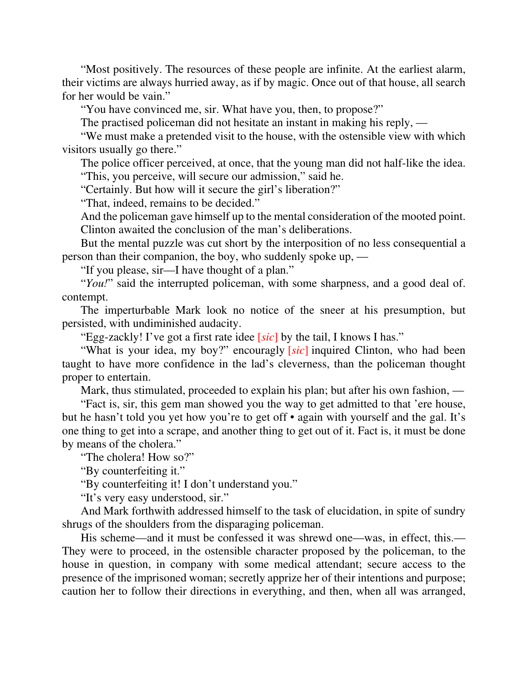"Most positively. The resources of these people are infinite. At the earliest alarm, their victims are always hurried away, as if by magic. Once out of that house, all search for her would be vain."

"You have convinced me, sir. What have you, then, to propose?"

The practised policeman did not hesitate an instant in making his reply, —

"We must make a pretended visit to the house, with the ostensible view with which visitors usually go there."

The police officer perceived, at once, that the young man did not half-like the idea. "This, you perceive, will secure our admission," said he.

"Certainly. But how will it secure the girl's liberation?"

"That, indeed, remains to be decided."

And the policeman gave himself up to the mental consideration of the mooted point. Clinton awaited the conclusion of the man's deliberations.

But the mental puzzle was cut short by the interposition of no less consequential a person than their companion, the boy, who suddenly spoke up, —

"If you please, sir—I have thought of a plan."

"*You!*" said the interrupted policeman, with some sharpness, and a good deal of. contempt.

The imperturbable Mark look no notice of the sneer at his presumption, but persisted, with undiminished audacity.

"Egg-zackly! I've got a first rate idee [*sic*] by the tail, I knows I has."

"What is your idea, my boy?" encouragly [*sic*] inquired Clinton, who had been taught to have more confidence in the lad's cleverness, than the policeman thought proper to entertain.

Mark, thus stimulated, proceeded to explain his plan; but after his own fashion, —

"Fact is, sir, this gem man showed you the way to get admitted to that 'ere house, but he hasn't told you yet how you're to get off • again with yourself and the gal. It's one thing to get into a scrape, and another thing to get out of it. Fact is, it must be done by means of the cholera."

"The cholera! How so?"

"By counterfeiting it."

"By counterfeiting it! I don't understand you."

"It's very easy understood, sir."

And Mark forthwith addressed himself to the task of elucidation, in spite of sundry shrugs of the shoulders from the disparaging policeman.

His scheme—and it must be confessed it was shrewd one—was, in effect, this.— They were to proceed, in the ostensible character proposed by the policeman, to the house in question, in company with some medical attendant; secure access to the presence of the imprisoned woman; secretly apprize her of their intentions and purpose; caution her to follow their directions in everything, and then, when all was arranged,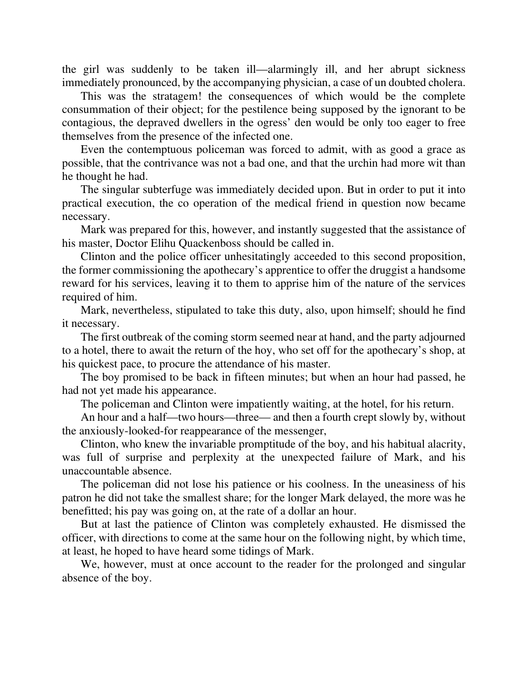the girl was suddenly to be taken ill—alarmingly ill, and her abrupt sickness immediately pronounced, by the accompanying physician, a case of un doubted cholera.

This was the stratagem! the consequences of which would be the complete consummation of their object; for the pestilence being supposed by the ignorant to be contagious, the depraved dwellers in the ogress' den would be only too eager to free themselves from the presence of the infected one.

Even the contemptuous policeman was forced to admit, with as good a grace as possible, that the contrivance was not a bad one, and that the urchin had more wit than he thought he had.

The singular subterfuge was immediately decided upon. But in order to put it into practical execution, the co operation of the medical friend in question now became necessary.

Mark was prepared for this, however, and instantly suggested that the assistance of his master, Doctor Elihu Quackenboss should be called in.

Clinton and the police officer unhesitatingly acceeded to this second proposition, the former commissioning the apothecary's apprentice to offer the druggist a handsome reward for his services, leaving it to them to apprise him of the nature of the services required of him.

Mark, nevertheless, stipulated to take this duty, also, upon himself; should he find it necessary.

The first outbreak of the coming storm seemed near at hand, and the party adjourned to a hotel, there to await the return of the hoy, who set off for the apothecary's shop, at his quickest pace, to procure the attendance of his master.

The boy promised to be back in fifteen minutes; but when an hour had passed, he had not yet made his appearance.

The policeman and Clinton were impatiently waiting, at the hotel, for his return.

An hour and a half—two hours—three— and then a fourth crept slowly by, without the anxiously-looked-for reappearance of the messenger,

Clinton, who knew the invariable promptitude of the boy, and his habitual alacrity, was full of surprise and perplexity at the unexpected failure of Mark, and his unaccountable absence.

The policeman did not lose his patience or his coolness. In the uneasiness of his patron he did not take the smallest share; for the longer Mark delayed, the more was he benefitted; his pay was going on, at the rate of a dollar an hour.

But at last the patience of Clinton was completely exhausted. He dismissed the officer, with directions to come at the same hour on the following night, by which time, at least, he hoped to have heard some tidings of Mark.

We, however, must at once account to the reader for the prolonged and singular absence of the boy.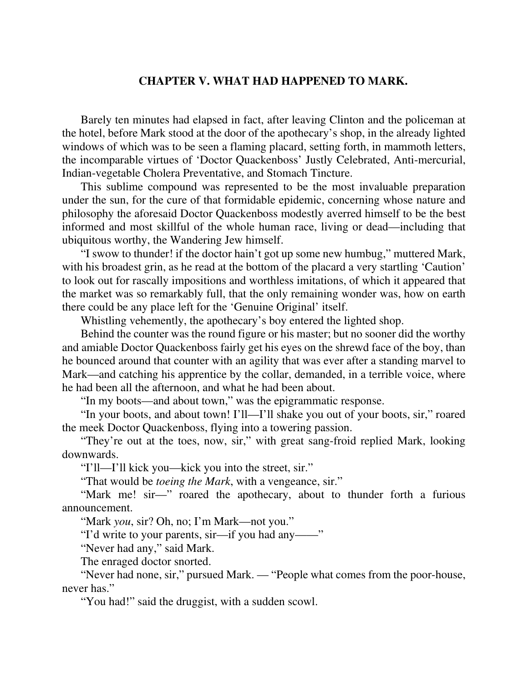## **CHAPTER V. WHAT HAD HAPPENED TO MARK.**

Barely ten minutes had elapsed in fact, after leaving Clinton and the policeman at the hotel, before Mark stood at the door of the apothecary's shop, in the already lighted windows of which was to be seen a flaming placard, setting forth, in mammoth letters, the incomparable virtues of 'Doctor Quackenboss' Justly Celebrated, Anti-mercurial, Indian-vegetable Cholera Preventative, and Stomach Tincture.

This sublime compound was represented to be the most invaluable preparation under the sun, for the cure of that formidable epidemic, concerning whose nature and philosophy the aforesaid Doctor Quackenboss modestly averred himself to be the best informed and most skillful of the whole human race, living or dead—including that ubiquitous worthy, the Wandering Jew himself.

"I swow to thunder! if the doctor hain't got up some new humbug," muttered Mark, with his broadest grin, as he read at the bottom of the placard a very startling 'Caution' to look out for rascally impositions and worthless imitations, of which it appeared that the market was so remarkably full, that the only remaining wonder was, how on earth there could be any place left for the 'Genuine Original' itself.

Whistling vehemently, the apothecary's boy entered the lighted shop.

Behind the counter was the round figure or his master; but no sooner did the worthy and amiable Doctor Quackenboss fairly get his eyes on the shrewd face of the boy, than he bounced around that counter with an agility that was ever after a standing marvel to Mark—and catching his apprentice by the collar, demanded, in a terrible voice, where he had been all the afternoon, and what he had been about.

"In my boots—and about town," was the epigrammatic response.

"In your boots, and about town! I'll—I'll shake you out of your boots, sir," roared the meek Doctor Quackenboss, flying into a towering passion.

"They're out at the toes, now, sir," with great sang-froid replied Mark, looking downwards.

"I'll—I'll kick you—kick you into the street, sir."

"That would be *toeing the Mark*, with a vengeance, sir."

"Mark me! sir—" roared the apothecary, about to thunder forth a furious announcement.

"Mark *you*, sir? Oh, no; I'm Mark—not you."

"I'd write to your parents, sir—if you had any——"

"Never had any," said Mark.

The enraged doctor snorted.

"Never had none, sir," pursued Mark. — "People what comes from the poor-house, never has."

"You had!" said the druggist, with a sudden scowl.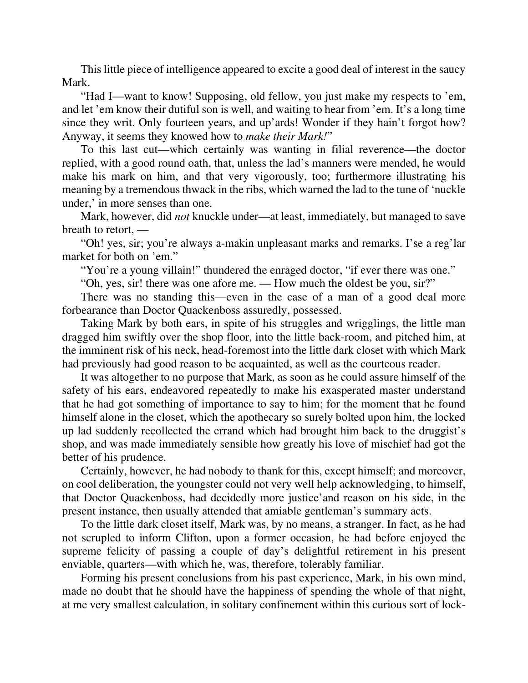This little piece of intelligence appeared to excite a good deal of interest in the saucy Mark.

"Had I—want to know! Supposing, old fellow, you just make my respects to 'em, and let 'em know their dutiful son is well, and waiting to hear from 'em. It's a long time since they writ. Only fourteen years, and up'ards! Wonder if they hain't forgot how? Anyway, it seems they knowed how to *make their Mark!*"

To this last cut—which certainly was wanting in filial reverence—the doctor replied, with a good round oath, that, unless the lad's manners were mended, he would make his mark on him, and that very vigorously, too; furthermore illustrating his meaning by a tremendous thwack in the ribs, which warned the lad to the tune of 'nuckle under,' in more senses than one.

Mark, however, did *not* knuckle under—at least, immediately, but managed to save breath to retort, —

"Oh! yes, sir; you're always a-makin unpleasant marks and remarks. I'se a reg'lar market for both on 'em."

"You're a young villain!" thundered the enraged doctor, "if ever there was one."

"Oh, yes, sir! there was one afore me. — How much the oldest be you, sir?"

There was no standing this—even in the case of a man of a good deal more forbearance than Doctor Quackenboss assuredly, possessed.

Taking Mark by both ears, in spite of his struggles and wrigglings, the little man dragged him swiftly over the shop floor, into the little back-room, and pitched him, at the imminent risk of his neck, head-foremost into the little dark closet with which Mark had previously had good reason to be acquainted, as well as the courteous reader.

It was altogether to no purpose that Mark, as soon as he could assure himself of the safety of his ears, endeavored repeatedly to make his exasperated master understand that he had got something of importance to say to him; for the moment that he found himself alone in the closet, which the apothecary so surely bolted upon him, the locked up lad suddenly recollected the errand which had brought him back to the druggist's shop, and was made immediately sensible how greatly his love of mischief had got the better of his prudence.

Certainly, however, he had nobody to thank for this, except himself; and moreover, on cool deliberation, the youngster could not very well help acknowledging, to himself, that Doctor Quackenboss, had decidedly more justice'and reason on his side, in the present instance, then usually attended that amiable gentleman's summary acts.

To the little dark closet itself, Mark was, by no means, a stranger. In fact, as he had not scrupled to inform Clifton, upon a former occasion, he had before enjoyed the supreme felicity of passing a couple of day's delightful retirement in his present enviable, quarters—with which he, was, therefore, tolerably familiar.

Forming his present conclusions from his past experience, Mark, in his own mind, made no doubt that he should have the happiness of spending the whole of that night, at me very smallest calculation, in solitary confinement within this curious sort of lock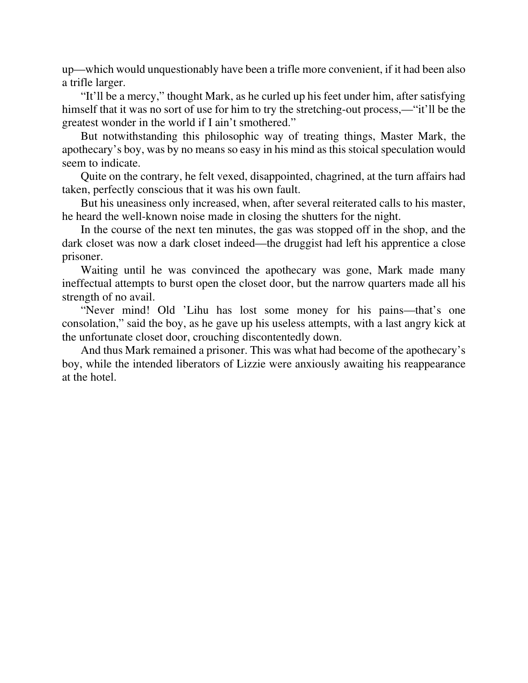up—which would unquestionably have been a trifle more convenient, if it had been also a trifle larger.

"It'll be a mercy," thought Mark, as he curled up his feet under him, after satisfying himself that it was no sort of use for him to try the stretching-out process,—"it'll be the greatest wonder in the world if I ain't smothered."

But notwithstanding this philosophic way of treating things, Master Mark, the apothecary's boy, was by no means so easy in his mind as this stoical speculation would seem to indicate.

Quite on the contrary, he felt vexed, disappointed, chagrined, at the turn affairs had taken, perfectly conscious that it was his own fault.

But his uneasiness only increased, when, after several reiterated calls to his master, he heard the well-known noise made in closing the shutters for the night.

In the course of the next ten minutes, the gas was stopped off in the shop, and the dark closet was now a dark closet indeed—the druggist had left his apprentice a close prisoner.

Waiting until he was convinced the apothecary was gone, Mark made many ineffectual attempts to burst open the closet door, but the narrow quarters made all his strength of no avail.

"Never mind! Old 'Lihu has lost some money for his pains—that's one consolation," said the boy, as he gave up his useless attempts, with a last angry kick at the unfortunate closet door, crouching discontentedly down.

And thus Mark remained a prisoner. This was what had become of the apothecary's boy, while the intended liberators of Lizzie were anxiously awaiting his reappearance at the hotel.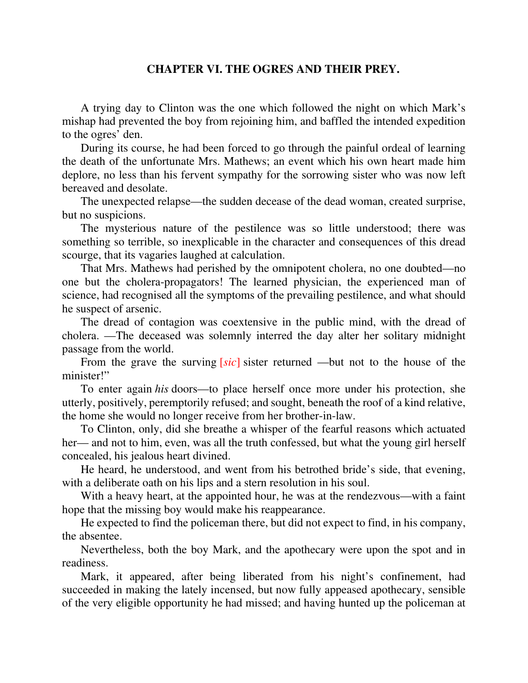## **CHAPTER VI. THE OGRES AND THEIR PREY.**

A trying day to Clinton was the one which followed the night on which Mark's mishap had prevented the boy from rejoining him, and baffled the intended expedition to the ogres' den.

During its course, he had been forced to go through the painful ordeal of learning the death of the unfortunate Mrs. Mathews; an event which his own heart made him deplore, no less than his fervent sympathy for the sorrowing sister who was now left bereaved and desolate.

The unexpected relapse—the sudden decease of the dead woman, created surprise, but no suspicions.

The mysterious nature of the pestilence was so little understood; there was something so terrible, so inexplicable in the character and consequences of this dread scourge, that its vagaries laughed at calculation.

That Mrs. Mathews had perished by the omnipotent cholera, no one doubted—no one but the cholera-propagators! The learned physician, the experienced man of science, had recognised all the symptoms of the prevailing pestilence, and what should he suspect of arsenic.

The dread of contagion was coextensive in the public mind, with the dread of cholera. —The deceased was solemnly interred the day alter her solitary midnight passage from the world.

From the grave the surving [*sic*] sister returned —but not to the house of the minister!"

To enter again *his* doors—to place herself once more under his protection, she utterly, positively, peremptorily refused; and sought, beneath the roof of a kind relative, the home she would no longer receive from her brother-in-law.

To Clinton, only, did she breathe a whisper of the fearful reasons which actuated her— and not to him, even, was all the truth confessed, but what the young girl herself concealed, his jealous heart divined.

He heard, he understood, and went from his betrothed bride's side, that evening, with a deliberate oath on his lips and a stern resolution in his soul.

With a heavy heart, at the appointed hour, he was at the rendezvous—with a faint hope that the missing boy would make his reappearance.

He expected to find the policeman there, but did not expect to find, in his company, the absentee.

Nevertheless, both the boy Mark, and the apothecary were upon the spot and in readiness.

Mark, it appeared, after being liberated from his night's confinement, had succeeded in making the lately incensed, but now fully appeased apothecary, sensible of the very eligible opportunity he had missed; and having hunted up the policeman at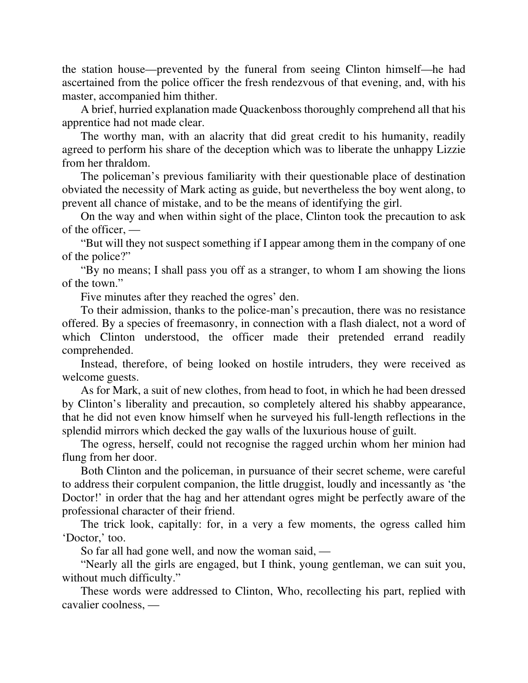the station house—prevented by the funeral from seeing Clinton himself—he had ascertained from the police officer the fresh rendezvous of that evening, and, with his master, accompanied him thither.

A brief, hurried explanation made Quackenboss thoroughly comprehend all that his apprentice had not made clear.

The worthy man, with an alacrity that did great credit to his humanity, readily agreed to perform his share of the deception which was to liberate the unhappy Lizzie from her thraldom.

The policeman's previous familiarity with their questionable place of destination obviated the necessity of Mark acting as guide, but nevertheless the boy went along, to prevent all chance of mistake, and to be the means of identifying the girl.

On the way and when within sight of the place, Clinton took the precaution to ask of the officer, —

"But will they not suspect something if I appear among them in the company of one of the police?"

"By no means; I shall pass you off as a stranger, to whom I am showing the lions of the town."

Five minutes after they reached the ogres' den.

To their admission, thanks to the police-man's precaution, there was no resistance offered. By a species of freemasonry, in connection with a flash dialect, not a word of which Clinton understood, the officer made their pretended errand readily comprehended.

Instead, therefore, of being looked on hostile intruders, they were received as welcome guests.

As for Mark, a suit of new clothes, from head to foot, in which he had been dressed by Clinton's liberality and precaution, so completely altered his shabby appearance, that he did not even know himself when he surveyed his full-length reflections in the splendid mirrors which decked the gay walls of the luxurious house of guilt.

The ogress, herself, could not recognise the ragged urchin whom her minion had flung from her door.

Both Clinton and the policeman, in pursuance of their secret scheme, were careful to address their corpulent companion, the little druggist, loudly and incessantly as 'the Doctor!' in order that the hag and her attendant ogres might be perfectly aware of the professional character of their friend.

The trick look, capitally: for, in a very a few moments, the ogress called him 'Doctor,' too.

So far all had gone well, and now the woman said, —

"Nearly all the girls are engaged, but I think, young gentleman, we can suit you, without much difficulty."

These words were addressed to Clinton, Who, recollecting his part, replied with cavalier coolness, —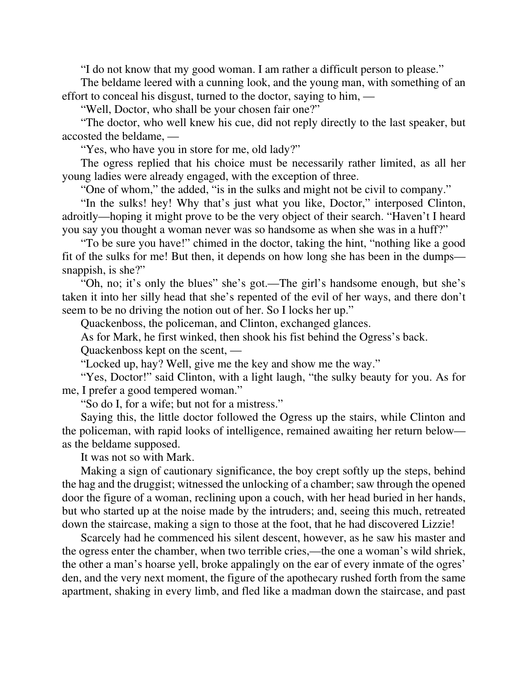"I do not know that my good woman. I am rather a difficult person to please."

The beldame leered with a cunning look, and the young man, with something of an effort to conceal his disgust, turned to the doctor, saying to him, —

"Well, Doctor, who shall be your chosen fair one?"

"The doctor, who well knew his cue, did not reply directly to the last speaker, but accosted the beldame, —

"Yes, who have you in store for me, old lady?"

The ogress replied that his choice must be necessarily rather limited, as all her young ladies were already engaged, with the exception of three.

"One of whom," the added, "is in the sulks and might not be civil to company."

"In the sulks! hey! Why that's just what you like, Doctor," interposed Clinton, adroitly—hoping it might prove to be the very object of their search. "Haven't I heard you say you thought a woman never was so handsome as when she was in a huff?"

"To be sure you have!" chimed in the doctor, taking the hint, "nothing like a good fit of the sulks for me! But then, it depends on how long she has been in the dumps snappish, is she?"

"Oh, no; it's only the blues" she's got.—The girl's handsome enough, but she's taken it into her silly head that she's repented of the evil of her ways, and there don't seem to be no driving the notion out of her. So I locks her up."

Quackenboss, the policeman, and Clinton, exchanged glances.

As for Mark, he first winked, then shook his fist behind the Ogress's back.

Quackenboss kept on the scent, —

"Locked up, hay? Well, give me the key and show me the way."

"Yes, Doctor!" said Clinton, with a light laugh, "the sulky beauty for you. As for me, I prefer a good tempered woman."

"So do I, for a wife; but not for a mistress."

Saying this, the little doctor followed the Ogress up the stairs, while Clinton and the policeman, with rapid looks of intelligence, remained awaiting her return below as the beldame supposed.

It was not so with Mark.

Making a sign of cautionary significance, the boy crept softly up the steps, behind the hag and the druggist; witnessed the unlocking of a chamber; saw through the opened door the figure of a woman, reclining upon a couch, with her head buried in her hands, but who started up at the noise made by the intruders; and, seeing this much, retreated down the staircase, making a sign to those at the foot, that he had discovered Lizzie!

Scarcely had he commenced his silent descent, however, as he saw his master and the ogress enter the chamber, when two terrible cries,—the one a woman's wild shriek, the other a man's hoarse yell, broke appalingly on the ear of every inmate of the ogres' den, and the very next moment, the figure of the apothecary rushed forth from the same apartment, shaking in every limb, and fled like a madman down the staircase, and past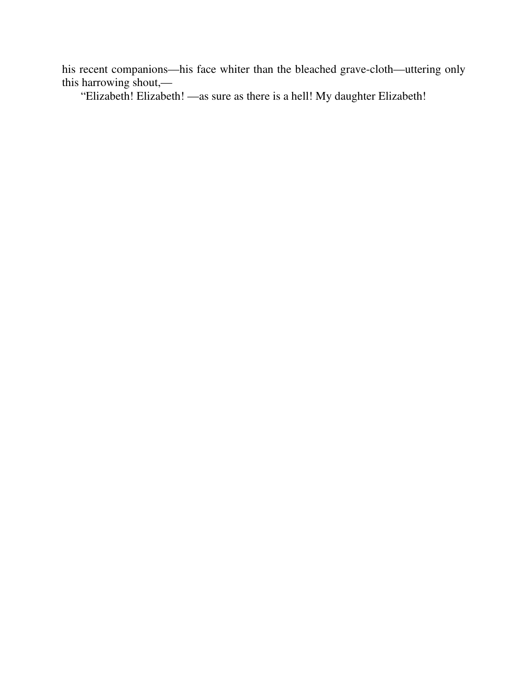his recent companions—his face whiter than the bleached grave-cloth—uttering only this harrowing shout,—

"Elizabeth! Elizabeth! —as sure as there is a hell! My daughter Elizabeth!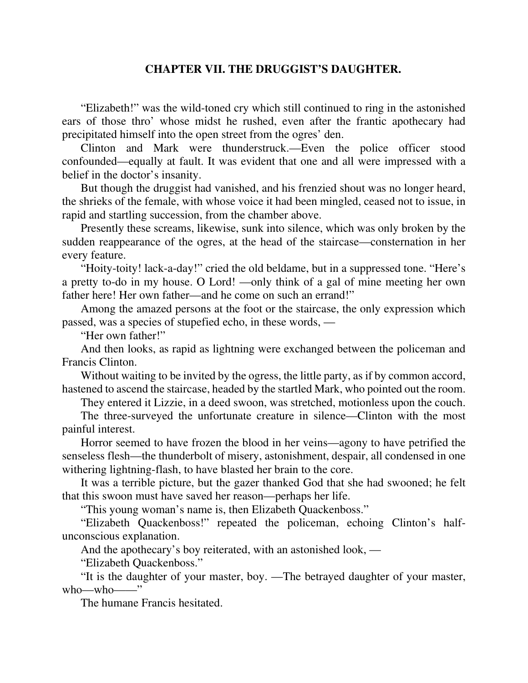## **CHAPTER VII. THE DRUGGIST'S DAUGHTER.**

"Elizabeth!" was the wild-toned cry which still continued to ring in the astonished ears of those thro' whose midst he rushed, even after the frantic apothecary had precipitated himself into the open street from the ogres' den.

Clinton and Mark were thunderstruck.—Even the police officer stood confounded—equally at fault. It was evident that one and all were impressed with a belief in the doctor's insanity.

But though the druggist had vanished, and his frenzied shout was no longer heard, the shrieks of the female, with whose voice it had been mingled, ceased not to issue, in rapid and startling succession, from the chamber above.

Presently these screams, likewise, sunk into silence, which was only broken by the sudden reappearance of the ogres, at the head of the staircase—consternation in her every feature.

"Hoity-toity! lack-a-day!" cried the old beldame, but in a suppressed tone. "Here's a pretty to-do in my house. O Lord! —only think of a gal of mine meeting her own father here! Her own father—and he come on such an errand!"

Among the amazed persons at the foot or the staircase, the only expression which passed, was a species of stupefied echo, in these words, —

"Her own father!"

And then looks, as rapid as lightning were exchanged between the policeman and Francis Clinton.

Without waiting to be invited by the ogress, the little party, as if by common accord, hastened to ascend the staircase, headed by the startled Mark, who pointed out the room.

They entered it Lizzie, in a deed swoon, was stretched, motionless upon the couch.

The three-surveyed the unfortunate creature in silence—Clinton with the most painful interest.

Horror seemed to have frozen the blood in her veins—agony to have petrified the senseless flesh—the thunderbolt of misery, astonishment, despair, all condensed in one withering lightning-flash, to have blasted her brain to the core.

It was a terrible picture, but the gazer thanked God that she had swooned; he felt that this swoon must have saved her reason—perhaps her life.

"This young woman's name is, then Elizabeth Quackenboss."

"Elizabeth Quackenboss!" repeated the policeman, echoing Clinton's halfunconscious explanation.

And the apothecary's boy reiterated, with an astonished look, —

"Elizabeth Quackenboss."

"It is the daughter of your master, boy. —The betrayed daughter of your master, who—who——"

The humane Francis hesitated.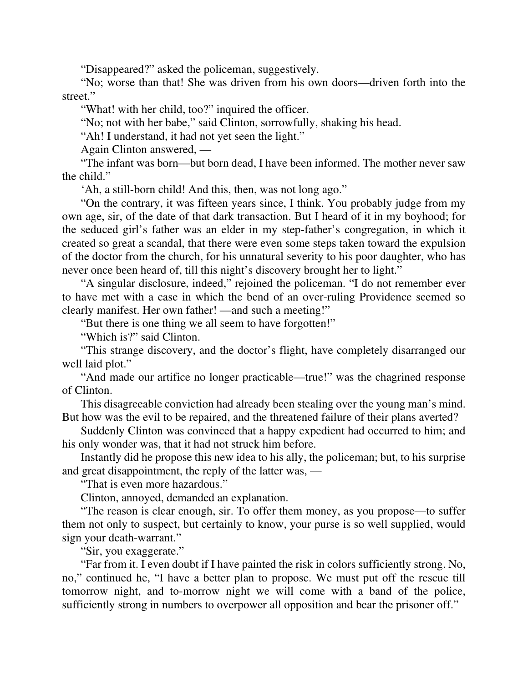"Disappeared?" asked the policeman, suggestively.

"No; worse than that! She was driven from his own doors—driven forth into the street."

"What! with her child, too?" inquired the officer.

"No; not with her babe," said Clinton, sorrowfully, shaking his head.

"Ah! I understand, it had not yet seen the light."

Again Clinton answered, —

"The infant was born—but born dead, I have been informed. The mother never saw the child."

'Ah, a still-born child! And this, then, was not long ago."

"On the contrary, it was fifteen years since, I think. You probably judge from my own age, sir, of the date of that dark transaction. But I heard of it in my boyhood; for the seduced girl's father was an elder in my step-father's congregation, in which it created so great a scandal, that there were even some steps taken toward the expulsion of the doctor from the church, for his unnatural severity to his poor daughter, who has never once been heard of, till this night's discovery brought her to light."

"A singular disclosure, indeed," rejoined the policeman. "I do not remember ever to have met with a case in which the bend of an over-ruling Providence seemed so clearly manifest. Her own father! —and such a meeting!"

"But there is one thing we all seem to have forgotten!"

"Which is?" said Clinton.

"This strange discovery, and the doctor's flight, have completely disarranged our well laid plot."

"And made our artifice no longer practicable—true!" was the chagrined response of Clinton.

This disagreeable conviction had already been stealing over the young man's mind. But how was the evil to be repaired, and the threatened failure of their plans averted?

Suddenly Clinton was convinced that a happy expedient had occurred to him; and his only wonder was, that it had not struck him before.

Instantly did he propose this new idea to his ally, the policeman; but, to his surprise and great disappointment, the reply of the latter was, —

"That is even more hazardous."

Clinton, annoyed, demanded an explanation.

"The reason is clear enough, sir. To offer them money, as you propose—to suffer them not only to suspect, but certainly to know, your purse is so well supplied, would sign your death-warrant."

"Sir, you exaggerate."

"Far from it. I even doubt if I have painted the risk in colors sufficiently strong. No, no," continued he, "I have a better plan to propose. We must put off the rescue till tomorrow night, and to-morrow night we will come with a band of the police, sufficiently strong in numbers to overpower all opposition and bear the prisoner off."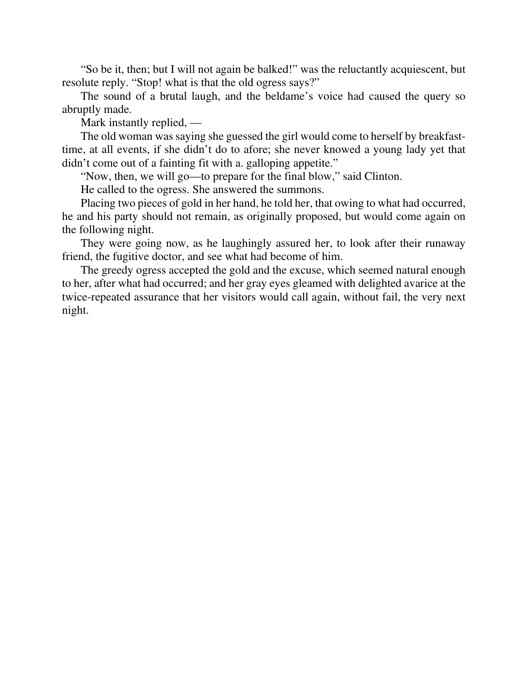"So be it, then; but I will not again be balked!" was the reluctantly acquiescent, but resolute reply. "Stop! what is that the old ogress says?"

The sound of a brutal laugh, and the beldame's voice had caused the query so abruptly made.

Mark instantly replied, —

The old woman was saying she guessed the girl would come to herself by breakfasttime, at all events, if she didn't do to afore; she never knowed a young lady yet that didn't come out of a fainting fit with a. galloping appetite."

"Now, then, we will go—to prepare for the final blow," said Clinton.

He called to the ogress. She answered the summons.

Placing two pieces of gold in her hand, he told her, that owing to what had occurred, he and his party should not remain, as originally proposed, but would come again on the following night.

They were going now, as he laughingly assured her, to look after their runaway friend, the fugitive doctor, and see what had become of him.

The greedy ogress accepted the gold and the excuse, which seemed natural enough to her, after what had occurred; and her gray eyes gleamed with delighted avarice at the twice-repeated assurance that her visitors would call again, without fail, the very next night.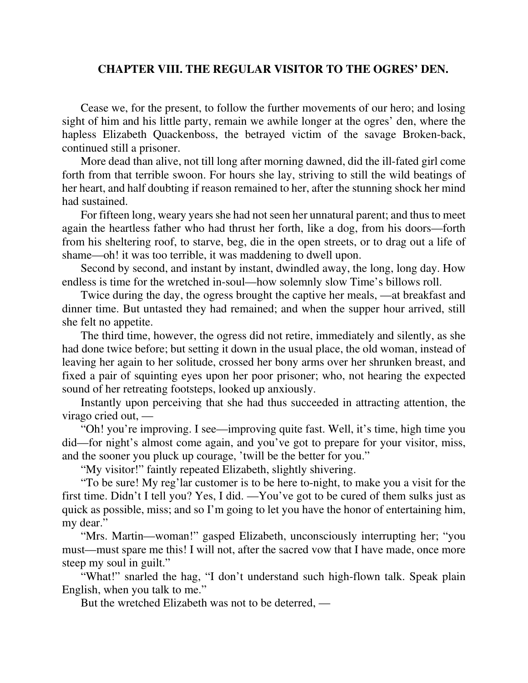## **CHAPTER VIII. THE REGULAR VISITOR TO THE OGRES' DEN.**

Cease we, for the present, to follow the further movements of our hero; and losing sight of him and his little party, remain we awhile longer at the ogres' den, where the hapless Elizabeth Quackenboss, the betrayed victim of the savage Broken-back, continued still a prisoner.

More dead than alive, not till long after morning dawned, did the ill-fated girl come forth from that terrible swoon. For hours she lay, striving to still the wild beatings of her heart, and half doubting if reason remained to her, after the stunning shock her mind had sustained.

For fifteen long, weary years she had not seen her unnatural parent; and thus to meet again the heartless father who had thrust her forth, like a dog, from his doors—forth from his sheltering roof, to starve, beg, die in the open streets, or to drag out a life of shame—oh! it was too terrible, it was maddening to dwell upon.

Second by second, and instant by instant, dwindled away, the long, long day. How endless is time for the wretched in-soul—how solemnly slow Time's billows roll.

Twice during the day, the ogress brought the captive her meals, —at breakfast and dinner time. But untasted they had remained; and when the supper hour arrived, still she felt no appetite.

The third time, however, the ogress did not retire, immediately and silently, as she had done twice before; but setting it down in the usual place, the old woman, instead of leaving her again to her solitude, crossed her bony arms over her shrunken breast, and fixed a pair of squinting eyes upon her poor prisoner; who, not hearing the expected sound of her retreating footsteps, looked up anxiously.

Instantly upon perceiving that she had thus succeeded in attracting attention, the virago cried out, —

"Oh! you're improving. I see—improving quite fast. Well, it's time, high time you did—for night's almost come again, and you've got to prepare for your visitor, miss, and the sooner you pluck up courage, 'twill be the better for you."

"My visitor!" faintly repeated Elizabeth, slightly shivering.

"To be sure! My reg'lar customer is to be here to-night, to make you a visit for the first time. Didn't I tell you? Yes, I did. —You've got to be cured of them sulks just as quick as possible, miss; and so I'm going to let you have the honor of entertaining him, my dear."

"Mrs. Martin—woman!" gasped Elizabeth, unconsciously interrupting her; "you must—must spare me this! I will not, after the sacred vow that I have made, once more steep my soul in guilt."

"What!" snarled the hag, "I don't understand such high-flown talk. Speak plain English, when you talk to me."

But the wretched Elizabeth was not to be deterred, —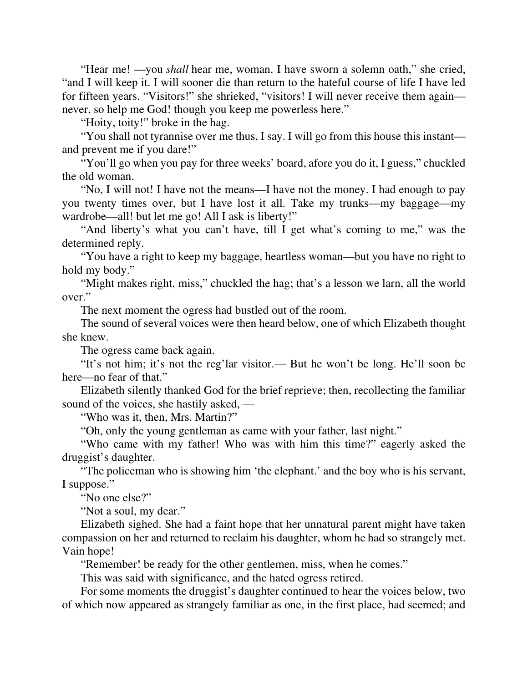"Hear me! —you *shall* hear me, woman. I have sworn a solemn oath," she cried, "and I will keep it. I will sooner die than return to the hateful course of life I have led for fifteen years. "Visitors!" she shrieked, "visitors! I will never receive them again never, so help me God! though you keep me powerless here."

"Hoity, toity!" broke in the hag.

"You shall not tyrannise over me thus, I say. I will go from this house this instant and prevent me if you dare!"

"You'll go when you pay for three weeks' board, afore you do it, I guess," chuckled the old woman.

"No, I will not! I have not the means—I have not the money. I had enough to pay you twenty times over, but I have lost it all. Take my trunks—my baggage—my wardrobe—all! but let me go! All I ask is liberty!"

"And liberty's what you can't have, till I get what's coming to me," was the determined reply.

"You have a right to keep my baggage, heartless woman—but you have no right to hold my body."

"Might makes right, miss," chuckled the hag; that's a lesson we larn, all the world over."

The next moment the ogress had bustled out of the room.

The sound of several voices were then heard below, one of which Elizabeth thought she knew.

The ogress came back again.

"It's not him; it's not the reg'lar visitor.— But he won't be long. He'll soon be here—no fear of that."

Elizabeth silently thanked God for the brief reprieve; then, recollecting the familiar sound of the voices, she hastily asked, —

"Who was it, then, Mrs. Martin?"

"Oh, only the young gentleman as came with your father, last night."

"Who came with my father! Who was with him this time?" eagerly asked the druggist's daughter.

"The policeman who is showing him 'the elephant.' and the boy who is his servant, I suppose."

"No one else?"

"Not a soul, my dear."

Elizabeth sighed. She had a faint hope that her unnatural parent might have taken compassion on her and returned to reclaim his daughter, whom he had so strangely met. Vain hope!

"Remember! be ready for the other gentlemen, miss, when he comes."

This was said with significance, and the hated ogress retired.

For some moments the druggist's daughter continued to hear the voices below, two of which now appeared as strangely familiar as one, in the first place, had seemed; and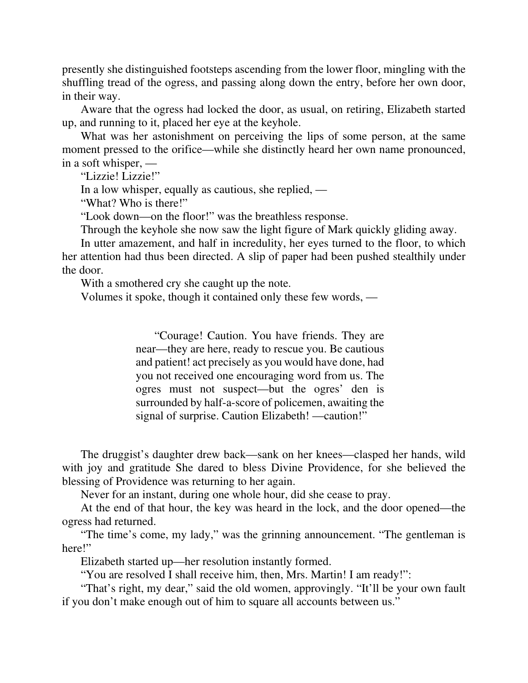presently she distinguished footsteps ascending from the lower floor, mingling with the shuffling tread of the ogress, and passing along down the entry, before her own door, in their way.

Aware that the ogress had locked the door, as usual, on retiring, Elizabeth started up, and running to it, placed her eye at the keyhole.

What was her astonishment on perceiving the lips of some person, at the same moment pressed to the orifice—while she distinctly heard her own name pronounced, in a soft whisper, —

"Lizzie! Lizzie!"

In a low whisper, equally as cautious, she replied, —

"What? Who is there!"

"Look down—on the floor!" was the breathless response.

Through the keyhole she now saw the light figure of Mark quickly gliding away.

In utter amazement, and half in incredulity, her eyes turned to the floor, to which her attention had thus been directed. A slip of paper had been pushed stealthily under the door.

With a smothered cry she caught up the note.

Volumes it spoke, though it contained only these few words, —

"Courage! Caution. You have friends. They are near—they are here, ready to rescue you. Be cautious and patient! act precisely as you would have done, had you not received one encouraging word from us. The ogres must not suspect—but the ogres' den is surrounded by half-a-score of policemen, awaiting the signal of surprise. Caution Elizabeth! —caution!"

The druggist's daughter drew back—sank on her knees—clasped her hands, wild with joy and gratitude She dared to bless Divine Providence, for she believed the blessing of Providence was returning to her again.

Never for an instant, during one whole hour, did she cease to pray.

At the end of that hour, the key was heard in the lock, and the door opened—the ogress had returned.

"The time's come, my lady," was the grinning announcement. "The gentleman is here!"

Elizabeth started up—her resolution instantly formed.

"You are resolved I shall receive him, then, Mrs. Martin! I am ready!":

"That's right, my dear," said the old women, approvingly. "It'll be your own fault if you don't make enough out of him to square all accounts between us."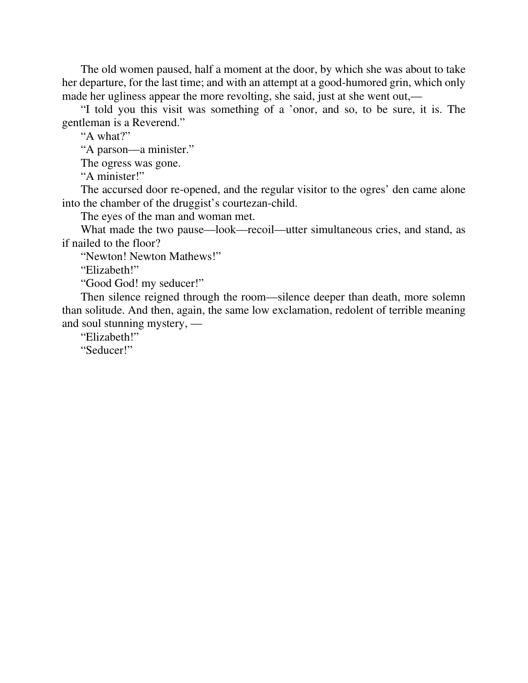The old women paused, half a moment at the door, by which she was about to take her departure, for the last time; and with an attempt at a good-humored grin, which only made her ugliness appear the more revolting, she said, just at she went out,—

"I told you this visit was something of a 'onor, and so, to be sure, it is. The gentleman is a Reverend."

"A what?"

"A parson—a minister."

The ogress was gone.

"A minister!"

The accursed door re-opened, and the regular visitor to the ogres' den came alone into the chamber of the druggist's courtezan-child.

The eyes of the man and woman met.

What made the two pause—look—recoil—utter simultaneous cries, and stand, as if nailed to the floor?

"Newton! Newton Mathews!"

"Elizabeth!"

"Good God! my seducer!"

Then silence reigned through the room—silence deeper than death, more solemn than solitude. And then, again, the same low exclamation, redolent of terrible meaning and soul stunning mystery, —

"Elizabeth!"

"Seducer!"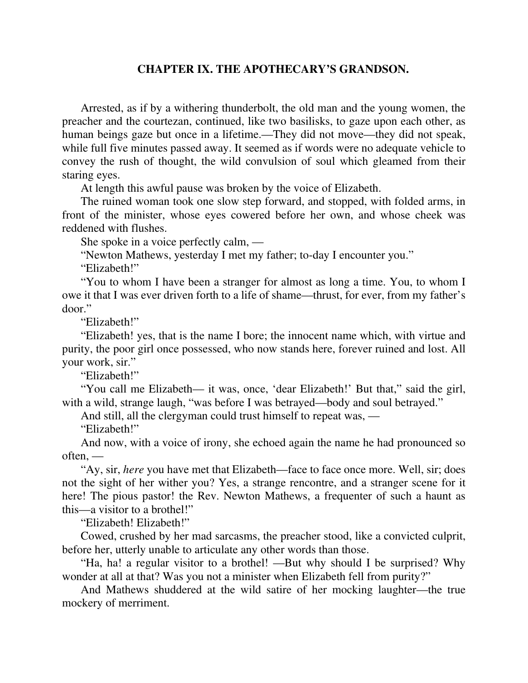### **CHAPTER IX. THE APOTHECARY'S GRANDSON.**

Arrested, as if by a withering thunderbolt, the old man and the young women, the preacher and the courtezan, continued, like two basilisks, to gaze upon each other, as human beings gaze but once in a lifetime.—They did not move—they did not speak, while full five minutes passed away. It seemed as if words were no adequate vehicle to convey the rush of thought, the wild convulsion of soul which gleamed from their staring eyes.

At length this awful pause was broken by the voice of Elizabeth.

The ruined woman took one slow step forward, and stopped, with folded arms, in front of the minister, whose eyes cowered before her own, and whose cheek was reddened with flushes.

She spoke in a voice perfectly calm, —

"Newton Mathews, yesterday I met my father; to-day I encounter you."

"Elizabeth!"

"You to whom I have been a stranger for almost as long a time. You, to whom I owe it that I was ever driven forth to a life of shame—thrust, for ever, from my father's door."

"Elizabeth!"

"Elizabeth! yes, that is the name I bore; the innocent name which, with virtue and purity, the poor girl once possessed, who now stands here, forever ruined and lost. All your work, sir."

"Elizabeth!"

"You call me Elizabeth— it was, once, 'dear Elizabeth!' But that," said the girl, with a wild, strange laugh, "was before I was betrayed—body and soul betrayed."

And still, all the clergyman could trust himself to repeat was, —

"Elizabeth!"

And now, with a voice of irony, she echoed again the name he had pronounced so often, —

"Ay, sir, *here* you have met that Elizabeth—face to face once more. Well, sir; does not the sight of her wither you? Yes, a strange rencontre, and a stranger scene for it here! The pious pastor! the Rev. Newton Mathews, a frequenter of such a haunt as this—a visitor to a brothel!"

"Elizabeth! Elizabeth!"

Cowed, crushed by her mad sarcasms, the preacher stood, like a convicted culprit, before her, utterly unable to articulate any other words than those.

"Ha, ha! a regular visitor to a brothel! —But why should I be surprised? Why wonder at all at that? Was you not a minister when Elizabeth fell from purity?"

And Mathews shuddered at the wild satire of her mocking laughter—the true mockery of merriment.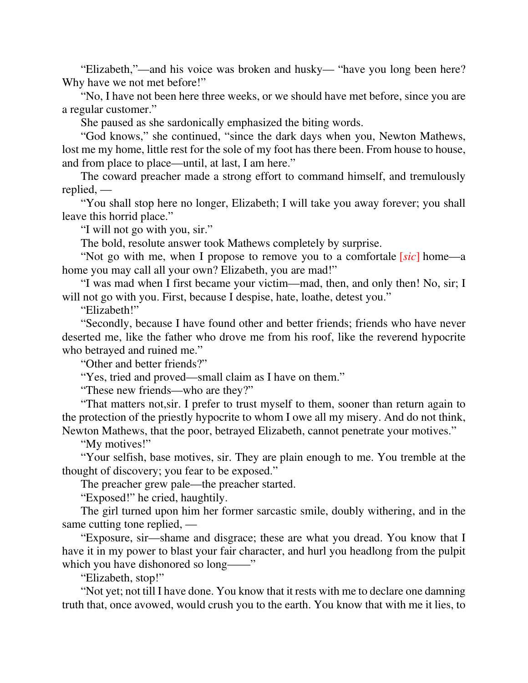"Elizabeth,"—and his voice was broken and husky— "have you long been here? Why have we not met before!"

"No, I have not been here three weeks, or we should have met before, since you are a regular customer."

She paused as she sardonically emphasized the biting words.

"God knows," she continued, "since the dark days when you, Newton Mathews, lost me my home, little rest for the sole of my foot has there been. From house to house, and from place to place—until, at last, I am here."

The coward preacher made a strong effort to command himself, and tremulously replied, —

"You shall stop here no longer, Elizabeth; I will take you away forever; you shall leave this horrid place."

"I will not go with you, sir."

The bold, resolute answer took Mathews completely by surprise.

"Not go with me, when I propose to remove you to a comfortale [*sic*] home—a home you may call all your own? Elizabeth, you are mad!"

"I was mad when I first became your victim—mad, then, and only then! No, sir; I will not go with you. First, because I despise, hate, loathe, detest you."

"Elizabeth!"

"Secondly, because I have found other and better friends; friends who have never deserted me, like the father who drove me from his roof, like the reverend hypocrite who betrayed and ruined me."

"Other and better friends?"

"Yes, tried and proved—small claim as I have on them."

"These new friends—who are they?"

"That matters not,sir. I prefer to trust myself to them, sooner than return again to the protection of the priestly hypocrite to whom I owe all my misery. And do not think, Newton Mathews, that the poor, betrayed Elizabeth, cannot penetrate your motives."

"My motives!"

"Your selfish, base motives, sir. They are plain enough to me. You tremble at the thought of discovery; you fear to be exposed."

The preacher grew pale—the preacher started.

"Exposed!" he cried, haughtily.

The girl turned upon him her former sarcastic smile, doubly withering, and in the same cutting tone replied, —

"Exposure, sir—shame and disgrace; these are what you dread. You know that I have it in my power to blast your fair character, and hurl you headlong from the pulpit which you have dishonored so long——"

"Elizabeth, stop!"

"Not yet; not till I have done. You know that it rests with me to declare one damning truth that, once avowed, would crush you to the earth. You know that with me it lies, to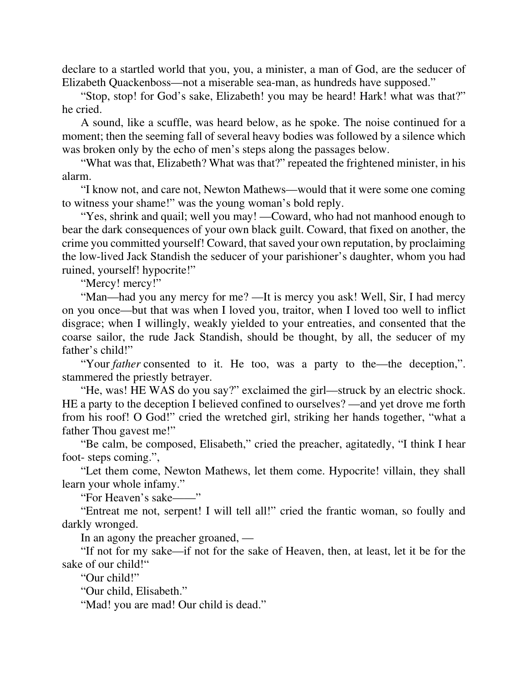declare to a startled world that you, you, a minister, a man of God, are the seducer of Elizabeth Quackenboss—not a miserable sea-man, as hundreds have supposed."

"Stop, stop! for God's sake, Elizabeth! you may be heard! Hark! what was that?" he cried.

A sound, like a scuffle, was heard below, as he spoke. The noise continued for a moment; then the seeming fall of several heavy bodies was followed by a silence which was broken only by the echo of men's steps along the passages below.

"What was that, Elizabeth? What was that?" repeated the frightened minister, in his alarm.

"I know not, and care not, Newton Mathews—would that it were some one coming to witness your shame!" was the young woman's bold reply.

"Yes, shrink and quail; well you may! —Coward, who had not manhood enough to bear the dark consequences of your own black guilt. Coward, that fixed on another, the crime you committed yourself! Coward, that saved your own reputation, by proclaiming the low-lived Jack Standish the seducer of your parishioner's daughter, whom you had ruined, yourself! hypocrite!"

"Mercy! mercy!"

"Man—had you any mercy for me? —It is mercy you ask! Well, Sir, I had mercy on you once—but that was when I loved you, traitor, when I loved too well to inflict disgrace; when I willingly, weakly yielded to your entreaties, and consented that the coarse sailor, the rude Jack Standish, should be thought, by all, the seducer of my father's child!"

"Your *father* consented to it. He too, was a party to the—the deception,". stammered the priestly betrayer.

"He, was! HE WAS do you say?" exclaimed the girl—struck by an electric shock. HE a party to the deception I believed confined to ourselves? —and yet drove me forth from his roof! O God!" cried the wretched girl, striking her hands together, "what a father Thou gavest me!"

"Be calm, be composed, Elisabeth," cried the preacher, agitatedly, "I think I hear foot- steps coming.",

"Let them come, Newton Mathews, let them come. Hypocrite! villain, they shall learn your whole infamy."

"For Heaven's sake——"

"Entreat me not, serpent! I will tell all!" cried the frantic woman, so foully and darkly wronged.

In an agony the preacher groaned, —

"If not for my sake—if not for the sake of Heaven, then, at least, let it be for the sake of our child!"

"Our child!"

"Our child, Elisabeth."

"Mad! you are mad! Our child is dead."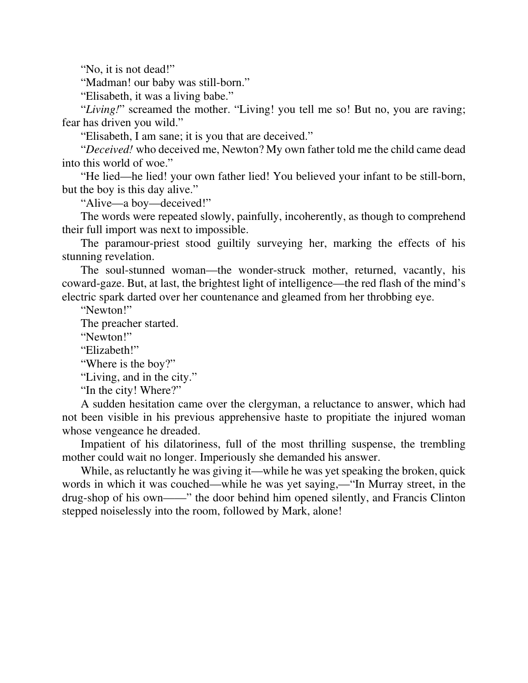"No, it is not dead!"

"Madman! our baby was still-born."

"Elisabeth, it was a living babe."

"Living!" screamed the mother. "Living! you tell me so! But no, you are raving; fear has driven you wild."

"Elisabeth, I am sane; it is you that are deceived."

"*Deceived!* who deceived me, Newton? My own father told me the child came dead into this world of woe."

"He lied—he lied! your own father lied! You believed your infant to be still-born, but the boy is this day alive."

"Alive—a boy—deceived!"

The words were repeated slowly, painfully, incoherently, as though to comprehend their full import was next to impossible.

The paramour-priest stood guiltily surveying her, marking the effects of his stunning revelation.

The soul-stunned woman—the wonder-struck mother, returned, vacantly, his coward-gaze. But, at last, the brightest light of intelligence—the red flash of the mind's electric spark darted over her countenance and gleamed from her throbbing eye.

"Newton!"

The preacher started.

"Newton!"

"Elizabeth!"

"Where is the boy?"

"Living, and in the city."

"In the city! Where?"

A sudden hesitation came over the clergyman, a reluctance to answer, which had not been visible in his previous apprehensive haste to propitiate the injured woman whose vengeance he dreaded.

Impatient of his dilatoriness, full of the most thrilling suspense, the trembling mother could wait no longer. Imperiously she demanded his answer.

While, as reluctantly he was giving it—while he was yet speaking the broken, quick words in which it was couched—while he was yet saying,—"In Murray street, in the drug-shop of his own——" the door behind him opened silently, and Francis Clinton stepped noiselessly into the room, followed by Mark, alone!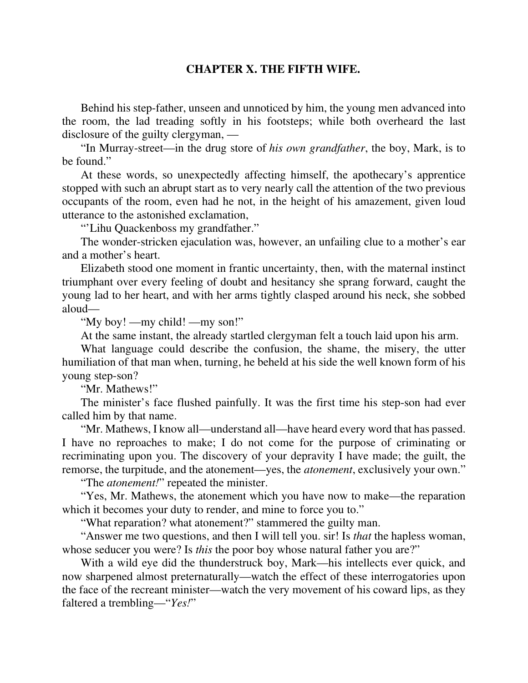# **CHAPTER X. THE FIFTH WIFE.**

Behind his step-father, unseen and unnoticed by him, the young men advanced into the room, the lad treading softly in his footsteps; while both overheard the last disclosure of the guilty clergyman, —

"In Murray-street—in the drug store of *his own grandfather*, the boy, Mark, is to be found."

At these words, so unexpectedly affecting himself, the apothecary's apprentice stopped with such an abrupt start as to very nearly call the attention of the two previous occupants of the room, even had he not, in the height of his amazement, given loud utterance to the astonished exclamation,

"'Lihu Quackenboss my grandfather."

The wonder-stricken ejaculation was, however, an unfailing clue to a mother's ear and a mother's heart.

Elizabeth stood one moment in frantic uncertainty, then, with the maternal instinct triumphant over every feeling of doubt and hesitancy she sprang forward, caught the young lad to her heart, and with her arms tightly clasped around his neck, she sobbed aloud—

"My boy! —my child! —my son!"

At the same instant, the already startled clergyman felt a touch laid upon his arm.

What language could describe the confusion, the shame, the misery, the utter humiliation of that man when, turning, he beheld at his side the well known form of his young step-son?

"Mr. Mathews!"

The minister's face flushed painfully. It was the first time his step-son had ever called him by that name.

"Mr. Mathews, I know all—understand all—have heard every word that has passed. I have no reproaches to make; I do not come for the purpose of criminating or recriminating upon you. The discovery of your depravity I have made; the guilt, the remorse, the turpitude, and the atonement—yes, the *atonement*, exclusively your own."

"The *atonement!*" repeated the minister.

"Yes, Mr. Mathews, the atonement which you have now to make—the reparation which it becomes your duty to render, and mine to force you to."

"What reparation? what atonement?" stammered the guilty man.

"Answer me two questions, and then I will tell you. sir! Is *that* the hapless woman, whose seducer you were? Is *this* the poor boy whose natural father you are?"

With a wild eye did the thunderstruck boy, Mark—his intellects ever quick, and now sharpened almost preternaturally—watch the effect of these interrogatories upon the face of the recreant minister—watch the very movement of his coward lips, as they faltered a trembling—"*Yes!*"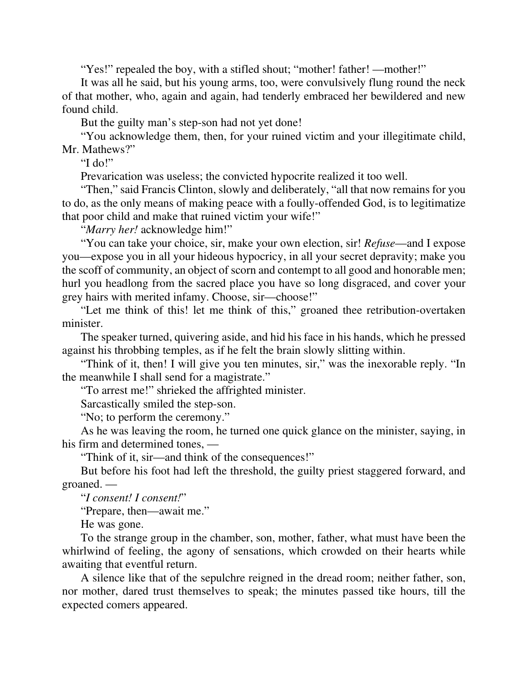"Yes!" repealed the boy, with a stifled shout; "mother! father! —mother!"

It was all he said, but his young arms, too, were convulsively flung round the neck of that mother, who, again and again, had tenderly embraced her bewildered and new found child.

But the guilty man's step-son had not yet done!

"You acknowledge them, then, for your ruined victim and your illegitimate child, Mr. Mathews?"

"I do!"

Prevarication was useless; the convicted hypocrite realized it too well.

"Then," said Francis Clinton, slowly and deliberately, "all that now remains for you to do, as the only means of making peace with a foully-offended God, is to legitimatize that poor child and make that ruined victim your wife!"

"*Marry her!* acknowledge him!"

"You can take your choice, sir, make your own election, sir! *Refuse*—and I expose you—expose you in all your hideous hypocricy, in all your secret depravity; make you the scoff of community, an object of scorn and contempt to all good and honorable men; hurl you headlong from the sacred place you have so long disgraced, and cover your grey hairs with merited infamy. Choose, sir—choose!"

"Let me think of this! let me think of this," groaned thee retribution-overtaken minister.

The speaker turned, quivering aside, and hid his face in his hands, which he pressed against his throbbing temples, as if he felt the brain slowly slitting within.

"Think of it, then! I will give you ten minutes, sir," was the inexorable reply. "In the meanwhile I shall send for a magistrate."

"To arrest me!" shrieked the affrighted minister.

Sarcastically smiled the step-son.

"No; to perform the ceremony."

As he was leaving the room, he turned one quick glance on the minister, saying, in his firm and determined tones, —

"Think of it, sir—and think of the consequences!"

But before his foot had left the threshold, the guilty priest staggered forward, and groaned. —

"*I consent! I consent!*"

"Prepare, then—await me."

He was gone.

To the strange group in the chamber, son, mother, father, what must have been the whirlwind of feeling, the agony of sensations, which crowded on their hearts while awaiting that eventful return.

A silence like that of the sepulchre reigned in the dread room; neither father, son, nor mother, dared trust themselves to speak; the minutes passed tike hours, till the expected comers appeared.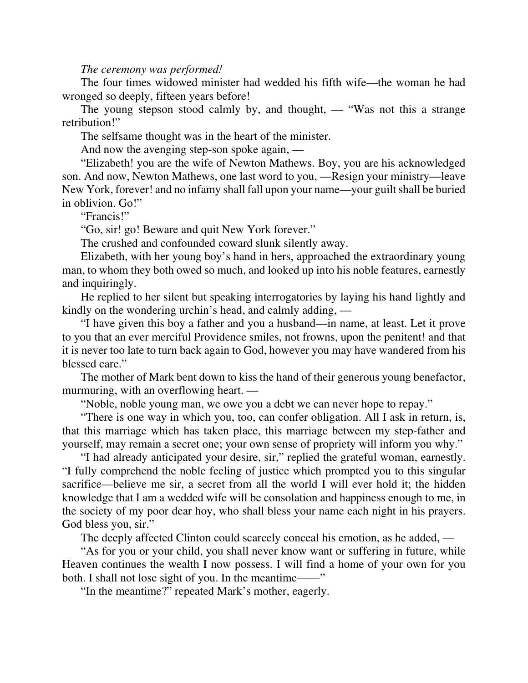#### *The ceremony was performed!*

The four times widowed minister had wedded his fifth wife—the woman he had wronged so deeply, fifteen years before!

The young stepson stood calmly by, and thought, — "Was not this a strange retribution!"

The selfsame thought was in the heart of the minister.

And now the avenging step-son spoke again, —

"Elizabeth! you are the wife of Newton Mathews. Boy, you are his acknowledged son. And now, Newton Mathews, one last word to you, —Resign your ministry—leave New York, forever! and no infamy shall fall upon your name—your guilt shall be buried in oblivion. Go!"

"Francis!"

"Go, sir! go! Beware and quit New York forever."

The crushed and confounded coward slunk silently away.

Elizabeth, with her young boy's hand in hers, approached the extraordinary young man, to whom they both owed so much, and looked up into his noble features, earnestly and inquiringly.

He replied to her silent but speaking interrogatories by laying his hand lightly and kindly on the wondering urchin's head, and calmly adding, —

"I have given this boy a father and you a husband—in name, at least. Let it prove to you that an ever merciful Providence smiles, not frowns, upon the penitent! and that it is never too late to turn back again to God, however you may have wandered from his blessed care."

The mother of Mark bent down to kiss the hand of their generous young benefactor, murmuring, with an overflowing heart. —

"Noble, noble young man, we owe you a debt we can never hope to repay."

"There is one way in which you, too, can confer obligation. All I ask in return, is, that this marriage which has taken place, this marriage between my step-father and yourself, may remain a secret one; your own sense of propriety will inform you why."

"I had already anticipated your desire, sir," replied the grateful woman, earnestly. "I fully comprehend the noble feeling of justice which prompted you to this singular sacrifice—believe me sir, a secret from all the world I will ever hold it; the hidden knowledge that I am a wedded wife will be consolation and happiness enough to me, in the society of my poor dear hoy, who shall bless your name each night in his prayers. God bless you, sir."

The deeply affected Clinton could scarcely conceal his emotion, as he added, —

"As for you or your child, you shall never know want or suffering in future, while Heaven continues the wealth I now possess. I will find a home of your own for you both. I shall not lose sight of you. In the meantime——"

"In the meantime?" repeated Mark's mother, eagerly.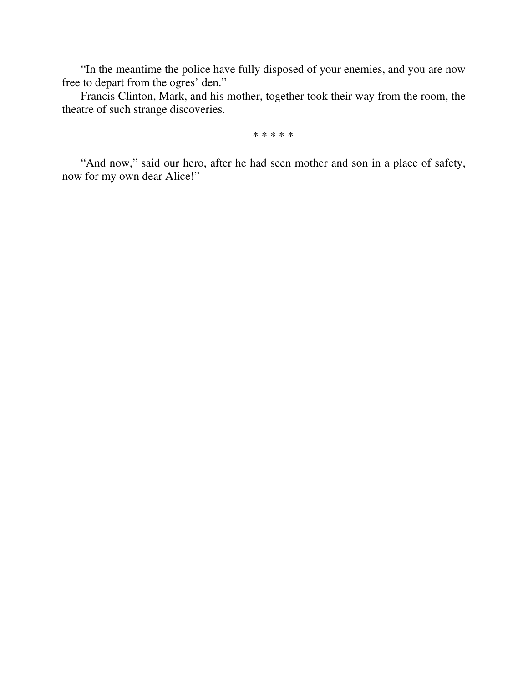"In the meantime the police have fully disposed of your enemies, and you are now free to depart from the ogres' den."

Francis Clinton, Mark, and his mother, together took their way from the room, the theatre of such strange discoveries.

\* \* \* \* \*

"And now," said our hero, after he had seen mother and son in a place of safety, now for my own dear Alice!"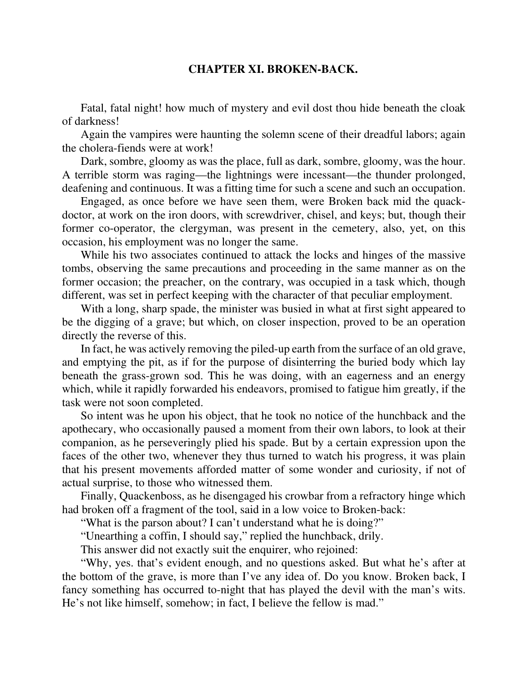## **CHAPTER XI. BROKEN-BACK.**

Fatal, fatal night! how much of mystery and evil dost thou hide beneath the cloak of darkness!

Again the vampires were haunting the solemn scene of their dreadful labors; again the cholera-fiends were at work!

Dark, sombre, gloomy as was the place, full as dark, sombre, gloomy, was the hour. A terrible storm was raging—the lightnings were incessant—the thunder prolonged, deafening and continuous. It was a fitting time for such a scene and such an occupation.

Engaged, as once before we have seen them, were Broken back mid the quackdoctor, at work on the iron doors, with screwdriver, chisel, and keys; but, though their former co-operator, the clergyman, was present in the cemetery, also, yet, on this occasion, his employment was no longer the same.

While his two associates continued to attack the locks and hinges of the massive tombs, observing the same precautions and proceeding in the same manner as on the former occasion; the preacher, on the contrary, was occupied in a task which, though different, was set in perfect keeping with the character of that peculiar employment.

With a long, sharp spade, the minister was busied in what at first sight appeared to be the digging of a grave; but which, on closer inspection, proved to be an operation directly the reverse of this.

In fact, he was actively removing the piled-up earth from the surface of an old grave, and emptying the pit, as if for the purpose of disinterring the buried body which lay beneath the grass-grown sod. This he was doing, with an eagerness and an energy which, while it rapidly forwarded his endeavors, promised to fatigue him greatly, if the task were not soon completed.

So intent was he upon his object, that he took no notice of the hunchback and the apothecary, who occasionally paused a moment from their own labors, to look at their companion, as he perseveringly plied his spade. But by a certain expression upon the faces of the other two, whenever they thus turned to watch his progress, it was plain that his present movements afforded matter of some wonder and curiosity, if not of actual surprise, to those who witnessed them.

Finally, Quackenboss, as he disengaged his crowbar from a refractory hinge which had broken off a fragment of the tool, said in a low voice to Broken-back:

"What is the parson about? I can't understand what he is doing?"

"Unearthing a coffin, I should say," replied the hunchback, drily.

This answer did not exactly suit the enquirer, who rejoined:

"Why, yes. that's evident enough, and no questions asked. But what he's after at the bottom of the grave, is more than I've any idea of. Do you know. Broken back, I fancy something has occurred to-night that has played the devil with the man's wits. He's not like himself, somehow; in fact, I believe the fellow is mad."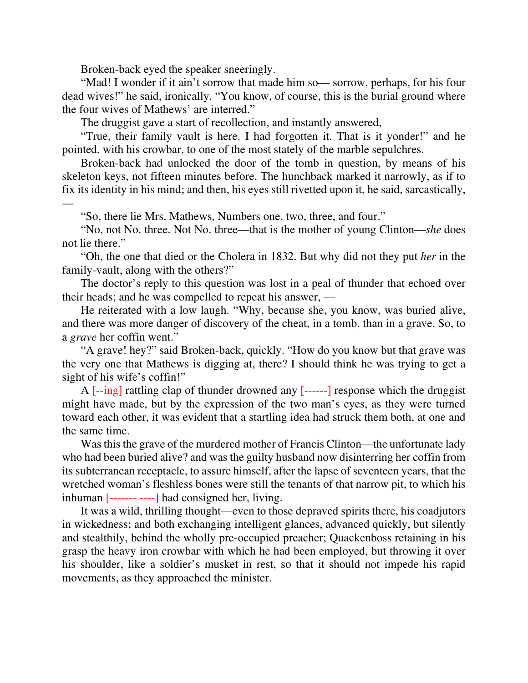Broken-back eyed the speaker sneeringly.

"Mad! I wonder if it ain't sorrow that made him so— sorrow, perhaps, for his four dead wives!" he said, ironically. "You know, of course, this is the burial ground where the four wives of Mathews' are interred."

The druggist gave a start of recollection, and instantly answered,

"True, their family vault is here. I had forgotten it. That is it yonder!" and he pointed, with his crowbar, to one of the most stately of the marble sepulchres.

Broken-back had unlocked the door of the tomb in question, by means of his skeleton keys, not fifteen minutes before. The hunchback marked it narrowly, as if to fix its identity in his mind; and then, his eyes still rivetted upon it, he said, sarcastically,

—

"So, there lie Mrs. Mathews, Numbers one, two, three, and four."

"No, not No. three. Not No. three—that is the mother of young Clinton—*she* does not lie there."

"Oh, the one that died or the Cholera in 1832. But why did not they put *her* in the family-vault, along with the others?"

The doctor's reply to this question was lost in a peal of thunder that echoed over their heads; and he was compelled to repeat his answer, —

He reiterated with a low laugh. "Why, because she, you know, was buried alive, and there was more danger of discovery of the cheat, in a tomb, than in a grave. So, to a *grave* her coffin went."

"A grave! hey?" said Broken-back, quickly. "How do you know but that grave was the very one that Mathews is digging at, there? I should think he was trying to get a sight of his wife's coffin!"

A [--ing] rattling clap of thunder drowned any [------] response which the druggist might have made, but by the expression of the two man's eyes, as they were turned toward each other, it was evident that a startling idea had struck them both, at one and the same time.

Was this the grave of the murdered mother of Francis Clinton—the unfortunate lady who had been buried alive? and was the guilty husband now disinterring her coffin from its subterranean receptacle, to assure himself, after the lapse of seventeen years, that the wretched woman's fleshless bones were still the tenants of that narrow pit, to which his inhuman [------- ----] had consigned her, living.

It was a wild, thrilling thought—even to those depraved spirits there, his coadjutors in wickedness; and both exchanging intelligent glances, advanced quickly, but silently and stealthily, behind the wholly pre-occupied preacher; Quackenboss retaining in his grasp the heavy iron crowbar with which he had been employed, but throwing it over his shoulder, like a soldier's musket in rest, so that it should not impede his rapid movements, as they approached the minister.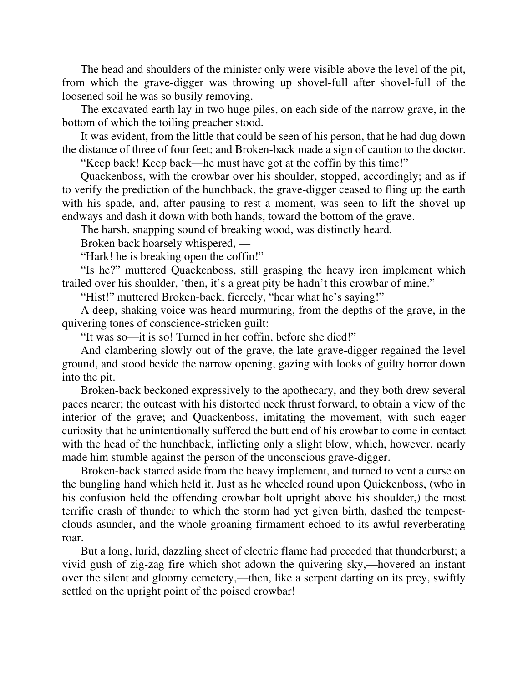The head and shoulders of the minister only were visible above the level of the pit, from which the grave-digger was throwing up shovel-full after shovel-full of the loosened soil he was so busily removing.

The excavated earth lay in two huge piles, on each side of the narrow grave, in the bottom of which the toiling preacher stood.

It was evident, from the little that could be seen of his person, that he had dug down the distance of three of four feet; and Broken-back made a sign of caution to the doctor.

"Keep back! Keep back—he must have got at the coffin by this time!"

Quackenboss, with the crowbar over his shoulder, stopped, accordingly; and as if to verify the prediction of the hunchback, the grave-digger ceased to fling up the earth with his spade, and, after pausing to rest a moment, was seen to lift the shovel up endways and dash it down with both hands, toward the bottom of the grave.

The harsh, snapping sound of breaking wood, was distinctly heard.

Broken back hoarsely whispered, —

"Hark! he is breaking open the coffin!"

"Is he?" muttered Quackenboss, still grasping the heavy iron implement which trailed over his shoulder, 'then, it's a great pity be hadn't this crowbar of mine."

"Hist!" muttered Broken-back, fiercely, "hear what he's saying!"

A deep, shaking voice was heard murmuring, from the depths of the grave, in the quivering tones of conscience-stricken guilt:

"It was so—it is so! Turned in her coffin, before she died!"

And clambering slowly out of the grave, the late grave-digger regained the level ground, and stood beside the narrow opening, gazing with looks of guilty horror down into the pit.

Broken-back beckoned expressively to the apothecary, and they both drew several paces nearer; the outcast with his distorted neck thrust forward, to obtain a view of the interior of the grave; and Quackenboss, imitating the movement, with such eager curiosity that he unintentionally suffered the butt end of his crowbar to come in contact with the head of the hunchback, inflicting only a slight blow, which, however, nearly made him stumble against the person of the unconscious grave-digger.

Broken-back started aside from the heavy implement, and turned to vent a curse on the bungling hand which held it. Just as he wheeled round upon Quickenboss, (who in his confusion held the offending crowbar bolt upright above his shoulder,) the most terrific crash of thunder to which the storm had yet given birth, dashed the tempestclouds asunder, and the whole groaning firmament echoed to its awful reverberating roar.

But a long, lurid, dazzling sheet of electric flame had preceded that thunderburst; a vivid gush of zig-zag fire which shot adown the quivering sky,—hovered an instant over the silent and gloomy cemetery,—then, like a serpent darting on its prey, swiftly settled on the upright point of the poised crowbar!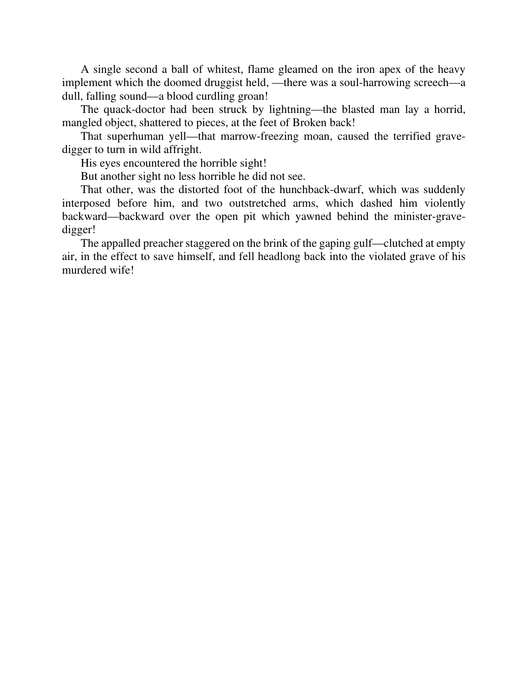A single second a ball of whitest, flame gleamed on the iron apex of the heavy implement which the doomed druggist held, —there was a soul-harrowing screech—a dull, falling sound—a blood curdling groan!

The quack-doctor had been struck by lightning—the blasted man lay a horrid, mangled object, shattered to pieces, at the feet of Broken back!

That superhuman yell—that marrow-freezing moan, caused the terrified gravedigger to turn in wild affright.

His eyes encountered the horrible sight!

But another sight no less horrible he did not see.

That other, was the distorted foot of the hunchback-dwarf, which was suddenly interposed before him, and two outstretched arms, which dashed him violently backward—backward over the open pit which yawned behind the minister-gravedigger!

The appalled preacher staggered on the brink of the gaping gulf—clutched at empty air, in the effect to save himself, and fell headlong back into the violated grave of his murdered wife!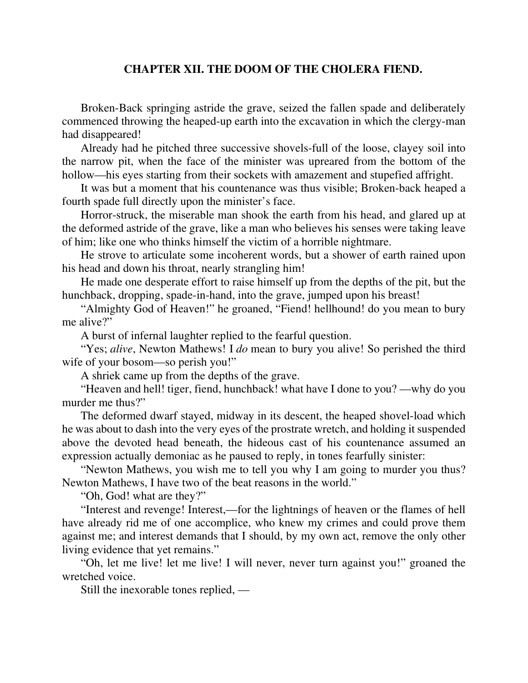## **CHAPTER XII. THE DOOM OF THE CHOLERA FIEND.**

Broken-Back springing astride the grave, seized the fallen spade and deliberately commenced throwing the heaped-up earth into the excavation in which the clergy-man had disappeared!

Already had he pitched three successive shovels-full of the loose, clayey soil into the narrow pit, when the face of the minister was upreared from the bottom of the hollow—his eyes starting from their sockets with amazement and stupefied affright.

It was but a moment that his countenance was thus visible; Broken-back heaped a fourth spade full directly upon the minister's face.

Horror-struck, the miserable man shook the earth from his head, and glared up at the deformed astride of the grave, like a man who believes his senses were taking leave of him; like one who thinks himself the victim of a horrible nightmare.

He strove to articulate some incoherent words, but a shower of earth rained upon his head and down his throat, nearly strangling him!

He made one desperate effort to raise himself up from the depths of the pit, but the hunchback, dropping, spade-in-hand, into the grave, jumped upon his breast!

"Almighty God of Heaven!" he groaned, "Fiend! hellhound! do you mean to bury me alive?"

A burst of infernal laughter replied to the fearful question.

"Yes; *alive*, Newton Mathews! I *do* mean to bury you alive! So perished the third wife of your bosom—so perish you!"

A shriek came up from the depths of the grave.

"Heaven and hell! tiger, fiend, hunchback! what have I done to you? —why do you murder me thus?"

The deformed dwarf stayed, midway in its descent, the heaped shovel-load which he was about to dash into the very eyes of the prostrate wretch, and holding it suspended above the devoted head beneath, the hideous cast of his countenance assumed an expression actually demoniac as he paused to reply, in tones fearfully sinister:

"Newton Mathews, you wish me to tell you why I am going to murder you thus? Newton Mathews, I have two of the beat reasons in the world."

"Oh, God! what are they?"

"Interest and revenge! Interest,—for the lightnings of heaven or the flames of hell have already rid me of one accomplice, who knew my crimes and could prove them against me; and interest demands that I should, by my own act, remove the only other living evidence that yet remains."

"Oh, let me live! let me live! I will never, never turn against you!" groaned the wretched voice.

Still the inexorable tones replied, —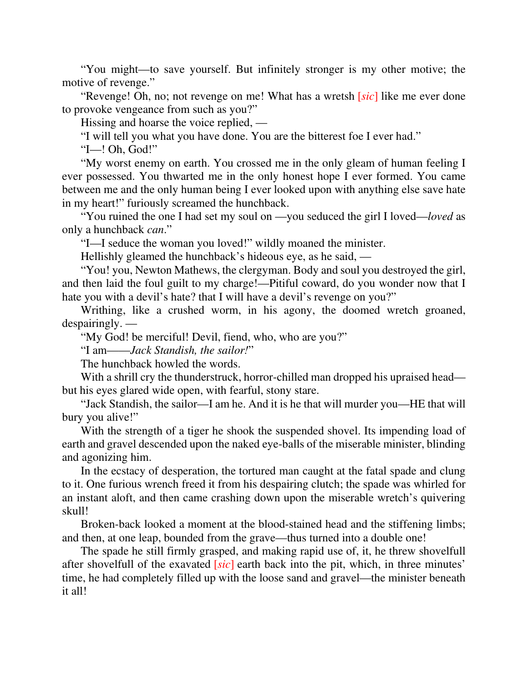"You might—to save yourself. But infinitely stronger is my other motive; the motive of revenge."

"Revenge! Oh, no; not revenge on me! What has a wretsh [*sic*] like me ever done to provoke vengeance from such as you?"

Hissing and hoarse the voice replied, —

"I will tell you what you have done. You are the bitterest foe I ever had."

"I—! Oh, God!"

"My worst enemy on earth. You crossed me in the only gleam of human feeling I ever possessed. You thwarted me in the only honest hope I ever formed. You came between me and the only human being I ever looked upon with anything else save hate in my heart!" furiously screamed the hunchback.

"You ruined the one I had set my soul on —you seduced the girl I loved—*loved* as only a hunchback *can*."

"I—I seduce the woman you loved!" wildly moaned the minister.

Hellishly gleamed the hunchback's hideous eye, as he said, —

"You! you, Newton Mathews, the clergyman. Body and soul you destroyed the girl, and then laid the foul guilt to my charge!—Pitiful coward, do you wonder now that I hate you with a devil's hate? that I will have a devil's revenge on you?"

Writhing, like a crushed worm, in his agony, the doomed wretch groaned, despairingly. —

"My God! be merciful! Devil, fiend, who, who are you?"

"I am——*Jack Standish, the sailor!*"

The hunchback howled the words.

With a shrill cry the thunderstruck, horror-chilled man dropped his upraised head but his eyes glared wide open, with fearful, stony stare.

"Jack Standish, the sailor—I am he. And it is he that will murder you—HE that will bury you alive!"

With the strength of a tiger he shook the suspended shovel. Its impending load of earth and gravel descended upon the naked eye-balls of the miserable minister, blinding and agonizing him.

In the ecstacy of desperation, the tortured man caught at the fatal spade and clung to it. One furious wrench freed it from his despairing clutch; the spade was whirled for an instant aloft, and then came crashing down upon the miserable wretch's quivering skull!

Broken-back looked a moment at the blood-stained head and the stiffening limbs; and then, at one leap, bounded from the grave—thus turned into a double one!

The spade he still firmly grasped, and making rapid use of, it, he threw shovelfull after shovelfull of the exavated [*sic*] earth back into the pit, which, in three minutes' time, he had completely filled up with the loose sand and gravel—the minister beneath it all!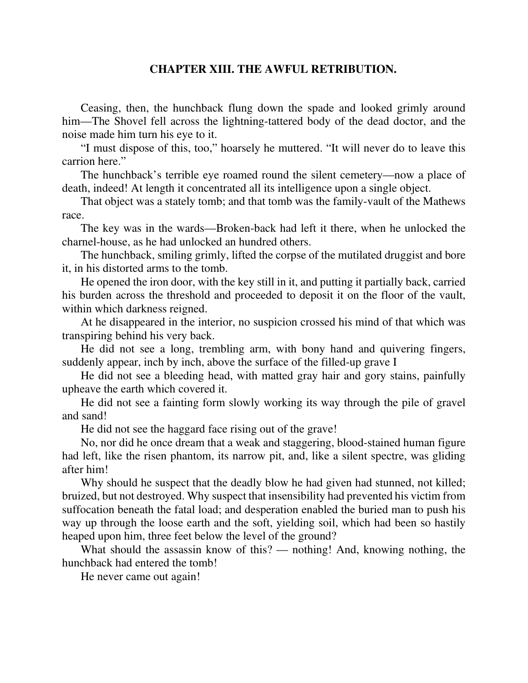## **CHAPTER XIII. THE AWFUL RETRIBUTION.**

Ceasing, then, the hunchback flung down the spade and looked grimly around him—The Shovel fell across the lightning-tattered body of the dead doctor, and the noise made him turn his eye to it.

"I must dispose of this, too," hoarsely he muttered. "It will never do to leave this carrion here."

The hunchback's terrible eye roamed round the silent cemetery—now a place of death, indeed! At length it concentrated all its intelligence upon a single object.

That object was a stately tomb; and that tomb was the family-vault of the Mathews race.

The key was in the wards—Broken-back had left it there, when he unlocked the charnel-house, as he had unlocked an hundred others.

The hunchback, smiling grimly, lifted the corpse of the mutilated druggist and bore it, in his distorted arms to the tomb.

He opened the iron door, with the key still in it, and putting it partially back, carried his burden across the threshold and proceeded to deposit it on the floor of the vault, within which darkness reigned.

At he disappeared in the interior, no suspicion crossed his mind of that which was transpiring behind his very back.

He did not see a long, trembling arm, with bony hand and quivering fingers, suddenly appear, inch by inch, above the surface of the filled-up grave I

He did not see a bleeding head, with matted gray hair and gory stains, painfully upheave the earth which covered it.

He did not see a fainting form slowly working its way through the pile of gravel and sand!

He did not see the haggard face rising out of the grave!

No, nor did he once dream that a weak and staggering, blood-stained human figure had left, like the risen phantom, its narrow pit, and, like a silent spectre, was gliding after him!

Why should he suspect that the deadly blow he had given had stunned, not killed; bruized, but not destroyed. Why suspect that insensibility had prevented his victim from suffocation beneath the fatal load; and desperation enabled the buried man to push his way up through the loose earth and the soft, yielding soil, which had been so hastily heaped upon him, three feet below the level of the ground?

What should the assassin know of this? — nothing! And, knowing nothing, the hunchback had entered the tomb!

He never came out again!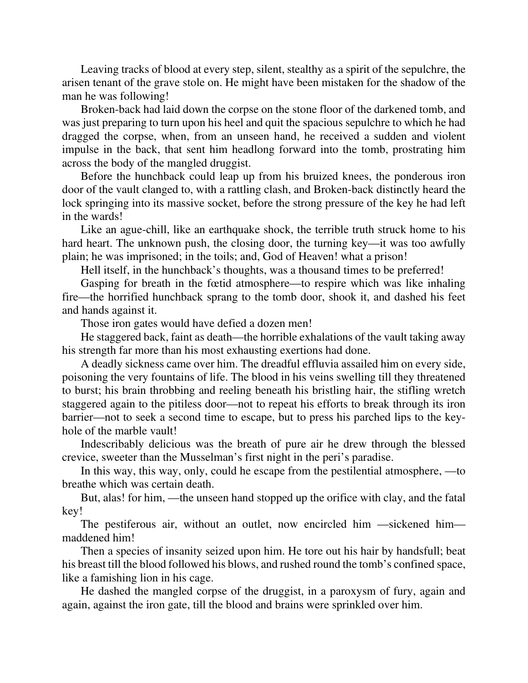Leaving tracks of blood at every step, silent, stealthy as a spirit of the sepulchre, the arisen tenant of the grave stole on. He might have been mistaken for the shadow of the man he was following!

Broken-back had laid down the corpse on the stone floor of the darkened tomb, and was just preparing to turn upon his heel and quit the spacious sepulchre to which he had dragged the corpse, when, from an unseen hand, he received a sudden and violent impulse in the back, that sent him headlong forward into the tomb, prostrating him across the body of the mangled druggist.

Before the hunchback could leap up from his bruized knees, the ponderous iron door of the vault clanged to, with a rattling clash, and Broken-back distinctly heard the lock springing into its massive socket, before the strong pressure of the key he had left in the wards!

Like an ague-chill, like an earthquake shock, the terrible truth struck home to his hard heart. The unknown push, the closing door, the turning key—it was too awfully plain; he was imprisoned; in the toils; and, God of Heaven! what a prison!

Hell itself, in the hunchback's thoughts, was a thousand times to be preferred!

Gasping for breath in the fœtid atmosphere—to respire which was like inhaling fire—the horrified hunchback sprang to the tomb door, shook it, and dashed his feet and hands against it.

Those iron gates would have defied a dozen men!

He staggered back, faint as death—the horrible exhalations of the vault taking away his strength far more than his most exhausting exertions had done.

A deadly sickness came over him. The dreadful effluvia assailed him on every side, poisoning the very fountains of life. The blood in his veins swelling till they threatened to burst; his brain throbbing and reeling beneath his bristling hair, the stifling wretch staggered again to the pitiless door—not to repeat his efforts to break through its iron barrier—not to seek a second time to escape, but to press his parched lips to the keyhole of the marble vault!

Indescribably delicious was the breath of pure air he drew through the blessed crevice, sweeter than the Musselman's first night in the peri's paradise.

In this way, this way, only, could he escape from the pestilential atmosphere, —to breathe which was certain death.

But, alas! for him, —the unseen hand stopped up the orifice with clay, and the fatal key!

The pestiferous air, without an outlet, now encircled him —sickened him maddened him!

Then a species of insanity seized upon him. He tore out his hair by handsfull; beat his breast till the blood followed his blows, and rushed round the tomb's confined space, like a famishing lion in his cage.

He dashed the mangled corpse of the druggist, in a paroxysm of fury, again and again, against the iron gate, till the blood and brains were sprinkled over him.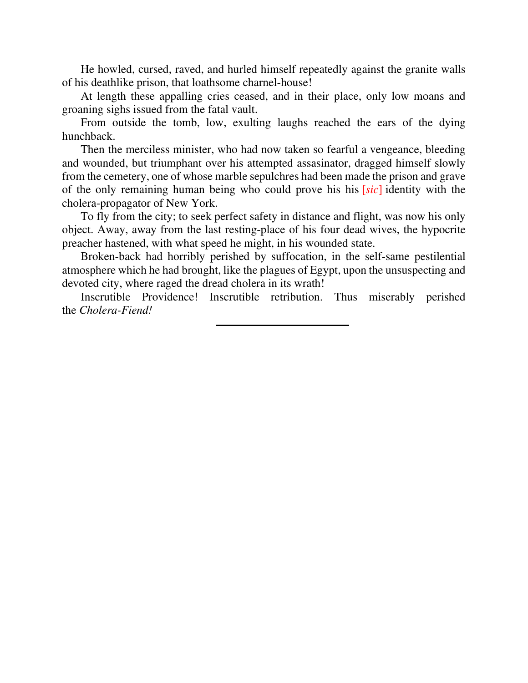He howled, cursed, raved, and hurled himself repeatedly against the granite walls of his deathlike prison, that loathsome charnel-house!

At length these appalling cries ceased, and in their place, only low moans and groaning sighs issued from the fatal vault.

From outside the tomb, low, exulting laughs reached the ears of the dying hunchback.

Then the merciless minister, who had now taken so fearful a vengeance, bleeding and wounded, but triumphant over his attempted assasinator, dragged himself slowly from the cemetery, one of whose marble sepulchres had been made the prison and grave of the only remaining human being who could prove his his [*sic*] identity with the cholera-propagator of New York.

To fly from the city; to seek perfect safety in distance and flight, was now his only object. Away, away from the last resting-place of his four dead wives, the hypocrite preacher hastened, with what speed he might, in his wounded state.

Broken-back had horribly perished by suffocation, in the self-same pestilential atmosphere which he had brought, like the plagues of Egypt, upon the unsuspecting and devoted city, where raged the dread cholera in its wrath!

Inscrutible Providence! Inscrutible retribution. Thus miserably perished the *Cholera-Fiend!*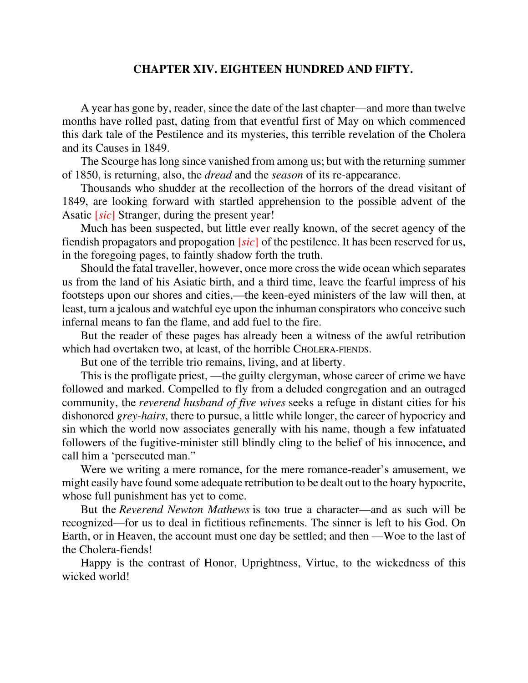## **CHAPTER XIV. EIGHTEEN HUNDRED AND FIFTY.**

A year has gone by, reader, since the date of the last chapter—and more than twelve months have rolled past, dating from that eventful first of May on which commenced this dark tale of the Pestilence and its mysteries, this terrible revelation of the Cholera and its Causes in 1849.

The Scourge has long since vanished from among us; but with the returning summer of 1850, is returning, also, the *dread* and the *season* of its re-appearance.

Thousands who shudder at the recollection of the horrors of the dread visitant of 1849, are looking forward with startled apprehension to the possible advent of the Asatic [*sic*] Stranger, during the present year!

Much has been suspected, but little ever really known, of the secret agency of the fiendish propagators and propogation [*sic*] of the pestilence. It has been reserved for us, in the foregoing pages, to faintly shadow forth the truth.

Should the fatal traveller, however, once more cross the wide ocean which separates us from the land of his Asiatic birth, and a third time, leave the fearful impress of his footsteps upon our shores and cities,—the keen-eyed ministers of the law will then, at least, turn a jealous and watchful eye upon the inhuman conspirators who conceive such infernal means to fan the flame, and add fuel to the fire.

But the reader of these pages has already been a witness of the awful retribution which had overtaken two, at least, of the horrible CHOLERA-FIENDS.

But one of the terrible trio remains, living, and at liberty.

This is the profligate priest, —the guilty clergyman, whose career of crime we have followed and marked. Compelled to fly from a deluded congregation and an outraged community, the *reverend husband of five wives* seeks a refuge in distant cities for his dishonored *grey-hairs*, there to pursue, a little while longer, the career of hypocricy and sin which the world now associates generally with his name, though a few infatuated followers of the fugitive-minister still blindly cling to the belief of his innocence, and call him a 'persecuted man."

Were we writing a mere romance, for the mere romance-reader's amusement, we might easily have found some adequate retribution to be dealt out to the hoary hypocrite, whose full punishment has yet to come.

But the *Reverend Newton Mathews* is too true a character—and as such will be recognized—for us to deal in fictitious refinements. The sinner is left to his God. On Earth, or in Heaven, the account must one day be settled; and then —Woe to the last of the Cholera-fiends!

Happy is the contrast of Honor, Uprightness, Virtue, to the wickedness of this wicked world!